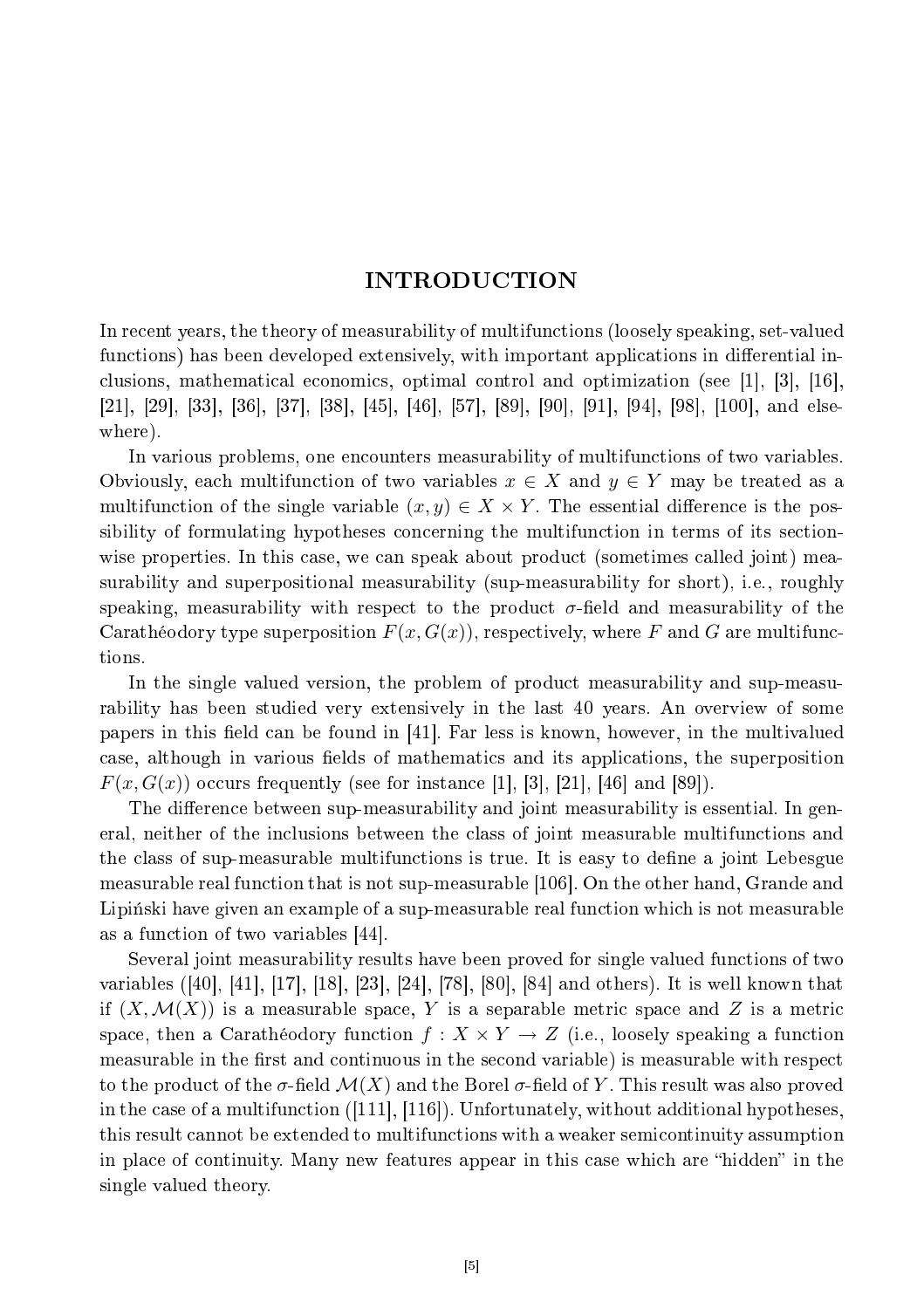# **INTRODUCTION**

In re
ent years, the theory of measurability of multifun
tions (loosely speaking, set-valued functions) has been developed extensively, with important applications in differential inclusions, mathematical economics, optimal control and optimization (see [1], [3], [16],  $[21], [29], [33], [36], [37], [38], [45], [46], [57], [89], [90], [91], [94], [98], [100],$  and elsewhere).

In various problems, one en
ounters measurability of multifun
tions of two variables. Obviously, each multifunction of two variables  $x \in X$  and  $y \in Y$  may be treated as a multifunction of the single variable  $(x, y) \in X \times Y$ . The essential difference is the possibility of formulating hypotheses concerning the multifunction in terms of its sectionwise properties. In this case, we can speak about product (sometimes called joint) measurability and superpositional measurability (sup-measurability for short), i.e., roughly speaking, measurability with respect to the product  $\sigma$ -field and measurability of the Carathéodory type superposition  $F(x, G(x))$ , respectively, where F and G are multifunctions.

In the single valued version, the problem of product measurability and sup-measurability has been studied very extensively in the last 40 years. An overview of some papers in this field can be found in  $[41]$ . Far less is known, however, in the multivalued case, although in various fields of mathematics and its applications, the superposition  $F(x, G(x))$  occurs frequently (see for instance [1], [3], [21], [46] and [89]).

The difference between sup-measurability and joint measurability is essential. In general, neither of the in
lusions between the lass of joint measurable multifun
tions and the class of sup-measurable multifunctions is true. It is easy to define a joint Lebesgue measurable real function that is not sup-measurable [106]. On the other hand, Grande and Lipinski have given an example of a sup-measurable real function which is not measurable as a function of two variables [44].

Several joint measurability results have been proved for single valued fun
tions of two variables ([40], [41], [17], [18], [23], [24], [78], [80], [84] and others). It is well known that if  $(X, \mathcal{M}(X))$  is a measurable space, Y is a separable metric space and Z is a metric space, then a Carathéodory function  $f: X \times Y \to Z$  (i.e., loosely speaking a function measurable in the first and continuous in the second variable) is measurable with respect to the product of the  $\sigma$ -field  $\mathcal{M}(X)$  and the Borel  $\sigma$ -field of Y. This result was also proved in the case of a multifunction  $([111], [116])$ . Unfortunately, without additional hypotheses, this result annot be extended to multifun
tions with a weaker semi
ontinuity assumption in place of continuity. Many new features appear in this case which are "hidden" in the single valued theory.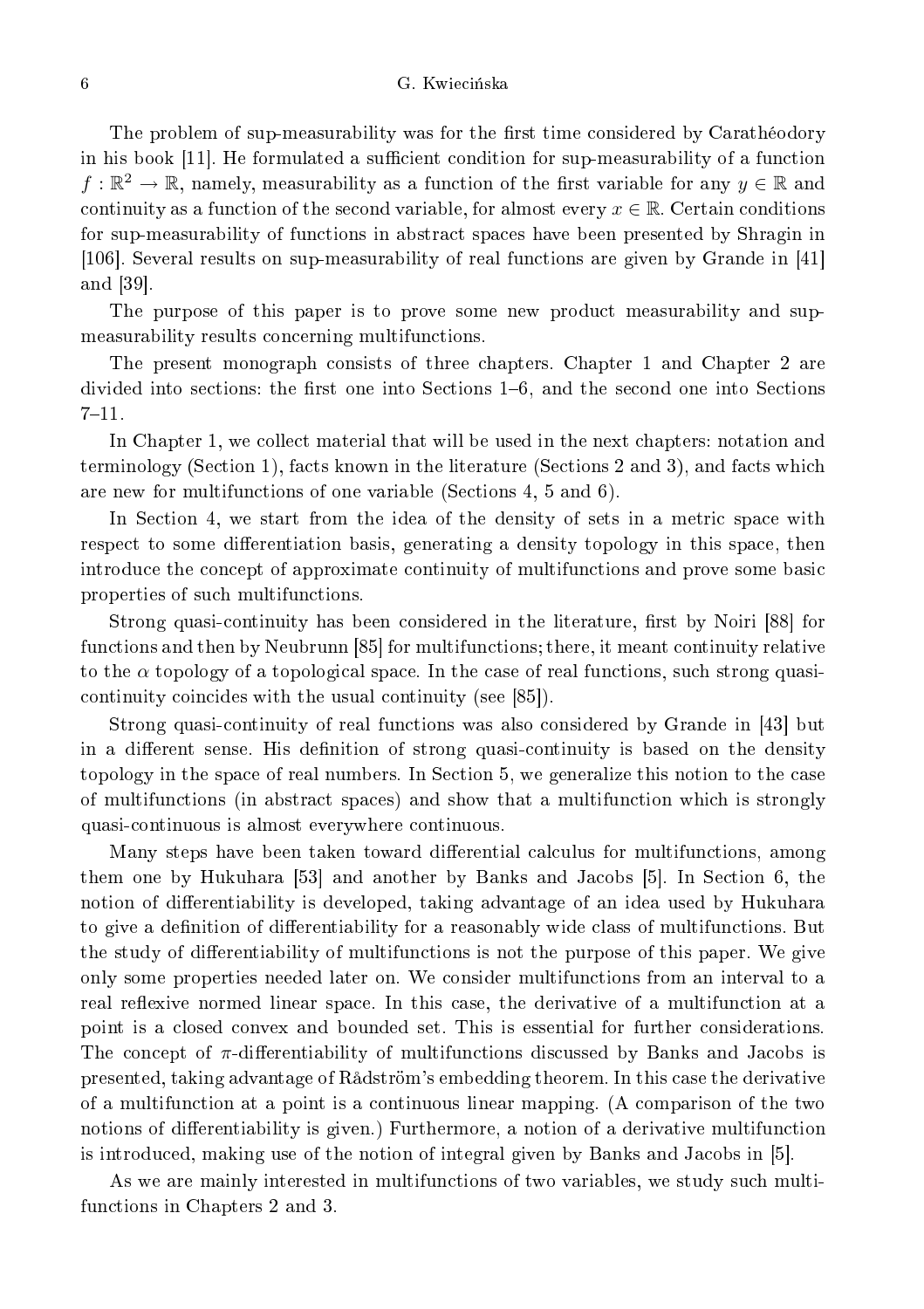#### G. Kwiecińska

6

The problem of sup-measurability was for the first time considered by Carathéodory in his book [11]. He formulated a sufficient condition for sup-measurability of a function  $f:\mathbb{R}^2\to\mathbb{R}$ , namely, measurability as a function of the first variable for any  $y\in\mathbb{R}$  and continuity as a function of the second variable, for almost every  $x \in \mathbb{R}$ . Certain conditions for sup-measurability of functions in abstract spaces have been presented by Shragin in [106]. Several results on sup-measurability of real functions are given by Grande in  $[41]$ and [39].

The purpose of this paper is to prove some new produ
t measurability and supmeasurability results concerning multifunctions.

The present monograph consists of three chapters. Chapter 1 and Chapter 2 are divided into sections: the first one into Sections  $1-6$ , and the second one into Sections  $7 - 11.$ 

In Chapter 1, we collect material that will be used in the next chapters: notation and terminology (Section 1), facts known in the literature (Sections 2 and 3), and facts which are new for multifun
tions of one variable (Se
tions 4, 5 and 6).

In Section 4, we start from the idea of the density of sets in a metric space with respect to some differentiation basis, generating a density topology in this space, then introduce the concept of approximate continuity of multifunctions and prove some basic properties of such multifunctions.

Strong quasi-continuity has been considered in the literature, first by Noiri [88] for functions and then by Neubrunn [85] for multifunctions; there, it meant continuity relative to the  $\alpha$  topology of a topological space. In the case of real functions, such strong quasicontinuity coincides with the usual continuity (see [85]).

Strong quasi-continuity of real functions was also considered by Grande in [43] but in a different sense. His definition of strong quasi-continuity is based on the density topology in the space of real numbers. In Section 5, we generalize this notion to the case of multifun
tions (in abstra
t spa
es) and show that a multifun
tion whi
h is strongly quasiontinuous is almost everywhere ontinuous.

Many steps have been taken toward differential calculus for multifunctions, among them one by Hukuhara [53] and another by Banks and Jacobs [5]. In Section 6, the notion of differentiability is developed, taking advantage of an idea used by Hukuhara to give a definition of differentiability for a reasonably wide class of multifunctions. But the study of differentiability of multifunctions is not the purpose of this paper. We give only some properties needed later on. We onsider multifun
tions from an interval to a real reflexive normed linear space. In this case, the derivative of a multifunction at a point is a losed onvex and bounded set. This is essential for further onsiderations. The concept of  $\pi$ -differentiability of multifunctions discussed by Banks and Jacobs is presented, taking advantage of Rådström's embedding theorem. In this ase the derivative of a multifun
tion at a point is a ontinuous linear mapping. (A omparison of the two notions of differentiability is given.) Furthermore, a notion of a derivative multifunction is introduced, making use of the notion of integral given by Banks and Jacobs in [5].

As we are mainly interested in multifunctions of two variables, we study such multifun
tions in Chapters 2 and 3.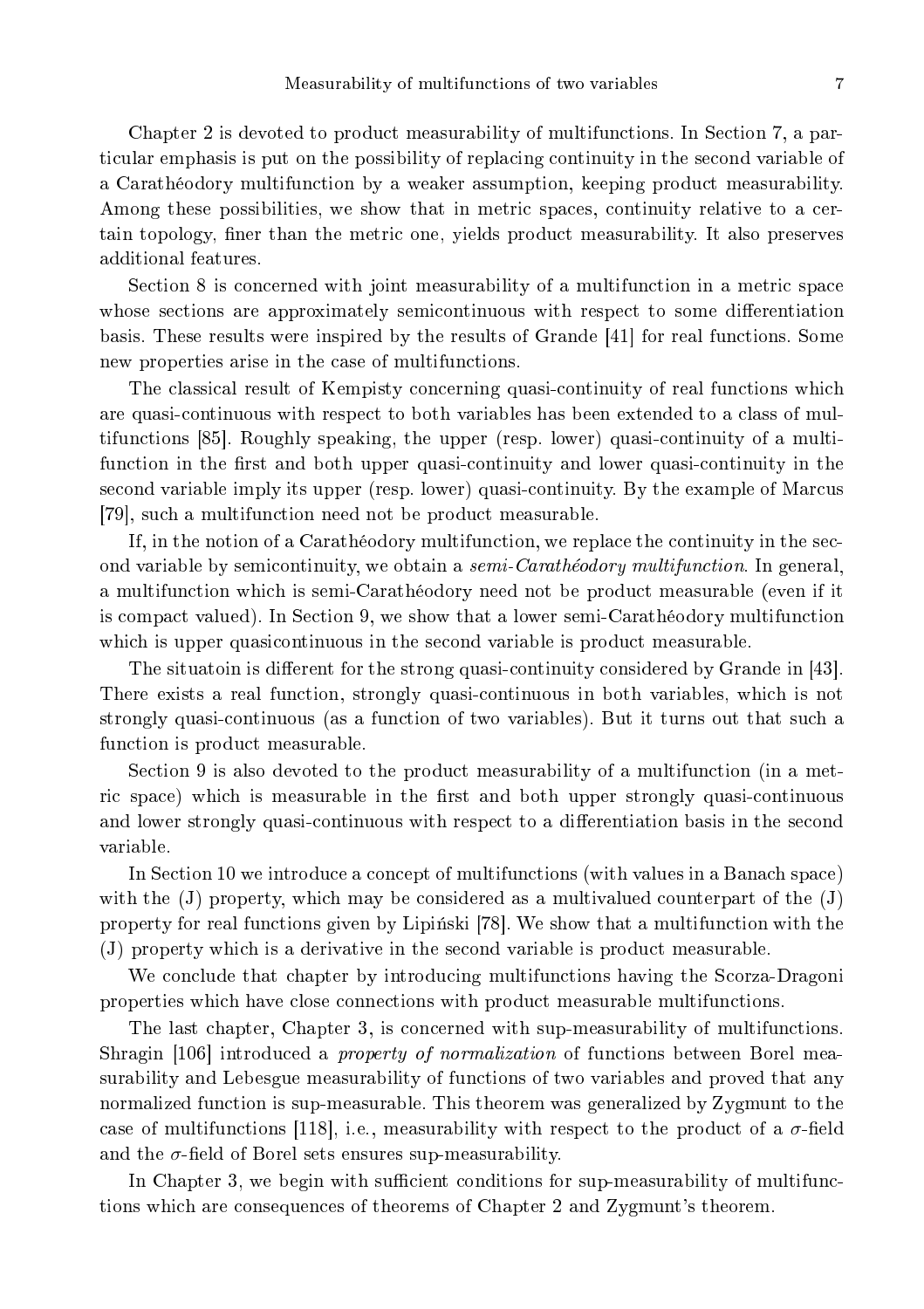Chapter 2 is devoted to product measurability of multifunctions. In Section 7, a particular emphasis is put on the possibility of replacing continuity in the second variable of a Carathéodory multifun
tion by a weaker assumption, keeping produ
t measurability. Among these possibilities, we show that in metric spaces, continuity relative to a certain topology, finer than the metric one, yields product measurability. It also preserves additional features.

Section 8 is concerned with joint measurability of a multifunction in a metric space whose sections are approximately semicontinuous with respect to some differentiation basis. These results were inspired by the results of Grande  $[41]$  for real functions. Some new properties arise in the case of multifunctions.

The classical result of Kempisty concerning quasi-continuity of real functions which are quasi-continuous with respect to both variables has been extended to a class of multifunctions [85]. Roughly speaking, the upper (resp. lower) quasi-continuity of a multifunction in the first and both upper quasi-continuity and lower quasi-continuity in the second variable imply its upper (resp. lower) quasi-continuity. By the example of Marcus [79], such a multifunction need not be product measurable.

If, in the notion of a Carathéodory multifunction, we replace the continuity in the second variable by semicontinuity, we obtain a *semi-Carathéodory multifunction*. In general, a multifun
tion whi
h is semi-Carathéodory need not be produ
t measurable (even if it is ompa
t valued). In Se
tion 9, we show that a lower semi-Carathéodory multifun
tion which is upper quasicontinuous in the second variable is product measurable.

The situatoin is different for the strong quasi-continuity considered by Grande in [43]. There exists a real fun
tion, strongly quasiontinuous in both variables, whi
h is not strongly quasi-continuous (as a function of two variables). But it turns out that such a fun
tion is produ
t measurable.

Section 9 is also devoted to the product measurability of a multifunction (in a metric space) which is measurable in the first and both upper strongly quasi-continuous and lower strongly quasi-continuous with respect to a differentiation basis in the second variable.

In Section 10 we introduce a concept of multifunctions (with values in a Banach space) with the  $(J)$  property, which may be considered as a multivalued counterpart of the  $(J)$ property for real functions given by Lipinski [78]. We show that a multifunction with the (J) property whi
h is a derivative in the se
ond variable is produ
t measurable.

We conclude that chapter by introducing multifunctions having the Scorza-Dragoni properties whi
h have lose onne
tions with produ
t measurable multifun
tions.

The last hapter, Chapter 3, is on
erned with sup-measurability of multifun
tions. Shragin [106] introduced a *property of normalization* of functions between Borel measurability and Lebesgue measurability of fun
tions of two variables and proved that any normalized function is sup-measurable. This theorem was generalized by Zygmunt to the case of multifunctions [118], i.e., measurability with respect to the product of a  $\sigma$ -field and the  $\sigma$ -field of Borel sets ensures sup-measurability.

In Chapter 3, we begin with sufficient conditions for sup-measurability of multifunctions whi
h are onsequen
es of theorems of Chapter 2 and Zygmunt's theorem.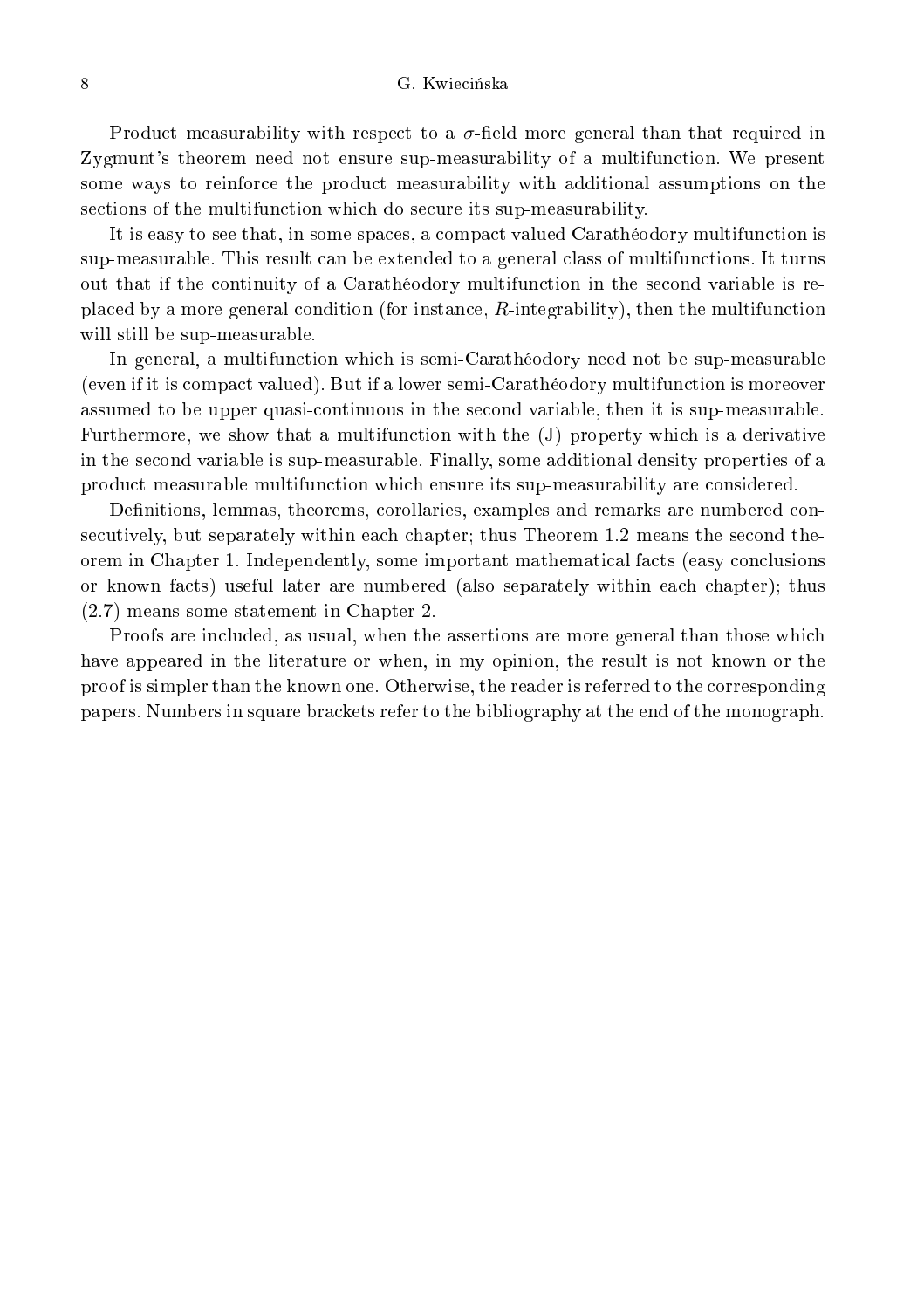Product measurability with respect to a  $\sigma$ -field more general than that required in Zygmunt's theorem need not ensure sup-measurability of a multifunction. We present some ways to reinfor
e the produ
t measurability with additional assumptions on the sections of the multifunction which do secure its sup-measurability.

It is easy to see that, in some spaces, a compact valued Carathéodory multifunction is sup-measurable. This result can be extended to a general class of multifunctions. It turns out that if the ontinuity of a Carathéodory multifun
tion in the se
ond variable is replaced by a more general condition (for instance, R-integrability), then the multifunction will still be sup-measurable.

In general, a multifunction which is semi-Carathéodory need not be sup-measurable (even if it is ompa
t valued). But if a lower semi-Carathéodory multifun
tion is moreover assumed to be upper quasiontinuous in the se
ond variable, then it is sup-measurable. Furthermore, we show that a multifunction with the (J) property which is a derivative in the se
ond variable is sup-measurable. Finally, some additional density properties of a produ
t measurable multifun
tion whi
h ensure its sup-measurability are onsidered.

Definitions, lemmas, theorems, corollaries, examples and remarks are numbered consecutively, but separately within each chapter; thus Theorem 1.2 means the second theorem in Chapter 1. Independently, some important mathematical facts (easy conclusions or known facts) useful later are numbered (also separately within each chapter); thus (2.7) means some statement in Chapter 2.

Proofs are included, as usual, when the assertions are more general than those which have appeared in the literature or when, in my opinion, the result is not known or the proof is simpler than the known one. Otherwise, the reader is referred to the orresponding papers. Numbers in square bra
kets refer to the bibliography at the end of the monograph.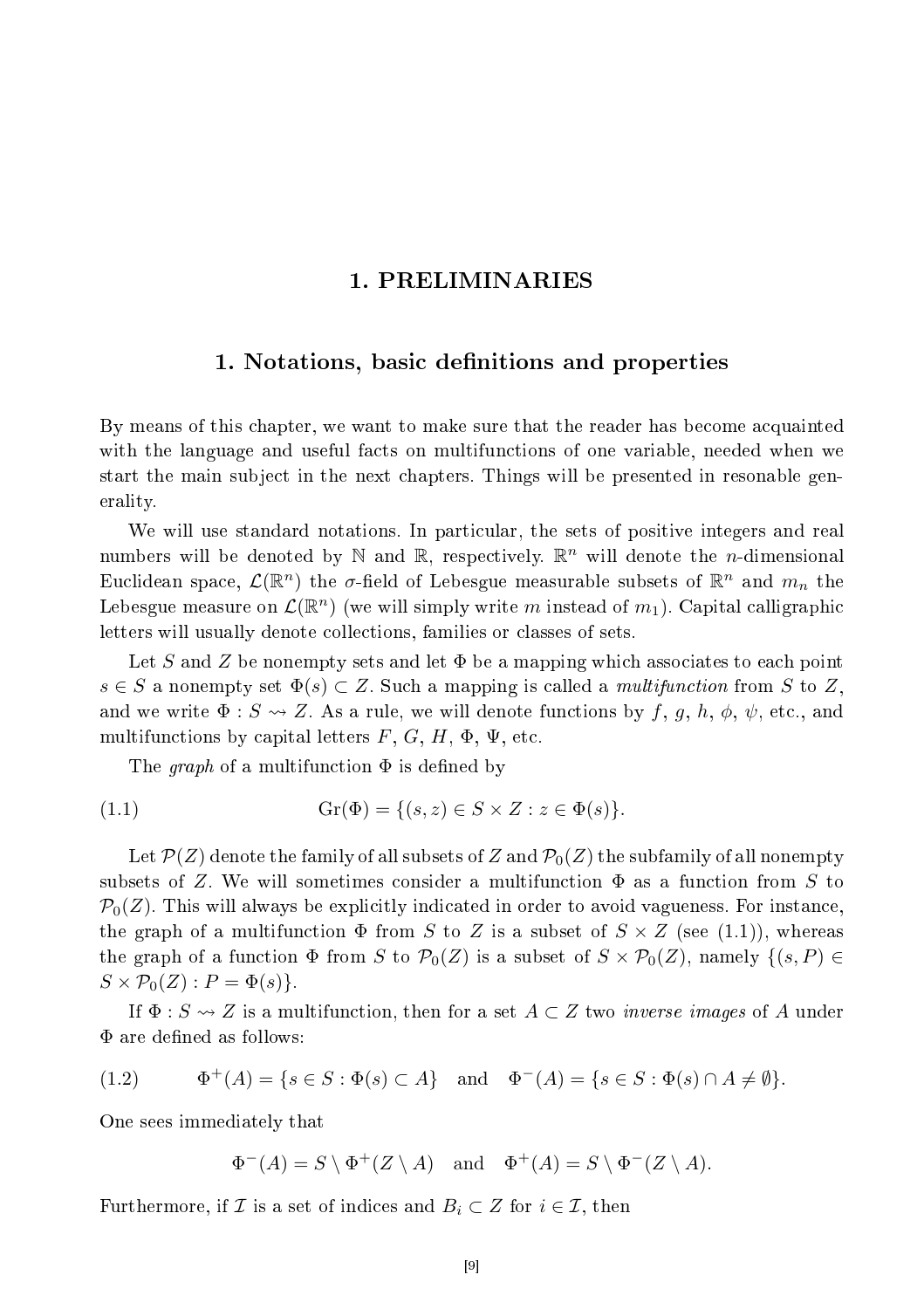## 1. PRELIMINARIES

## 1. Notations, basic definitions and properties

By means of this chapter, we want to make sure that the reader has become acquainted with the language and useful facts on multifunctions of one variable, needed when we start the main subject in the next chapters. Things will be presented in resonable generality.

We will use standard notations. In particular, the sets of positive integers and real numbers will be denoted by  $\mathbb N$  and  $\mathbb R$ , respectively.  $\mathbb R^n$  will denote the *n*-dimensional Euclidean space,  $\mathcal{L}(\mathbb{R}^n)$  the  $\sigma$ -field of Lebesgue measurable subsets of  $\mathbb{R}^n$  and  $m_n$  the Lebesgue measure on  $\mathcal{L}(\mathbb{R}^n)$  (we will simply write  $m$  instead of  $m_1$ ). Capital calligraphic letters will usually denote collections, families or classes of sets.

Let S and Z be nonempty sets and let  $\Phi$  be a mapping which associates to each point  $s \in S$  a nonempty set  $\Phi(s) \subset Z$ . Such a mapping is called a *multifunction* from S to Z, and we write  $\Phi: S \rightsquigarrow Z$ . As a rule, we will denote functions by  $f, g, h, \phi, \psi$ , etc., and multifunctions by capital letters  $F, G, H, \Phi, \Psi$ , etc.

The graph of a multifunction  $\Phi$  is defined by

$$
(1.1) \t\t Gr(\Phi) = \{(s, z) \in S \times Z : z \in \Phi(s)\}.
$$

Let  $\mathcal{P}(Z)$  denote the family of all subsets of Z and  $\mathcal{P}_0(Z)$  the subfamily of all nonempty subsets of Z. We will sometimes consider a multifunction  $\Phi$  as a function from S to  $P_0(Z)$ . This will always be explicitly indicated in order to avoid vagueness. For instance, the graph of a multifunction  $\Phi$  from S to Z is a subset of  $S \times Z$  (see (1.1)), whereas the graph of a function  $\Phi$  from S to  $\mathcal{P}_0(Z)$  is a subset of  $S \times \mathcal{P}_0(Z)$ , namely  $\{(s, P) \in$  $S \times \mathcal{P}_0(Z) : P = \Phi(s)$ .

If  $\Phi: S \rightsquigarrow Z$  is a multifunction, then for a set  $A \subset Z$  two *inverse images* of A under  $\Phi$  are defined as follows:

(1.2) 
$$
\Phi^+(A) = \{ s \in S : \Phi(s) \subset A \}
$$
 and  $\Phi^-(A) = \{ s \in S : \Phi(s) \cap A \neq \emptyset \}.$ 

One sees immediately that

$$
\Phi^-(A) = S \setminus \Phi^+(Z \setminus A) \quad \text{and} \quad \Phi^+(A) = S \setminus \Phi^-(Z \setminus A).
$$

Furthermore, if  $\mathcal I$  is a set of indices and  $B_i \subset \mathcal Z$  for  $i \in \mathcal I$ , then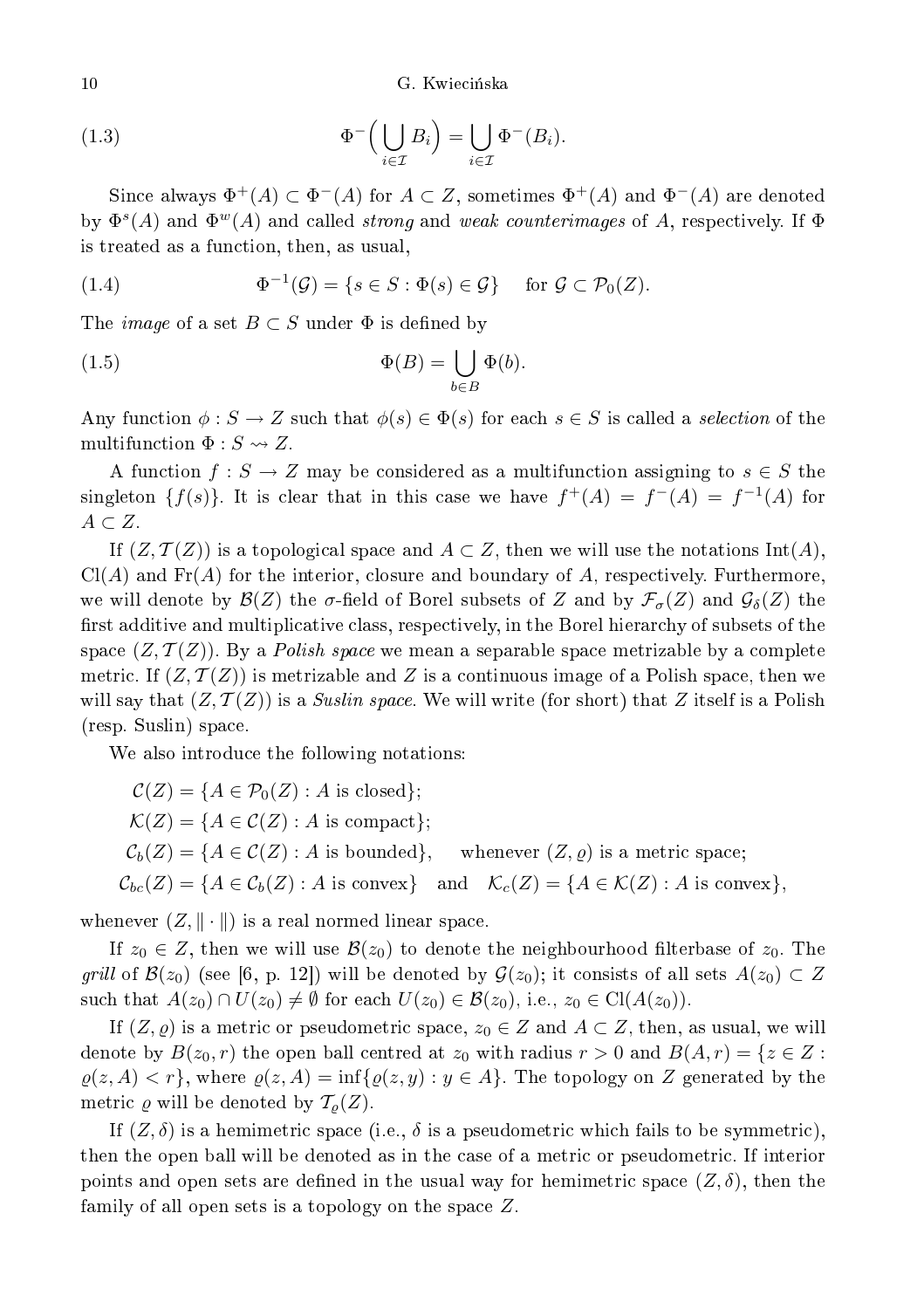G. Kwiecińska

(1.3) 
$$
\Phi^{-}\Big(\bigcup_{i\in\mathcal{I}}B_i\Big)=\bigcup_{i\in\mathcal{I}}\Phi^{-}(B_i).
$$

Since always  $\Phi^+(A) \subset \Phi^-(A)$  for  $A \subset Z$ , sometimes  $\Phi^+(A)$  and  $\Phi^-(A)$  are denoted by  $\Phi^s(A)$  and  $\Phi^w(A)$  and called *strong* and *weak counterimages* of A, respectively. If  $\Phi$ is treated as a fun
tion, then, as usual,

(1.4) 
$$
\Phi^{-1}(\mathcal{G}) = \{s \in S : \Phi(s) \in \mathcal{G}\} \text{ for } \mathcal{G} \subset \mathcal{P}_0(Z).
$$

The *image* of a set  $B \subset S$  under  $\Phi$  is defined by

(1.5) 
$$
\Phi(B) = \bigcup_{b \in B} \Phi(b).
$$

Any function  $\phi: S \to Z$  such that  $\phi(s) \in \Phi(s)$  for each  $s \in S$  is called a selection of the multifunction  $\Phi : S \rightsquigarrow Z$ .

A function  $f: S \to Z$  may be considered as a multifunction assigning to  $s \in S$  the singleton  $\{f(s)\}.$  It is clear that in this case we have  $f^+(A) = f^-(A) = f^{-1}(A)$  for  $A \subset Z$ .

If  $(Z, \mathcal{T}(Z))$  is a topological space and  $A \subset Z$ , then we will use the notations  $\text{Int}(A)$ ,  $Cl(A)$  and  $Fr(A)$  for the interior, closure and boundary of A, respectively. Furthermore, we will denote by  $\mathcal{B}(Z)$  the  $\sigma$ -field of Borel subsets of Z and by  $\mathcal{F}_{\sigma}(Z)$  and  $\mathcal{G}_{\delta}(Z)$  the first additive and multiplicative class, respectively, in the Borel hierarchy of subsets of the space  $(Z, \mathcal{T}(Z))$ . By a *Polish space* we mean a separable space metrizable by a complete metric. If  $(Z, \mathcal{T}(Z))$  is metrizable and Z is a continuous image of a Polish space, then we will say that  $(Z, \mathcal{T}(Z))$  is a *Suslin space*. We will write (for short) that Z itself is a Polish (resp. Suslin) spa
e.

We also introduce the following notations:

$$
C(Z) = \{A \in \mathcal{P}_0(Z) : A \text{ is closed}\};
$$
  
\n
$$
\mathcal{K}(Z) = \{A \in \mathcal{C}(Z) : A \text{ is compact}\};
$$
  
\n
$$
\mathcal{C}_b(Z) = \{A \in \mathcal{C}(Z) : A \text{ is bounded}\}, \text{ whenever } (Z, \varrho) \text{ is a metric space};
$$
  
\n
$$
\mathcal{C}_{bc}(Z) = \{A \in \mathcal{C}_b(Z) : A \text{ is convex}\} \text{ and } \mathcal{K}_c(Z) = \{A \in \mathcal{K}(Z) : A \text{ is convex}\},
$$

whenever  $(Z, \|\cdot\|)$  is a real normed linear space.

If  $z_0 \in Z$ , then we will use  $\mathcal{B}(z_0)$  to denote the neighbourhood filterbase of  $z_0$ . The grill of  $\mathcal{B}(z_0)$  (see [6, p. 12]) will be denoted by  $\mathcal{G}(z_0)$ ; it consists of all sets  $A(z_0) \subset Z$ such that  $A(z_0) \cap U(z_0) \neq \emptyset$  for each  $U(z_0) \in \mathcal{B}(z_0)$ , i.e.,  $z_0 \in \text{Cl}(A(z_0))$ .

If  $(Z, \varrho)$  is a metric or pseudometric space,  $z_0 \in Z$  and  $A \subset Z$ , then, as usual, we will denote by  $B(z_0, r)$  the open ball centred at  $z_0$  with radius  $r > 0$  and  $B(A, r) = \{z \in \mathbb{Z} :$  $\varrho(z, A) < r$ , where  $\varrho(z, A) = \inf{\varrho(z, y) : y \in A}$ . The topology on Z generated by the metric  $\varrho$  will be denoted by  $\mathcal{T}_{\rho}(Z)$ .

If  $(Z, \delta)$  is a hemimetric space (i.e.,  $\delta$  is a pseudometric which fails to be symmetric), then the open ball will be denoted as in the case of a metric or pseudometric. If interior points and open sets are defined in the usual way for hemimetric space  $(Z, \delta)$ , then the family of all open sets is a topology on the space  $Z$ .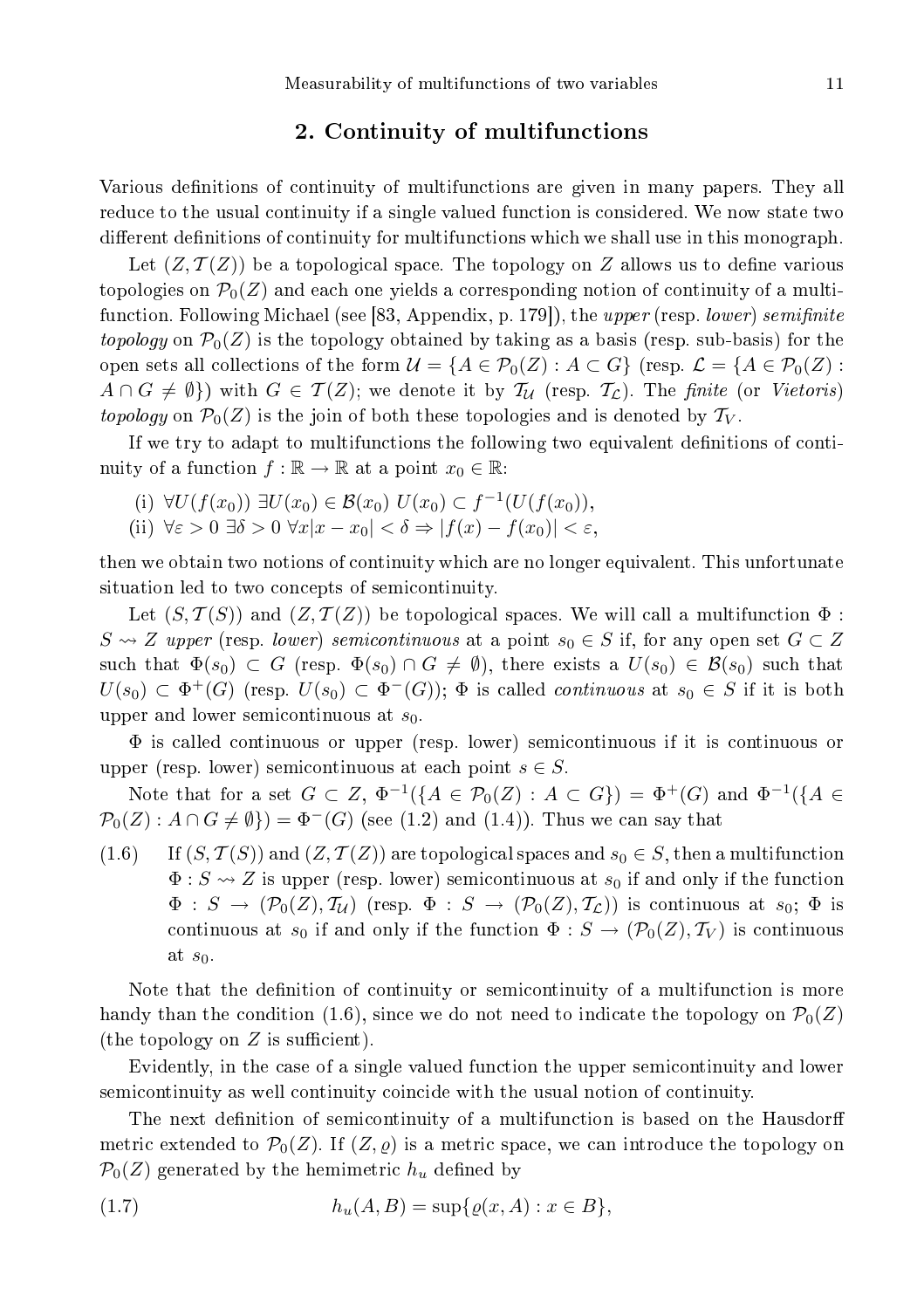## 2. Continuity of multifun
tions

Various definitions of continuity of multifunctions are given in many papers. They all reduce to the usual continuity if a single valued function is considered. We now state two different definitions of continuity for multifunctions which we shall use in this monograph.

Let  $(Z, \mathcal{T}(Z))$  be a topological space. The topology on Z allows us to define various topologies on  $\mathcal{P}_0(Z)$  and each one yields a corresponding notion of continuity of a multifunction. Following Michael (see [83, Appendix, p. 179]), the upper (resp. lower) semifinite topology on  $\mathcal{P}_0(Z)$  is the topology obtained by taking as a basis (resp. sub-basis) for the open sets all collections of the form  $\mathcal{U} = \{A \in \mathcal{P}_0(Z) : A \subset G\}$  (resp.  $\mathcal{L} = \{A \in \mathcal{P}_0(Z) : A \subset G\}$ )  $A \cap G \neq \emptyset$ ) with  $G \in \mathcal{T}(Z)$ ; we denote it by  $\mathcal{T}_\mathcal{U}$  (resp.  $\mathcal{T}_\mathcal{L}$ ). The finite (or Vietoris) topology on  $\mathcal{P}_0(Z)$  is the join of both these topologies and is denoted by  $\mathcal{T}_V$ .

If we try to adapt to multifunctions the following two equivalent definitions of continuity of a function  $f : \mathbb{R} \to \mathbb{R}$  at a point  $x_0 \in \mathbb{R}$ .

(i) 
$$
\forall U(f(x_0)) \exists U(x_0) \in \mathcal{B}(x_0) \ U(x_0) \subset f^{-1}(U(f(x_0)),
$$

(ii)  $\forall \varepsilon > 0 \,\exists \delta > 0 \,\forall x |x - x_0| < \delta \Rightarrow |f(x) - f(x_0)| < \varepsilon,$ 

then we obtain two notions of ontinuity whi
h are no longer equivalent. This unfortunate situation led to two concepts of semicontinuity.

Let  $(S, \mathcal{T}(S))$  and  $(Z, \mathcal{T}(Z))$  be topological spaces. We will call a multifunction  $\Phi$ :  $S \rightsquigarrow Z$  upper (resp. lower) semicontinuous at a point  $s_0 \in S$  if, for any open set  $G \subset Z$ such that  $\Phi(s_0) \subset G$  (resp.  $\Phi(s_0) \cap G \neq \emptyset$ ), there exists a  $U(s_0) \in \mathcal{B}(s_0)$  such that  $U(s_0) \subset \Phi^+(G)$  (resp.  $U(s_0) \subset \Phi^-(G)$ );  $\Phi$  is called *continuous* at  $s_0 \in S$  if it is both upper and lower semicontinuous at  $s_0$ .

Φ is alled ontinuous or upper (resp. lower) semi
ontinuous if it is ontinuous or upper (resp. lower) semicontinuous at each point  $s \in S$ .

Note that for a set  $G \subset Z$ ,  $\Phi^{-1}(\{A \in \mathcal{P}_0(Z) : A \subset G\}) = \Phi^+(G)$  and  $\Phi^{-1}(\{A \in \mathcal{P}_0(Z) : A \subset G\})$  $\mathcal{P}_0(Z)$ :  $A \cap G \neq \emptyset$ } =  $\Phi^{-}(G)$  (see (1.2) and (1.4)). Thus we can say that

 $(1.6)$  If  $(S, \mathcal{T}(S))$  and  $(Z, \mathcal{T}(Z))$  are topological spaces and  $s_0 \in S$ , then a multifunction  $\Phi: S \rightsquigarrow Z$  is upper (resp. lower) semicontinuous at  $s_0$  if and only if the function  $\Phi: S \to (\mathcal{P}_0(Z), \mathcal{T}_U)$  (resp.  $\Phi: S \to (\mathcal{P}_0(Z), \mathcal{T}_L)$ ) is continuous at  $s_0$ ;  $\Phi$  is continuous at  $s_0$  if and only if the function  $\Phi : S \to (\mathcal{P}_0(Z), \mathcal{T}_V)$  is continuous at  $s_0$ .

Note that the definition of continuity or semicontinuity of a multifunction is more handy than the condition (1.6), since we do not need to indicate the topology on  $\mathcal{P}_0(Z)$ (the topology on  $Z$  is sufficient).

Evidently, in the case of a single valued function the upper semicontinuity and lower semicontinuity as well continuity coincide with the usual notion of continuity.

The next definition of semicontinuity of a multifunction is based on the Hausdorff metric extended to  $\mathcal{P}_0(Z)$ . If  $(Z, \varrho)$  is a metric space, we can introduce the topology on  $\mathcal{P}_0(Z)$  generated by the hemimetric  $h_u$  defined by

(1.7) 
$$
h_u(A, B) = \sup \{ \varrho(x, A) : x \in B \},
$$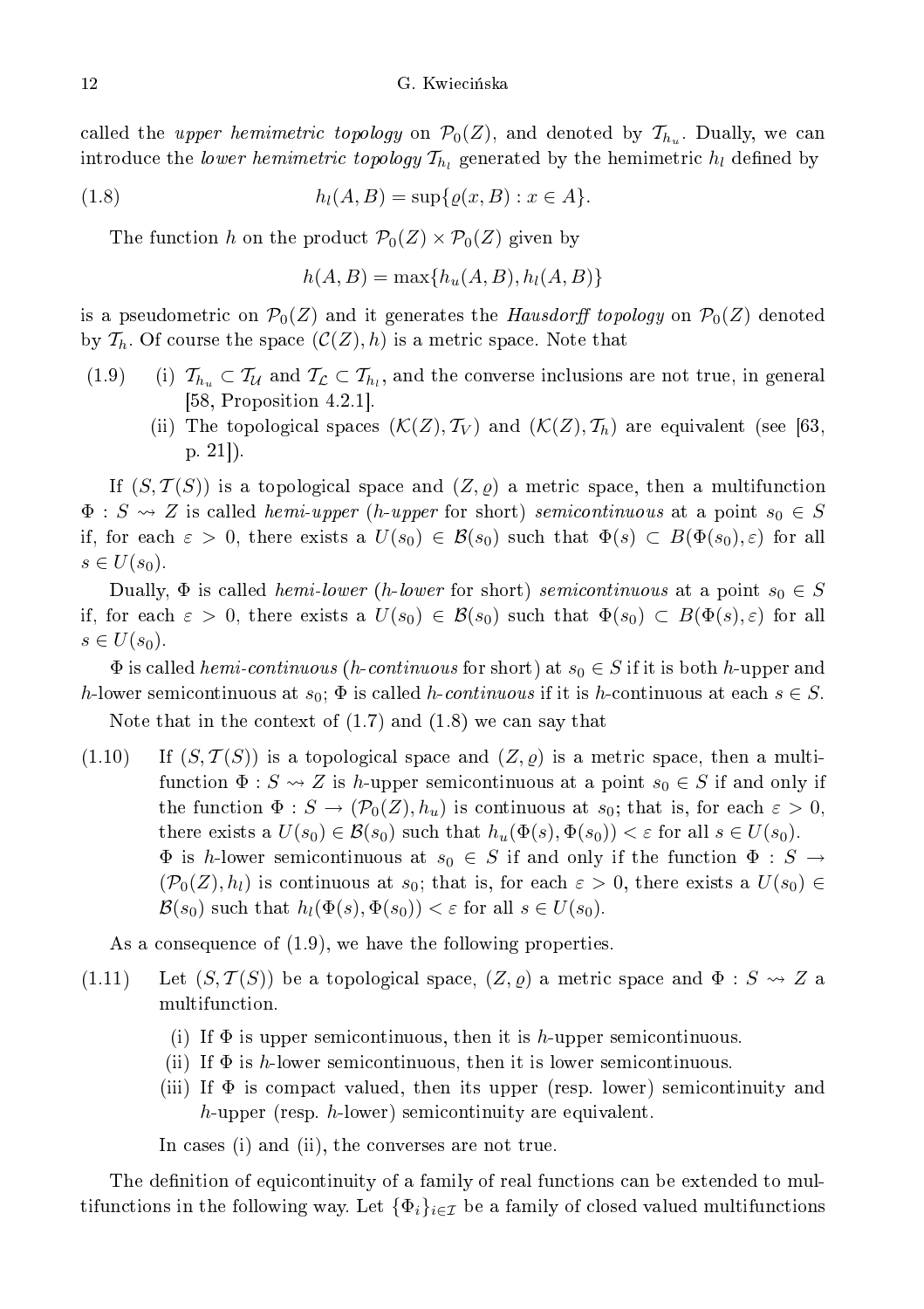called the *upper hemimetric topology* on  $\mathcal{P}_0(Z)$ , and denoted by  $\mathcal{T}_{h_u}$ . Dually, we can introduce the *lower hemimetric topology*  $\mathcal{T}_{h_l}$  generated by the hemimetric  $h_l$  defined by

(1.8) 
$$
h_l(A, B) = \sup \{ \varrho(x, B) : x \in A \}.
$$

The function h on the product  $\mathcal{P}_0(Z) \times \mathcal{P}_0(Z)$  given by

$$
h(A, B) = \max\{h_u(A, B), h_l(A, B)\}\
$$

is a pseudometric on  $\mathcal{P}_0(Z)$  and it generates the Hausdorff topology on  $\mathcal{P}_0(Z)$  denoted by  $\mathcal{T}_h$ . Of course the space  $(\mathcal{C}(Z), h)$  is a metric space. Note that

- (1.9) (i)  $\mathcal{T}_{h_u} \subset \mathcal{T}_{\mathcal{U}}$  and  $\mathcal{T}_{\mathcal{L}} \subset \mathcal{T}_{h_l}$ , and the converse inclusions are not true, in general [58, Proposition  $4.2.1$ ].
	- (ii) The topological spaces  $(\mathcal{K}(Z), \mathcal{T}_V)$  and  $(\mathcal{K}(Z), \mathcal{T}_h)$  are equivalent (see [63,  $p. 21$ ).

If  $(S, \mathcal{T}(S))$  is a topological space and  $(Z, \varrho)$  a metric space, then a multifunction  $\Phi$ :  $S \rightsquigarrow Z$  is called *hemi-upper* (*h-upper* for short) *semicontinuous* at a point  $s_0 \in S$ if, for each  $\varepsilon > 0$ , there exists a  $U(s_0) \in \mathcal{B}(s_0)$  such that  $\Phi(s) \subset B(\Phi(s_0), \varepsilon)$  for all  $s \in U(s_0)$ .

Dually,  $\Phi$  is called *hemi-lower* (*h-lower* for short) *semicontinuous* at a point  $s_0 \in S$ if, for each  $\varepsilon > 0$ , there exists a  $U(s_0) \in \mathcal{B}(s_0)$  such that  $\Phi(s_0) \subset B(\Phi(s), \varepsilon)$  for all  $s \in U(s_0)$ .

 $\Phi$  is called *hemi-continuous* (*h-continuous* for short) at  $s_0 \in S$  if it is both *h*-upper and h-lower semicontinuous at  $s_0$ ;  $\Phi$  is called h-continuous if it is h-continuous at each  $s \in S$ .

Note that in the context of  $(1.7)$  and  $(1.8)$  we can say that

 $(1.10)$  If  $(S, \mathcal{T}(S))$  is a topological space and  $(Z, \varrho)$  is a metric space, then a multifunction  $\Phi: S \rightsquigarrow Z$  is h-upper semicontinuous at a point  $s_0 \in S$  if and only if the function  $\Phi: S \to (\mathcal{P}_0(Z), h_u)$  is continuous at  $s_0$ ; that is, for each  $\varepsilon > 0$ , there exists a  $U(s_0) \in \mathcal{B}(s_0)$  such that  $h_u(\Phi(s), \Phi(s_0)) < \varepsilon$  for all  $s \in U(s_0)$ .  $\Phi$  is h-lower semicontinuous at  $s_0 \in S$  if and only if the function  $\Phi : S \to$  $(\mathcal{P}_0(Z), h_l)$  is continuous at  $s_0$ ; that is, for each  $\varepsilon > 0$ , there exists a  $U(s_0) \in$  $\mathcal{B}(s_0)$  such that  $h_l(\Phi(s), \Phi(s_0)) < \varepsilon$  for all  $s \in U(s_0)$ .

As a consequence of  $(1.9)$ , we have the following properties.

- (1.11) Let  $(S, \mathcal{T}(S))$  be a topological space,  $(Z, \rho)$  a metric space and  $\Phi : S \rightsquigarrow Z$  a multifun
tion.
	- (i) If  $\Phi$  is upper semicontinuous, then it is h-upper semicontinuous.
	- (ii) If  $\Phi$  is h-lower semicontinuous, then it is lower semicontinuous.
	- (iii) If  $\Phi$  is compact valued, then its upper (resp. lower) semicontinuity and h-upper (resp. h-lower) semicontinuity are equivalent.

In cases (i) and (ii), the converses are not true.

The definition of equicontinuity of a family of real functions can be extended to multifunctions in the following way. Let  $\{\Phi_i\}_{i\in\mathcal{I}}$  be a family of closed valued multifunctions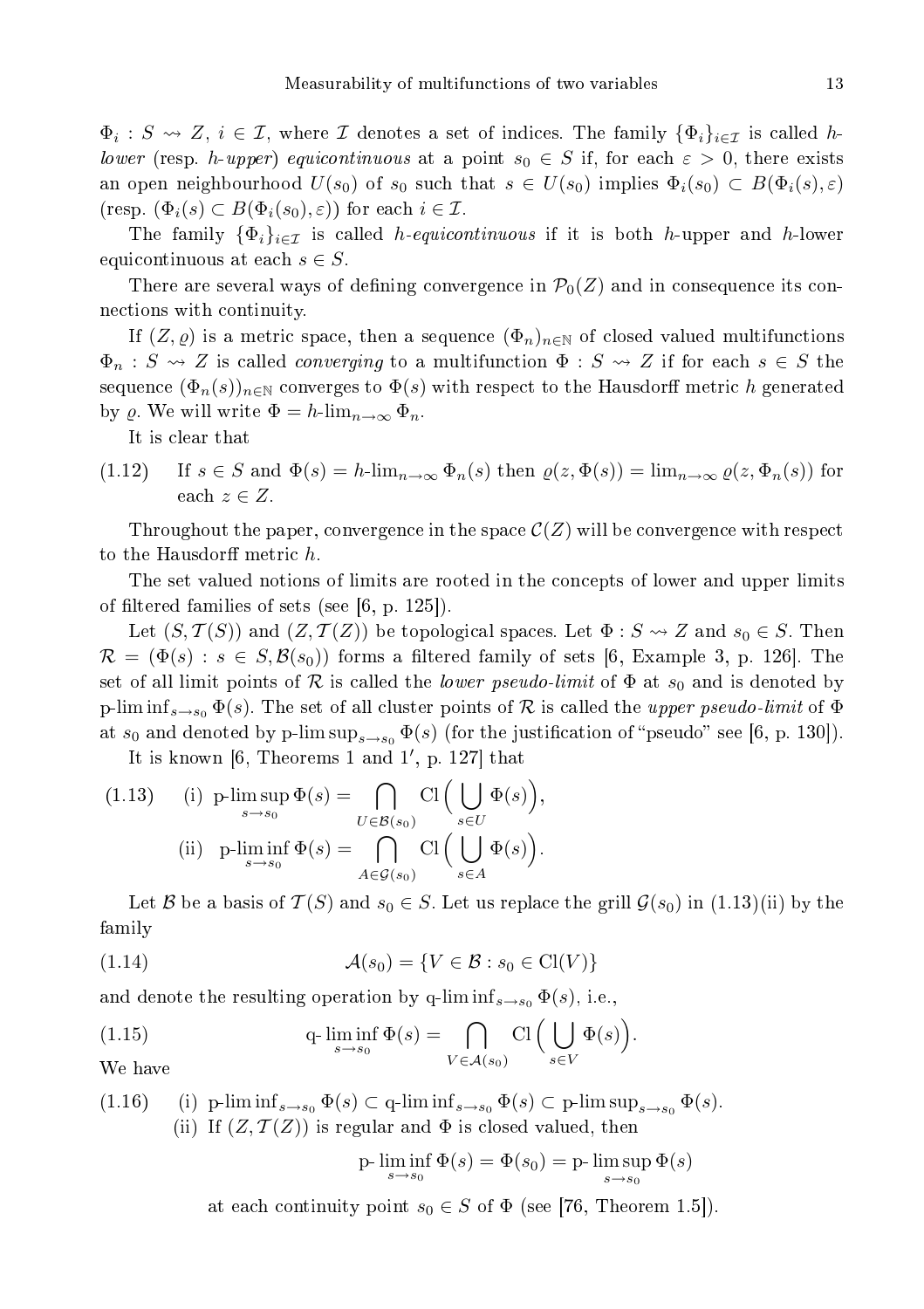$\Phi_i: S \rightsquigarrow Z, i \in \mathcal{I}$ , where  $\mathcal I$  denotes a set of indices. The family  $\{\Phi_i\}_{i\in \mathcal{I}}$  is called hlower (resp. h-upper) equicontinuous at a point  $s_0 \in S$  if, for each  $\varepsilon > 0$ , there exists an open neighbourhood  $U(s_0)$  of  $s_0$  such that  $s \in U(s_0)$  implies  $\Phi_i(s_0) \subset B(\Phi_i(s), \varepsilon)$  $(\text{resp. } (\Phi_i(s) \subset B(\Phi_i(s_0), \varepsilon)) \text{ for each } i \in \mathcal{I}.$ 

The family  $\{\Phi_i\}_{i\in\mathcal{I}}$  is called *h-equicontinuous* if it is both *h*-upper and *h*-lower equicontinuous at each  $s \in S$ .

There are several ways of defining convergence in  $\mathcal{P}_0(Z)$  and in consequence its conne
tions with ontinuity.

If  $(Z, \varrho)$  is a metric space, then a sequence  $(\Phi_n)_{n \in \mathbb{N}}$  of closed valued multifunctions  $\Phi_n : S \rightsquigarrow Z$  is called *converging* to a multifunction  $\Phi : S \rightsquigarrow Z$  if for each  $s \in S$  the sequence  $(\Phi_n(s))_{n\in\mathbb{N}}$  converges to  $\Phi(s)$  with respect to the Hausdorff metric h generated by  $\rho$ . We will write  $\Phi = h \lim_{n \to \infty} \Phi_n$ .

It is lear that

 $(1.12)$  If  $s \in S$  and  $\Phi(s) = h\cdot \lim_{n\to\infty} \Phi_n(s)$  then  $\varrho(z, \Phi(s)) = \lim_{n\to\infty} \varrho(z, \Phi_n(s))$  for each  $z \in Z$ .

Throughout the paper, convergence in the space  $\mathcal{C}(Z)$  will be convergence with respect to the Hausdorff metric h.

The set valued notions of limits are rooted in the concepts of lower and upper limits of filtered families of sets (see  $[6, p. 125]$ ).

Let  $(S, \mathcal{T}(S))$  and  $(Z, \mathcal{T}(Z))$  be topological spaces. Let  $\Phi : S \rightsquigarrow Z$  and  $s_0 \in S$ . Then  $\mathcal{R} = (\Phi(s) : s \in S, \mathcal{B}(s_0))$  forms a filtered family of sets [6, Example 3, p. 126]. The set of all limit points of R is called the *lower pseudo-limit* of  $\Phi$  at  $s_0$  and is denoted by p-lim inf<sub>s→s0</sub>  $\Phi(s)$ . The set of all cluster points of R is called the *upper pseudo-limit* of  $\Phi$ at  $s_0$  and denoted by p-lim  $\sup_{s\to s_0} \Phi(s)$  (for the justification of "pseudo" see [6, p. 130]).

It is known  $[6,$  Theorems 1 and 1', p. 127 that

(1.13) (i) 
$$
p\text{-}\limsup_{s\to s_0} \Phi(s) = \bigcap_{U \in \mathcal{B}(s_0)} \text{Cl} \Big( \bigcup_{s \in U} \Phi(s) \Big),
$$
  
\n(ii)  $p\text{-}\liminf_{s\to s_0} \Phi(s) = \bigcap_{A \in \mathcal{G}(s_0)} \text{Cl} \Big( \bigcup_{s \in A} \Phi(s) \Big).$ 

Let B be a basis of  $\mathcal{T}(S)$  and  $s_0 \in S$ . Let us replace the grill  $\mathcal{G}(s_0)$  in  $(1.13)(ii)$  by the family

$$
(1.14) \qquad \qquad \mathcal{A}(s_0) = \{ V \in \mathcal{B} : s_0 \in \text{Cl}(V) \}
$$

and denote the resulting operation by q-lim  $\inf_{s\to s_0} \Phi(s)$ , i.e.,

(1.15) 
$$
q \cdot \liminf_{s \to s_0} \Phi(s) = \bigcap_{V \in \mathcal{A}(s_0)} \mathrm{Cl} \Big( \bigcup_{s \in V} \Phi(s) \Big).
$$
 We have

We have

(1.16) (i) p-lim  $\inf_{s\to s_0} \Phi(s) \subset \mathbf{q}$ -lim  $\inf_{s\to s_0} \Phi(s) \subset \mathbf{p}$ -lim  $\sup_{s\to s_0} \Phi(s)$ . (ii) If  $(Z, \mathcal{T}(Z))$  is regular and  $\Phi$  is closed valued, then

$$
\text{p-}\liminf_{s \to s_0} \Phi(s) = \Phi(s_0) = \text{p-}\limsup_{s \to s_0} \Phi(s)
$$

at each continuity point  $s_0 \in S$  of  $\Phi$  (see [76, Theorem 1.5]).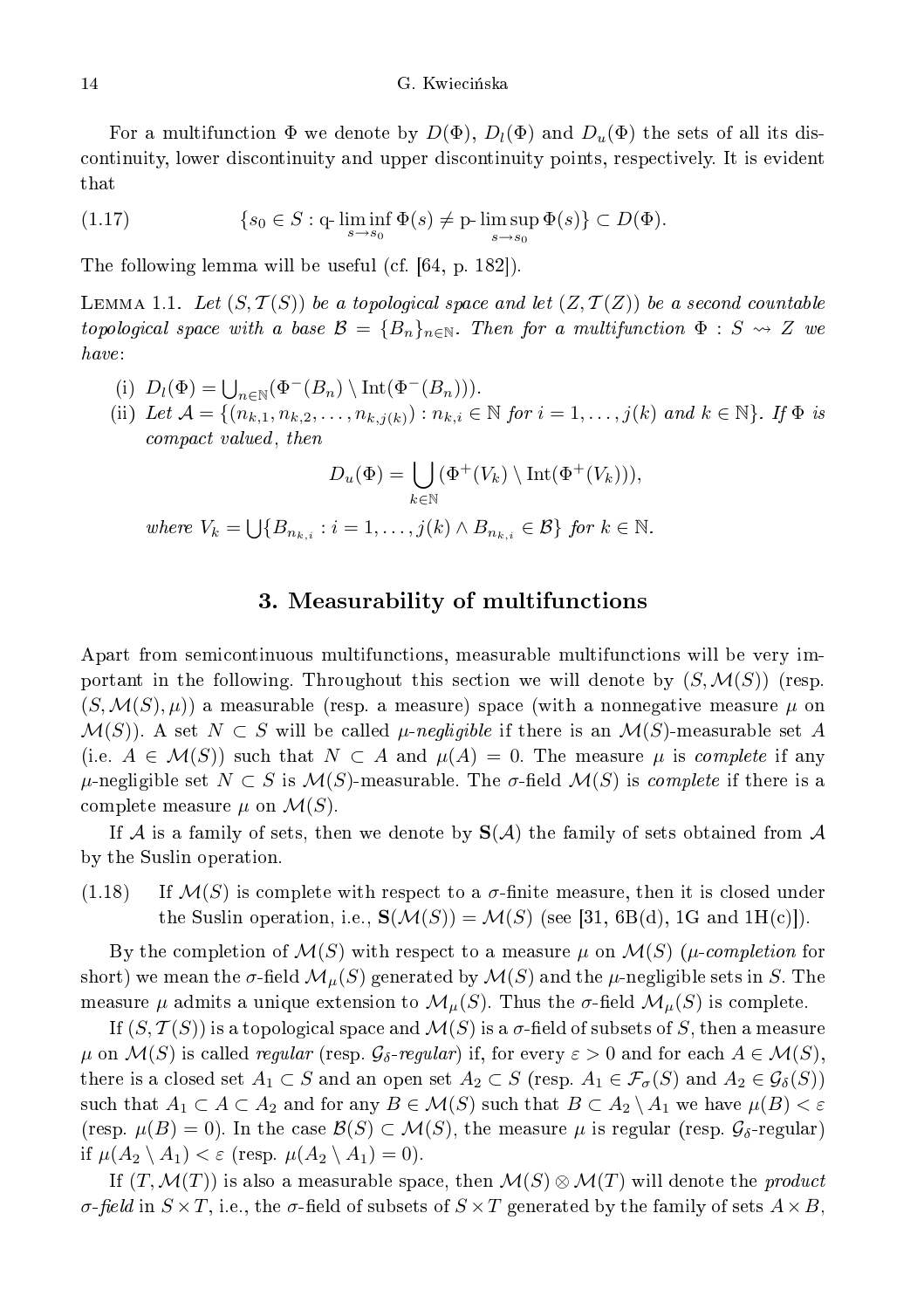For a multifunction  $\Phi$  we denote by  $D(\Phi)$ ,  $D_l(\Phi)$  and  $D_u(\Phi)$  the sets of all its disontinuity, lower dis
ontinuity and upper dis
ontinuity points, respe
tively. It is evident that

(1.17) 
$$
\{s_0 \in S : \text{q-}\liminf_{s \to s_0} \Phi(s) \neq \text{p-}\limsup_{s \to s_0} \Phi(s) \} \subset D(\Phi).
$$

The following lemma will be useful (cf.  $[64, p. 182]$ ).

LEMMA 1.1. Let  $(S, \mathcal{T}(S))$  be a topological space and let  $(Z, \mathcal{T}(Z))$  be a second countable topological space with a base  $\mathcal{B} = \{B_n\}_{n \in \mathbb{N}}$ . Then for a multifunction  $\Phi : S \leadsto Z$  we have:

- (i)  $D_l(\Phi) = \bigcup_{n \in \mathbb{N}} (\Phi^-(B_n) \setminus \text{Int}(\Phi^-(B_n))).$
- (ii) Let  $\mathcal{A} = \{(n_{k,1}, n_{k,2}, \ldots, n_{k,j(k)}) : n_{k,i} \in \mathbb{N} \text{ for } i = 1, \ldots, j(k) \text{ and } k \in \mathbb{N} \}$ . If  $\Phi$  is ompa t valued , then the state of the state of the state of the state of the state of the state of the state o

$$
D_u(\Phi) = \bigcup_{k \in \mathbb{N}} (\Phi^+(V_k) \setminus \text{Int}(\Phi^+(V_k))),
$$

where  $V_k = \bigcup \{B_{n_{k,i}} : i = 1, \ldots, j(k) \wedge B_{n_{k,i}} \in \mathcal{B}\}\$  for  $k \in \mathbb{N}$ .

#### 3. Measurability of multifun
tions

Apart from semicontinuous multifunctions, measurable multifunctions will be very important in the following. Throughout this section we will denote by  $(S, \mathcal{M}(S))$  (resp.  $(S, \mathcal{M}(S), \mu)$  a measurable (resp. a measure) space (with a nonnegative measure  $\mu$  on  $\mathcal{M}(S)$ . A set  $N \subset S$  will be called  $\mu$ -negligible if there is an  $\mathcal{M}(S)$ -measurable set A (i.e.  $A \in \mathcal{M}(S)$ ) such that  $N \subset A$  and  $\mu(A) = 0$ . The measure  $\mu$  is complete if any  $\mu$ -negligible set  $N \subset S$  is  $\mathcal{M}(S)$ -measurable. The σ-field  $\mathcal{M}(S)$  is *complete* if there is a complete measure  $\mu$  on  $\mathcal{M}(S)$ .

If A is a family of sets, then we denote by  $S(\mathcal{A})$  the family of sets obtained from A by the Suslin operation.

 $(1.18)$  If  $\mathcal{M}(S)$  is complete with respect to a  $\sigma$ -finite measure, then it is closed under the Suslin operation, i.e.,  $\mathbf{S}(\mathcal{M}(S)) = \mathcal{M}(S)$  (see [31, 6B(d), 1G and 1H(c)]).

By the completion of  $\mathcal{M}(S)$  with respect to a measure  $\mu$  on  $\mathcal{M}(S)$  ( $\mu$ -completion for short) we mean the  $\sigma$ -field  $\mathcal{M}_{\mu}(S)$  generated by  $\mathcal{M}(S)$  and the  $\mu$ -negligible sets in S. The measure  $\mu$  admits a unique extension to  $\mathcal{M}_{\mu}(S)$ . Thus the  $\sigma$ -field  $\mathcal{M}_{\mu}(S)$  is complete.

If  $(S, \mathcal{T}(S))$  is a topological space and  $\mathcal{M}(S)$  is a  $\sigma$ -field of subsets of S, then a measure  $\mu$  on  $\mathcal{M}(S)$  is called *regular* (resp.  $\mathcal{G}_{\delta}$ -regular) if, for every  $\varepsilon > 0$  and for each  $A \in \mathcal{M}(S)$ , there is a closed set  $A_1 \subset S$  and an open set  $A_2 \subset S$  (resp.  $A_1 \in \mathcal{F}_{\sigma}(S)$  and  $A_2 \in \mathcal{G}_{\delta}(S)$ ) such that  $A_1 \subset A \subset A_2$  and for any  $B \in \mathcal{M}(S)$  such that  $B \subset A_2 \setminus A_1$  we have  $\mu(B) < \varepsilon$ (resp.  $\mu(B) = 0$ ). In the case  $\mathcal{B}(S) \subset \mathcal{M}(S)$ , the measure  $\mu$  is regular (resp.  $\mathcal{G}_{\delta}$ -regular) if  $\mu(A_2 \setminus A_1) < \varepsilon$  (resp.  $\mu(A_2 \setminus A_1) = 0$ ).

If  $(T, \mathcal{M}(T))$  is also a measurable space, then  $\mathcal{M}(S) \otimes \mathcal{M}(T)$  will denote the product σ-field in  $S \times T$ , i.e., the σ-field of subsets of  $S \times T$  generated by the family of sets  $A \times B$ ,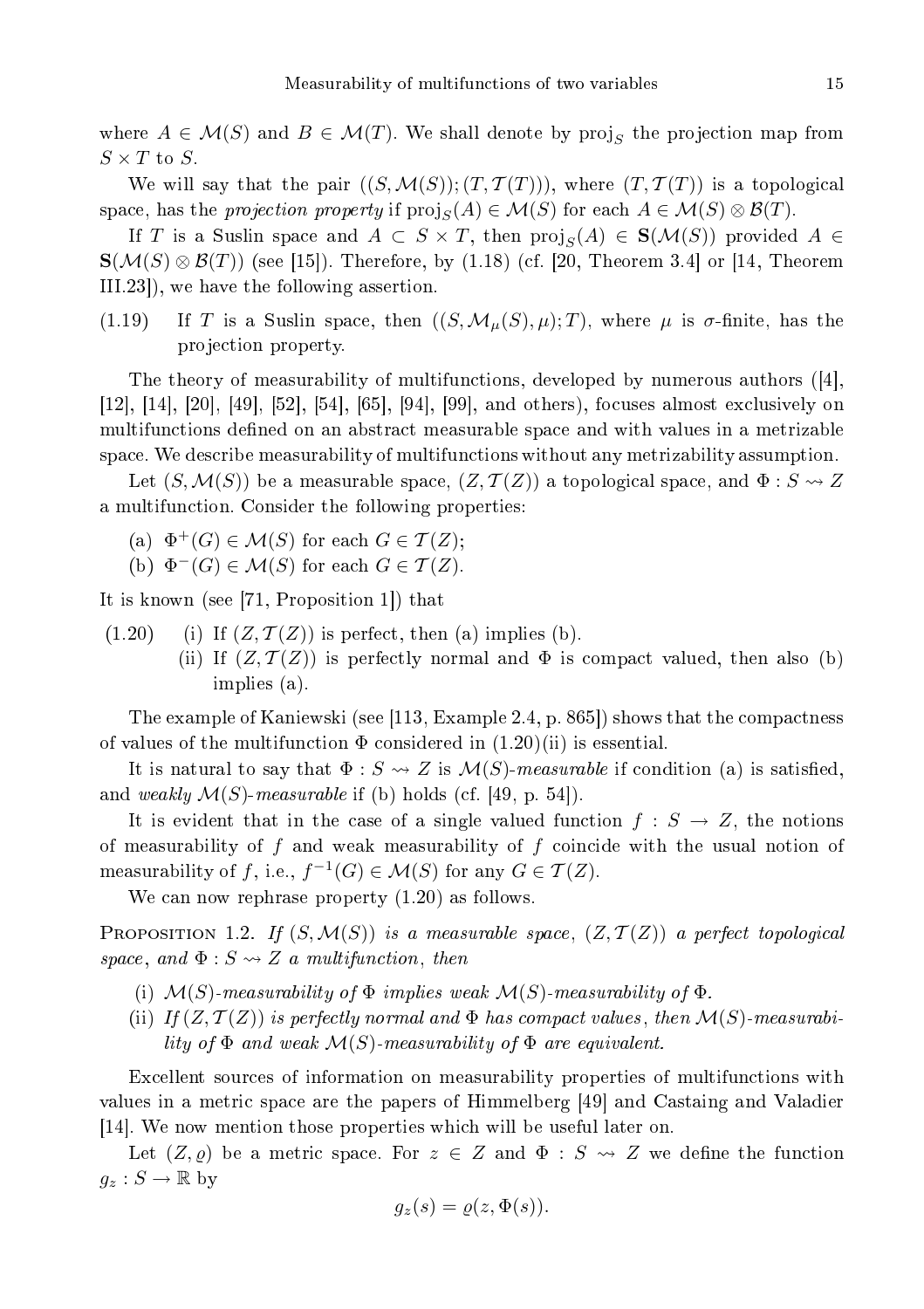15

where  $A \in \mathcal{M}(S)$  and  $B \in \mathcal{M}(T)$ . We shall denote by  $\text{proj}_S$  the projection map from  $S \times T$  to S.

We will say that the pair  $((S, \mathcal{M}(S))$ ;  $(T, \mathcal{T}(T)))$ , where  $(T, \mathcal{T}(T))$  is a topological space, has the projection property if  $\text{proj}_S(A) \in \mathcal{M}(S)$  for each  $A \in \mathcal{M}(S) \otimes \mathcal{B}(T)$ .

If T is a Suslin space and  $A \subset S \times T$ , then  $\text{proj}_S(A) \in \mathbf{S}(\mathcal{M}(S))$  provided  $A \in$  $\mathbf{S}(\mathcal{M}(S) \otimes \mathcal{B}(T))$  (see [15]). Therefore, by (1.18) (cf. [20, Theorem 3.4] or [14, Theorem  $III.23$ , we have the following assertion.

(1.19) If T is a Suslin space, then  $((S, \mathcal{M}_{\mu}(S), \mu); T)$ , where  $\mu$  is  $\sigma$ -finite, has the projection property.

The theory of measurability of multifunctions, developed by numerous authors  $([4],$ [12], [14], [20], [49], [52], [54], [65], [94], [99], and others), focuses almost exclusively on multifunctions defined on an abstract measurable space and with values in a metrizable spa
e. We des
ribe measurability of multifun
tions without any metrizability assumption.

Let  $(S, \mathcal{M}(S))$  be a measurable space,  $(Z, \mathcal{T}(Z))$  a topological space, and  $\Phi : S \rightsquigarrow Z$ a multifun
tion. Consider the following properties:

- (a)  $\Phi^+(G) \in \mathcal{M}(S)$  for each  $G \in \mathcal{T}(Z)$ ;
- (b)  $\Phi^{-}(G) \in \mathcal{M}(S)$  for each  $G \in \mathcal{T}(Z)$ .

It is known (see  $[71,$  Proposition 1]) that

- $(1.20)$  (i) If  $(Z, \mathcal{T}(Z))$  is perfect, then (a) implies (b).
	- (ii) If  $(Z, \mathcal{T}(Z))$  is perfectly normal and  $\Phi$  is compact valued, then also (b) implies (a).

The example of Kaniewski (see [113, Example 2.4, p. 865]) shows that the compactness of values of the multifunction  $\Phi$  considered in  $(1.20)(ii)$  is essential.

It is natural to say that  $\Phi : S \to Z$  is  $\mathcal{M}(S)$ -measurable if condition (a) is satisfied, and weakly  $\mathcal{M}(S)$ -measurable if (b) holds (cf. [49, p. 54]).

It is evident that in the case of a single valued function  $f : S \to Z$ , the notions of measurability of  $f$  and weak measurability of  $f$  coincide with the usual notion of measurability of f, i.e.,  $f^{-1}(G) \in \mathcal{M}(S)$  for any  $G \in \mathcal{T}(Z)$ .

We can now rephrase property  $(1.20)$  as follows.

PROPOSITION 1.2. If  $(S, \mathcal{M}(S))$  is a measurable space,  $(Z, \mathcal{T}(Z))$  a perfect topological space, and  $\Phi: S \rightsquigarrow Z$  a multifunction, then

- (i)  $\mathcal{M}(S)$ -measurability of  $\Phi$  implies weak  $\mathcal{M}(S)$ -measurability of  $\Phi$ .
- (ii) If  $(Z, \mathcal{T}(Z))$  is perfectly normal and  $\Phi$  has compact values, then  $\mathcal{M}(S)$ -measurability of  $\Phi$  and weak  $\mathcal{M}(S)$ -measurability of  $\Phi$  are equivalent.

Excellent sources of information on measurability properties of multifunctions with values in a metric space are the papers of Himmelberg [49] and Castaing and Valadier [14]. We now mention those properties which will be useful later on.

Let  $(Z, \rho)$  be a metric space. For  $z \in Z$  and  $\Phi : S \rightsquigarrow Z$  we define the function  $g_z : S \to \mathbb{R}$  by

$$
g_z(s) = \varrho(z, \Phi(s)).
$$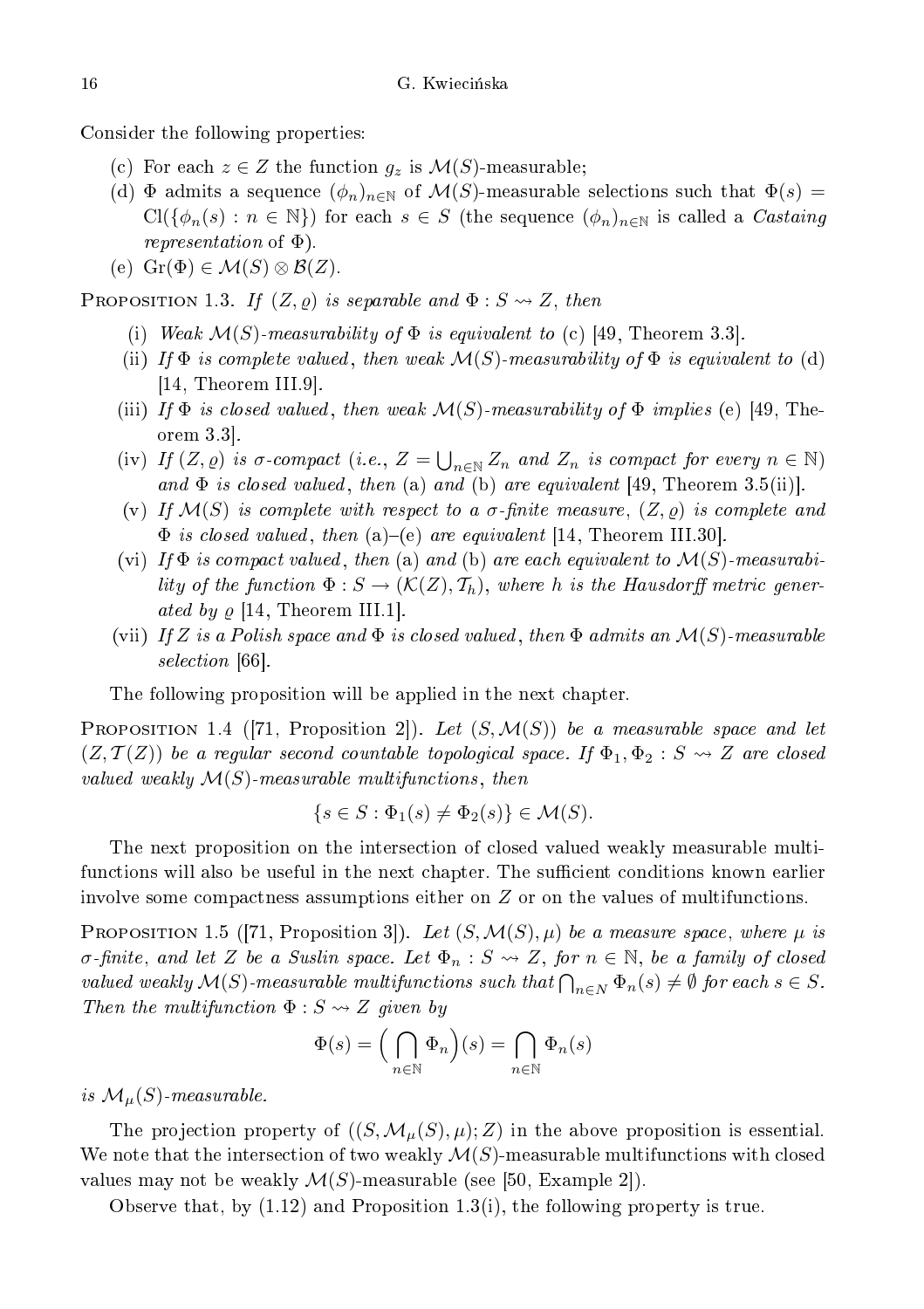Consider the following properties:

- (c) For each  $z \in Z$  the function  $g_z$  is  $\mathcal{M}(S)$ -measurable;
- (d)  $\Phi$  admits a sequence  $(\phi_n)_{n\in\mathbb{N}}$  of  $\mathcal{M}(S)$ -measurable selections such that  $\Phi(s)$  =  $Cl({\phi_n(s) : n \in \mathbb{N}})$  for each  $s \in S$  (the sequence  $(\phi_n)_{n \in \mathbb{N}}$  is called a *Castaing* representation of Φ).
- (e)  $\text{Gr}(\Phi) \in \mathcal{M}(S) \otimes \mathcal{B}(Z)$ .

PROPOSITION 1.3. If  $(Z, \varrho)$  is separable and  $\Phi : S \leadsto Z$ , then

- (i) Weak  $\mathcal{M}(S)$ -measurability of  $\Phi$  is equivalent to (c) [49, Theorem 3.3].
- (ii) If  $\Phi$  is complete valued, then weak  $\mathcal{M}(S)$ -measurability of  $\Phi$  is equivalent to (d)  $[14,$  Theorem III.9.
- (iii) If  $\Phi$  is closed valued, then weak  $\mathcal{M}(S)$ -measurability of  $\Phi$  implies (e) [49, Theorem  $3.3$ .
- (iv) If  $(Z, \varrho)$  is  $\sigma$ -compact (i.e.,  $Z = \bigcup_{n \in \mathbb{N}} Z_n$  and  $Z_n$  is compact for every  $n \in \mathbb{N}$ ) and  $\Phi$  is closed valued, then (a) and (b) are equivalent [49, Theorem 3.5(ii)].
- (v) If  $\mathcal{M}(S)$  is complete with respect to a  $\sigma$ -finite measure,  $(Z, \rho)$  is complete and  $\Phi$  is closed valued, then (a)–(e) are equivalent [14, Theorem III.30].
- (vi) If  $\Phi$  is compact valued, then (a) and (b) are each equivalent to  $\mathcal{M}(S)$ -measurability of the function  $\Phi:S\to(\mathcal{K}(Z),\mathcal{T}_h),$  where  $h$  is the Hausdorff metric generated by  $\varrho$  [14, Theorem III.1].
- (vii) If Z is a Polish space and  $\Phi$  is closed valued, then  $\Phi$  admits an  $\mathcal{M}(S)$ -measurable selection and the contract of the contract of the contract of the contract of the contract of the contract of

The following proposition will be applied in the next hapter.

PROPOSITION 1.4 ([71, Proposition 2]). Let  $(S, \mathcal{M}(S))$  be a measurable space and let  $(Z, \mathcal{T}(Z))$  be a regular second countable topological space. If  $\Phi_1, \Phi_2 : S \rightsquigarrow Z$  are closed valued weakly  $\mathcal{M}(S)$ -measurable multifunctions, then

$$
\{s \in S : \Phi_1(s) \neq \Phi_2(s)\} \in \mathcal{M}(S).
$$

The next proposition on the intersection of closed valued weakly measurable multifunctions will also be useful in the next chapter. The sufficient conditions known earlier involve some compactness assumptions either on Z or on the values of multifunctions.

**PROPOSITION** 1.5 ([71, Proposition 3]). Let  $(S, \mathcal{M}(S), \mu)$  be a measure space, where  $\mu$  is  $\sigma$ -finite, and let Z be a Suslin space. Let  $\Phi_n : S \leadsto Z$ , for  $n \in \mathbb{N}$ , be a family of closed valued weakly  $\mathcal{M}(S)$ -measurable multifunctions such that  $\bigcap_{n\in N} \Phi_n(s) \neq \emptyset$  for each  $s \in S$ . Then the multifunction  $\Phi : S \rightsquigarrow Z$  given by

$$
\Phi(s) = \left(\bigcap_{n \in \mathbb{N}} \Phi_n\right)(s) = \bigcap_{n \in \mathbb{N}} \Phi_n(s)
$$

is  $\mathcal{M}_\mu(S)$ -measurable.

The projection property of  $((S, \mathcal{M}_{\mu}(S), \mu); Z)$  in the above proposition is essential. We note that the intersection of two weakly  $\mathcal{M}(S)$ -measurable multifunctions with closed values may not be weakly  $\mathcal{M}(S)$ -measurable (see [50, Example 2]).

Observe that, by (1.12) and Proposition 1.3(i), the following property is true.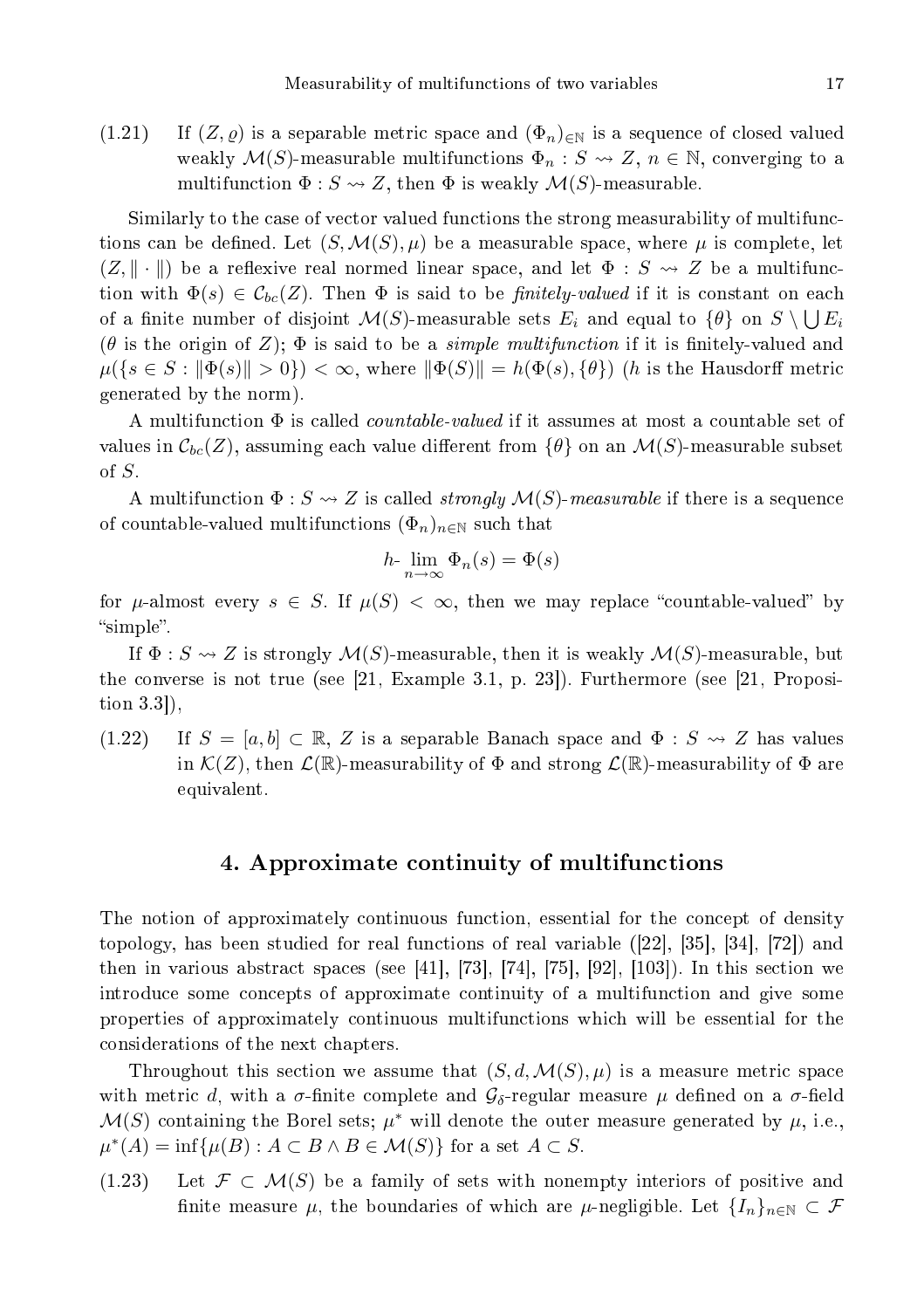(1.21) If  $(Z, \varrho)$  is a separable metric space and  $(\Phi_n)_{\in \mathbb{N}}$  is a sequence of closed valued weakly  $\mathcal{M}(S)$ -measurable multifunctions  $\Phi_n : S \leadsto Z$ ,  $n \in \mathbb{N}$ , converging to a multifunction  $\Phi: S \rightsquigarrow Z$ , then  $\Phi$  is weakly  $\mathcal{M}(S)$ -measurable.

Similarly to the case of vector valued functions the strong measurability of multifunctions can be defined. Let  $(S, \mathcal{M}(S), \mu)$  be a measurable space, where  $\mu$  is complete, let  $(Z, \|\cdot\|)$  be a reflexive real normed linear space, and let  $\Phi : S \to Z$  be a multifunction with  $\Phi(s) \in \mathcal{C}_{bc}(Z)$ . Then  $\Phi$  is said to be *finitely-valued* if it is constant on each of a finite number of disjoint  $\mathcal{M}(S)$ -measurable sets  $E_i$  and equal to  $\{\theta\}$  on  $S \setminus \bigcup E_i$ ( $\theta$  is the origin of Z);  $\Phi$  is said to be a *simple multifunction* if it is finitely-valued and  $\mu({s \in S : \|\Phi(s)\| > 0}) < \infty$ , where  $\|\Phi(S)\| = h(\Phi(s), {\theta})$  (h is the Hausdorff metric generated by the norm).

A multifunction  $\Phi$  is called *countable-valued* if it assumes at most a countable set of values in  $\mathcal{C}_{bc}(Z)$ , assuming each value different from  $\{\theta\}$  on an  $\mathcal{M}(S)$ -measurable subset of S.

A multifunction  $\Phi$ :  $S \rightsquigarrow Z$  is called *strongly M(S)-measurable* if there is a sequence of countable-valued multifunctions  $(\Phi_n)_{n\in\mathbb{N}}$  such that

$$
h \cdot \lim_{n \to \infty} \Phi_n(s) = \Phi(s)
$$

for  $\mu$ -almost every  $s \in S$ . If  $\mu(S) < \infty$ , then we may replace "countable-valued" by "simple".

If  $\Phi$  :  $S \rightsquigarrow Z$  is strongly  $\mathcal{M}(S)$ -measurable, then it is weakly  $\mathcal{M}(S)$ -measurable, but the converse is not true (see  $[21, Example 3.1, p. 23]$ ). Furthermore (see  $[21, Proposi$ tion  $3.3$ .

 $(1.22)$  If  $S = [a, b] \subset \mathbb{R}$ , Z is a separable Banach space and  $\Phi : S \rightsquigarrow Z$  has values in  $\mathcal{K}(Z)$ , then  $\mathcal{L}(\mathbb{R})$ -measurability of  $\Phi$  and strong  $\mathcal{L}(\mathbb{R})$ -measurability of  $\Phi$  are equivalent.

#### 4. Approximate ontinuity of multifun
tions

The notion of approximately continuous function, essential for the concept of density topology, has been studied for real functions of real variable  $(22, 35, 34, 72)$  and then in various abstract spaces (see [41], [73], [74], [75], [92], [103]). In this section we introduce some concepts of approximate continuity of a multifunction and give some properties of approximately ontinuous multifun
tions whi
h will be essential for the onsiderations of the next hapters.

Throughout this section we assume that  $(S, d, \mathcal{M}(S), \mu)$  is a measure metric space with metric d, with a  $\sigma$ -finite complete and  $\mathcal{G}_{\delta}$ -regular measure  $\mu$  defined on a  $\sigma$ -field  $\mathcal{M}(S)$  containing the Borel sets;  $\mu^*$  will denote the outer measure generated by  $\mu$ , i.e.,  $\mu^*(A) = \inf \{ \mu(B) : A \subset B \land B \in \mathcal{M}(S) \}$  for a set  $A \subset S$ .

(1.23) Let  $\mathcal{F} \subset \mathcal{M}(S)$  be a family of sets with nonempty interiors of positive and finite measure  $\mu$ , the boundaries of which are  $\mu$ -negligible. Let  $\{I_n\}_{n\in\mathbb{N}}\subset\mathcal{F}$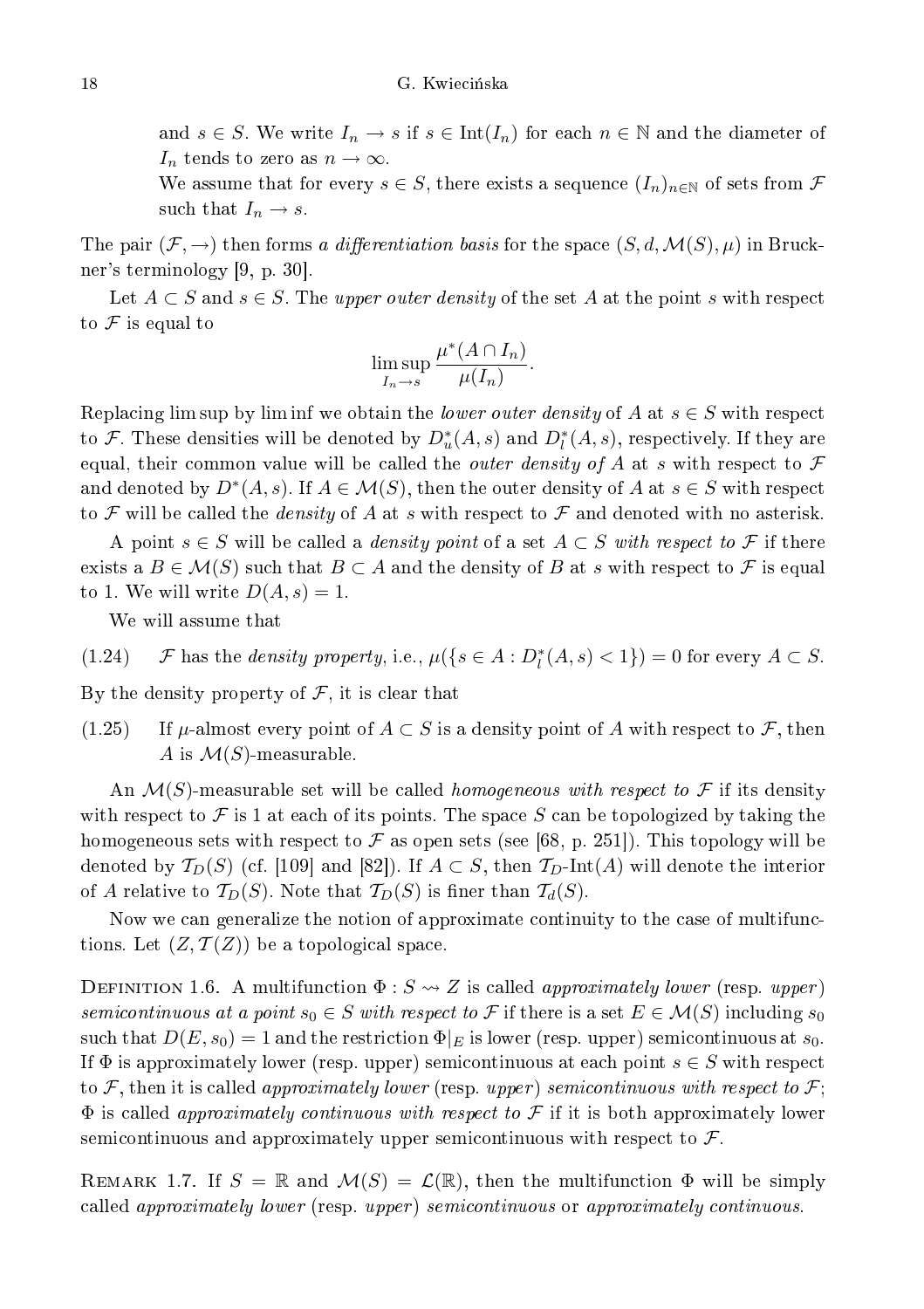and  $s \in S$ . We write  $I_n \to s$  if  $s \in \text{Int}(I_n)$  for each  $n \in \mathbb{N}$  and the diameter of  $I_n$  tends to zero as  $n \to \infty$ .

We assume that for every  $s \in S$ , there exists a sequence  $(I_n)_{n \in \mathbb{N}}$  of sets from  $\mathcal F$ such that  $I_n \to s$ .

The pair  $(\mathcal{F}, \to)$  then forms a differentiation basis for the space  $(S, d, \mathcal{M}(S), \mu)$  in Bruckner's terminology  $[9, p. 30]$ .

Let  $A \subset S$  and  $s \in S$ . The upper outer density of the set A at the point s with respect to  $\mathcal F$  is equal to

$$
\limsup_{I_n \to s} \frac{\mu^*(A \cap I_n)}{\mu(I_n)}.
$$

Replacing lim sup by lim inf we obtain the *lower outer density* of A at  $s \in S$  with respect to  ${\mathcal F}.$  These densities will be denoted by  $D^*_u(A,s)$  and  $D^*_l(A,s)$ , respectively. If they are equal, their common value will be called the *outer density of A* at s with respect to  $\mathcal F$ and denoted by  $D^*(A,s)$ . If  $A \in \mathcal{M}(S)$ , then the outer density of  $A$  at  $s \in S$  with respect to F will be called the *density* of A at s with respect to F and denoted with no asterisk.

A point  $s \in S$  will be called a *density point* of a set  $A \subset S$  with respect to  $\mathcal F$  if there exists a  $B \in \mathcal{M}(S)$  such that  $B \subset A$  and the density of B at s with respect to F is equal to 1. We will write  $D(A, s) = 1$ .

We will assume that

(1.24) F has the *density property*, i.e.,  $\mu({s \in A : D_l^*(A, s) < 1}) = 0$  for every  $A \subset S$ .

By the density property of  $F$ , it is clear that

(1.25) If  $\mu$ -almost every point of  $A \subset S$  is a density point of A with respect to F, then A is  $\mathcal{M}(S)$ -measurable.

An  $\mathcal{M}(S)$ -measurable set will be called *homogeneous with respect to*  $\mathcal F$  if its density with respect to F is 1 at each of its points. The space S can be topologized by taking the homogeneous sets with respect to  $\mathcal F$  as open sets (see [68, p. 251]). This topology will be denoted by  $T_D(S)$  (cf. [109] and [82]). If  $A \subset S$ , then  $T_D$ -Int(A) will denote the interior of A relative to  $\mathcal{T}_D(S)$ . Note that  $\mathcal{T}_D(S)$  is finer than  $\mathcal{T}_d(S)$ .

Now we can generalize the notion of approximate continuity to the case of multifunctions. Let  $(Z, \mathcal{T}(Z))$  be a topological space.

DEFINITION 1.6. A multifunction  $\Phi : S \rightarrow Z$  is called *approximately lower* (resp. *upper*)  $semicontinuous \ at \ a \ point \ s_0 \in S \ with \ respect \ to \ {\cal F} \ if \ there \ is \ a \ set \ E \in {\cal M}(S) \ in {\rm cluding} \ s_0$ such that  $D(E, s_0) = 1$  and the restriction  $\Phi|_E$  is lower (resp. upper) semicontinuous at  $s_0$ . If  $\Phi$  is approximately lower (resp. upper) semicontinuous at each point  $s \in S$  with respect to F, then it is called *approximately lower* (resp. upper) semicontinuous with respect to F;  $\Phi$  is called *approximately continuous with respect to*  $\mathcal F$  if it is both approximately lower semicontinuous and approximately upper semicontinuous with respect to  $\mathcal{F}$ .

REMARK 1.7. If  $S = \mathbb{R}$  and  $\mathcal{M}(S) = \mathcal{L}(\mathbb{R})$ , then the multifunction  $\Phi$  will be simply called approximately lower (resp. upper) semicontinuous or approximately continuous.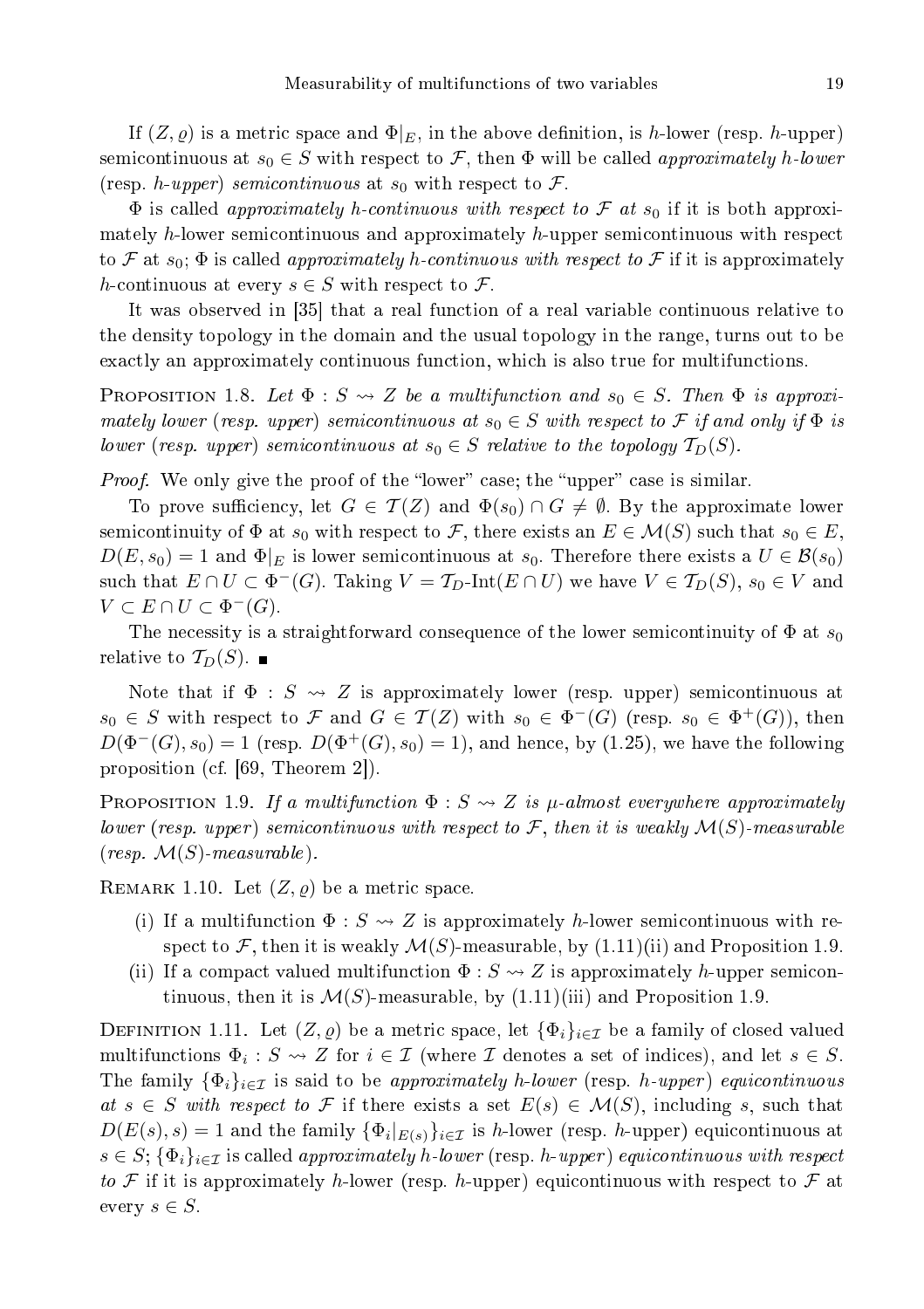If  $(Z, \varrho)$  is a metric space and  $\Phi|_E$ , in the above definition, is h-lower (resp. h-upper) semicontinuous at  $s_0 \in S$  with respect to F, then  $\Phi$  will be called approximately h-lower (resp. h-upper) semicontinuous at  $s_0$  with respect to  $\mathcal F$ .

 $\Phi$  is called approximately h-continuous with respect to F at s<sub>0</sub> if it is both approximately h-lower semicontinuous and approximately h-upper semicontinuous with respect to F at  $s_0$ ;  $\Phi$  is called approximately h-continuous with respect to F if it is approximately h-continuous at every  $s \in S$  with respect to  $\mathcal{F}$ .

It was observed in [35] that a real function of a real variable continuous relative to the density topology in the domain and the usual topology in the range, turns out to be exactly an approximately continuous function, which is also true for multifunctions.

**PROPOSITION** 1.8. Let  $\Phi : S \rightsquigarrow Z$  be a multifunction and  $s_0 \in S$ . Then  $\Phi$  is approximately lower (resp. upper) semicontinuous at  $s_0 \in S$  with respect to  $\mathcal F$  if and only if  $\Phi$  is lower (resp. upper) semicontinuous at  $s_0 \in S$  relative to the topology  $\mathcal{T}_D(S)$ .

Proof. We only give the proof of the lower ase; the upper ase is similar.

To prove sufficiency, let  $G \in \mathcal{T}(Z)$  and  $\Phi(s_0) \cap G \neq \emptyset$ . By the approximate lower semicontinuity of  $\Phi$  at  $s_0$  with respect to F, there exists an  $E \in \mathcal{M}(S)$  such that  $s_0 \in E$ ,  $D(E, s_0) = 1$  and  $\Phi|_E$  is lower semicontinuous at  $s_0$ . Therefore there exists a  $U \in \mathcal{B}(s_0)$ such that  $E \cap U \subset \Phi^{-}(G)$ . Taking  $V = \mathcal{T}_{D}$ -Int $(E \cap U)$  we have  $V \in \mathcal{T}_{D}(S)$ ,  $s_0 \in V$  and  $V \subset E \cap U \subset \Phi^{-}(G)$ .

The necessity is a straightforward consequence of the lower semicontinuity of  $\Phi$  at  $s_0$ relative to  $\mathcal{T}_D(S)$ .

Note that if  $\Phi : S \rightsquigarrow Z$  is approximately lower (resp. upper) semicontinuous at  $s_0 \in S$  with respect to F and  $G \in \mathcal{T}(Z)$  with  $s_0 \in \Phi^{-1}(G)$  (resp.  $s_0 \in \Phi^{+}(G)$ ), then  $D(\Phi^-(G), s_0) = 1$  (resp.  $D(\Phi^+(G), s_0) = 1$ ), and hence, by (1.25), we have the following proposition (cf.  $[69,$  Theorem 2]).

**PROPOSITION** 1.9. If a multifunction  $\Phi : S \rightsquigarrow Z$  is  $\mu$ -almost everywhere approximately lower (resp. upper) semicontinuous with respect to F, then it is weakly  $\mathcal{M}(S)$ -measurable  $(resp. M(S)-measurable).$ 

REMARK 1.10. Let  $(Z, \varrho)$  be a metric space.

- (i) If a multifunction  $\Phi: S \rightsquigarrow Z$  is approximately h-lower semicontinuous with respect to F, then it is weakly  $\mathcal{M}(S)$ -measurable, by  $(1.11)(ii)$  and Proposition 1.9.
- (ii) If a compact valued multifunction  $\Phi: S \to Z$  is approximately h-upper semicontinuous, then it is  $\mathcal{M}(S)$ -measurable, by  $(1.11)(iii)$  and Proposition 1.9.

DEFINITION 1.11. Let  $(Z, \varrho)$  be a metric space, let  $\{\Phi_i\}_{i\in\mathcal{I}}$  be a family of closed valued multifunctions  $\Phi_i: S \to Z$  for  $i \in \mathcal{I}$  (where  $\mathcal{I}$  denotes a set of indices), and let  $s \in S$ . The family  $\{\Phi_i\}_{i\in\mathcal{I}}$  is said to be approximately h-lower (resp. h-upper) equicontinuous at s ∈ S with respect to F if there exists a set  $E(s) \in \mathcal{M}(S)$ , including s, such that  $D(E(s), s) = 1$  and the family  $\{\Phi_i|_{E(s)}\}_{i \in \mathcal{I}}$  is h-lower (resp. h-upper) equicontinuous at  $s \in S$ ;  $\{\Phi_i\}_{i \in \mathcal{I}}$  is called approximately h-lower (resp. h-upper) equicontinuous with respect to F if it is approximately h-lower (resp. h-upper) equicontinuous with respect to F at every  $s \in S$ .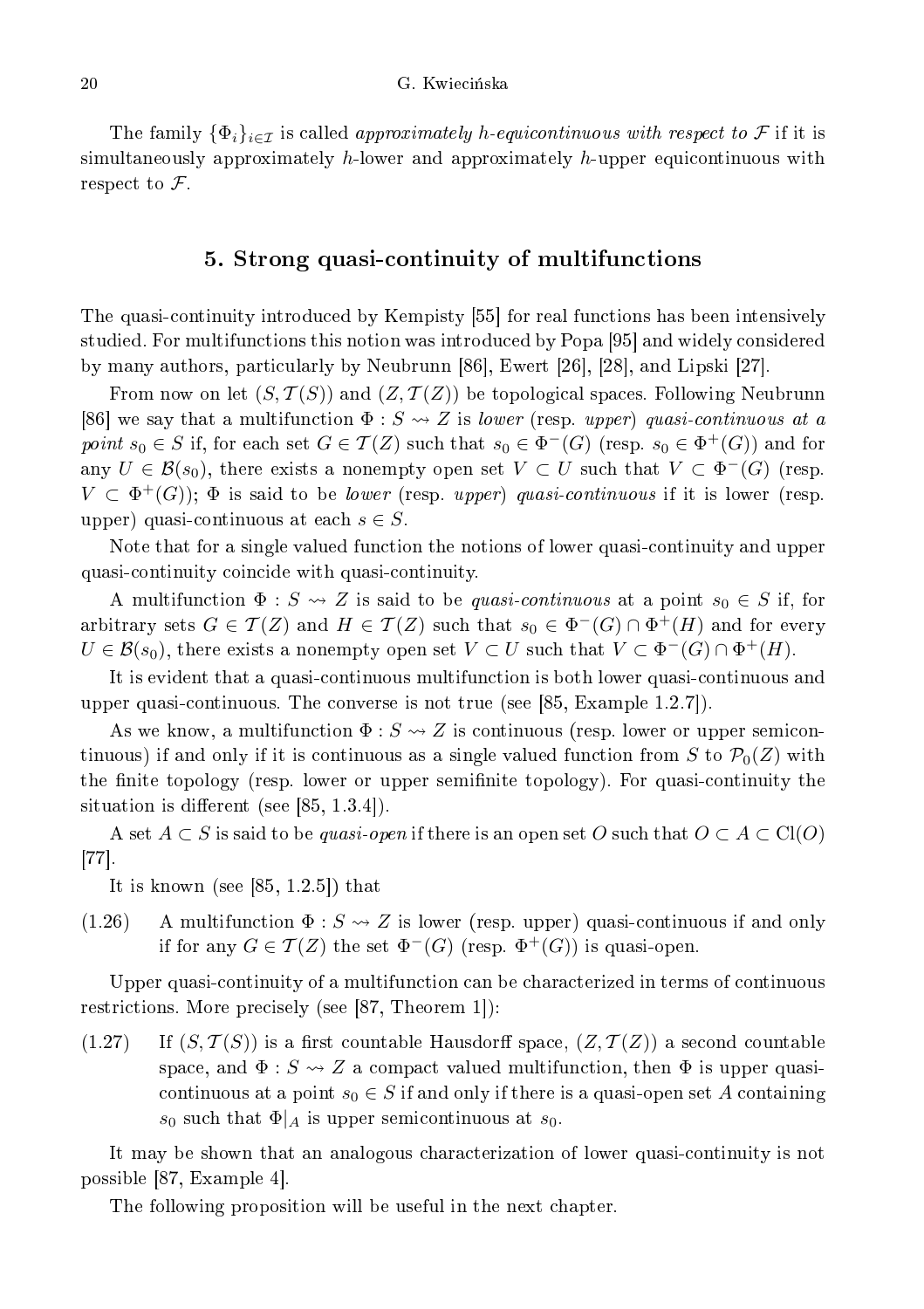The family  $\{\Phi_i\}_{i\in\mathcal{I}}$  is called approximately h-equicontinuous with respect to F if it is simultaneously approximately  $h$ -lower and approximately  $h$ -upper equicontinuous with respect to  $\mathcal{F}$ .

# 5. Strong quasiontinuity of multifun
tions

The quasi-continuity introduced by Kempisty [55] for real functions has been intensively studied. For multifunctions this notion was introduced by Popa [95] and widely considered by many authors, particularly by Neubrunn [86], Ewert [26], [28], and Lipski [27].

From now on let  $(S, \mathcal{T}(S))$  and  $(Z, \mathcal{T}(Z))$  be topological spaces. Following Neubrunn [86] we say that a multifunction  $\Phi: S \rightsquigarrow Z$  is *lower* (resp. upper) quasi-continuous at a point  $s_0 \in S$  if, for each set  $G \in \mathcal{T}(Z)$  such that  $s_0 \in \Phi^-(G)$  (resp.  $s_0 \in \Phi^+(G)$ ) and for any  $U \in \mathcal{B}(s_0)$ , there exists a nonempty open set  $V \subset U$  such that  $V \subset \Phi^-(G)$  (resp.  $V \subset \Phi^+(G)$ ;  $\Phi$  is said to be *lower* (resp. upper) quasi-continuous if it is lower (resp. upper) quasi-continuous at each  $s \in S$ .

Note that for a single valued function the notions of lower quasi-continuity and upper quasiontinuity oin
ide with quasiontinuity.

A multifunction  $\Phi: S \leadsto Z$  is said to be *quasi-continuous* at a point  $s_0 \in S$  if, for arbitrary sets  $G \in \mathcal{T}(Z)$  and  $H \in \mathcal{T}(Z)$  such that  $s_0 \in \Phi^-(G) \cap \Phi^+(H)$  and for every  $U \in \mathcal{B}(s_0)$ , there exists a nonempty open set  $V \subset U$  such that  $V \subset \Phi^-(G) \cap \Phi^+(H)$ .

It is evident that a quasiontinuous multifun
tion is both lower quasiontinuous and upper quasi-continuous. The converse is not true (see  $[85, \text{Example } 1.2.7]$ ).

As we know, a multifunction  $\Phi: S \to Z$  is continuous (resp. lower or upper semicontinuous) if and only if it is continuous as a single valued function from S to  $\mathcal{P}_0(Z)$  with the finite topology (resp. lower or upper semifinite topology). For quasi-continuity the situation is different (see  $[85, 1.3.4]$ ).

A set  $A \subset S$  is said to be quasi-open if there is an open set O such that  $O \subset A \subset Cl(O)$  $[77]$ .

It is known (see  $[85, 1.2.5]$ ) that

(1.26) A multifunction  $\Phi$ :  $S \rightsquigarrow Z$  is lower (resp. upper) quasi-continuous if and only if for any  $G \in \mathcal{T}(Z)$  the set  $\Phi^-(G)$  (resp.  $\Phi^+(G)$ ) is quasi-open.

Upper quasi-continuity of a multifunction can be characterized in terms of continuous restrictions. More precisely (see  $[87,$  Theorem 1]):

 $(1.27)$  If  $(S, \mathcal{T}(S))$  is a first countable Hausdorff space,  $(Z, \mathcal{T}(Z))$  a second countable space, and  $\Phi: S \rightsquigarrow Z$  a compact valued multifunction, then  $\Phi$  is upper quasicontinuous at a point  $s_0 \in S$  if and only if there is a quasi-open set A containing  $s_0$  such that  $\Phi|_A$  is upper semicontinuous at  $s_0$ .

It may be shown that an analogous hara
terization of lower quasiontinuity is not possible  $[87, Example 4]$ .

The following proposition will be useful in the next hapter.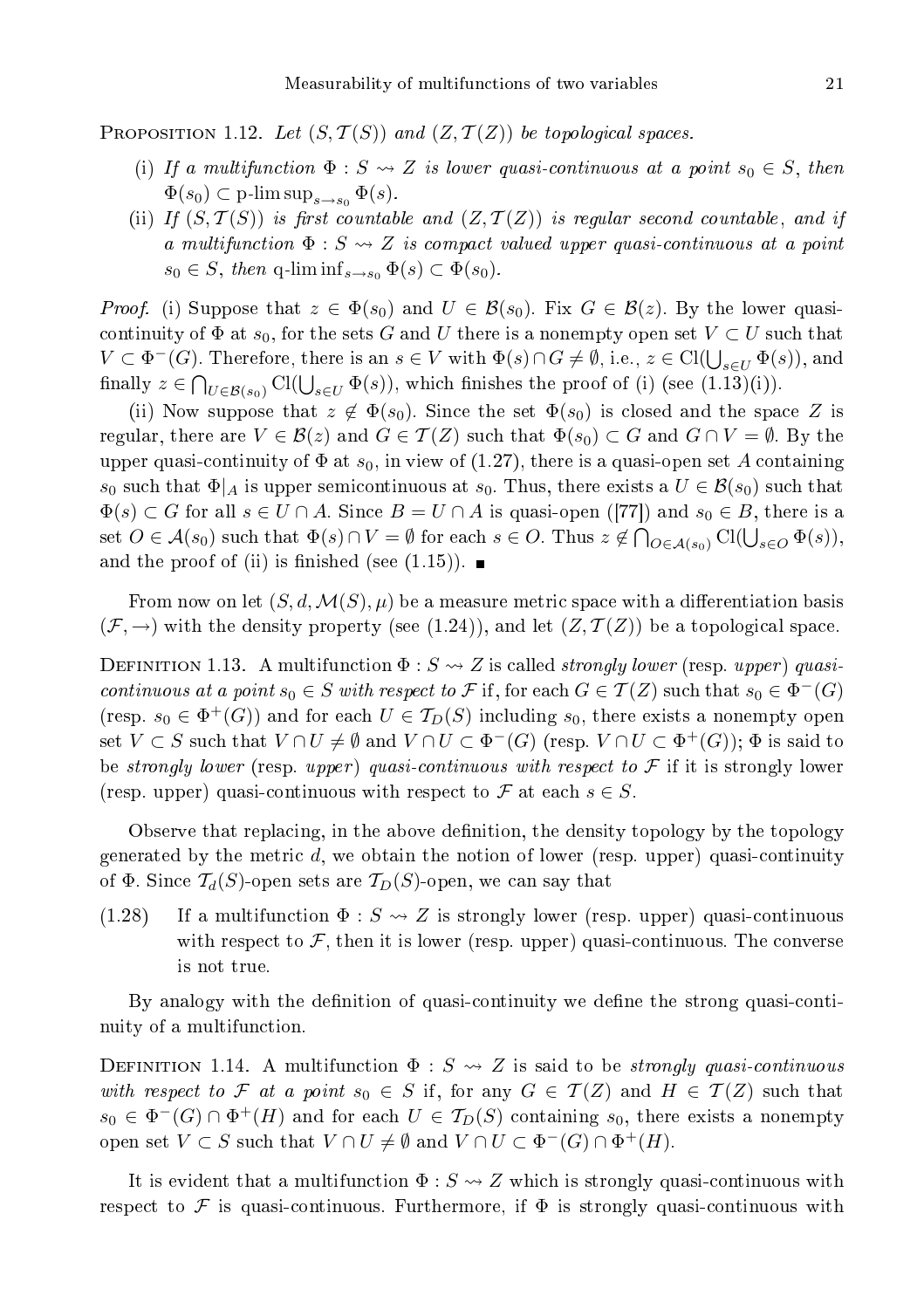PROPOSITION 1.12. Let  $(S, \mathcal{T}(S))$  and  $(Z, \mathcal{T}(Z))$  be topological spaces.

- (i) If a multifunction  $\Phi : S \leadsto Z$  is lower quasi-continuous at a point  $s_0 \in S$ , then  $\Phi(s_0) \subset \text{p-lim sup}_{s \to s_0} \Phi(s).$
- (ii) If  $(S, \mathcal{T}(S))$  is first countable and  $(Z, \mathcal{T}(Z))$  is regular second countable, and if a multifunction  $\Phi: S \leadsto Z$  is compact valued upper quasi-continuous at a point  $s_0 \in S$ , then q-lim inf $s \rightarrow s_0 \Phi(s) \subset \Phi(s_0)$ .

*Proof.* (i) Suppose that  $z \in \Phi(s_0)$  and  $U \in \mathcal{B}(s_0)$ . Fix  $G \in \mathcal{B}(z)$ . By the lower quasicontinuity of  $\Phi$  at  $s_0$ , for the sets G and U there is a nonempty open set  $V \subset U$  such that  $V \subset \Phi^-(G)$ . Therefore, there is an  $s \in V$  with  $\Phi(s) \cap G \neq \emptyset$ , i.e.,  $z \in \text{Cl}(\bigcup_{s \in U} \Phi(s))$ , and finally  $z \in \bigcap_{U \in \mathcal{B}(s_0)} \mathrm{Cl}(\bigcup_{s \in U} \Phi(s)),$  which finishes the proof of (i) (see (1.13)(i)).

(ii) Now suppose that  $z \notin \Phi(s_0)$ . Since the set  $\Phi(s_0)$  is closed and the space Z is regular, there are  $V \in \mathcal{B}(z)$  and  $G \in \mathcal{T}(Z)$  such that  $\Phi(s_0) \subset G$  and  $G \cap V = \emptyset$ . By the upper quasi-continuity of  $\Phi$  at  $s_0$ , in view of (1.27), there is a quasi-open set A containing  $s_0$  such that  $\Phi|_A$  is upper semicontinuous at  $s_0$ . Thus, there exists a  $U \in \mathcal{B}(s_0)$  such that  $\Phi(s) \subset G$  for all  $s \in U \cap A$ . Since  $B = U \cap A$  is quasi-open ([77]) and  $s_0 \in B$ , there is a set  $O \in \mathcal{A}(s_0)$  such that  $\Phi(s) \cap V = \emptyset$  for each  $s \in O$ . Thus  $z \notin \bigcap_{O \in \mathcal{A}(s_0)} \text{Cl}(\bigcup_{s \in O} \Phi(s)),$ and the proof of (ii) is finished (see  $(1.15)$ ).

From now on let  $(S, d, \mathcal{M}(S), \mu)$  be a measure metric space with a differentiation basis  $(\mathcal{F}, \rightarrow)$  with the density property (see (1.24)), and let  $(Z, \mathcal{T}(Z))$  be a topological space.

DEFINITION 1.13. A multifunction  $\Phi: S \leadsto Z$  is called *strongly lower* (resp. *upper*) quasicontinuous at a point  $s_0 \in S$  with respect to F if, for each  $G \in \mathcal{T}(Z)$  such that  $s_0 \in \Phi^-(G)$ (resp.  $s_0 \in \Phi^+(G)$ ) and for each  $U \in \mathcal{T}_D(S)$  including  $s_0$ , there exists a nonempty open set  $V \subset S$  such that  $V \cap U \neq \emptyset$  and  $V \cap U \subset \Phi^-(G)$  (resp.  $V \cap U \subset \Phi^+(G)$ );  $\Phi$  is said to be strongly lower (resp. upper) quasi-continuous with respect to  $\mathcal F$  if it is strongly lower (resp. upper) quasi-continuous with respect to  $\mathcal F$  at each  $s \in S$ .

Observe that replacing, in the above definition, the density topology by the topology generated by the metric  $d$ , we obtain the notion of lower (resp. upper) quasi-continuity of  $\Phi$ . Since  $\mathcal{T}_d(S)$ -open sets are  $\mathcal{T}_D(S)$ -open, we can say that

(1.28) If a multifunction  $\Phi: S \rightsquigarrow Z$  is strongly lower (resp. upper) quasi-continuous with respect to  $\mathcal F$ , then it is lower (resp. upper) quasi-continuous. The converse is not true.

By analogy with the definition of quasi-continuity we define the strong quasi-continuity of a multifun
tion.

DEFINITION 1.14. A multifunction  $\Phi : S \rightarrow Z$  is said to be *strongly quasi-continuous* with respect to F at a point  $s_0 \in S$  if, for any  $G \in \mathcal{T}(Z)$  and  $H \in \mathcal{T}(Z)$  such that  $s_0 \in \Phi^-(G) \cap \Phi^+(H)$  and for each  $U \in \mathcal{T}_D(S)$  containing  $s_0$ , there exists a nonempty open set  $V \subset S$  such that  $V \cap U \neq \emptyset$  and  $V \cap U \subset \Phi^{-}(G) \cap \Phi^{+}(H)$ .

It is evident that a multifunction  $\Phi: S \rightarrow Z$  which is strongly quasi-continuous with respect to  $\mathcal F$  is quasi-continuous. Furthermore, if  $\Phi$  is strongly quasi-continuous with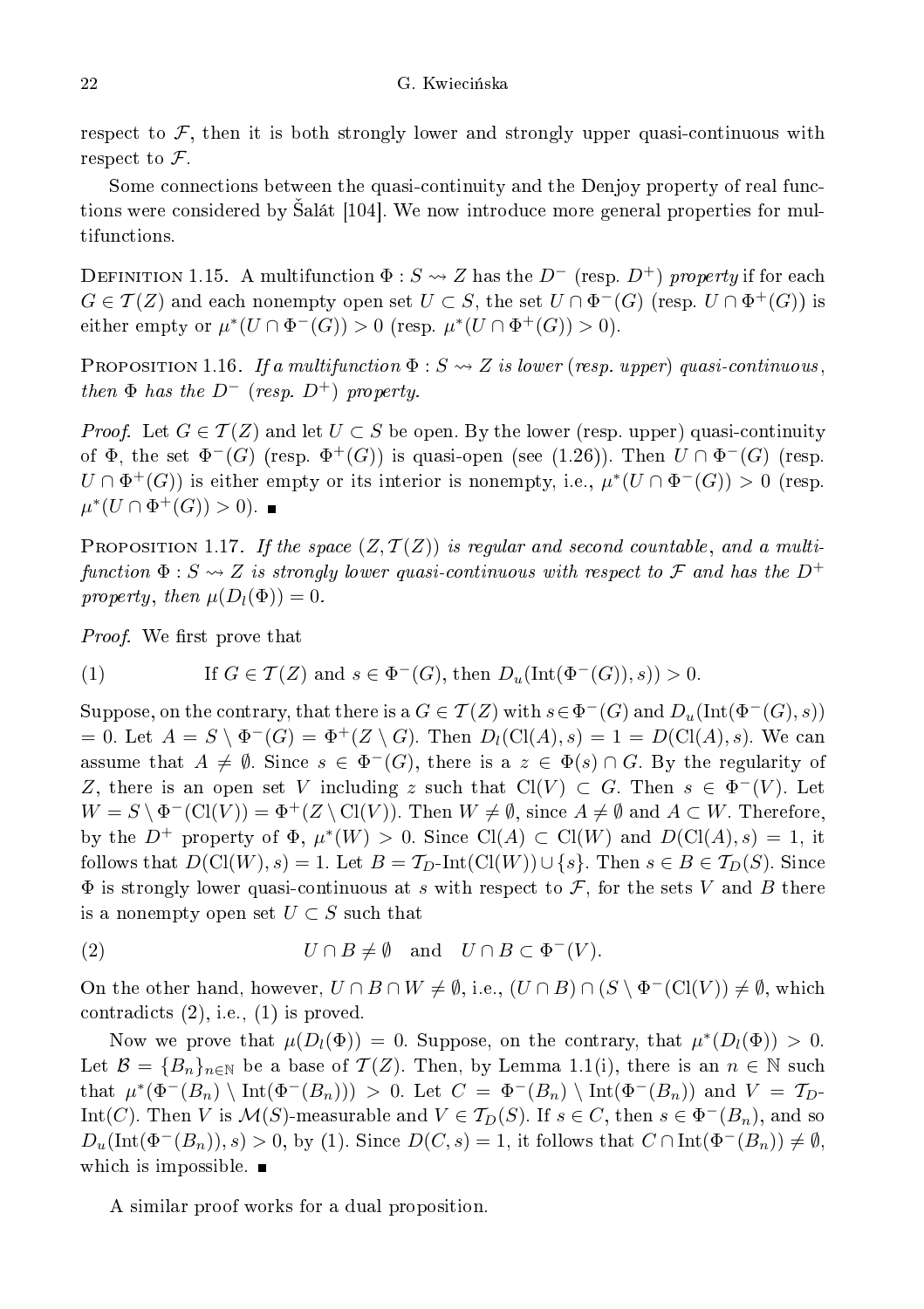respect to  $\mathcal F$ , then it is both strongly lower and strongly upper quasi-continuous with respect to  $\mathcal F$ .

Some connections between the quasi-continuity and the Denjoy property of real functions were considered by Salát [104]. We now introduce more general properties for multifunctions.

DEFINITION 1.15. A multifunction  $\Phi: S \leadsto Z$  has the  $D^-$  (resp.  $D^+$ ) property if for each  $G \in \mathcal{T}(Z)$  and each nonempty open set  $U \subset S$ , the set  $U \cap \Phi^{-1}(G)$  (resp.  $U \cap \Phi^{+}(G)$ ) is either empty or  $\mu^*(U \cap \Phi^-(G)) > 0$  (resp.  $\mu^*(U \cap \Phi^+(G)) > 0$ ).

**PROPOSITION 1.16.** If a multifunction  $\Phi : S \rightsquigarrow Z$  is lower (resp. upper) quasi-continuous, then  $\Phi$  has the  $D^-$  (resp.  $D^+$ ) property.

*Proof.* Let  $G \in \mathcal{T}(Z)$  and let  $U \subset S$  be open. By the lower (resp. upper) quasi-continuity of  $\Phi$ , the set  $\Phi^-(G)$  (resp.  $\Phi^+(G)$ ) is quasi-open (see (1.26)). Then  $U \cap \Phi^-(G)$  (resp.  $U \cap \Phi^+(G)$ ) is either empty or its interior is nonempty, i.e.,  $\mu^*(U \cap \Phi^-(G)) > 0$  (resp.  $\mu^*(U \cap \Phi^+(G)) > 0$ .

PROPOSITION 1.17. If the space  $(Z, \mathcal{T}(Z))$  is regular and second countable, and a multifunction  $\Phi:S\rightsquigarrow Z$  is strongly lower quasi-continuous with respect to  ${\mathcal F}$  and has the  $D^+$ property, then  $\mu(D_l(\Phi)) = 0$ .

Proof. We rst prove that

(1) If 
$$
G \in \mathcal{T}(Z)
$$
 and  $s \in \Phi^-(G)$ , then  $D_u(\text{Int}(\Phi^-(G)), s)) > 0$ .

Suppose, on the contrary, that there is a  $G \in \mathcal{T}(Z)$  with  $s \in \Phi^-(G)$  and  $D_u(\text{Int}(\Phi^-(G),s))$ = 0. Let  $A = S \setminus \Phi^{-}(G) = \Phi^{+}(Z \setminus G)$ . Then  $D_l(\text{Cl}(A), s) = 1 = D(\text{Cl}(A), s)$ . We can assume that  $A \neq \emptyset$ . Since  $s \in \Phi^{-}(G)$ , there is a  $z \in \Phi(s) \cap G$ . By the regularity of Z, there is an open set V including z such that  $Cl(V) \subset G$ . Then  $s \in \Phi^{-1}(V)$ . Let  $W = S \setminus \Phi^{-1}(\text{Cl}(V)) = \Phi^{+}(Z \setminus \text{Cl}(V))$ . Then  $W \neq \emptyset$ , since  $A \neq \emptyset$  and  $A \subset W$ . Therefore, by the  $D^+$  property of  $\Phi$ ,  $\mu^*(W) > 0$ . Since  $Cl(A) \subset Cl(W)$  and  $D(Cl(A), s) = 1$ , it follows that  $D(Cl(W), s) = 1$ . Let  $B = T_D$ -Int $(Cl(W)) \cup \{s\}$ . Then  $s \in B \in T_D(S)$ . Since  $\Phi$  is strongly lower quasi-continuous at s with respect to  $\mathcal{F}$ , for the sets V and B there is a nonempty open set  $U \subset S$  such that

(2) 
$$
U \cap B \neq \emptyset
$$
 and  $U \cap B \subset \Phi^-(V)$ .

On the other hand, however,  $U \cap B \cap W \neq \emptyset$ , i.e.,  $(U \cap B) \cap (S \setminus \Phi^{-}(Cl(V)) \neq \emptyset$ , which contradicts  $(2)$ , i.e.,  $(1)$  is proved.

Now we prove that  $\mu(D_l(\Phi)) = 0$ . Suppose, on the contrary, that  $\mu^*(D_l(\Phi)) > 0$ . Let  $\mathcal{B} = \{B_n\}_{n\in\mathbb{N}}$  be a base of  $\mathcal{T}(Z)$ . Then, by Lemma 1.1(i), there is an  $n \in \mathbb{N}$  such that  $\mu^*(\Phi^-(B_n) \setminus \text{Int}(\Phi^-(B_n))) > 0$ . Let  $C = \Phi^-(B_n) \setminus \text{Int}(\Phi^-(B_n))$  and  $V = \mathcal{T}_{D}$ Int(C). Then V is  $\mathcal{M}(S)$ -measurable and  $V \in \mathcal{T}_D(S)$ . If  $s \in C$ , then  $s \in \Phi^-(B_n)$ , and so  $D_u(\text{Int}(\Phi^-(B_n)), s) > 0$ , by (1). Since  $D(C, s) = 1$ , it follows that  $C \cap \text{Int}(\Phi^-(B_n)) \neq \emptyset$ , which is impossible.  $\blacksquare$ 

A similar proof works for a dual proposition.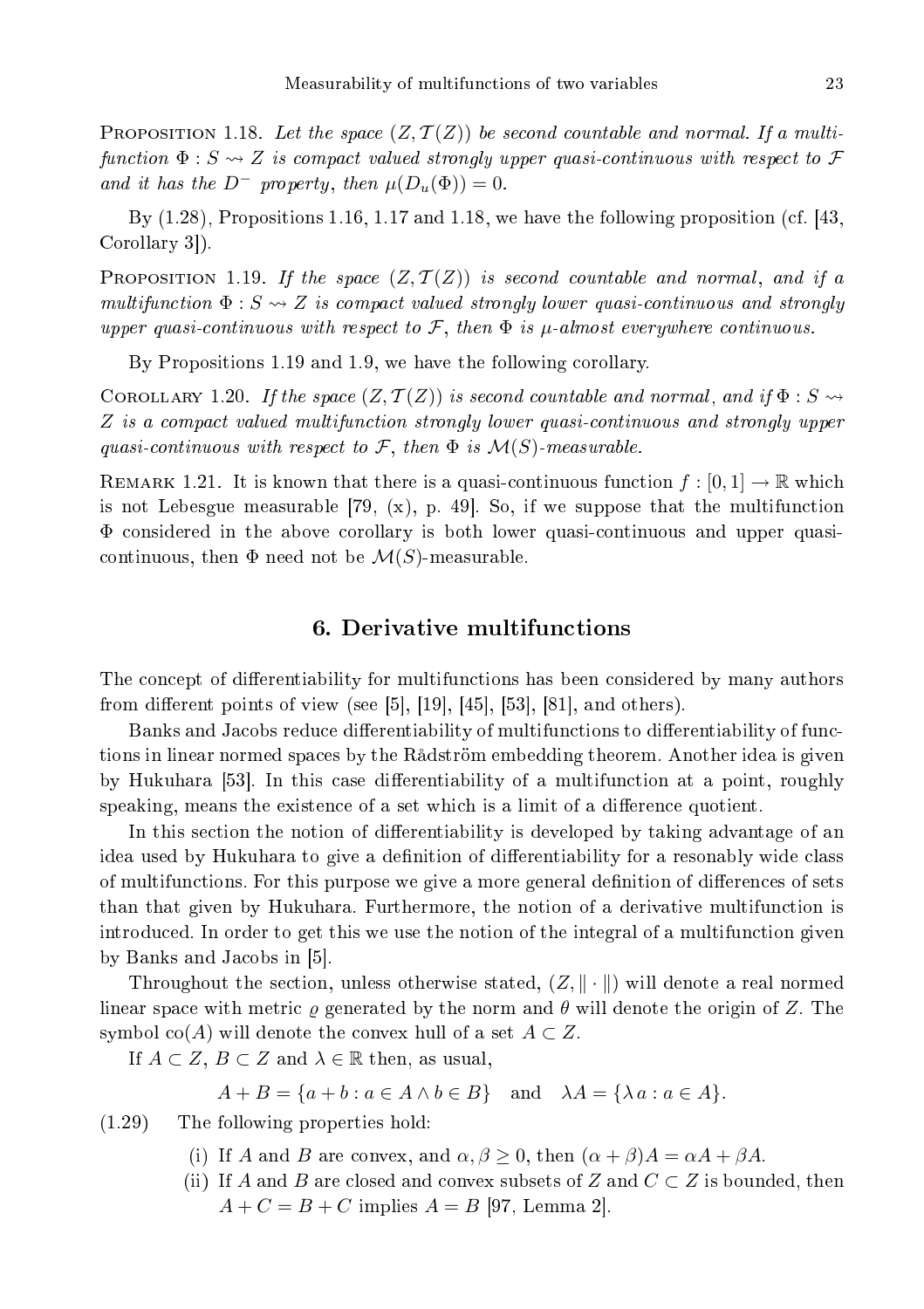**PROPOSITION** 1.18. Let the space  $(Z, \mathcal{T}(Z))$  be second countable and normal. If a multi $function \Phi : S \leadsto Z$  is compact valued strongly upper quasi-continuous with respect to  $\mathcal F$ and it has the  $D^-$  property, then  $\mu(D_u(\Phi)) = 0$ .

By (1.28), Propositions 1.16, 1.17 and 1.18, we have the following proposition (
f. [43, Corollary 3.

PROPOSITION 1.19. If the space  $(Z, \mathcal{T}(Z))$  is second countable and normal, and if a multifunction  $\Phi: S \leadsto Z$  is compact valued strongly lower quasi-continuous and strongly upper quasi-continuous with respect to  $\mathcal{F}$ , then  $\Phi$  is  $\mu$ -almost everywhere continuous.

By Propositions 1.19 and 1.9, we have the following corollary.

COROLLARY 1.20. If the space  $(Z, \mathcal{T}(Z))$  is second countable and normal, and if  $\Phi : S \rightarrow$ Z is a compact valued multifunction strongly lower quasi-continuous and strongly upper quasi-continuous with respect to  $\mathcal{F}$ , then  $\Phi$  is  $\mathcal{M}(S)$ -measurable.

REMARK 1.21. It is known that there is a quasi-continuous function  $f: [0,1] \to \mathbb{R}$  which is not Lebesgue measurable  $[79, (x), p. 49]$ . So, if we suppose that the multifunction Φ onsidered in the above orollary is both lower quasiontinuous and upper quasi continuous, then  $\Phi$  need not be  $\mathcal{M}(S)$ -measurable.

## 6. Derivative multifun
tions

The concept of differentiability for multifunctions has been considered by many authors from different points of view (see [5],  $[19]$ ,  $[45]$ ,  $[53]$ ,  $[81]$ , and others).

Banks and Jacobs reduce differentiability of multifunctions to differentiability of functions in linear normed spa
es by the Rådström embedding theorem. Another idea is given by Hukuhara [53]. In this case differentiability of a multifunction at a point, roughly speaking, means the existence of a set which is a limit of a difference quotient.

In this section the notion of differentiability is developed by taking advantage of an idea used by Hukuhara to give a definition of differentiability for a resonably wide class of multifunctions. For this purpose we give a more general definition of differences of sets than that given by Hukuhara. Furthermore, the notion of a derivative multifunction is introduced. In order to get this we use the notion of the integral of a multifunction given by Banks and Jacobs in [5].

Throughout the section, unless otherwise stated,  $(Z, \|\cdot\|)$  will denote a real normed linear space with metric  $\rho$  generated by the norm and  $\theta$  will denote the origin of Z. The symbol co(A) will denote the convex hull of a set  $A \subset Z$ .

If  $A \subset Z$ ,  $B \subset Z$  and  $\lambda \in \mathbb{R}$  then, as usual,

 $A + B = \{a + b : a \in A \land b \in B\}$  and  $\lambda A = \{\lambda a : a \in A\}.$ 

(1.29) The following properties hold:

- (i) If A and B are convex, and  $\alpha, \beta \geq 0$ , then  $(\alpha + \beta)A = \alpha A + \beta A$ .
- (ii) If A and B are closed and convex subsets of Z and  $C \subset Z$  is bounded, then  $A + C = B + C$  implies  $A = B$  [97, Lemma 2].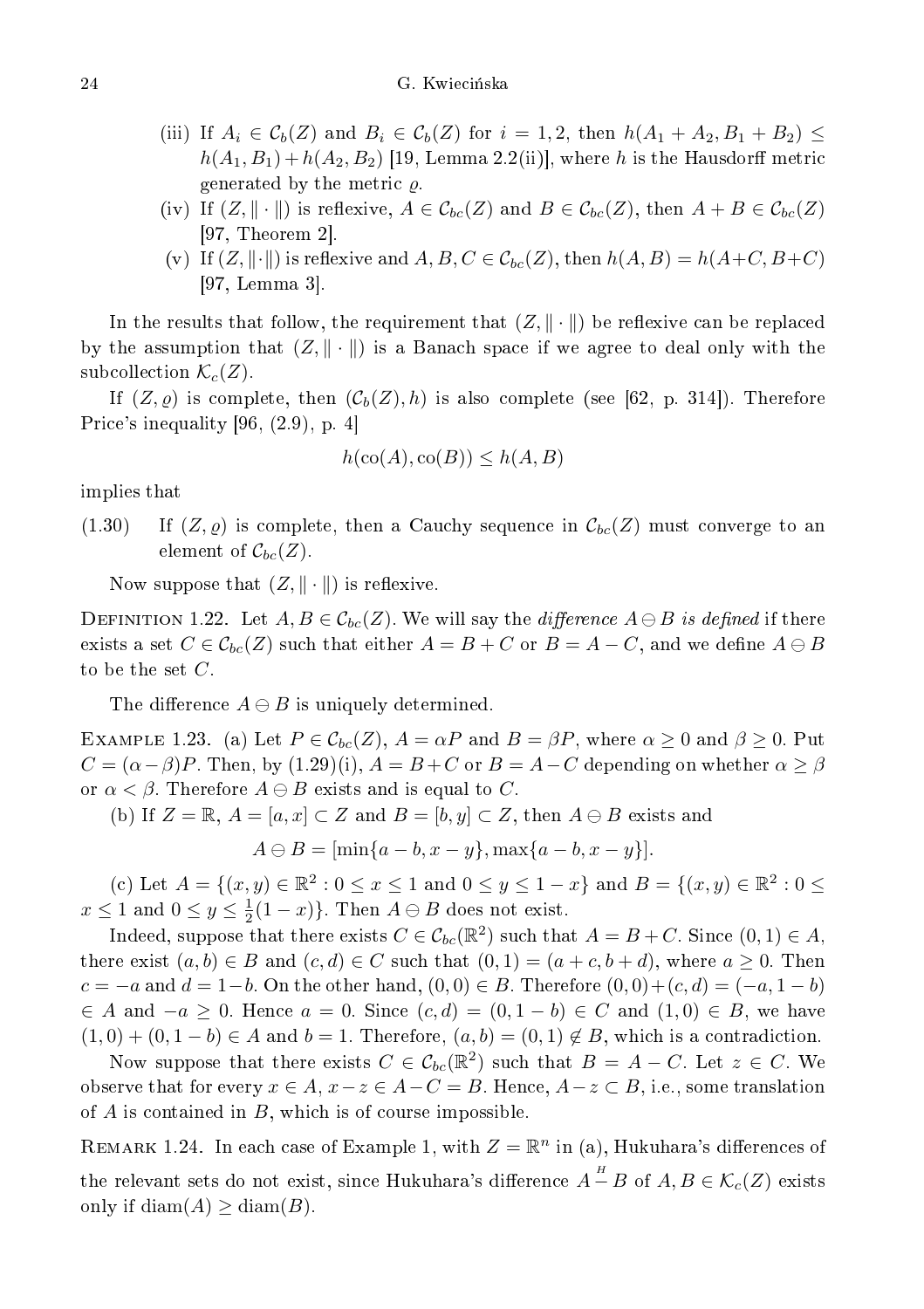- (iii) If  $A_i \in \mathcal{C}_b(Z)$  and  $B_i \in \mathcal{C}_b(Z)$  for  $i = 1, 2$ , then  $h(A_1 + A_2, B_1 + B_2) \leq$  $h(A_1, B_1) + h(A_2, B_2)$  [19, Lemma 2.2(ii)], where h is the Hausdorff metric generated by the metric  $\rho$ .
- (iv) If  $(Z, \|\cdot\|)$  is reflexive,  $A \in \mathcal{C}_{bc}(Z)$  and  $B \in \mathcal{C}_{bc}(Z)$ , then  $A + B \in \mathcal{C}_{bc}(Z)$  $[97,$  Theorem 2.
- (v) If  $(Z, \|\cdot\|)$  is reflexive and  $A, B, C \in \mathcal{C}_{bc}(Z)$ , then  $h(A, B) = h(A+C, B+C)$  $[97, \text{Lemma } 3].$

In the results that follow, the requirement that  $(Z, \|\cdot\|)$  be reflexive can be replaced by the assumption that  $(Z, \|\cdot\|)$  is a Banach space if we agree to deal only with the subcollection  $\mathcal{K}_c(Z)$ .

If  $(Z, \rho)$  is complete, then  $(C_b(Z), h)$  is also complete (see [62, p. 314]). Therefore Price's inequality  $[96, (2.9), p. 4]$ 

$$
h(\text{co}(A), \text{co}(B)) \le h(A, B)
$$

implies that

 $(1.30)$  If  $(Z, \varrho)$  is complete, then a Cauchy sequence in  $\mathcal{C}_{bc}(Z)$  must converge to an element of  $\mathcal{C}_{bc}(Z)$ .

Now suppose that  $(Z, \|\cdot\|)$  is reflexive.

DEFINITION 1.22. Let  $A, B \in \mathcal{C}_{bc}(Z)$ . We will say the *difference*  $A \ominus B$  is defined if there exists a set  $C \in \mathcal{C}_{bc}(Z)$  such that either  $A = B + C$  or  $B = A - C$ , and we define  $A \ominus B$ to be the set  $C$ .

The difference  $A \ominus B$  is uniquely determined.

EXAMPLE 1.23. (a) Let  $P \in \mathcal{C}_{bc}(Z)$ ,  $A = \alpha P$  and  $B = \beta P$ , where  $\alpha \ge 0$  and  $\beta \ge 0$ . Put  $C = (\alpha - \beta)P$ . Then, by (1.29)(i),  $A = B + C$  or  $B = A - C$  depending on whether  $\alpha \geq \beta$ or  $\alpha < \beta$ . Therefore  $A \ominus B$  exists and is equal to C.

(b) If  $Z = \mathbb{R}, A = [a, x] \subset Z$  and  $B = [b, y] \subset Z$ , then  $A \ominus B$  exists and

 $A \ominus B = [\min\{a - b, x - y\}, \max\{a - b, x - y\}].$ 

(c) Let  $A = \{(x, y) \in \mathbb{R}^2 : 0 \le x \le 1 \text{ and } 0 \le y \le 1 - x\}$  and  $B = \{(x, y) \in \mathbb{R}^2 : 0 \le x \le 1 \text{ and } 0 \le y \le 1 - x\}$  $x \le 1$  and  $0 \le y \le \frac{1}{2}(1-x)$ . Then  $A \ominus B$  does not exist.

Indeed, suppose that there exists  $C \in \mathcal{C}_{bc}(\mathbb{R}^2)$  such that  $A = B + C$ . Since  $(0, 1) \in A$ , there exist  $(a, b) \in B$  and  $(c, d) \in C$  such that  $(0, 1) = (a + c, b + d)$ , where  $a \ge 0$ . Then  $c = -a$  and  $d = 1-b$ . On the other hand,  $(0,0) \in B$ . Therefore  $(0,0)+(c,d) = (-a, 1-b)$  $\in A$  and  $-a \geq 0$ . Hence  $a = 0$ . Since  $(c, d) = (0, 1 - b) \in C$  and  $(1, 0) \in B$ , we have  $(1,0) + (0,1-b) \in A$  and  $b = 1$ . Therefore,  $(a,b) = (0,1) \notin B$ , which is a contradiction.

Now suppose that there exists  $C \in \mathcal{C}_{bc}(\mathbb{R}^2)$  such that  $B = A - C$ . Let  $z \in C$ . We observe that for every  $x \in A$ ,  $x-z \in A-C = B$ . Hence,  $A-z \subset B$ , i.e., some translation of  $A$  is contained in  $B$ , which is of course impossible.

REMARK 1.24. In each case of Example 1, with  $Z = \mathbb{R}^n$  in (a), Hukuhara's differences of the relevant sets do not exist, since Hukuhara's difference  $A \overset{H}{-} B$  of  $A, B \in \mathcal{K}_c(Z)$  exists only if  $\text{diam}(A) \geq \text{diam}(B)$ .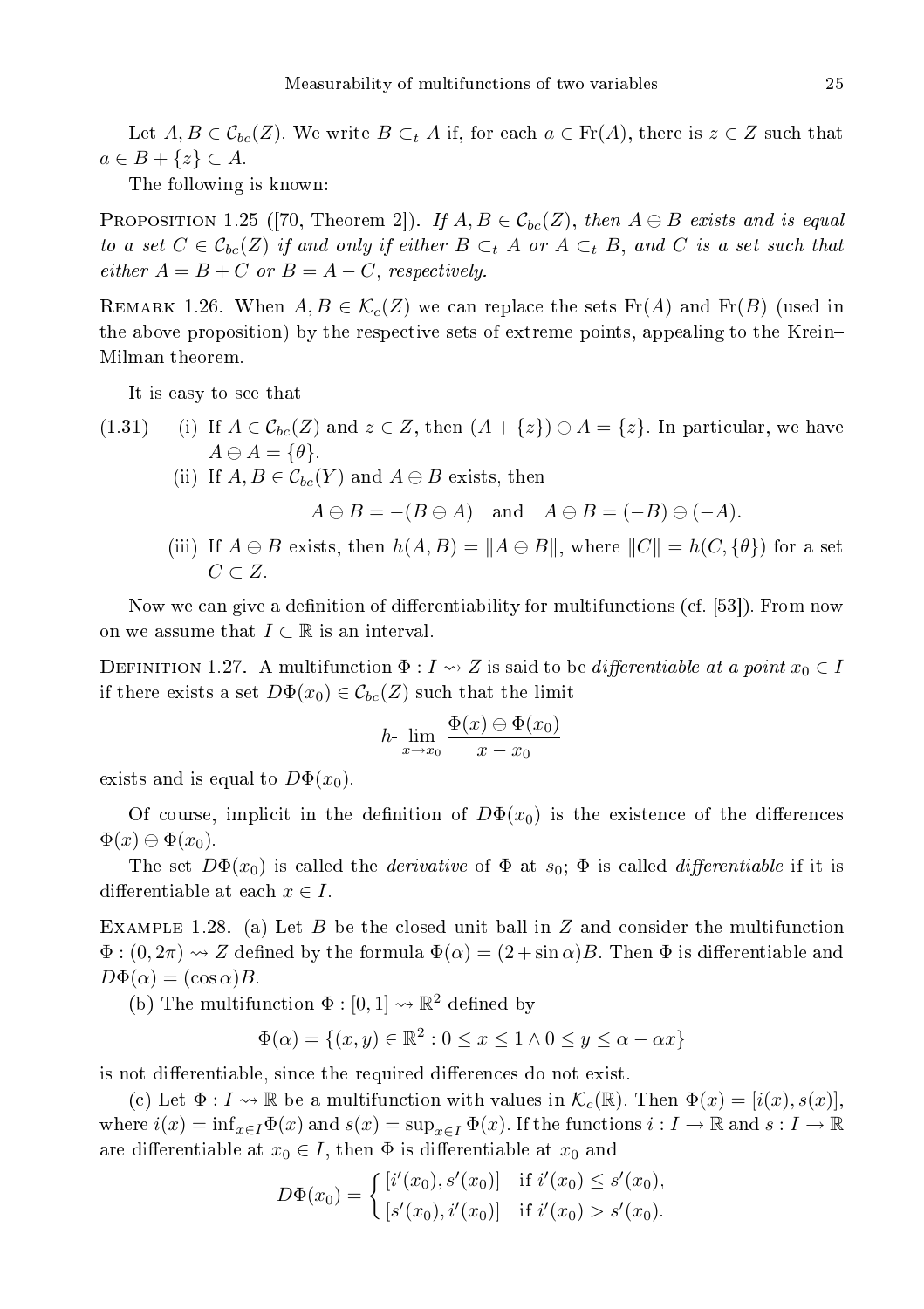Let  $A, B \in C_{bc}(Z)$ . We write  $B \subset_{t} A$  if, for each  $a \in Fr(A)$ , there is  $z \in Z$  such that  $a \in B + \{z\} \subset A$ .

The following is known:

PROPOSITION 1.25 ([70, Theorem 2]). If  $A, B \in \mathcal{C}_{bc}(Z)$ , then  $A \ominus B$  exists and is equal to a set  $C \in \mathcal{C}_{bc}(Z)$  if and only if either  $B \subset_t A$  or  $A \subset_t B$ , and  $C$  is a set such that  $either A = B + C \text{ or } B = A - C, respectively.$ 

REMARK 1.26. When  $A, B \in \mathcal{K}_c(Z)$  we can replace the sets  $\text{Fr}(A)$  and  $\text{Fr}(B)$  (used in the above proposition) by the respe
tive sets of extreme points, appealing to the Krein Milman theorem.

It is easy to see that

- (1.31) (i) If  $A \in \mathcal{C}_{bc}(Z)$  and  $z \in Z$ , then  $(A + \{z\}) \ominus A = \{z\}$ . In particular, we have  $A \ominus A = {\theta}.$ 
	- (ii) If  $A, B \in \mathcal{C}_{bc}(Y)$  and  $A \ominus B$  exists, then

 $A \ominus B = -(B \ominus A)$  and  $A \ominus B = (-B) \ominus (-A)$ .

(iii) If  $A \ominus B$  exists, then  $h(A, B) = ||A \ominus B||$ , where  $||C|| = h(C, {\theta})$  for a set  $C \subset Z$ .

Now we can give a definition of differentiability for multifunctions (cf. [53]). From now on we assume that  $I \subset \mathbb{R}$  is an interval.

DEFINITION 1.27. A multifunction  $\Phi: I \to Z$  is said to be *differentiable at a point*  $x_0 \in I$ if there exists a set  $D\Phi(x_0) \in \mathcal{C}_{bc}(Z)$  such that the limit

$$
h \lim_{x \to x_0} \frac{\Phi(x) \ominus \Phi(x_0)}{x - x_0}
$$

exists and is equal to  $D\Phi(x_0)$ .

Of course, implicit in the definition of  $D\Phi(x_0)$  is the existence of the differences  $\Phi(x) \ominus \Phi(x_0)$ .

The set  $D\Phi(x_0)$  is called the *derivative* of  $\Phi$  at  $s_0$ ;  $\Phi$  is called *differentiable* if it is differentiable at each  $x \in I$ .

EXAMPLE 1.28. (a) Let B be the closed unit ball in Z and consider the multifunction  $\Phi: (0, 2\pi) \rightarrow Z$  defined by the formula  $\Phi(\alpha) = (2 + \sin \alpha)B$ . Then  $\Phi$  is differentiable and  $D\Phi(\alpha) = (\cos \alpha)B$ .

(b) The multifunction  $\Phi : [0,1] \rightarrow \mathbb{R}^2$  defined by

$$
\Phi(\alpha) = \{(x, y) \in \mathbb{R}^2 : 0 \le x \le 1 \land 0 \le y \le \alpha - \alpha x\}
$$

is not differentiable, since the required differences do not exist.

(c) Let  $\Phi: I \to \mathbb{R}$  be a multifunction with values in  $\mathcal{K}_c(\mathbb{R})$ . Then  $\Phi(x) = [i(x), s(x)]$ , where  $i(x) = \inf_{x \in I} \Phi(x)$  and  $s(x) = \sup_{x \in I} \Phi(x)$ . If the functions  $i : I \to \mathbb{R}$  and  $s : I \to \mathbb{R}$ are differentiable at  $x_0 \in I$ , then  $\Phi$  is differentiable at  $x_0$  and

$$
D\Phi(x_0) = \begin{cases} [i'(x_0), s'(x_0)] & \text{if } i'(x_0) \le s'(x_0), \\ [s'(x_0), i'(x_0)] & \text{if } i'(x_0) > s'(x_0). \end{cases}
$$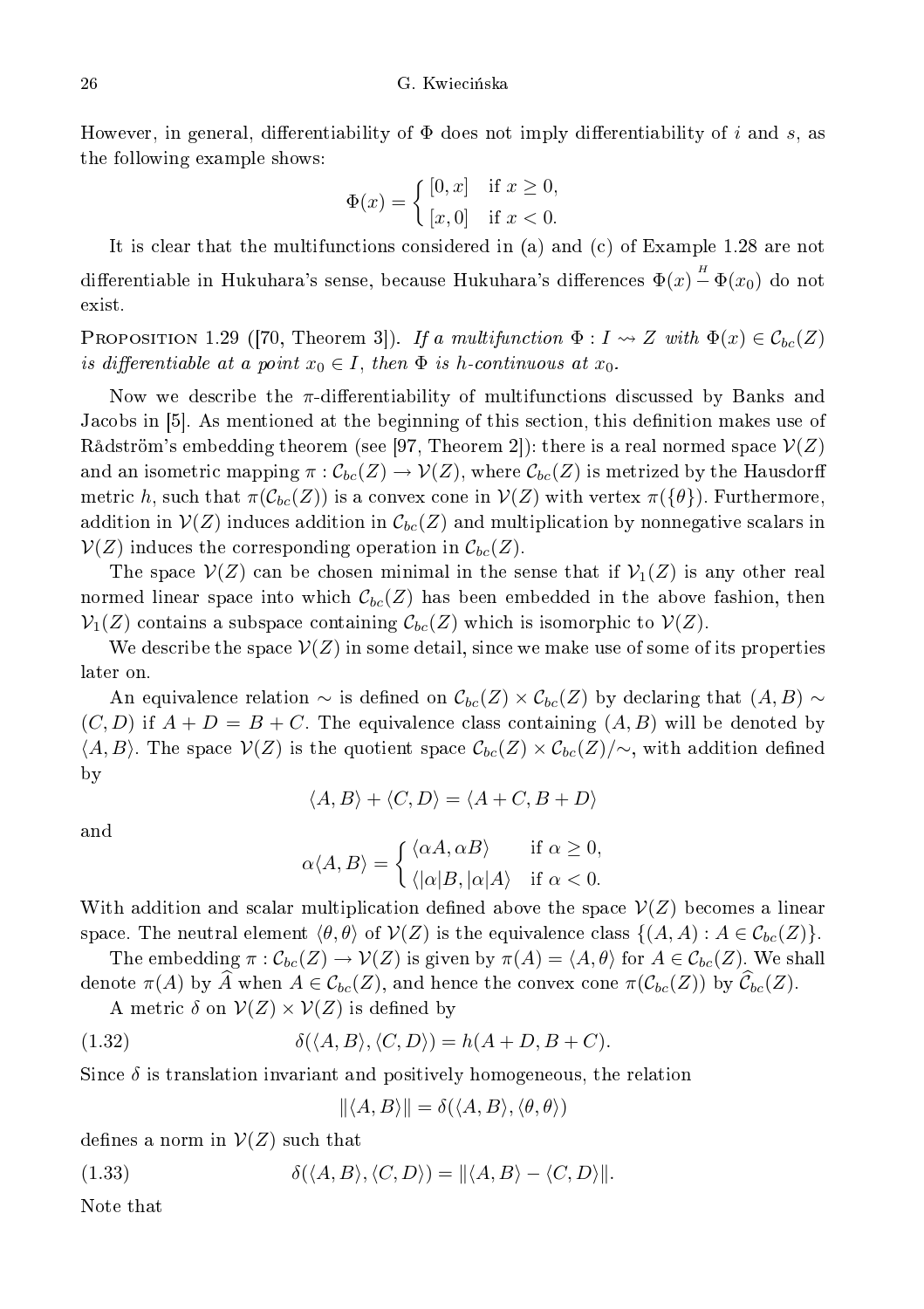However, in general, differentiability of  $\Phi$  does not imply differentiability of i and s, as the following example shows:

$$
\Phi(x) = \begin{cases} [0, x] & \text{if } x \ge 0, \\ [x, 0] & \text{if } x < 0. \end{cases}
$$

It is clear that the multifunctions considered in (a) and (c) of Example 1.28 are not differentiable in Hukuhara's sense, because Hukuhara's differences  $\Phi(x) \overset{\scriptscriptstyle H}{-} \Phi(x_0)$  do not exist.

**PROPOSITION** 1.29 ([70, Theorem 3]). If a multifunction  $\Phi: I \to Z$  with  $\Phi(x) \in C_{bc}(Z)$ is differentiable at a point  $x_0 \in I$ , then  $\Phi$  is h-continuous at  $x_0$ .

Now we describe the  $\pi$ -differentiability of multifunctions discussed by Banks and Jacobs in [5]. As mentioned at the beginning of this section, this definition makes use of Rådström's embedding theorem (see [97, Theorem 2]): there is a real normed space  $\mathcal{V}(Z)$ and an isometric mapping  $\pi: \mathcal{C}_{bc}(Z) \to \mathcal{V}(Z)$ , where  $\mathcal{C}_{bc}(Z)$  is metrized by the Hausdorff metric h, such that  $\pi(\mathcal{C}_{bc}(Z))$  is a convex cone in  $\mathcal{V}(Z)$  with vertex  $\pi(\{\theta\})$ . Furthermore, addition in  $\mathcal{V}(Z)$  induces addition in  $\mathcal{C}_{bc}(Z)$  and multiplication by nonnegative scalars in  $\mathcal{V}(Z)$  induces the corresponding operation in  $\mathcal{C}_{bc}(Z)$ .

The space  $\mathcal{V}(Z)$  can be chosen minimal in the sense that if  $\mathcal{V}_1(Z)$  is any other real normed linear space into which  $\mathcal{C}_{bc}(Z)$  has been embedded in the above fashion, then  $\mathcal{V}_1(Z)$  contains a subspace containing  $\mathcal{C}_{bc}(Z)$  which is isomorphic to  $\mathcal{V}(Z)$ .

We describe the space  $\mathcal{V}(Z)$  in some detail, since we make use of some of its properties later on.

An equivalence relation  $\sim$  is defined on  $\mathcal{C}_{bc}(Z) \times \mathcal{C}_{bc}(Z)$  by declaring that  $(A, B) \sim$  $(C, D)$  if  $A + D = B + C$ . The equivalence class containing  $(A, B)$  will be denoted by  $\langle A, B \rangle$ . The space  $\mathcal{V}(Z)$  is the quotient space  $\mathcal{C}_{bc}(Z) \times \mathcal{C}_{bc}(Z)/\sim$ , with addition defined by

$$
\langle A, B \rangle + \langle C, D \rangle = \langle A + C, B + D \rangle
$$

and

$$
\alpha \langle A, B \rangle = \begin{cases} \langle \alpha A, \alpha B \rangle & \text{if } \alpha \ge 0, \\ \langle |\alpha| B, |\alpha| A \rangle & \text{if } \alpha < 0. \end{cases}
$$

With addition and scalar multiplication defined above the space  $\mathcal{V}(Z)$  becomes a linear space. The neutral element  $\langle \theta, \theta \rangle$  of  $\mathcal{V}(Z)$  is the equivalence class  $\{(A, A) : A \in \mathcal{C}_{bc}(Z)\}.$ 

The embedding  $\pi : C_{bc}(Z) \to V(Z)$  is given by  $\pi(A) = \langle A, \theta \rangle$  for  $A \in C_{bc}(Z)$ . We shall denote  $\pi(A)$  by A when  $A \in \mathcal{C}_{bc}(Z)$ , and hence the convex cone  $\pi(\mathcal{C}_{bc}(Z))$  by  $\mathcal{C}_{bc}(Z)$ .

A metric  $\delta$  on  $V(Z) \times V(Z)$  is defined by

(1.32) 
$$
\delta(\langle A, B \rangle, \langle C, D \rangle) = h(A + D, B + C).
$$

Since  $\delta$  is translation invariant and positively homogeneous, the relation

$$
\|\langle A, B \rangle\| = \delta(\langle A, B \rangle, \langle \theta, \theta \rangle)
$$

defines a norm in  $\mathcal{V}(Z)$  such that

(1.33)  $\delta(\langle A, B \rangle, \langle C, D \rangle) = ||\langle A, B \rangle - \langle C, D \rangle||.$ 

Note that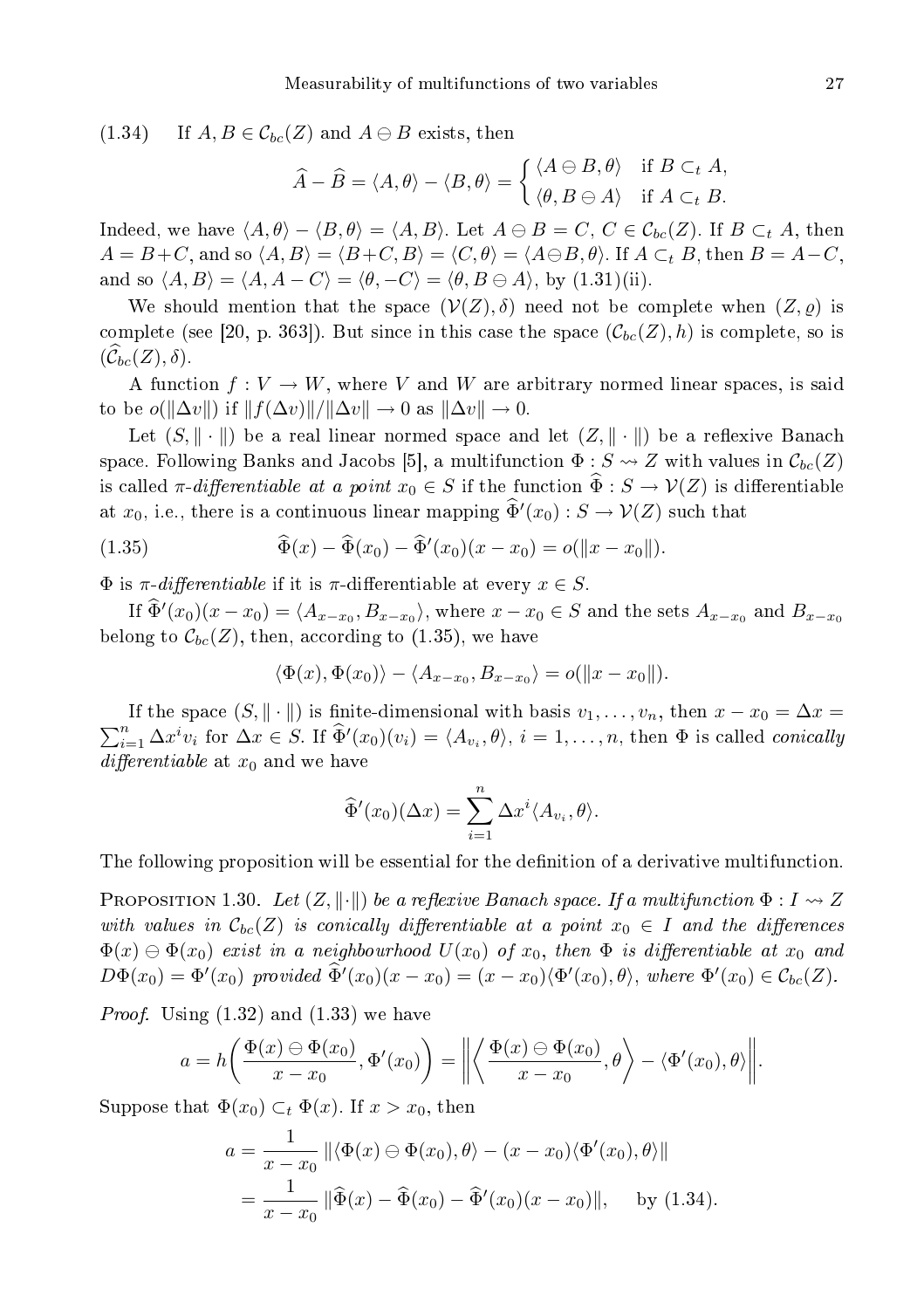$(1.34)$  If  $A, B \in \mathcal{C}_{bc}(Z)$  and  $A \ominus B$  exists, then

$$
\widehat{A} - \widehat{B} = \langle A, \theta \rangle - \langle B, \theta \rangle = \begin{cases} \langle A \ominus B, \theta \rangle & \text{if } B \subset_t A, \\ \langle \theta, B \ominus A \rangle & \text{if } A \subset_t B. \end{cases}
$$

Indeed, we have  $\langle A, \theta \rangle - \langle B, \theta \rangle = \langle A, B \rangle$ . Let  $A \oplus B = C$ ,  $C \in \mathcal{C}_{bc}(Z)$ . If  $B \subset_t A$ , then  $A = B + C$ , and so  $\langle A, B \rangle = \langle B + C, B \rangle = \langle C, \theta \rangle = \langle A \ominus B, \theta \rangle$ . If  $A \subset_t B$ , then  $B = A - C$ , and so  $\langle A, B \rangle = \langle A, A - C \rangle = \langle \theta, -C \rangle = \langle \theta, B \oplus A \rangle$ , by (1.31)(ii).

We should mention that the space  $(V(Z), \delta)$  need not be complete when  $(Z, \rho)$  is complete (see [20, p. 363]). But since in this case the space  $(\mathcal{C}_{bc}(Z), h)$  is complete, so is  $(\mathcal{C}_{bc}(Z), \delta).$ 

A function  $f: V \to W$ , where V and W are arbitrary normed linear spaces, is said to be  $o(\Vert \Delta v \Vert)$  if  $\Vert f(\Delta v) \Vert / \Vert \Delta v \Vert \to 0$  as  $\Vert \Delta v \Vert \to 0$ .

Let  $(S, \|\cdot\|)$  be a real linear normed space and let  $(Z, \|\cdot\|)$  be a reflexive Banach space. Following Banks and Jacobs [5], a multifunction  $\Phi: S \rightsquigarrow Z$  with values in  $\mathcal{C}_{bc}(Z)$ is called  $\pi$ -differentiable at a point  $x_0 \in S$  if the function  $\hat{\Phi}: S \to V(Z)$  is differentiable at  $x_0$ , i.e., there is a continuous linear mapping  $\widehat{\Phi}'(x_0)$  :  $S \to V(Z)$  such that

(1.35) 
$$
\widehat{\Phi}(x) - \widehat{\Phi}(x_0) - \widehat{\Phi}'(x_0)(x - x_0) = o(||x - x_0||).
$$

 $\Phi$  is  $\pi$ -differentiable if it is  $\pi$ -differentiable at every  $x \in S$ .

If  $\Phi'(x_0)(x-x_0) = \langle A_{x-x_0}, B_{x-x_0} \rangle$ , where  $x-x_0 \in S$  and the sets  $A_{x-x_0}$  and  $B_{x-x_0}$ belong to  $\mathcal{C}_{bc}(Z)$ , then, according to (1.35), we have

$$
\langle \Phi(x), \Phi(x_0) \rangle - \langle A_{x-x_0}, B_{x-x_0} \rangle = o(||x - x_0||).
$$

If the space  $(S, \|\cdot\|)$  is finite-dimensional with basis  $v_1, \ldots, v_n$ , then  $x - x_0 = \Delta x =$  $\sum_{i=1}^n \Delta x^i v_i$  for  $\Delta x \in S$ . If  $\hat{\Phi}'(x_0)(v_i) = \langle A_{v_i}, \theta \rangle$ ,  $i = 1, \ldots, n$ , then  $\Phi$  is called *conically* differentiable at  $x_0$  and we have

$$
\widehat{\Phi}'(x_0)(\Delta x) = \sum_{i=1}^n \Delta x^i \langle A_{v_i}, \theta \rangle.
$$

The following proposition will be essential for the definition of a derivative multifunction.

**PROPOSITION** 1.30. Let  $(Z, \|\cdot\|)$  be a reflexive Banach space. If a multifunction  $\Phi: I \to Z$ with values in  $\mathcal{C}_{bc}(Z)$  is conically differentiable at a point  $x_0 \in I$  and the differences  $\Phi(x) \ominus \Phi(x_0)$  exist in a neighbourhood  $U(x_0)$  of  $x_0$ , then  $\Phi$  is differentiable at  $x_0$  and  $D\Phi(x_0) = \Phi'(x_0)$  provided  $\widehat{\Phi}'(x_0)(x - x_0) = (x - x_0)\langle \Phi'(x_0), \theta \rangle$ , where  $\Phi'(x_0) \in \mathcal{C}_{bc}(Z)$ .

Proof. Using (1.32) and (1.33) we have

$$
a = h\left(\frac{\Phi(x) \ominus \Phi(x_0)}{x - x_0}, \Phi'(x_0)\right) = \left\| \left\langle \frac{\Phi(x) \ominus \Phi(x_0)}{x - x_0}, \theta \right\rangle - \left\langle \Phi'(x_0), \theta \right\rangle \right\|.
$$

Suppose that  $\Phi(x_0) \subset_t \Phi(x)$ . If  $x > x_0$ , then

$$
a = \frac{1}{x - x_0} \left\| \langle \Phi(x) \ominus \Phi(x_0), \theta \rangle - (x - x_0) \langle \Phi'(x_0), \theta \rangle \right\|
$$
  
= 
$$
\frac{1}{x - x_0} \left\| \widehat{\Phi}(x) - \widehat{\Phi}(x_0) - \widehat{\Phi}'(x_0)(x - x_0) \right\|, \text{ by (1.34)}.
$$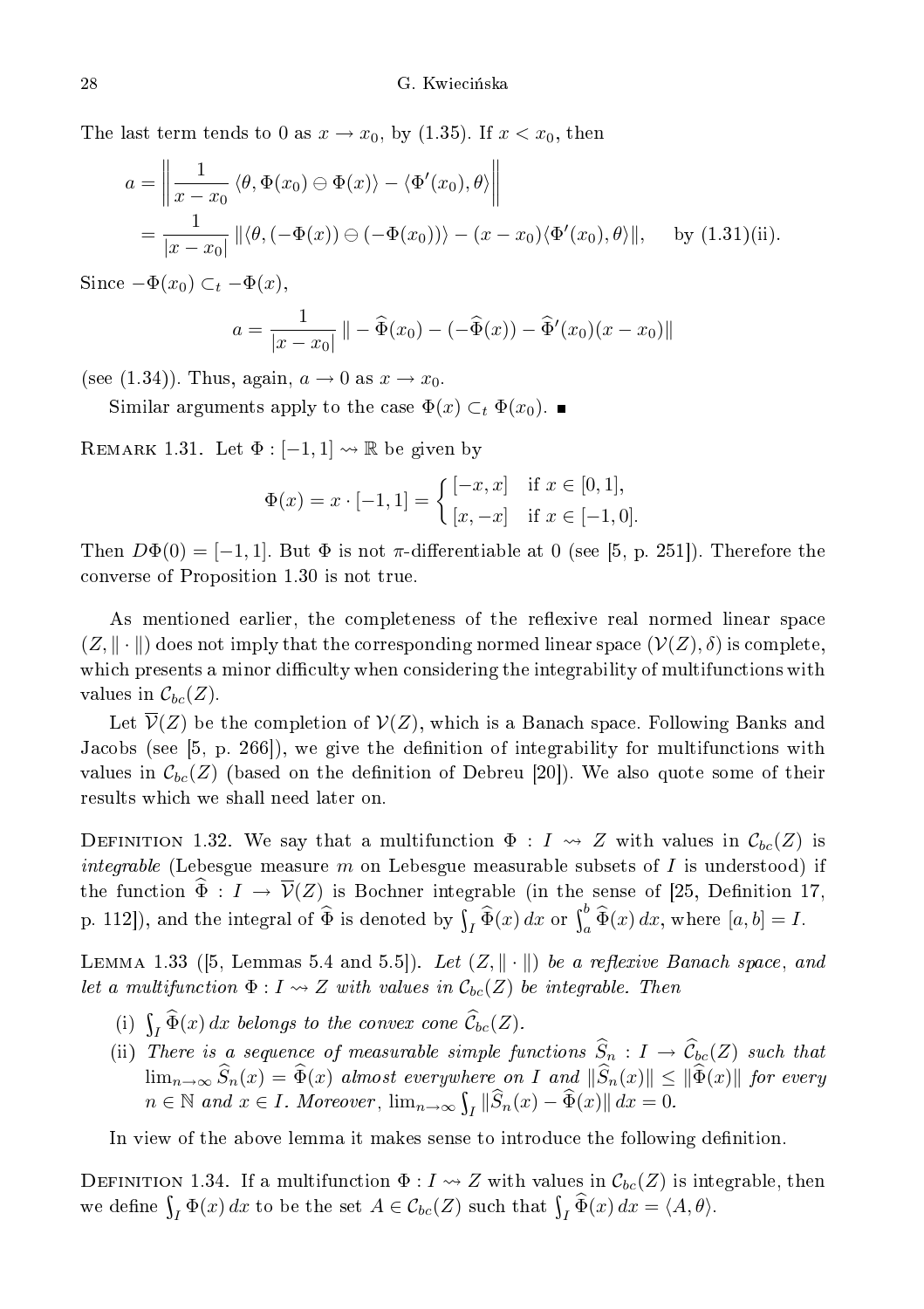The last term tends to 0 as  $x \to x_0$ , by (1.35). If  $x < x_0$ , then

$$
a = \left\| \frac{1}{x - x_0} \langle \theta, \Phi(x_0) \ominus \Phi(x) \rangle - \langle \Phi'(x_0), \theta \rangle \right\|
$$
  
= 
$$
\frac{1}{|x - x_0|} \left\| \langle \theta, (-\Phi(x)) \ominus (-\Phi(x_0)) \rangle - (x - x_0) \langle \Phi'(x_0), \theta \rangle \right\|, \text{ by (1.31)(ii)}.
$$

Since  $-\Phi(x_0) \subset_t -\Phi(x)$ ,

$$
a = \frac{1}{|x - x_0|} \| - \widehat{\Phi}(x_0) - (-\widehat{\Phi}(x)) - \widehat{\Phi}'(x_0)(x - x_0) \|
$$

(see (1.34)). Thus, again,  $a \to 0$  as  $x \to x_0$ .

Similar arguments apply to the case  $\Phi(x) \subset_t \Phi(x_0)$ .

REMARK 1.31. Let  $\Phi : [-1,1] \leadsto \mathbb{R}$  be given by

$$
\Phi(x) = x \cdot [-1, 1] = \begin{cases} [-x, x] & \text{if } x \in [0, 1], \\ [x, -x] & \text{if } x \in [-1, 0]. \end{cases}
$$

Then  $D\Phi(0) = [-1, 1]$ . But  $\Phi$  is not  $\pi$ -differentiable at 0 (see [5, p. 251]). Therefore the onverse of Proposition 1.30 is not true.

As mentioned earlier, the completeness of the reflexive real normed linear space  $(Z, \|\cdot\|)$  does not imply that the corresponding normed linear space  $(\mathcal{V}(Z), \delta)$  is complete, which presents a minor difficulty when considering the integrability of multifunctions with values in  $\mathcal{C}_{bc}(Z)$ .

Let  $\overline{\mathcal{V}}(Z)$  be the completion of  $\mathcal{V}(Z)$ , which is a Banach space. Following Banks and Jacobs (see [5, p. 266]), we give the definition of integrability for multifunctions with values in  $\mathcal{C}_{bc}(Z)$  (based on the definition of Debreu [20]). We also quote some of their results whi
h we shall need later on.

DEFINITION 1.32. We say that a multifunction  $\Phi: I \rightsquigarrow Z$  with values in  $\mathcal{C}_{bc}(Z)$  is *integrable* (Lebesgue measure m on Lebesgue measurable subsets of I is understood) if the function  $\widehat{\Phi}: I \to \overline{\mathcal{V}}(Z)$  is Bochner integrable (in the sense of [25, Definition 17, p. 112]), and the integral of  $\widehat{\Phi}$  is denoted by  $\int_I \widehat{\Phi}(x) dx$  or  $\int_a^b \widehat{\Phi}(x) dx$ , where  $[a, b] = I$ .

LEMMA 1.33 ([5, Lemmas 5.4 and 5.5]). Let  $(Z, \|\cdot\|)$  be a reflexive Banach space, and let a multifunction  $\Phi: I \leadsto Z$  with values in  $\mathcal{C}_{bc}(Z)$  be integrable. Then

- (i)  $\int_I \widetilde{\Phi}(x) dx$  belongs to the convex cone  $\widetilde{\mathcal{C}}_{bc}(Z)$ .
- (ii) There is a sequence of measurable simple functions  $\widehat{S}_n : I \to \widehat{C}_{bc}(Z)$  such that  $\lim_{n\to\infty}S_n(x)=\Phi(x)$  almost everywhere on I and  $||S_n(x)||\leq ||\Phi(x)||$  for every  $n \in \mathbb{N}$  and  $x \in I$ . Moreover,  $\lim_{n \to \infty} \int_I \|\widehat{S}_n(x) - \widehat{\Phi}(x)\| dx = 0$ .

In view of the above lemma it makes sense to introduce the following definition.

DEFINITION 1.34. If a multifunction  $\Phi: I \leadsto Z$  with values in  $\mathcal{C}_{bc}(Z)$  is integrable, then we define  $\int_I \Phi(x) dx$  to be the set  $A \in \mathcal{C}_{bc}(Z)$  such that  $\int_I \widetilde{\Phi}(x) dx = \langle A, \theta \rangle$ .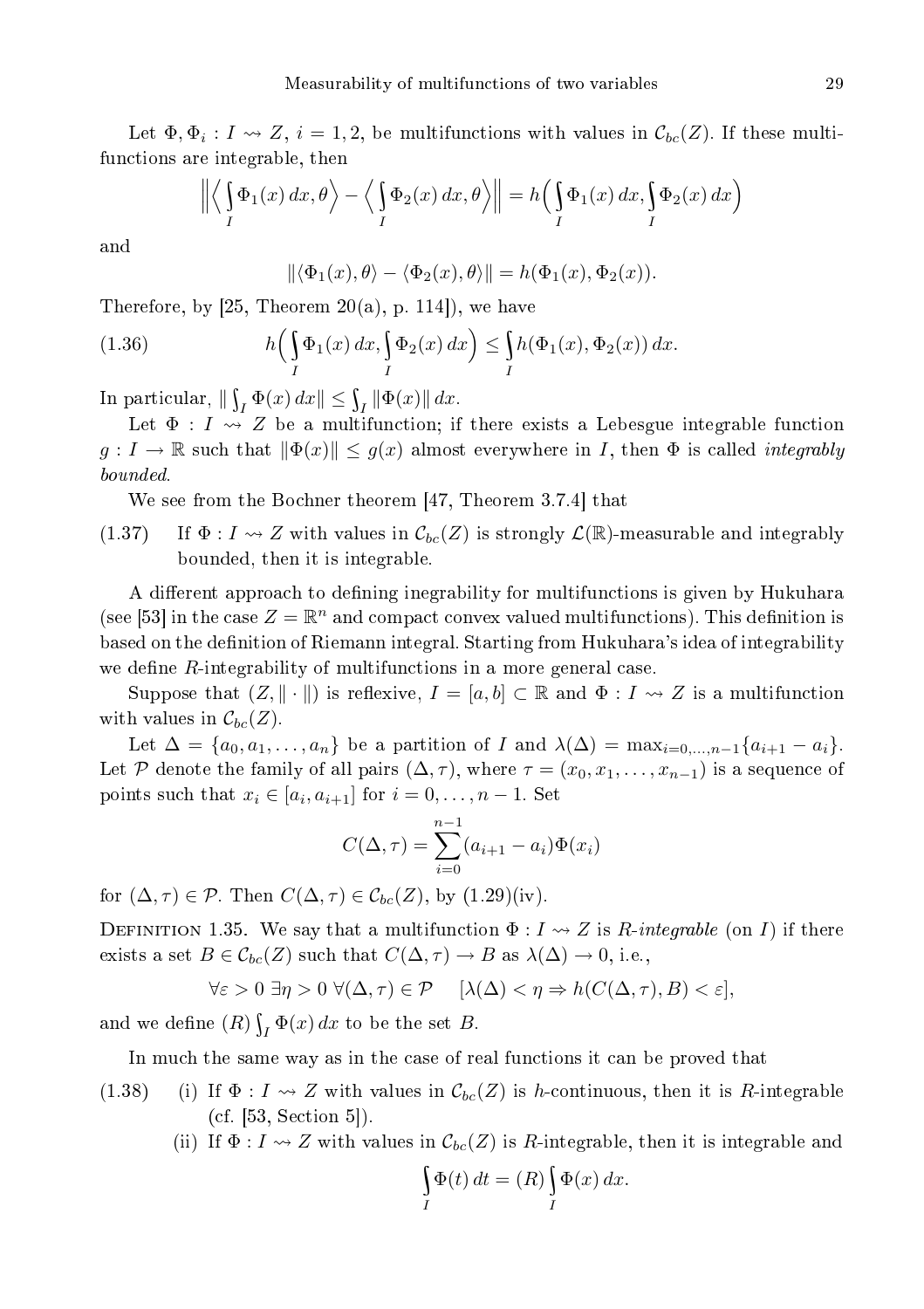Let  $\Phi, \Phi_i : I \to Z$ ,  $i = 1, 2$ , be multifunctions with values in  $\mathcal{C}_{bc}(Z)$ . If these multifun
tions are integrable, then

$$
\left\| \left\langle \int\limits_I \Phi_1(x) \, dx, \theta \right\rangle - \left\langle \int\limits_I \Phi_2(x) \, dx, \theta \right\rangle \right\| = h \left( \int\limits_I \Phi_1(x) \, dx, \int\limits_I \Phi_2(x) \, dx \right)
$$

and

$$
\|\langle \Phi_1(x), \theta \rangle - \langle \Phi_2(x), \theta \rangle\| = h(\Phi_1(x), \Phi_2(x)).
$$

Therefore, by  $[25,$  Theorem  $20(a)$ , p. 114.), we have

(1.36) 
$$
h\left(\int\limits_I \Phi_1(x) dx, \int\limits_I \Phi_2(x) dx\right) \leq \int\limits_I h(\Phi_1(x), \Phi_2(x)) dx.
$$

In particular,  $\|\int_I \Phi(x) dx\| \leq \int_I \|\Phi(x)\| dx$ .

Let  $\Phi: I \rightsquigarrow Z$  be a multifunction; if there exists a Lebesgue integrable function  $g: I \to \mathbb{R}$  such that  $\|\Phi(x)\| \leq g(x)$  almost everywhere in I, then  $\Phi$  is called *integrably* bounded.

We see from the Bochner theorem [47, Theorem 3.7.4] that

(1.37) If  $\Phi: I \to Z$  with values in  $\mathcal{C}_{bc}(Z)$  is strongly  $\mathcal{L}(\mathbb{R})$ -measurable and integrably bounded, then it is integrable.

A different approach to defining inegrability for multifunctions is given by Hukuhara (see [53] in the case  $Z = \mathbb{R}^n$  and compact convex valued multifunctions). This definition is based on the definition of Riemann integral. Starting from Hukuhara's idea of integrability we define  $R$ -integrability of multifunctions in a more general case.

Suppose that  $(Z, \|\cdot\|)$  is reflexive,  $I = [a, b] \subset \mathbb{R}$  and  $\Phi: I \rightsquigarrow Z$  is a multifunction with values in  $\mathcal{C}_{bc}(Z)$ .

Let  $\Delta = \{a_0, a_1, \ldots, a_n\}$  be a partition of I and  $\lambda(\Delta) = \max_{i=0,\ldots,n-1} \{a_{i+1} - a_i\}.$ Let P denote the family of all pairs  $(\Delta, \tau)$ , where  $\tau = (x_0, x_1, \ldots, x_{n-1})$  is a sequence of points such that  $x_i \in [a_i, a_{i+1}]$  for  $i = 0, \ldots, n-1$ . Set

$$
C(\Delta, \tau) = \sum_{i=0}^{n-1} (a_{i+1} - a_i) \Phi(x_i)
$$

for  $(\Delta, \tau) \in \mathcal{P}$ . Then  $C(\Delta, \tau) \in \mathcal{C}_{bc}(Z)$ , by  $(1.29)(iv)$ .

DEFINITION 1.35. We say that a multifunction  $\Phi: I \rightarrow Z$  is R-integrable (on I) if there exists a set  $B \in \mathcal{C}_{bc}(Z)$  such that  $C(\Delta, \tau) \to B$  as  $\lambda(\Delta) \to 0$ , i.e.,

 $\forall \varepsilon > 0 \ \exists \eta > 0 \ \forall (\Delta, \tau) \in \mathcal{P} \quad [\lambda(\Delta) < \eta \Rightarrow h(C(\Delta, \tau), B) < \varepsilon],$ 

and we define  $(R) \int_I \Phi(x) dx$  to be the set B.

In much the same way as in the case of real functions it can be proved that

- (1.38) (i) If  $\Phi: I \to Z$  with values in  $\mathcal{C}_{bc}(Z)$  is h-continuous, then it is R-integrable  $(cf. [53, Section 5]).$ 
	- (ii) If  $\Phi: I \to Z$  with values in  $\mathcal{C}_{bc}(Z)$  is R-integrable, then it is integrable and

$$
\int\limits_I \Phi(t) \, dt = (R) \int\limits_I \Phi(x) \, dx.
$$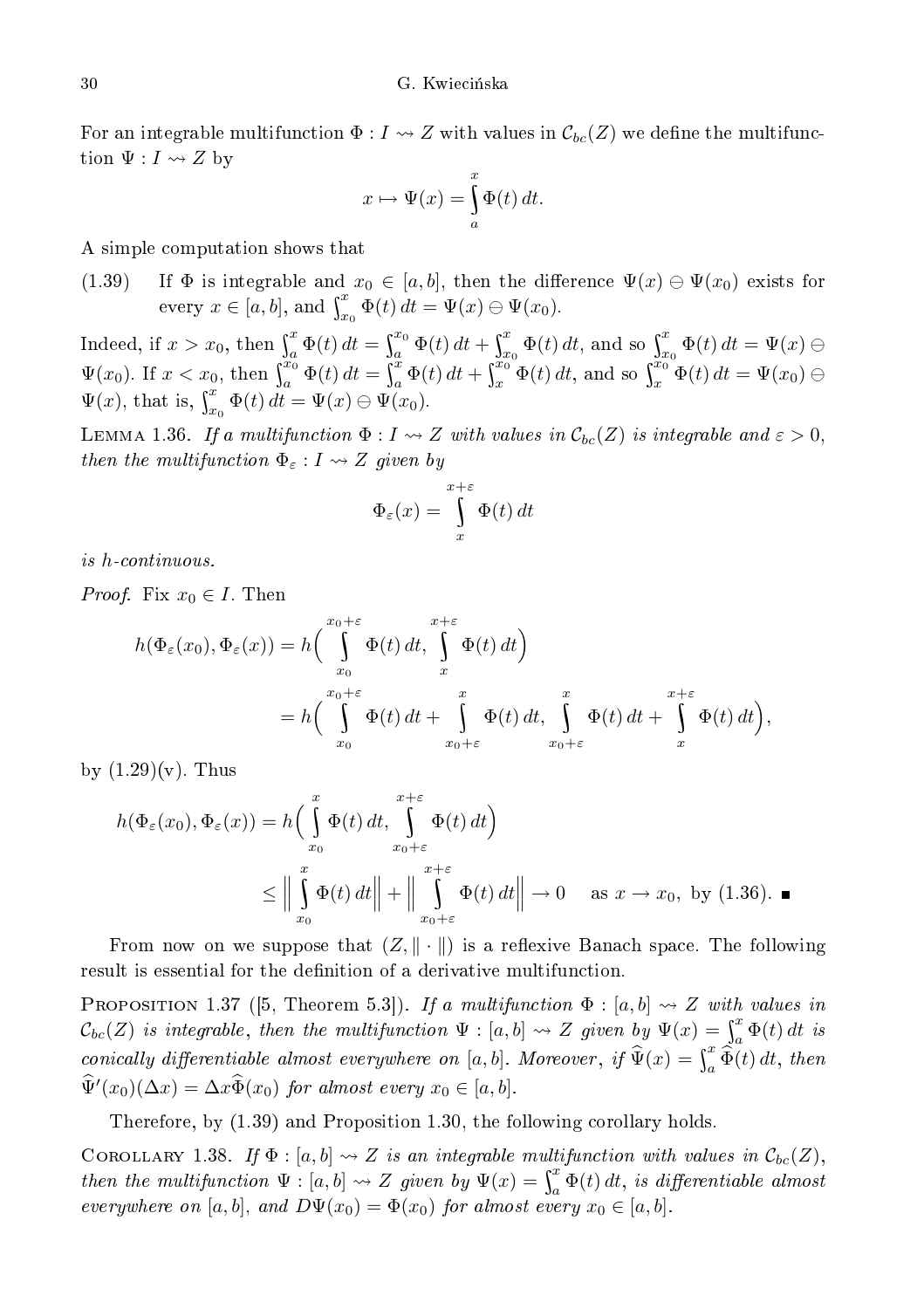For an integrable multifunction  $\Phi: I \to Z$  with values in  $\mathcal{C}_{bc}(Z)$  we define the multifunction  $\Psi: I \rightsquigarrow Z$  by

$$
x \mapsto \Psi(x) = \int_{a}^{x} \Phi(t) dt.
$$

A simple omputation shows that

(1.39) If  $\Phi$  is integrable and  $x_0 \in [a, b]$ , then the difference  $\Psi(x) \ominus \Psi(x_0)$  exists for every  $x \in [a, b]$ , and  $\int_{x_0}^x \Phi(t) dt = \Psi(x) \ominus \Psi(x_0)$ .

Indeed, if  $x > x_0$ , then  $\int_a^x \Phi(t) dt = \int_a^{x_0}$  $\int_a^{x_0} \Phi(t) dt + \int_x^x$  $\frac{x}{x_0}\Phi(t) dt$ , and so  $\int_{x_0}^x \Phi(t) dt = \Psi(x) \ominus$  $\Psi(x_0)$ . If  $x < x_0$ , then  $\int_a^{x_0} \Phi(t) dt = \int_a^{\overline{x}}$  $\int_a^{\overline{x}} \Phi(t) dt + \int_x^{\overline{x_0}}$  $x_0^{x_0} \Phi(t) dt$ , and so  $\int_x^{x_0} \Phi(t) dt = \Psi(x_0) \ominus$  $\Psi(x)$ , that is,  $\int_{x_0}^x \Phi(t) dt = \Psi(x) \ominus \Psi(x_0)$ .

LEMMA 1.36. If a multifunction  $\Phi: I \to Z$  with values in  $\mathcal{C}_{bc}(Z)$  is integrable and  $\varepsilon > 0$ , then the multifunction  $\Phi_{\varepsilon}: I \leadsto Z$  given by

$$
\Phi_{\varepsilon}(x) = \int_{x}^{x+\varepsilon} \Phi(t) dt
$$

is hontinuous.

*Proof.* Fix  $x_0 \in I$ . Then

$$
h(\Phi_{\varepsilon}(x_0), \Phi_{\varepsilon}(x)) = h\left(\int_{x_0}^{x_0+\varepsilon} \Phi(t) dt, \int_{x}^{x+\varepsilon} \Phi(t) dt\right)
$$
  
=  $h\left(\int_{x_0}^{x_0+\varepsilon} \Phi(t) dt + \int_{x_0+\varepsilon}^{x} \Phi(t) dt, \int_{x_0+\varepsilon}^{x} \Phi(t) dt + \int_{x}^{x+\varepsilon} \Phi(t) dt\right),$ 

by  $(1.29)(v)$ . Thus

$$
h(\Phi_{\varepsilon}(x_0), \Phi_{\varepsilon}(x)) = h\Big(\int_{x_0}^x \Phi(t) dt, \int_{x_0+\varepsilon}^{x+\varepsilon} \Phi(t) dt\Big)
$$
  
 
$$
\leq \Big\|\int_{x_0}^x \Phi(t) dt\Big\| + \Big\|\int_{x_0+\varepsilon}^{x+\varepsilon} \Phi(t) dt\Big\| \to 0 \quad \text{as } x \to x_0, \text{ by (1.36).} \blacksquare
$$

From now on we suppose that  $(Z, \|\cdot\|)$  is a reflexive Banach space. The following result is essential for the definition of a derivative multifunction.

PROPOSITION 1.37 ([5, Theorem 5.3]). If a multifunction  $\Phi : [a, b] \leadsto Z$  with values in  $\mathcal{C}_{bc}(Z)$  is integrable, then the multifunction  $\Psi : [a, b] \leadsto Z$  given by  $\Psi(x) = \int_a^x \Phi(t) dt$  is conically differentiable almost everywhere on [a, b]. Moreover, if  $\widehat{\Psi}(x) = \int_a^x \widehat{\Phi}(t) dt$ , then  $\hat{\Psi}'(x_0)(\Delta x) = \Delta x \hat{\Phi}(x_0)$  for almost every  $x_0 \in [a, b]$ .

Therefore, by (1.39) and Proposition 1.30, the following orollary holds.

COROLLARY 1.38. If  $\Phi : [a, b] \leadsto Z$  is an integrable multifunction with values in  $\mathcal{C}_{bc}(Z)$ , then the multifunction  $\Psi : [a, b] \leadsto Z$  given by  $\Psi(x) = \int_a^x \Phi(t) dt$ , is differentiable almost everywhere on [a, b], and  $D\Psi(x_0) = \Phi(x_0)$  for almost every  $x_0 \in [a, b]$ .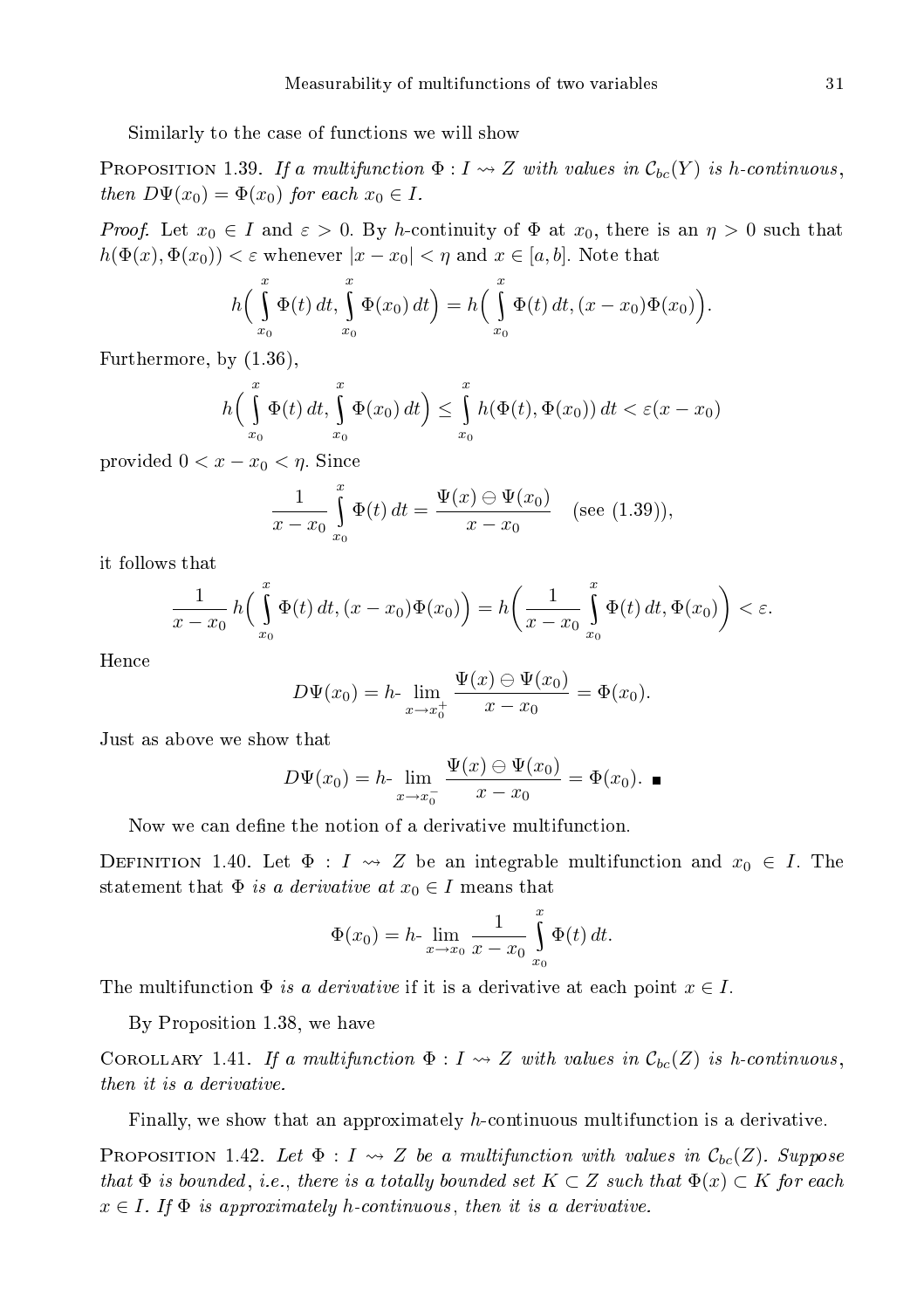Similarly to the ase of fun
tions we will show

**PROPOSITION 1.39.** If a multifunction  $\Phi: I \rightarrow Z$  with values in  $\mathcal{C}_{bc}(Y)$  is h-continuous, then  $D\Psi(x_0) = \Phi(x_0)$  for each  $x_0 \in I$ .

*Proof.* Let  $x_0 \in I$  and  $\varepsilon > 0$ . By h-continuity of  $\Phi$  at  $x_0$ , there is an  $\eta > 0$  such that  $h(\Phi(x), \Phi(x_0)) < \varepsilon$  whenever  $|x - x_0| < \eta$  and  $x \in [a, b]$ . Note that

$$
h\left(\int_{x_0}^x \Phi(t) dt, \int_{x_0}^x \Phi(x_0) dt\right) = h\left(\int_{x_0}^x \Phi(t) dt, (x - x_0) \Phi(x_0)\right).
$$

Furthermore, by (1.36),

$$
h\left(\int_{x_0}^x \Phi(t) dt, \int_{x_0}^x \Phi(x_0) dt\right) \leq \int_{x_0}^x h(\Phi(t), \Phi(x_0)) dt < \varepsilon(x - x_0)
$$

provided  $0 < x - x_0 < \eta$ . Since

$$
\frac{1}{x - x_0} \int_{x_0}^x \Phi(t) dt = \frac{\Psi(x) \ominus \Psi(x_0)}{x - x_0} \quad (\text{see (1.39))},
$$

it follows that

$$
\frac{1}{x-x_0} h\Big(\int_{x_0}^x \Phi(t) dt, (x-x_0) \Phi(x_0)\Big) = h\Big(\frac{1}{x-x_0} \int_{x_0}^x \Phi(t) dt, \Phi(x_0)\Big) < \varepsilon.
$$

Hen
e

$$
D\Psi(x_0) = h \cdot \lim_{x \to x_0^+} \frac{\Psi(x) \ominus \Psi(x_0)}{x - x_0} = \Phi(x_0).
$$

Just as above we show that

$$
D\Psi(x_0) = h \cdot \lim_{x \to x_0^-} \frac{\Psi(x) \ominus \Psi(x_0)}{x - x_0} = \Phi(x_0). \blacksquare
$$

Now we can define the notion of a derivative multifunction.

DEFINITION 1.40. Let  $\Phi: I \rightsquigarrow Z$  be an integrable multifunction and  $x_0 \in I$ . The statement that  $\Phi$  is a derivative at  $x_0 \in I$  means that

$$
\Phi(x_0) = h \cdot \lim_{x \to x_0} \frac{1}{x - x_0} \int_{x_0}^x \Phi(t) dt.
$$

The multifunction  $\Phi$  is a derivative if it is a derivative at each point  $x \in I$ .

By Proposition 1.38, we have

COROLLARY 1.41. If a multifunction  $\Phi: I \to Z$  with values in  $\mathcal{C}_{bc}(Z)$  is h-continuous,

Finally, we show that an approximately h-continuous multifunction is a derivative.

**PROPOSITION** 1.42. Let  $\Phi: I \to Z$  be a multifunction with values in  $\mathcal{C}_{bc}(Z)$ . Suppose that  $\Phi$  is bounded, i.e., there is a totally bounded set  $K \subset Z$  such that  $\Phi(x) \subset K$  for each  $x \in I$ . If  $\Phi$  is approximately h-continuous, then it is a derivative.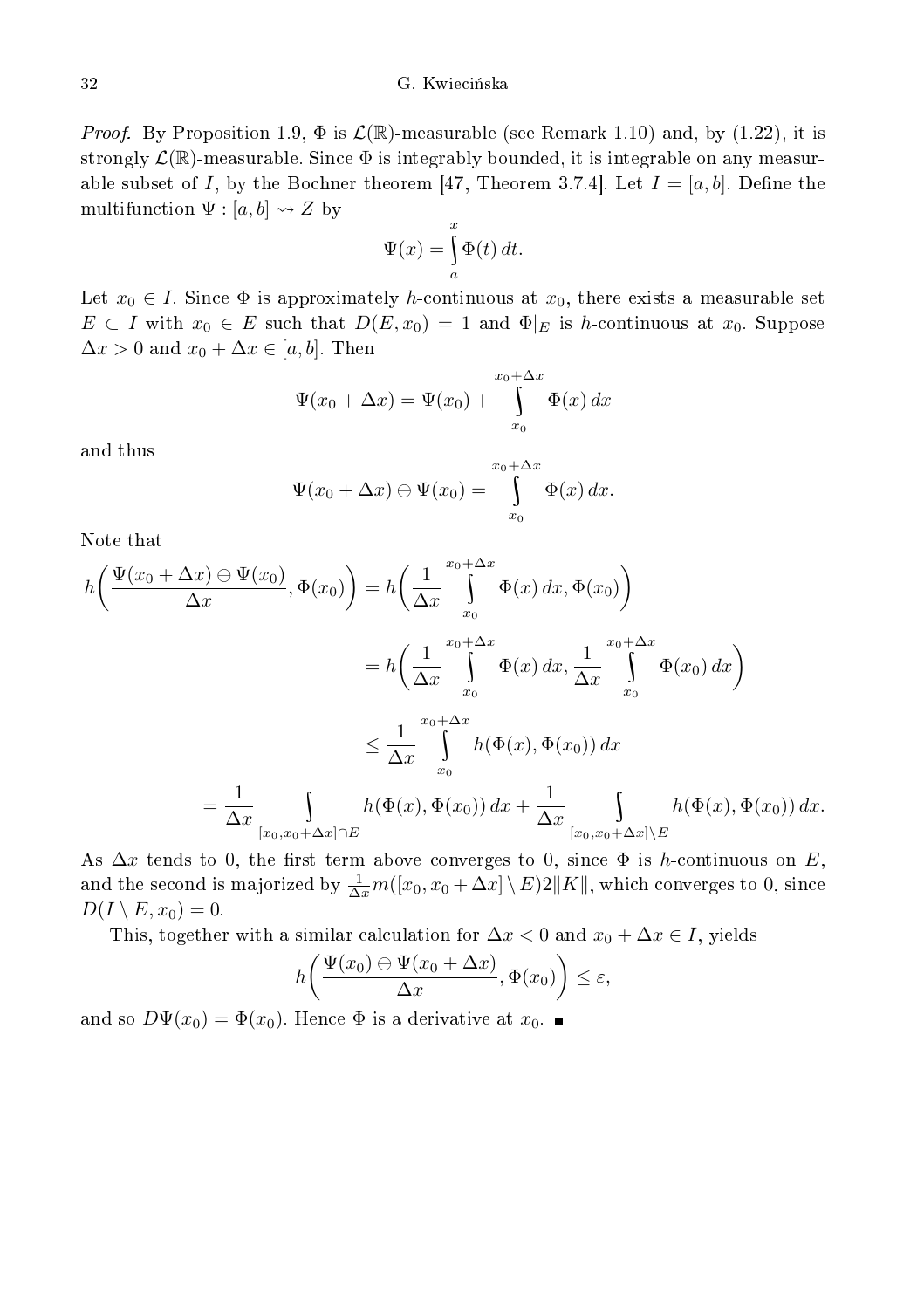#### G. Kwiecińska

*Proof.* By Proposition 1.9,  $\Phi$  is  $\mathcal{L}(\mathbb{R})$ -measurable (see Remark 1.10) and, by (1.22), it is strongly  $\mathcal{L}(\mathbb{R})$ -measurable. Since  $\Phi$  is integrably bounded, it is integrable on any measurable subset of I, by the Bochner theorem [47, Theorem 3.7.4]. Let  $I = [a, b]$ . Define the multifunction  $\Psi : [a, b] \rightsquigarrow Z$  by

$$
\Psi(x) = \int_{a}^{x} \Phi(t) dt.
$$

Let  $x_0 \in I$ . Since  $\Phi$  is approximately h-continuous at  $x_0$ , there exists a measurable set  $E \subset I$  with  $x_0 \in E$  such that  $D(E, x_0) = 1$  and  $\Phi|_E$  is h-continuous at  $x_0$ . Suppose  $\Delta x > 0$  and  $x_0 + \Delta x \in [a, b]$ . Then

$$
\Psi(x_0 + \Delta x) = \Psi(x_0) + \int_{x_0}^{x_0 + \Delta x} \Phi(x) dx
$$

and thus

$$
\Psi(x_0 + \Delta x) \ominus \Psi(x_0) = \int_{x_0}^{x_0 + \Delta x} \Phi(x) dx.
$$

Note that

$$
h\left(\frac{\Psi(x_0 + \Delta x) \ominus \Psi(x_0)}{\Delta x}, \Phi(x_0)\right) = h\left(\frac{1}{\Delta x} \int_{x_0}^{x_0 + \Delta x} \Phi(x) dx, \Phi(x_0)\right)
$$
  

$$
= h\left(\frac{1}{\Delta x} \int_{x_0}^{x_0 + \Delta x} \Phi(x) dx, \frac{1}{\Delta x} \int_{x_0}^{x_0 + \Delta x} \Phi(x_0) dx\right)
$$
  

$$
\leq \frac{1}{\Delta x} \int_{x_0}^{x_0 + \Delta x} h(\Phi(x), \Phi(x_0)) dx
$$
  

$$
= \frac{1}{\Delta x} \int_{[x_0, x_0 + \Delta x] \cap E} h(\Phi(x), \Phi(x_0)) dx + \frac{1}{\Delta x} \int_{[x_0, x_0 + \Delta x] \setminus E} h(\Phi(x), \Phi(x_0)) dx.
$$

As  $\Delta x$  tends to 0, the first term above converges to 0, since  $\Phi$  is h-continuous on E, and the second is majorized by  $\frac{1}{\Delta x}m([x_0,x_0+\Delta x]\setminus E)2\|K\|$ , which converges to 0, since  $D(I \setminus E, x_0) = 0.$ 

This, together with a similar calculation for  $\Delta x < 0$  and  $x_0 + \Delta x \in I$ , yields

$$
h\left(\frac{\Psi(x_0)\ominus\Psi(x_0+\Delta x)}{\Delta x}, \Phi(x_0)\right)\leq \varepsilon,
$$

and so  $D\Psi(x_0) = \Phi(x_0)$ . Hence  $\Phi$  is a derivative at  $x_0$ .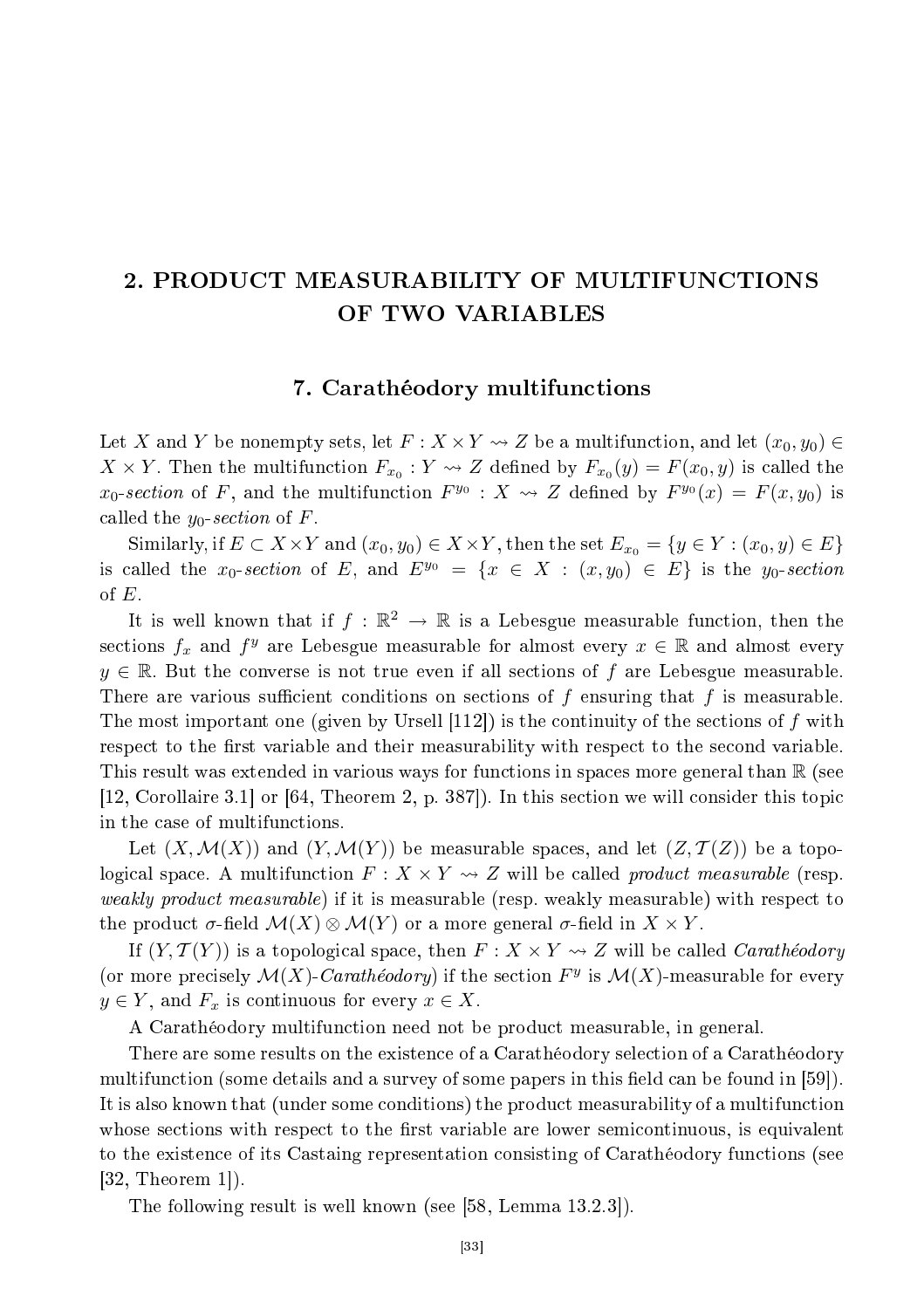# 2. PRODUCT MEASURABILITY OF MULTIFUNCTIONS OF TWO VARIABLES

## 7. Carathéodory multifun
tions

Let X and Y be nonempty sets, let  $F: X \times Y \rightsquigarrow Z$  be a multifunction, and let  $(x_0, y_0) \in$  $X \times Y$ . Then the multifunction  $F_{x_0} : Y \leadsto Z$  defined by  $F_{x_0}(y) = F(x_0, y)$  is called the  $x_0$ -section of F, and the multifunction  $F^{y_0}: X \longrightarrow Z$  defined by  $F^{y_0}(x) = F(x, y_0)$  is called the  $y_0$ -section of F.

Similarly, if  $E \subset X \times Y$  and  $(x_0, y_0) \in X \times Y$ , then the set  $E_{x_0} = \{y \in Y : (x_0, y) \in E\}$ is called the  $x_0\text{-}section$  of E, and  $E^{y_0} = \{x \in X : (x,y_0) \in E\}$  is the  $y_0\text{-}section$ of  $E$ .

It is well known that if  $f : \mathbb{R}^2 \to \mathbb{R}$  is a Lebesgue measurable function, then the sections  $f_x$  and  $f^y$  are Lebesgue measurable for almost every  $x \in \mathbb{R}$  and almost every  $y \in \mathbb{R}$ . But the converse is not true even if all sections of f are Lebesgue measurable. There are various sufficient conditions on sections of  $f$  ensuring that  $f$  is measurable. The most important one (given by Ursell  $[112]$ ) is the continuity of the sections of f with respect to the first variable and their measurability with respect to the second variable. This result was extended in various ways for functions in spaces more general than R (see [12, Corollaire 3.1] or  $[64,$  Theorem 2, p. 387]). In this section we will consider this topic in the ase of multifun
tions.

Let  $(X, \mathcal{M}(X))$  and  $(Y, \mathcal{M}(Y))$  be measurable spaces, and let  $(Z, \mathcal{T}(Z))$  be a topological space. A multifunction  $F: X \times Y \rightarrow Z$  will be called *product measurable* (resp. weakly produced the measurable (respectively) if it is measurable (respectively) with respect to the contract o the product  $\sigma$ -field  $\mathcal{M}(X) \otimes \mathcal{M}(Y)$  or a more general  $\sigma$ -field in  $X \times Y$ .

If  $(Y, \mathcal{T}(Y))$  is a topological space, then  $F: X \times Y \rightarrow Z$  will be called *Carathéodory* (or more precisely  $\mathcal{M}(X)$ -Carathéodory) if the section  $F^y$  is  $\mathcal{M}(X)$ -measurable for every  $y \in Y$ , and  $F_x$  is continuous for every  $x \in X$ .

A Carathéodory multifun
tion need not be produ
t measurable, in general.

There are some results on the existen
e of a Carathéodory sele
tion of a Carathéodory multifunction (some details and a survey of some papers in this field can be found in [59]). It is also known that (under some conditions) the product measurability of a multifunction whose sections with respect to the first variable are lower semicontinuous, is equivalent to the existen
e of its Castaing representation onsisting of Carathéodory fun
tions (see  $[32,$  Theorem 1 $]$ ).

The following result is well known (see  $[58, \text{Lemma } 13.2.3]$ ).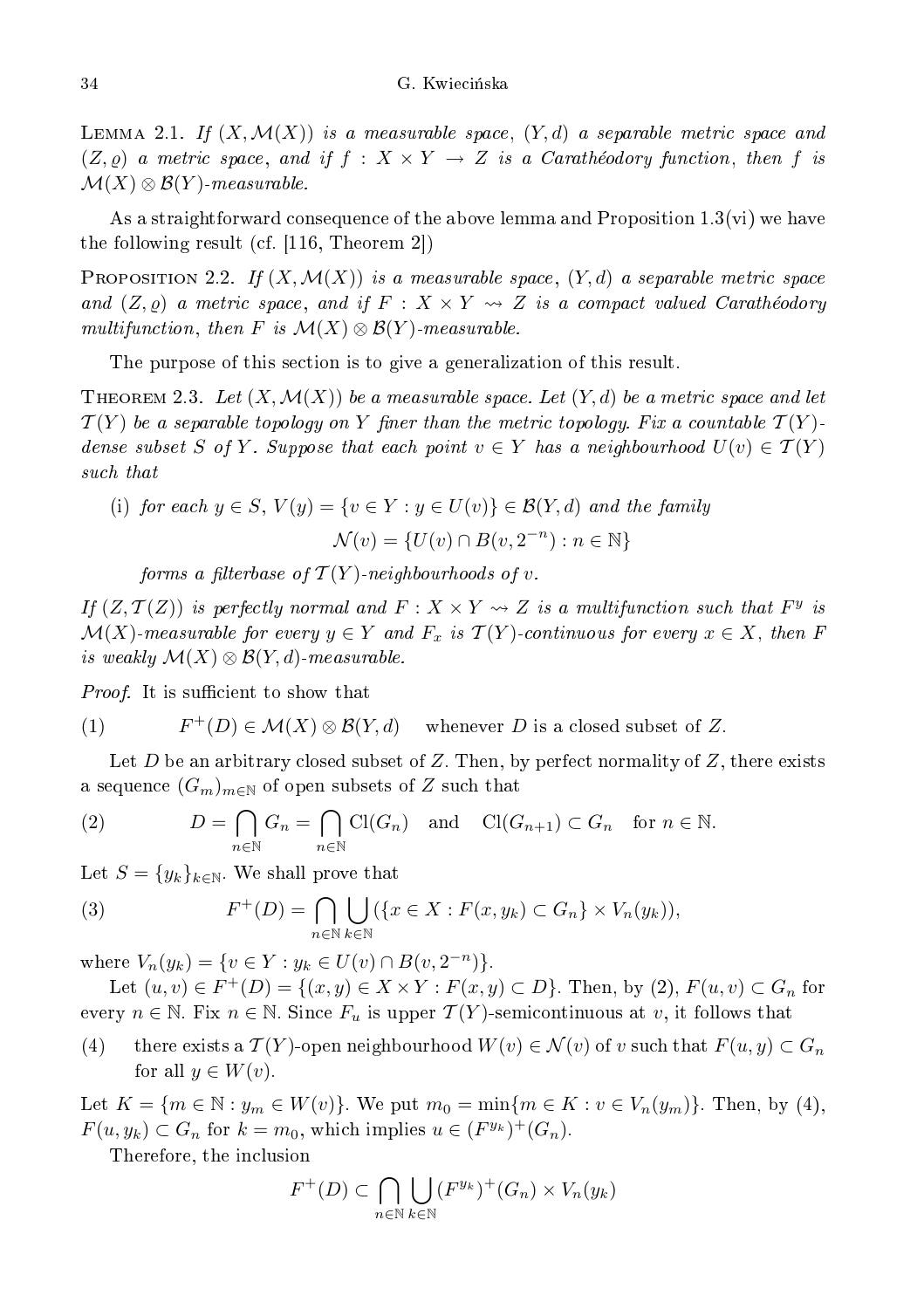LEMMA 2.1. If  $(X, \mathcal{M}(X))$  is a measurable space,  $(Y, d)$  a separable metric space and  $(Z, \rho)$  a metric space, and if  $f : X \times Y \to Z$  is a Carathéodory function, then f is  $\mathcal{M}(X) \otimes \mathcal{B}(Y)$ -measurable.

As a straightforward onsequen
e of the above lemma and Proposition 1.3(vi) we have the following result (cf.  $|116,$  Theorem 2)

PROPOSITION 2.2. If  $(X, \mathcal{M}(X))$  is a measurable space,  $(Y, d)$  a separable metric space and  $(Z, \varrho)$  a metric space, and if  $F: X \times Y \rightsquigarrow Z$  is a compact valued Carathéodory multifunction, then F is  $\mathcal{M}(X) \otimes \mathcal{B}(Y)$ -measurable.

The purpose of this section is to give a generalization of this result.

THEOREM 2.3. Let  $(X, \mathcal{M}(X))$  be a measurable space. Let  $(Y, d)$  be a metric space and let  $\mathcal{T}(Y)$  be a separable topology on Y finer than the metric topology. Fix a countable  $\mathcal{T}(Y)$ dense subset S of Y. Suppose that each point  $v \in Y$  has a neighbourhood  $U(v) \in \mathcal{T}(Y)$ 

(i) for each 
$$
y \in S
$$
,  $V(y) = \{v \in Y : y \in U(v)\} \in \mathcal{B}(Y,d)$  and the family  

$$
\mathcal{N}(v) = \{U(v) \cap B(v, 2^{-n}) : n \in \mathbb{N}\}
$$

forms a filterbase of  $\mathcal{T}(Y)$ -neighbourhoods of  $v.$ 

If  $(Z, \mathcal{T}(Z))$  is perfectly normal and  $F: X \times Y \rightsquigarrow Z$  is a multifunction such that  $F^y$  is  $\mathcal{M}(X)$ -measurable for every  $y \in Y$  and  $F_x$  is  $\mathcal{T}(Y)$ -continuous for every  $x \in X$ , then F is weakly  $\mathcal{M}(X) \otimes \mathcal{B}(Y,d)$ -measurable.

Proof. It is su
ient to show that

(1) 
$$
F^+(D) \in \mathcal{M}(X) \otimes \mathcal{B}(Y,d)
$$
 whenever D is a closed subset of Z.

Let D be an arbitrary closed subset of Z. Then, by perfect normality of  $Z$ , there exists a sequence  $(G_m)_{m\in\mathbb{N}}$  of open subsets of  $Z$  such that

(2) 
$$
D = \bigcap_{n \in \mathbb{N}} G_n = \bigcap_{n \in \mathbb{N}} \text{Cl}(G_n) \text{ and } \text{Cl}(G_{n+1}) \subset G_n \text{ for } n \in \mathbb{N}.
$$

Let  $S = \{y_k\}_{k \in \mathbb{N}}$ . We shall prove that

(3) 
$$
F^+(D) = \bigcap_{n \in \mathbb{N}} \bigcup_{k \in \mathbb{N}} (\{x \in X : F(x, y_k) \subset G_n\} \times V_n(y_k)),
$$

where  $V_n(y_k) = \{v \in Y : y_k \in U(v) \cap B(v, 2^{-n})\}.$ 

Let  $(u, v) \in F^+(D) = \{(x, y) \in X \times Y : F(x, y) \subset D\}$ . Then, by  $(2), F(u, v) \subset G_n$  for every  $n \in \mathbb{N}$ . Fix  $n \in \mathbb{N}$ . Since  $F_u$  is upper  $\mathcal{T}(Y)$ -semicontinuous at v, it follows that

(4) there exists a  $\mathcal{T}(Y)$ -open neighbourhood  $W(v) \in \mathcal{N}(v)$  of v such that  $F(u, y) \subset G_n$ for all  $y \in W(v)$ .

Let  $K = \{m \in \mathbb{N} : y_m \in W(v)\}.$  We put  $m_0 = \min\{m \in K : v \in V_n(y_m)\}.$  Then, by (4),  $F(u, y_k) \subset G_n$  for  $k = m_0$ , which implies  $u \in (F^{y_k})^+(G_n)$ .

Therefore, the in
lusion

$$
F^+(D) \subset \bigcap_{n \in \mathbb{N}} \bigcup_{k \in \mathbb{N}} (F^{y_k})^+(G_n) \times V_n(y_k)
$$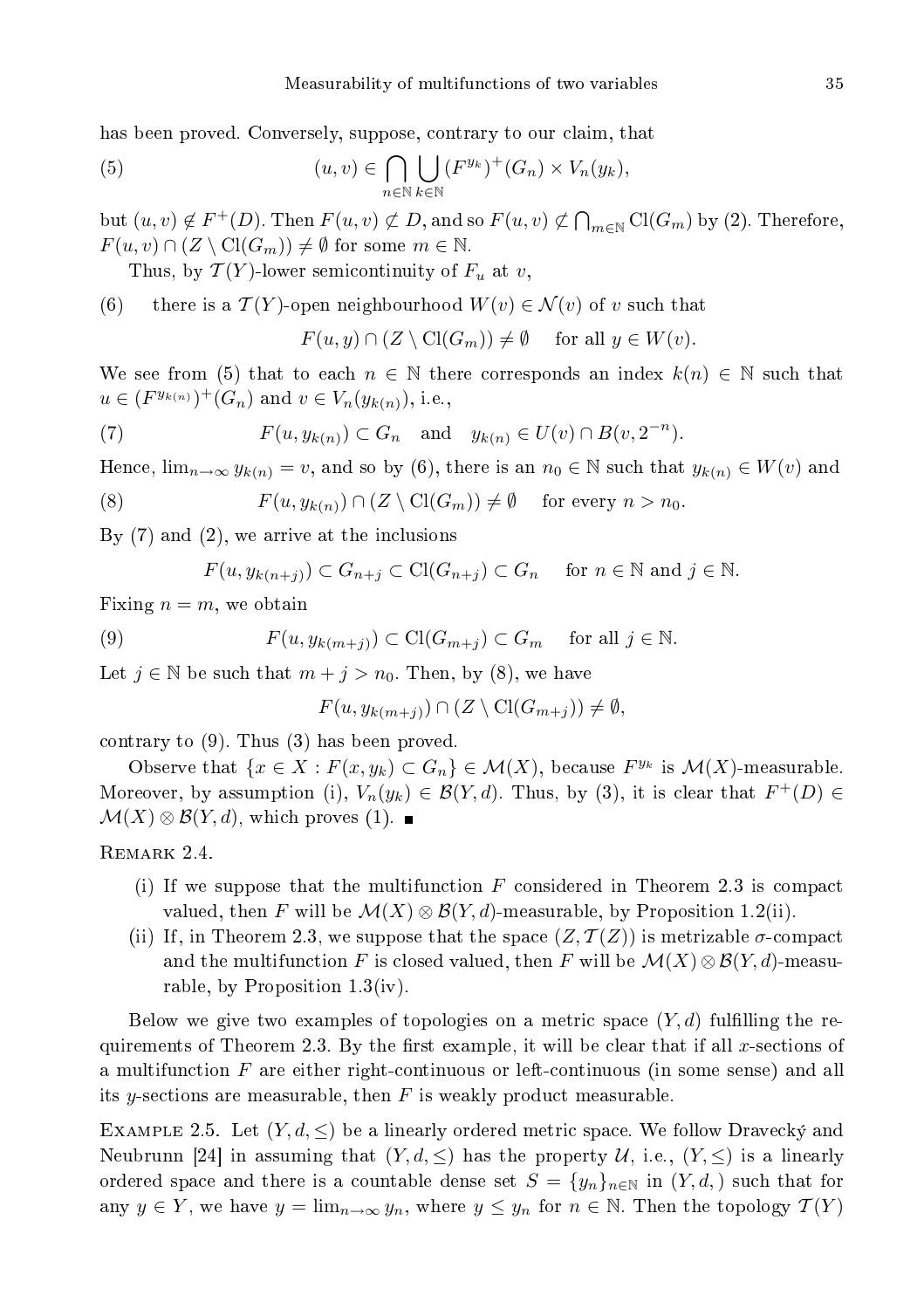has been proved. Conversely, suppose, contrary to our claim, that

(5) 
$$
(u,v) \in \bigcap_{n \in \mathbb{N}} \bigcup_{k \in \mathbb{N}} (F^{y_k})^+(G_n) \times V_n(y_k),
$$

but  $(u, v) \notin F^+(D)$ . Then  $F(u, v) \not\subset D$ , and so  $F(u, v) \not\subset \bigcap_{m \in \mathbb{N}} Cl(G_m)$  by (2). Therefore,  $F(u, v) \cap (Z \setminus \mathrm{Cl}(G_m)) \neq \emptyset$  for some  $m \in \mathbb{N}$ .

Thus, by  $\mathcal{T}(Y)$ -lower semicontinuity of  $F_u$  at v,

(6) there is a  $\mathcal{T}(Y)$ -open neighbourhood  $W(v) \in \mathcal{N}(v)$  of v such that

$$
F(u, y) \cap (Z \setminus \mathrm{Cl}(G_m)) \neq \emptyset \quad \text{ for all } y \in W(v).
$$

We see from (5) that to each  $n \in \mathbb{N}$  there corresponds an index  $k(n) \in \mathbb{N}$  such that  $u \in (F^{y_{k(n)}})^+(G_n)$  and  $v \in V_n(y_{k(n)})$ , i.e.,

(7) 
$$
F(u, y_{k(n)}) \subset G_n \quad \text{and} \quad y_{k(n)} \in U(v) \cap B(v, 2^{-n}).
$$

Hence,  $\lim_{n\to\infty} y_{k(n)} = v$ , and so by (6), there is an  $n_0 \in \mathbb{N}$  such that  $y_{k(n)} \in W(v)$  and

(8) 
$$
F(u, y_{k(n)}) \cap (Z \setminus \text{Cl}(G_m)) \neq \emptyset \quad \text{for every } n > n_0.
$$

By (7) and (2), we arrive at the in
lusions

$$
F(u, y_{k(n+j)}) \subset G_{n+j} \subset \mathrm{Cl}(G_{n+j}) \subset G_n \quad \text{ for } n \in \mathbb{N} \text{ and } j \in \mathbb{N}.
$$

Fixing  $n = m$ , we obtain

(9) 
$$
F(u, y_{k(m+j)}) \subset \mathrm{Cl}(G_{m+j}) \subset G_m \quad \text{ for all } j \in \mathbb{N}.
$$

Let  $j \in \mathbb{N}$  be such that  $m + j > n_0$ . Then, by (8), we have

$$
F(u, y_{k(m+j)}) \cap (Z \setminus \text{Cl}(G_{m+j})) \neq \emptyset,
$$

contrary to  $(9)$ . Thus  $(3)$  has been proved.

Observe that  $\{x \in X : F(x, y_k) \subset G_n\} \in \mathcal{M}(X)$ , because  $F^{y_k}$  is  $\mathcal{M}(X)$ -measurable. Moreover, by assumption (i),  $V_n(y_k) \in \mathcal{B}(Y, d)$ . Thus, by (3), it is clear that  $F^+(D) \in$  $\mathcal{M}(X) \otimes \mathcal{B}(Y,d)$ , which proves (1). ■

REMARK 2.4.

- (i) If we suppose that the multifunction  $F$  considered in Theorem 2.3 is compact valued, then F will be  $\mathcal{M}(X) \otimes \mathcal{B}(Y, d)$ -measurable, by Proposition 1.2(ii).
- (ii) If, in Theorem 2.3, we suppose that the space  $(Z, \mathcal{T}(Z))$  is metrizable  $\sigma$ -compact and the multifunction F is closed valued, then F will be  $\mathcal{M}(X) \otimes \mathcal{B}(Y, d)$ -measurable, by Proposition 1.3(iv).

Below we give two examples of topologies on a metric space  $(Y, d)$  fulfilling the requirements of Theorem 2.3. By the first example, it will be clear that if all x-sections of a multifunction F are either right-continuous or left-continuous (in some sense) and all its y-sections are measurable, then  $F$  is weakly product measurable.

EXAMPLE 2.5. Let  $(Y, d, \leq)$  be a linearly ordered metric space. We follow Dravecky and Neubrunn [24] in assuming that  $(Y, d, \leq)$  has the property U, i.e.,  $(Y, \leq)$  is a linearly ordered space and there is a countable dense set  $S = \{y_n\}_{n\in\mathbb{N}}$  in  $(Y, d)$ , such that for any  $y \in Y$ , we have  $y = \lim_{n \to \infty} y_n$ , where  $y \leq y_n$  for  $n \in \mathbb{N}$ . Then the topology  $\mathcal{T}(Y)$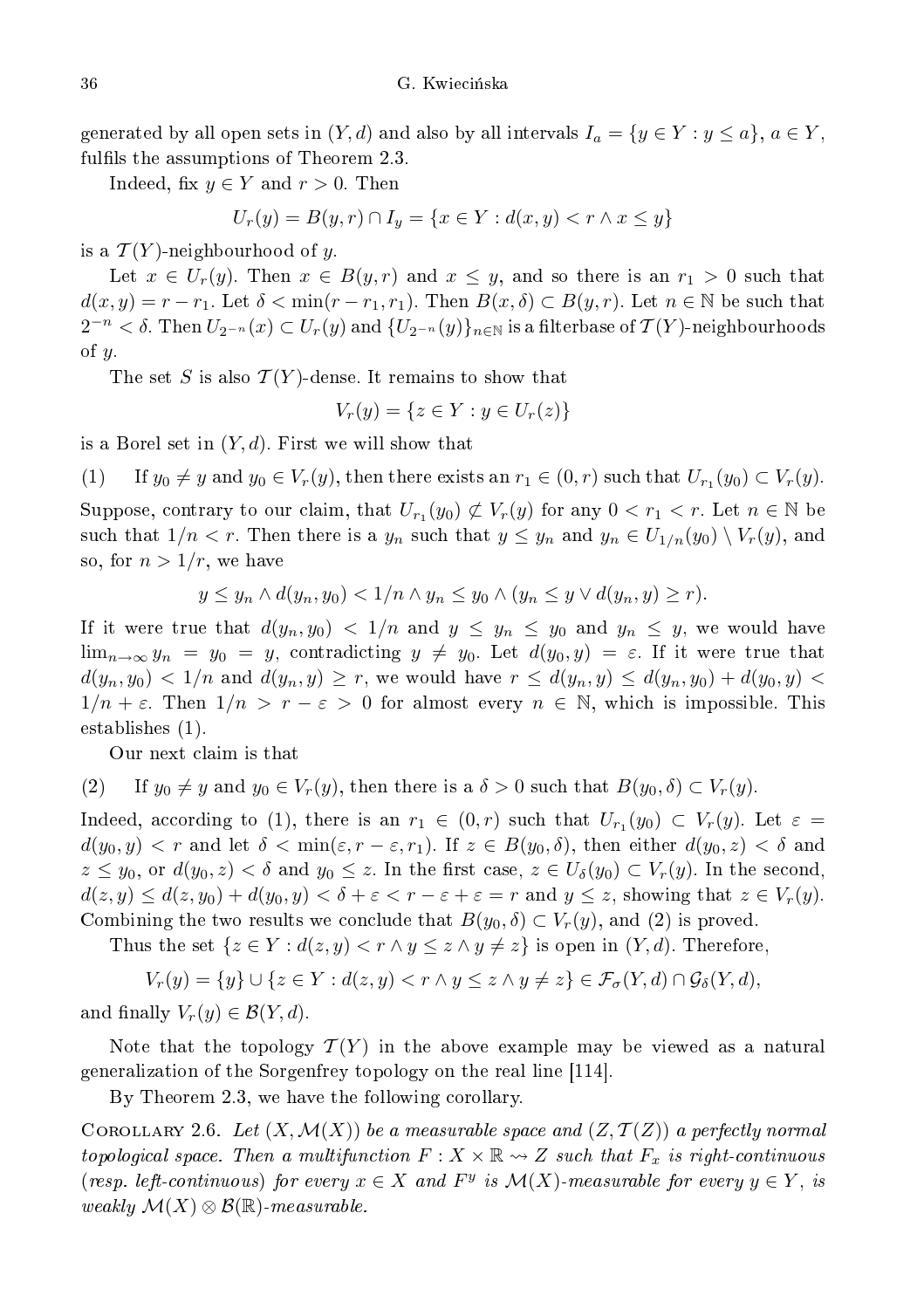generated by all open sets in  $(Y, d)$  and also by all intervals  $I_a = \{y \in Y : y \leq a\}, a \in Y$ , fulfils the assumptions of Theorem 2.3.

Indeed, fix  $y \in Y$  and  $r > 0$ . Then

$$
U_r(y) = B(y, r) \cap I_y = \{ x \in Y : d(x, y) < r \land x \le y \}
$$

is a  $\mathcal{T}(Y)$ -neighbourhood of y.

Let  $x \in U_r(y)$ . Then  $x \in B(y, r)$  and  $x \leq y$ , and so there is an  $r_1 > 0$  such that  $d(x, y) = r - r_1$ . Let  $\delta < \min(r - r_1, r_1)$ . Then  $B(x, \delta) \subset B(y, r)$ . Let  $n \in \mathbb{N}$  be such that  $2^{-n}<\delta.$  Then  $U_{2^{-n}}(x)\subset U_r(y)$  and  $\{U_{2^{-n}}(y)\}_{n\in\mathbb{N}}$  is a filterbase of  $\mathcal{T}(Y)$ -neighbourhoods of  $y$ .

The set S is also  $\mathcal{T}(Y)$ -dense. It remains to show that

$$
V_r(y) = \{ z \in Y : y \in U_r(z) \}
$$

is a Borel set in  $(Y, d)$ . First we will show that

(1) If  $y_0 \neq y$  and  $y_0 \in V_r(y)$ , then there exists an  $r_1 \in (0, r)$  such that  $U_{r_1}(y_0) \subset V_r(y)$ .

Suppose, contrary to our claim, that  $U_{r_1}(y_0) \not\subset V_r(y)$  for any  $0 < r_1 < r$ . Let  $n \in \mathbb{N}$  be such that  $1/n < r$ . Then there is a  $y_n$  such that  $y \leq y_n$  and  $y_n \in U_{1/n}(y_0) \setminus V_r(y)$ , and so, for  $n > 1/r$ , we have

$$
y \leq y_n \wedge d(y_n, y_0) < 1/n \wedge y_n \leq y_0 \wedge (y_n \leq y \vee d(y_n, y) \geq r).
$$

If it were true that  $d(y_n, y_0) < 1/n$  and  $y \le y_n \le y_0$  and  $y_n \le y$ , we would have  $\lim_{n\to\infty} y_n = y_0 = y$ , contradicting  $y \neq y_0$ . Let  $d(y_0, y) = \varepsilon$ . If it were true that  $d(y_n, y_0) < 1/n$  and  $d(y_n, y) \ge r$ , we would have  $r \le d(y_n, y) \le d(y_n, y_0) + d(y_0, y)$  $1/n + \varepsilon$ . Then  $1/n > r - \varepsilon > 0$  for almost every  $n \in \mathbb{N}$ , which is impossible. This establishes (1).

Our next laim is that

(2) If 
$$
y_0 \neq y
$$
 and  $y_0 \in V_r(y)$ , then there is a  $\delta > 0$  such that  $B(y_0, \delta) \subset V_r(y)$ .

Indeed, according to (1), there is an  $r_1 \in (0,r)$  such that  $U_{r_1}(y_0) \subset V_r(y)$ . Let  $\varepsilon =$  $d(y_0, y) < r$  and let  $\delta < \min(\varepsilon, r - \varepsilon, r_1)$ . If  $z \in B(y_0, \delta)$ , then either  $d(y_0, z) < \delta$  and  $z \le y_0$ , or  $d(y_0, z) < \delta$  and  $y_0 \le z$ . In the first case,  $z \in U_\delta(y_0) \subset V_r(y)$ . In the second,  $d(z, y) \leq d(z, y_0) + d(y_0, y) < \delta + \varepsilon < r - \varepsilon + \varepsilon = r$  and  $y \leq z$ , showing that  $z \in V_r(y)$ . Combining the two results we conclude that  $B(y_0, \delta) \subset V_r(y)$ , and (2) is proved.

Thus the set  $\{z \in Y : d(z, y) < r \wedge y \leq z \wedge y \neq z\}$  is open in  $(Y, d)$ . Therefore,

$$
V_r(y) = \{y\} \cup \{z \in Y : d(z, y) < r \land y \leq z \land y \neq z\} \in \mathcal{F}_\sigma(Y, d) \cap \mathcal{G}_\delta(Y, d),
$$

and finally  $V_r(y) \in \mathcal{B}(Y, d)$ .

Note that the topology  $\mathcal{T}(Y)$  in the above example may be viewed as a natural generalization of the Sorgenfrey topology on the real line [114].

By Theorem 2.3, we have the following corollary.

COROLLARY 2.6. Let  $(X, \mathcal{M}(X))$  be a measurable space and  $(Z, \mathcal{T}(Z))$  a perfectly normal topological space. Then a multifunction  $F: X \times \mathbb{R} \rightsquigarrow Z$  such that  $F_x$  is right-continuous (resp. left-continuous) for every  $x \in X$  and  $F^y$  is  $\mathcal{M}(X)$ -measurable for every  $y \in Y$ , is weakly  $\mathcal{M}(X) \otimes \mathcal{B}(\mathbb{R})$ -measurable.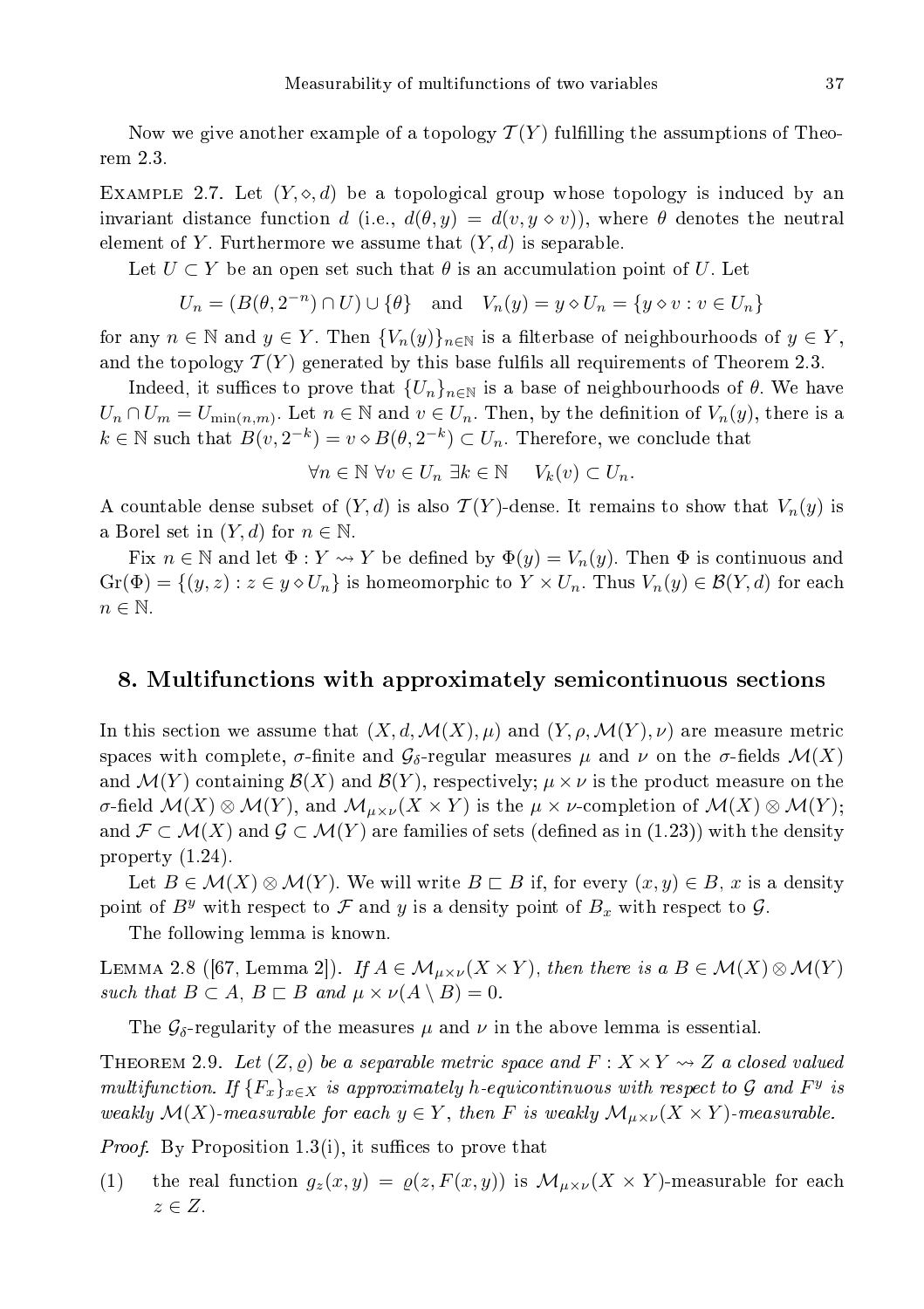Now we give another example of a topology  $\mathcal{T}(Y)$  fulfilling the assumptions of Theorem 2.3.

EXAMPLE 2.7. Let  $(Y, \diamond, d)$  be a topological group whose topology is induced by an invariant distance function d (i.e.,  $d(\theta, y) = d(v, y \diamond v)$ ), where  $\theta$  denotes the neutral element of Y. Furthermore we assume that  $(Y, d)$  is separable.

Let  $U \subset Y$  be an open set such that  $\theta$  is an accumulation point of U. Let

$$
U_n = (B(\theta, 2^{-n}) \cap U) \cup \{\theta\} \quad \text{and} \quad V_n(y) = y \diamond U_n = \{y \diamond v : v \in U_n\}
$$

for any  $n \in \mathbb{N}$  and  $y \in Y$ . Then  ${V_n(y)}_{n \in \mathbb{N}}$  is a filterbase of neighbourhoods of  $y \in Y$ , and the topology  $\mathcal{T}(Y)$  generated by this base fulfils all requirements of Theorem 2.3.

Indeed, it suffices to prove that  $\{U_n\}_{n\in\mathbb{N}}$  is a base of neighbourhoods of  $\theta$ . We have  $U_n \cap U_m = U_{\min(n,m)}$ . Let  $n \in \mathbb{N}$  and  $v \in U_n$ . Then, by the definition of  $V_n(y)$ , there is a  $k \in \mathbb{N}$  such that  $B(v, 2^{-k}) = v \diamond B(\theta, 2^{-k}) \subset U_n$ . Therefore, we conclude that

$$
\forall n \in \mathbb{N} \ \forall v \in U_n \ \exists k \in \mathbb{N} \quad V_k(v) \subset U_n.
$$

A countable dense subset of  $(Y, d)$  is also  $\mathcal{T}(Y)$ -dense. It remains to show that  $V_n(y)$  is a Borel set in  $(Y, d)$  for  $n \in \mathbb{N}$ .

Fix  $n \in \mathbb{N}$  and let  $\Phi: Y \rightsquigarrow Y$  be defined by  $\Phi(y) = V_n(y)$ . Then  $\Phi$  is continuous and  $\mathrm{Gr}(\Phi) = \{(y, z) : z \in y \diamond U_n\}$  is homeomorphic to  $Y \times U_n$ . Thus  $V_n(y) \in \mathcal{B}(Y, d)$  for each  $n \in \mathbb{N}$ .

#### 8. Multifun
tions with approximately semi
ontinuous se
tions

In this section we assume that  $(X, d, \mathcal{M}(X), \mu)$  and  $(Y, \rho, \mathcal{M}(Y), \nu)$  are measure metric spaces with complete,  $\sigma$ -finite and  $\mathcal{G}_{\delta}$ -regular measures  $\mu$  and  $\nu$  on the  $\sigma$ -fields  $\mathcal{M}(X)$ and  $\mathcal{M}(Y)$  containing  $\mathcal{B}(X)$  and  $\mathcal{B}(Y)$ , respectively;  $\mu \times \nu$  is the product measure on the  $\sigma$ -field  $\mathcal{M}(X) \otimes \mathcal{M}(Y)$ , and  $\mathcal{M}_{\mu \times \nu}(X \times Y)$  is the  $\mu \times \nu$ -completion of  $\mathcal{M}(X) \otimes \mathcal{M}(Y)$ ; and  $\mathcal{F} \subset \mathcal{M}(X)$  and  $\mathcal{G} \subset \mathcal{M}(Y)$  are families of sets (defined as in (1.23)) with the density property (1.24).

Let  $B \in \mathcal{M}(X) \otimes \mathcal{M}(Y)$ . We will write  $B \sqsubset B$  if, for every  $(x, y) \in B$ , x is a density point of  $B<sup>y</sup>$  with respect to F and y is a density point of  $B<sub>x</sub>$  with respect to G.

The following lemma is known.

LEMMA 2.8 ([67, Lemma 2]). If  $A \in \mathcal{M}_{\mu \times \nu}(X \times Y)$ , then there is a  $B \in \mathcal{M}(X) \otimes \mathcal{M}(Y)$ such that  $B \subset A$ ,  $B \subset B$  and  $\mu \times \nu(A \setminus B) = 0$ .

The  $\mathcal{G}_{\delta}$ -regularity of the measures  $\mu$  and  $\nu$  in the above lemma is essential.

THEOREM 2.9. Let  $(Z, \rho)$  be a separable metric space and  $F: X \times Y \rightsquigarrow Z$  a closed valued multifunction. If  ${F_x}_{x \in X}$  is approximately h-equicontinuous with respect to G and  $F^y$  is weakly  $\mathcal{M}(X)$ -measurable for each  $y \in Y$ , then F is weakly  $\mathcal{M}_{\mu \times \nu}(X \times Y)$ -measurable.

Proof. By Proposition 1.3(i), it su
es to prove that

(1) the real function  $g_z(x, y) = \varrho(z, F(x, y))$  is  $\mathcal{M}_{\mu \times \nu}(X \times Y)$ -measurable for each  $z \in Z$ .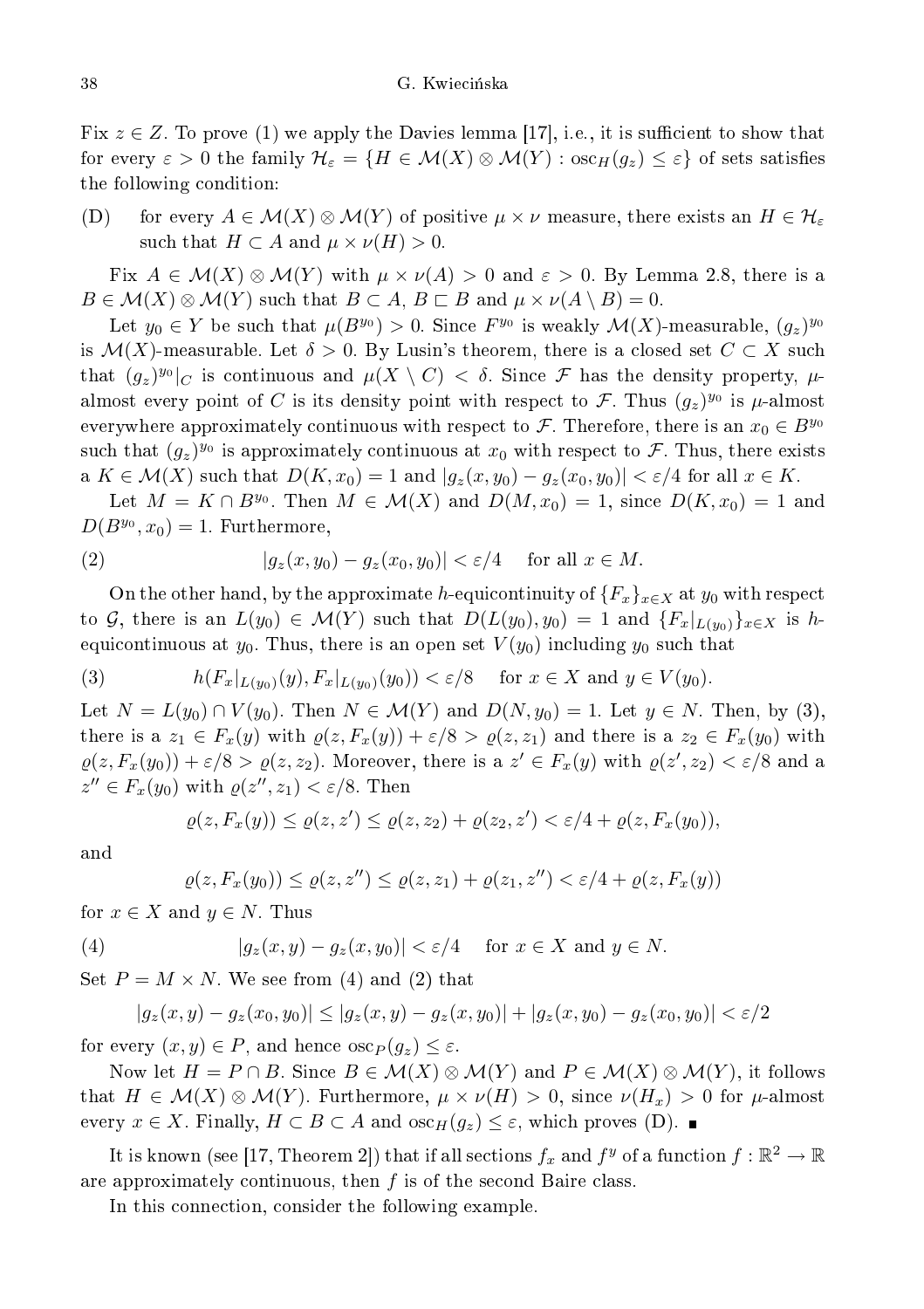Fix  $z \in \mathbb{Z}$ . To prove (1) we apply the Davies lemma [17], i.e., it is sufficient to show that for every  $\varepsilon > 0$  the family  $\mathcal{H}_{\varepsilon} = \{H \in \mathcal{M}(X) \otimes \mathcal{M}(Y) : \mathrm{osc}_H(g_z) \leq \varepsilon\}$  of sets satisfies the following ondition:

(D) for every  $A \in \mathcal{M}(X) \otimes \mathcal{M}(Y)$  of positive  $\mu \times \nu$  measure, there exists an  $H \in \mathcal{H}_{\varepsilon}$ such that  $H \subset A$  and  $\mu \times \nu(H) > 0$ .

Fix  $A \in \mathcal{M}(X) \otimes \mathcal{M}(Y)$  with  $\mu \times \nu(A) > 0$  and  $\varepsilon > 0$ . By Lemma 2.8, there is a  $B \in \mathcal{M}(X) \otimes \mathcal{M}(Y)$  such that  $B \subset A, B \subset B$  and  $\mu \times \nu(A \setminus B) = 0$ .

Let  $y_0 \in Y$  be such that  $\mu(B^{y_0}) > 0$ . Since  $F^{y_0}$  is weakly  $\mathcal{M}(X)$ -measurable,  $(g_z)^{y_0}$ is  $\mathcal{M}(X)$ -measurable. Let  $\delta > 0$ . By Lusin's theorem, there is a closed set  $C \subset X$  such that  $(g_z)^{y_0}|_C$  is continuous and  $\mu(X \setminus C) < \delta$ . Since  $\mathcal F$  has the density property,  $\mu$ almost every point of C is its density point with respect to F. Thus  $(g_z)^{y_0}$  is  $\mu$ -almost everywhere approximately continuous with respect to F. Therefore, there is an  $x_0 \in B^{y_0}$ such that  $(g_z)^{y_0}$  is approximately continuous at  $x_0$  with respect to  $\mathcal{F}$ . Thus, there exists a  $K \in \mathcal{M}(X)$  such that  $D(K, x_0) = 1$  and  $|g_z(x, y_0) - g_z(x_0, y_0)| < \varepsilon/4$  for all  $x \in K$ .

Let  $M = K \cap B^{y_0}$ . Then  $M \in \mathcal{M}(X)$  and  $D(M, x_0) = 1$ , since  $D(K, x_0) = 1$  and  $D(B^{y_0}, x_0) = 1$ . Furthermore,

(2) 
$$
|g_z(x,y_0) - g_z(x_0,y_0)| < \varepsilon/4 \quad \text{for all } x \in M.
$$

On the other hand, by the approximate h-equicontinuity of  ${F_x}_{x \in X}$  at  $y_0$  with respect to G, there is an  $L(y_0) \in \mathcal{M}(Y)$  such that  $D(L(y_0), y_0) = 1$  and  $\{F_x|_{L(y_0)}\}_{x \in X}$  is hequicontinuous at  $y_0$ . Thus, there is an open set  $V(y_0)$  including  $y_0$  such that

(3) 
$$
h(F_x|_{L(y_0)}(y), F_x|_{L(y_0)}(y_0)) < \varepsilon/8
$$
 for  $x \in X$  and  $y \in V(y_0)$ .

Let  $N = L(y_0) \cap V(y_0)$ . Then  $N \in \mathcal{M}(Y)$  and  $D(N, y_0) = 1$ . Let  $y \in N$ . Then, by (3), there is a  $z_1 \in F_x(y)$  with  $\varrho(z, F_x(y)) + \varepsilon/8 > \varrho(z, z_1)$  and there is a  $z_2 \in F_x(y_0)$  with  $\varrho(z, F_x(y_0)) + \varepsilon/8 > \varrho(z, z_2)$ . Moreover, there is a  $z' \in F_x(y)$  with  $\varrho(z', z_2) < \varepsilon/8$  and a  $z'' \in F_x(y_0)$  with  $\varrho(z'', z_1) < \varepsilon/8$ . Then

$$
\varrho(z,F_x(y)) \leq \varrho(z,z') \leq \varrho(z,z_2) + \varrho(z_2,z') < \varepsilon/4 + \varrho(z,F_x(y_0)),
$$

and

$$
\varrho(z, F_x(y_0)) \le \varrho(z, z'') \le \varrho(z, z_1) + \varrho(z_1, z'') < \varepsilon/4 + \varrho(z, F_x(y))
$$

for  $x \in X$  and  $y \in N$ . Thus

(4) 
$$
|g_z(x,y) - g_z(x,y_0)| < \varepsilon/4 \quad \text{for } x \in X \text{ and } y \in N.
$$

Set  $P = M \times N$ . We see from (4) and (2) that

$$
|g_z(x,y)-g_z(x_0,y_0)| \leq |g_z(x,y)-g_z(x,y_0)| + |g_z(x,y_0)-g_z(x_0,y_0)| < \varepsilon/2
$$

for every  $(x, y) \in P$ , and hence  $\csc_P(g_z) \leq \varepsilon$ .

Now let  $H = P \cap B$ . Since  $B \in \mathcal{M}(X) \otimes \mathcal{M}(Y)$  and  $P \in \mathcal{M}(X) \otimes \mathcal{M}(Y)$ , it follows that  $H \in \mathcal{M}(X) \otimes \mathcal{M}(Y)$ . Furthermore,  $\mu \times \nu(H) > 0$ , since  $\nu(H_x) > 0$  for  $\mu$ -almost every  $x \in X$ . Finally,  $H \subset B \subset A$  and  $\operatorname{osc}_H(g_z) \leq \varepsilon$ , which proves (D).

It is known (see [17, Theorem 2]) that if all sections  $f_x$  and  $f^y$  of a function  $f : \mathbb{R}^2 \to \mathbb{R}$ are approximately continuous, then  $f$  is of the second Baire class.

In this connection, consider the following example.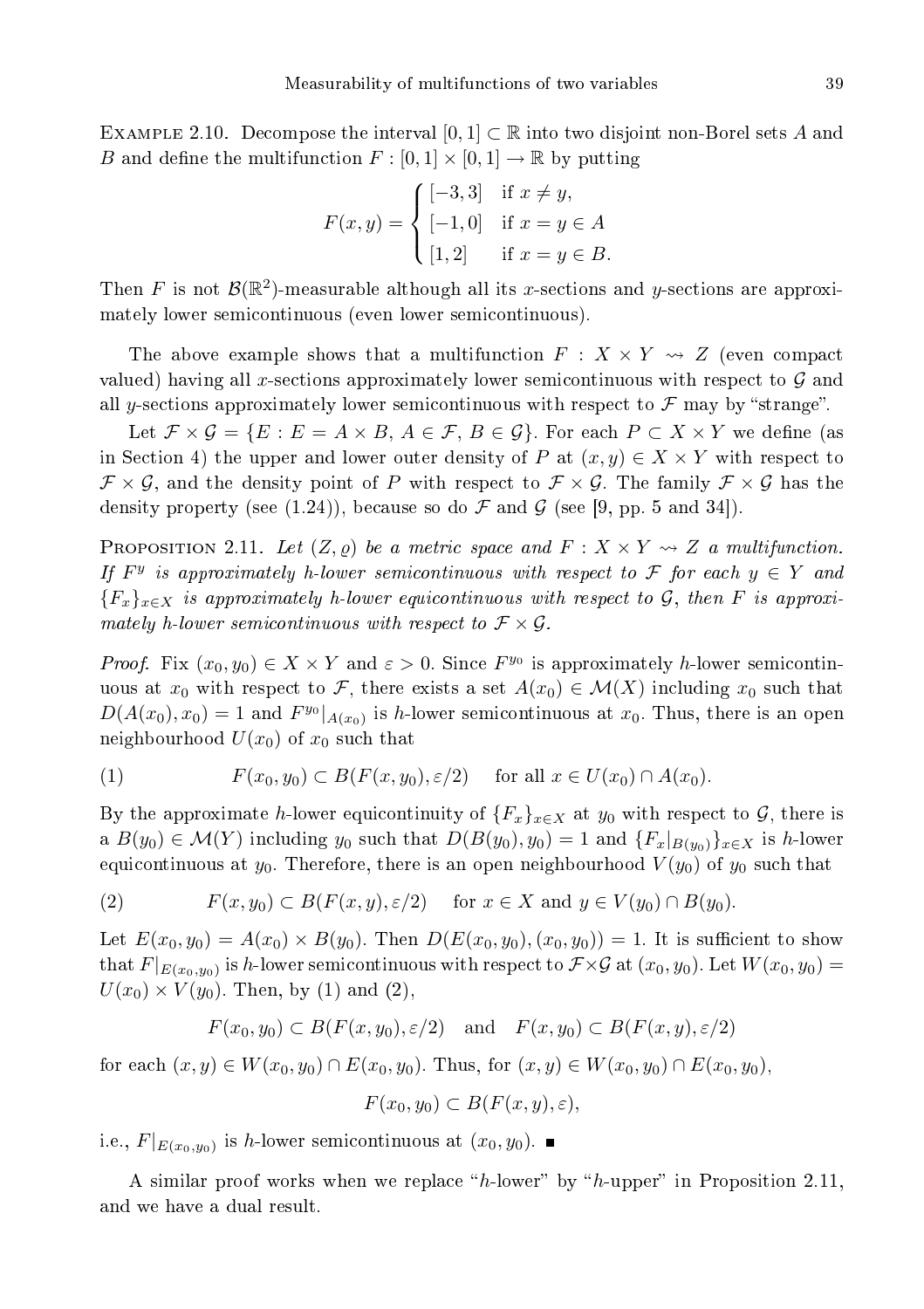EXAMPLE 2.10. Decompose the interval  $[0,1] \subset \mathbb{R}$  into two disjoint non-Borel sets A and B and define the multifunction  $F : [0,1] \times [0,1] \rightarrow \mathbb{R}$  by putting

$$
F(x, y) = \begin{cases} [-3, 3] & \text{if } x \neq y, \\ [-1, 0] & \text{if } x = y \in A \\ [1, 2] & \text{if } x = y \in B. \end{cases}
$$

Then F is not  $\mathcal{B}(\mathbb{R}^2)$ -measurable although all its x-sections and y-sections are approximately lower semi
ontinuous (even lower semi
ontinuous).

The above example shows that a multifunction  $F : X \times Y \rightarrow Z$  (even compact valued) having all x-sections approximately lower semicontinuous with respect to  $\mathcal G$  and all y-sections approximately lower semicontinuous with respect to  $\mathcal F$  may by "strange".

Let  $\mathcal{F} \times \mathcal{G} = \{E : E = A \times B, A \in \mathcal{F}, B \in \mathcal{G}\}\$ . For each  $P \subset X \times Y$  we define (as in Section 4) the upper and lower outer density of P at  $(x, y) \in X \times Y$  with respect to  $\mathcal{F} \times \mathcal{G}$ , and the density point of P with respect to  $\mathcal{F} \times \mathcal{G}$ . The family  $\mathcal{F} \times \mathcal{G}$  has the density property (see (1.24)), because so do  $\mathcal F$  and  $\mathcal G$  (see [9, pp. 5 and 34]).

**PROPOSITION** 2.11. Let  $(Z, \varrho)$  be a metric space and  $F : X \times Y \rightarrow Z$  a multifunction. If  $F<sup>y</sup>$  is approximately h-lower semicontinuous with respect to F for each  $y \in Y$  and  ${F_{\pi}}_{x \in X}$  is approximately h-lower equicontinuous with respect to G, then F is approximately h-lower semicontinuous with respect to  $\mathcal{F} \times \mathcal{G}$ .

*Proof.* Fix  $(x_0, y_0) \in X \times Y$  and  $\varepsilon > 0$ . Since  $F^{y_0}$  is approximately h-lower semicontinuous at  $x_0$  with respect to F, there exists a set  $A(x_0) \in \mathcal{M}(X)$  including  $x_0$  such that  $D(A(x_0), x_0) = 1$  and  $F^{y_0}|_{A(x_0)}$  is h-lower semicontinuous at  $x_0$ . Thus, there is an open neighbourhood  $U(x_0)$  of  $x_0$  such that

(1) 
$$
F(x_0, y_0) \subset B(F(x, y_0), \varepsilon/2) \quad \text{for all } x \in U(x_0) \cap A(x_0).
$$

By the approximate h-lower equicontinuity of  $\{F_x\}_{x\in X}$  at  $y_0$  with respect to  $\mathcal{G}$ , there is a  $B(y_0) \in \mathcal{M}(Y)$  including  $y_0$  such that  $D(B(y_0), y_0) = 1$  and  $\{F_x|_{B(y_0)}\}_{x \in X}$  is h-lower equicontinuous at  $y_0$ . Therefore, there is an open neighbourhood  $V(y_0)$  of  $y_0$  such that

(2) 
$$
F(x, y_0) \subset B(F(x, y), \varepsilon/2) \quad \text{for } x \in X \text{ and } y \in V(y_0) \cap B(y_0).
$$

Let  $E(x_0, y_0) = A(x_0) \times B(y_0)$ . Then  $D(E(x_0, y_0), (x_0, y_0)) = 1$ . It is sufficient to show that  $F|_{E(x_0,y_0)}$  is  $h$  lower semicontinuous with respect to  $\mathcal{F}\times\mathcal{G}$  at  $(x_0,y_0).$  Let  $W(x_0,y_0)=$  $U(x_0) \times V(y_0)$ . Then, by (1) and (2),

$$
F(x_0, y_0) \subset B(F(x, y_0), \varepsilon/2)
$$
 and  $F(x, y_0) \subset B(F(x, y), \varepsilon/2)$ 

for each  $(x, y) \in W(x_0, y_0) \cap E(x_0, y_0)$ . Thus, for  $(x, y) \in W(x_0, y_0) \cap E(x_0, y_0)$ ,

$$
F(x_0, y_0) \subset B(F(x, y), \varepsilon),
$$

i.e.,  $F|_{E(x_0, y_0)}$  is h-lower semicontinuous at  $(x_0, y_0)$ .

A similar proof works when we replace " $h$ -lower" by " $h$ -upper" in Proposition 2.11, and we have a dual result.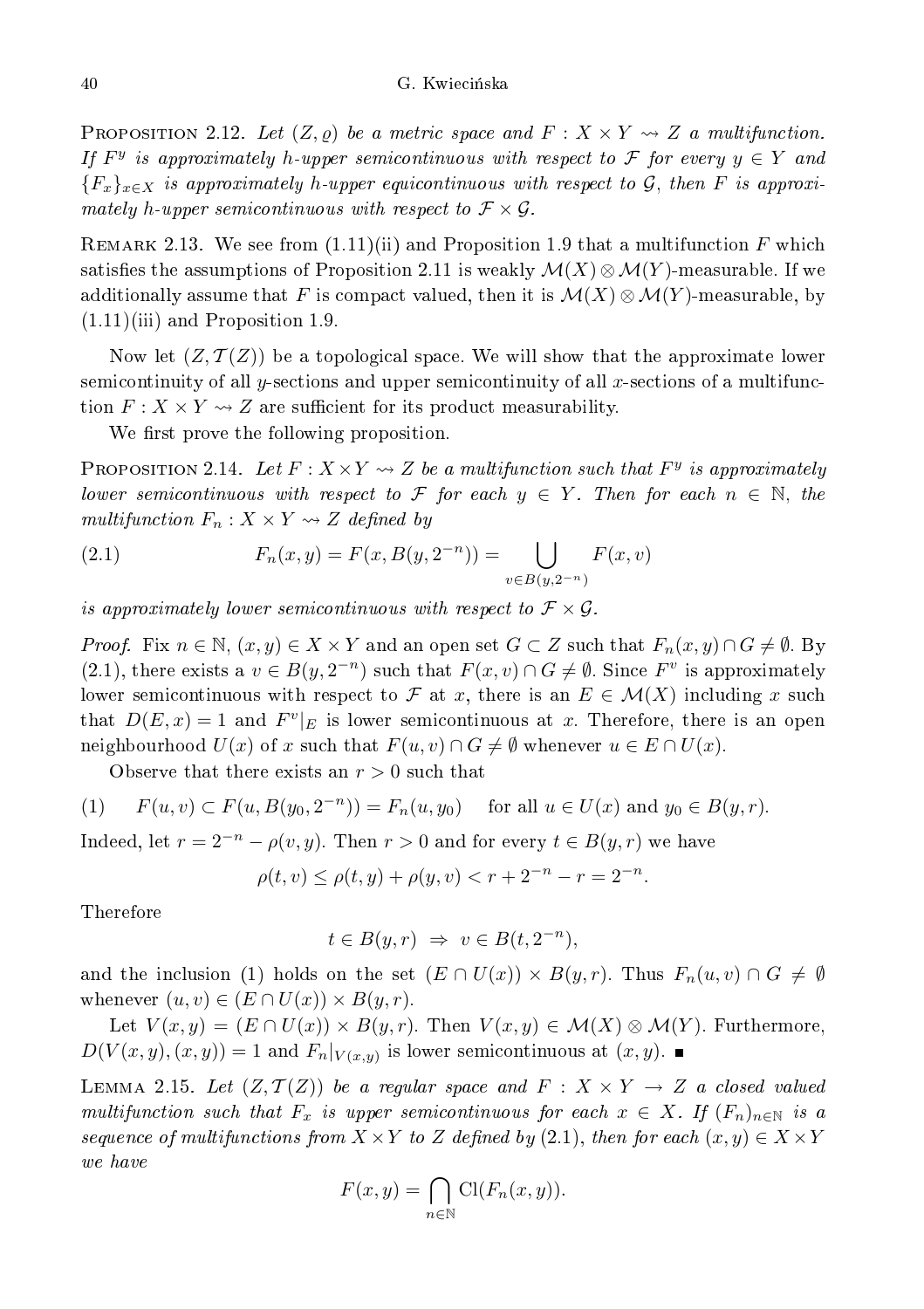PROPOSITION 2.12. Let  $(Z, \rho)$  be a metric space and  $F: X \times Y \rightsquigarrow Z$  a multifunction. If  $F^y$  is approximately h-upper semicontinuous with respect to F for every  $y \in Y$  and  ${F_{\pi}}_{x\in X}$  is approximately h-upper equicontinuous with respect to G, then F is approximately h-upper semicontinuous with respect to  $\mathcal{F}\times\mathcal{G}$ .

REMARK 2.13. We see from  $(1.11)(ii)$  and Proposition 1.9 that a multifunction F which satisfies the assumptions of Proposition 2.11 is weakly  $\mathcal{M}(X) \otimes \mathcal{M}(Y)$ -measurable. If we additionally assume that F is compact valued, then it is  $\mathcal{M}(X) \otimes \mathcal{M}(Y)$ -measurable, by  $(1.11)(iii)$  and Proposition 1.9.

Now let  $(Z, \mathcal{T}(Z))$  be a topological space. We will show that the approximate lower semicontinuity of all y-sections and upper semicontinuity of all x-sections of a multifunction  $F: X \times Y \rightarrow Z$  are sufficient for its product measurability.

We first prove the following proposition.

PROPOSITION 2.14. Let  $F: X \times Y \rightsquigarrow Z$  be a multifunction such that  $F^y$  is approximately lower semicontinuous with respect to  $\mathcal F$  for each  $y \in Y$ . Then for each  $n \in \mathbb N$ , the multifunction  $F_n: X \times Y \rightsquigarrow Z$  defined by

(2.1) 
$$
F_n(x,y) = F(x, B(y, 2^{-n})) = \bigcup_{v \in B(y, 2^{-n})} F(x,v)
$$

is approximately lower semicontinuous with respect to  $\mathcal{F} \times \mathcal{G}$ .

*Proof.* Fix  $n \in \mathbb{N}$ ,  $(x, y) \in X \times Y$  and an open set  $G \subset Z$  such that  $F_n(x, y) \cap G \neq \emptyset$ . By (2.1), there exists a  $v \in B(y, 2^{-n})$  such that  $F(x, v) \cap G \neq \emptyset$ . Since  $F^v$  is approximately lower semicontinuous with respect to F at x, there is an  $E \in \mathcal{M}(X)$  including x such that  $D(E, x) = 1$  and  $F<sup>v</sup>|_E$  is lower semicontinuous at x. Therefore, there is an open neighbourhood  $U(x)$  of x such that  $F(u, v) \cap G \neq \emptyset$  whenever  $u \in E \cap U(x)$ .

Observe that there exists an  $r > 0$  such that

(1) 
$$
F(u, v) \subset F(u, B(y_0, 2^{-n})) = F_n(u, y_0)
$$
 for all  $u \in U(x)$  and  $y_0 \in B(y, r)$ .

Indeed, let  $r = 2^{-n} - \rho(v, y)$ . Then  $r > 0$  and for every  $t \in B(y, r)$  we have

$$
\rho(t, v) \le \rho(t, y) + \rho(y, v) < r + 2^{-n} - r = 2^{-n}.
$$

Therefore

$$
t \in B(y, r) \Rightarrow v \in B(t, 2^{-n}),
$$

and the inclusion (1) holds on the set  $(E \cap U(x)) \times B(y,r)$ . Thus  $F_n(u,v) \cap G \neq \emptyset$ whenever  $(u, v) \in (E \cap U(x)) \times B(y, r)$ .

Let  $V(x, y) = (E \cap U(x)) \times B(y, r)$ . Then  $V(x, y) \in \mathcal{M}(X) \otimes \mathcal{M}(Y)$ . Furthermore,  $D(V(x, y), (x, y)) = 1$  and  $F_n|_{V(x, y)}$  is lower semicontinuous at  $(x, y)$ .

LEMMA 2.15. Let  $(Z, \mathcal{T}(Z))$  be a regular space and  $F : X \times Y \rightarrow Z$  a closed valued multifunction such that  $F_x$  is upper semicontinuous for each  $x \in X$ . If  $(F_n)_{n \in \mathbb{N}}$  is a sequence of multifunctions from  $X \times Y$  to Z defined by  $(2.1)$ , then for each  $(x, y) \in X \times Y$ 

$$
F(x,y) = \bigcap_{n \in \mathbb{N}} \text{Cl}(F_n(x,y)).
$$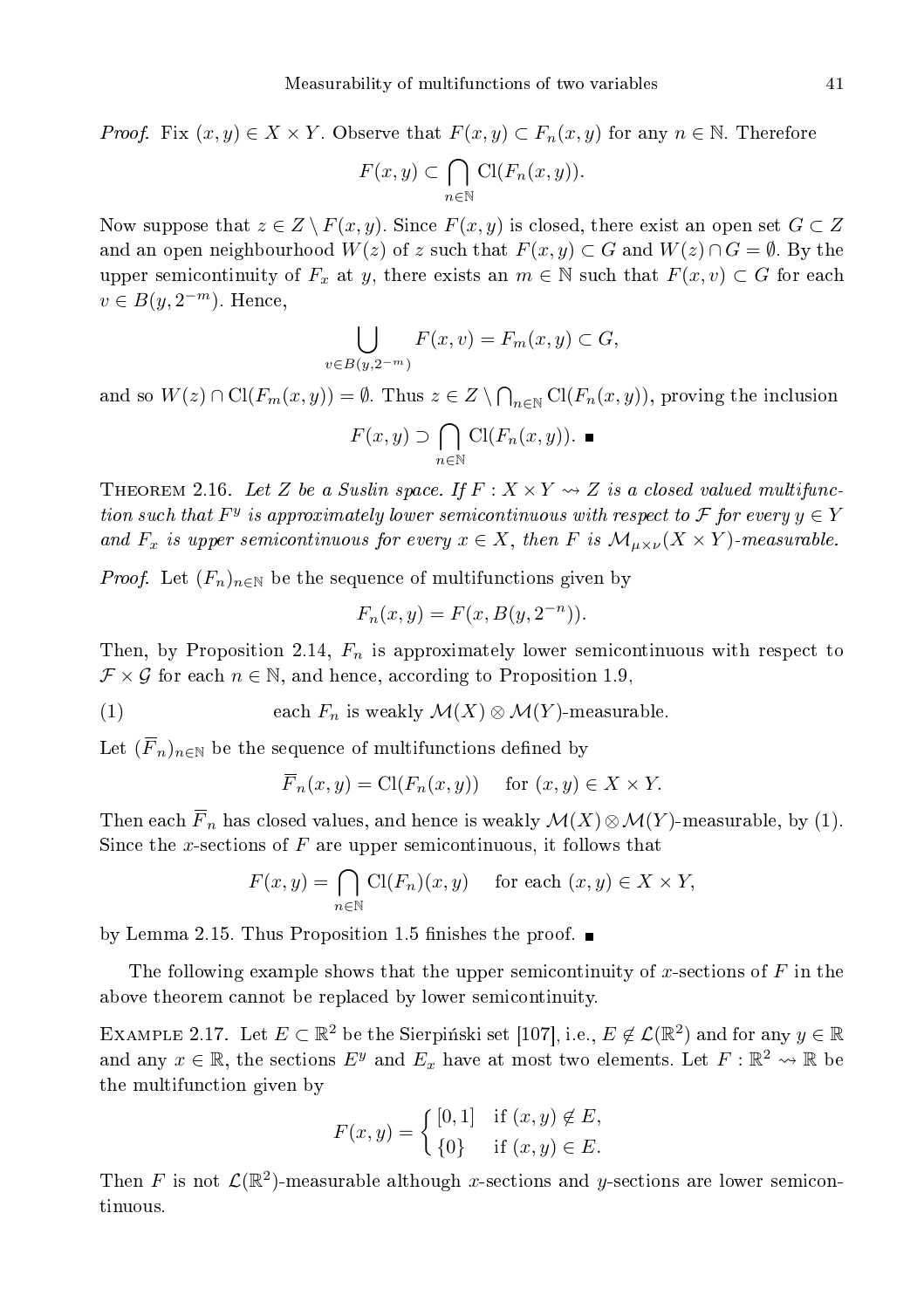*Proof.* Fix  $(x, y) \in X \times Y$ . Observe that  $F(x, y) \subset F_n(x, y)$  for any  $n \in \mathbb{N}$ . Therefore

$$
F(x,y) \subset \bigcap_{n \in \mathbb{N}} \mathrm{Cl}(F_n(x,y)).
$$

Now suppose that  $z \in Z \setminus F(x, y)$ . Since  $F(x, y)$  is closed, there exist an open set  $G \subset Z$ and an open neighbourhood  $W(z)$  of z such that  $F(x, y) \subset G$  and  $W(z) \cap G = \emptyset$ . By the upper semicontinuity of  $F_x$  at y, there exists an  $m \in \mathbb{N}$  such that  $F(x, v) \subset G$  for each  $v \in B(y, 2^{-m})$ . Hence,

$$
\bigcup_{v \in B(y, 2^{-m})} F(x, v) = F_m(x, y) \subset G,
$$

and so  $W(z) \cap \mathrm{Cl}(F_m(x,y)) = \emptyset$ . Thus  $z \in Z \setminus \bigcap_{n \in \mathbb{N}} \mathrm{Cl}(F_n(x,y))$ , proving the inclusion

$$
F(x, y) \supset \bigcap_{n \in \mathbb{N}} \text{Cl}(F_n(x, y)). \blacksquare
$$

THEOREM 2.16. Let Z be a Suslin space. If  $F: X \times Y \rightsquigarrow Z$  is a closed valued multifunction such that  $F^y$  is approximately lower semicontinuous with respect to  $\mathcal F$  for every  $y \in Y$ and  $F_x$  is upper semicontinuous for every  $x \in X$ , then F is  $\mathcal{M}_{\mu \times \nu}(X \times Y)$ -measurable.

*Proof.* Let  $(F_n)_{n \in \mathbb{N}}$  be the sequence of multifunctions given by

$$
F_n(x, y) = F(x, B(y, 2^{-n})).
$$

Then, by Proposition 2.14,  $F_n$  is approximately lower semicontinuous with respect to  $\mathcal{F} \times \mathcal{G}$  for each  $n \in \mathbb{N}$ , and hence, according to Proposition 1.9,

(1) each  $F_n$  is weakly  $\mathcal{M}(X) \otimes \mathcal{M}(Y)$ -measurable.

Let  $(\overline{F}_n)_{n\in\mathbb{N}}$  be the sequence of multifunctions defined by

$$
\overline{F}_n(x, y) = \text{Cl}(F_n(x, y))
$$
 for  $(x, y) \in X \times Y$ .

Then each  $\overline{F}_n$  has closed values, and hence is weakly  $\mathcal{M}(X)\otimes\mathcal{M}(Y)$ -measurable, by (1). Since the x-sections of  $F$  are upper semicontinuous, it follows that

$$
F(x, y) = \bigcap_{n \in \mathbb{N}} \text{Cl}(F_n)(x, y) \quad \text{for each } (x, y) \in X \times Y,
$$

by Lemma 2.15. Thus Proposition 1.5 finishes the proof.  $\blacksquare$ 

The following example shows that the upper semicontinuity of x-sections of  $F$  in the above theorem cannot be replaced by lower semicontinuity.

EXAMPLE 2.17. Let  $E \subset \mathbb{R}^2$  be the Sierpiński set [107], i.e.,  $E \notin \mathcal{L}(\mathbb{R}^2)$  and for any  $y \in \mathbb{R}$ and any  $x \in \mathbb{R}$ , the sections  $E^y$  and  $E_x$  have at most two elements. Let  $F : \mathbb{R}^2 \leadsto \mathbb{R}$  be the multifun
tion given by

$$
F(x,y) = \begin{cases} [0,1] & \text{if } (x,y) \notin E, \\ \{0\} & \text{if } (x,y) \in E. \end{cases}
$$

Then F is not  $\mathcal{L}(\mathbb{R}^2)$ -measurable although x-sections and y-sections are lower semicontinuous.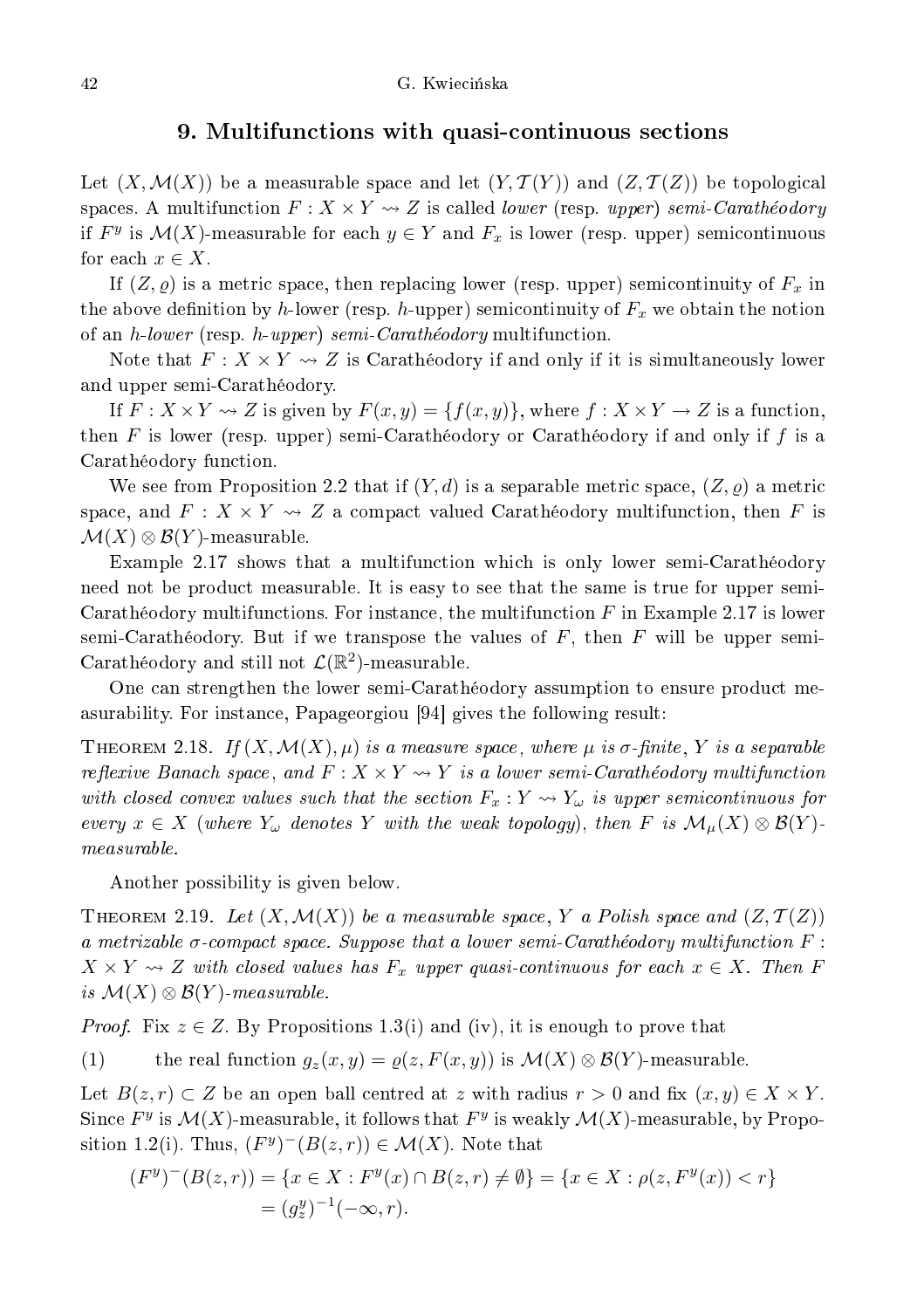#### 9. Multifun
tions with quasiontinuous se
tions

Let  $(X, \mathcal{M}(X))$  be a measurable space and let  $(Y, \mathcal{T}(Y))$  and  $(Z, \mathcal{T}(Z))$  be topological spaces. A multifunction  $F: X \times Y \longrightarrow Z$  is called *lower* (resp. upper) semi-Carathéodory if  $F^y$  is  $\mathcal{M}(X)$ -measurable for each  $y \in Y$  and  $F_x$  is lower (resp. upper) semicontinuous for each  $x \in X$ .

If  $(Z, \varrho)$  is a metric space, then replacing lower (resp. upper) semicontinuity of  $F_x$  in the above definition by h-lower (resp. h-upper) semicontinuity of  $F_x$  we obtain the notion of an *h-lower* (resp. *h-upper*) semi-Carathéodory multifunction.

Note that  $F: X \times Y \rightsquigarrow Z$  is Carathéodory if and only if it is simultaneously lower and upper semi-Carathéodory.

If  $F: X \times Y \rightsquigarrow Z$  is given by  $F(x, y) = \{f(x, y)\}\$ , where  $f: X \times Y \rightarrow Z$  is a function, then F is lower (resp. upper) semi-Carathéodory or Carathéodory if and only if  $f$  is a Carathéodory fun
tion.

We see from Proposition 2.2 that if  $(Y, d)$  is a separable metric space,  $(Z, \varrho)$  a metric space, and  $F: X \times Y \rightsquigarrow Z$  a compact valued Carathéodory multifunction, then F is  $\mathcal{M}(X) \otimes \mathcal{B}(Y)$ -measurable.

Example 2.17 shows that a multifun
tion whi
h is only lower semi-Carathéodory need not be produ
t measurable. It is easy to see that the same is true for upper semi-Carathéodory multifunctions. For instance, the multifunction  $F$  in Example 2.17 is lower semi-Carathéodory. But if we transpose the values of  $F$ , then  $F$  will be upper semi-Carathéodory and still not  $\mathcal{L}(\mathbb{R}^2)$ -measurable.

One can strengthen the lower semi-Carathéodory assumption to ensure product measurability. For instance, Papageorgiou [94] gives the following result:

THEOREM 2.18. If  $(X, \mathcal{M}(X), \mu)$  is a measure space, where  $\mu$  is  $\sigma$ -finite, Y is a separable reflexive Banach space, and  $F: X \times Y \rightsquigarrow Y$  is a lower semi-Carathéodory multifunction with closed convex values such that the section  $F_x : Y \leadsto Y_\omega$  is upper semicontinuous for every  $x \in X$  (where  $Y_\omega$  denotes Y with the weak topology), then F is  $\mathcal{M}_\mu(X) \otimes \mathcal{B}(Y)$ measurable.

Another possibility is given below.

THEOREM 2.19. Let  $(X, \mathcal{M}(X))$  be a measurable space, Y a Polish space and  $(Z, \mathcal{T}(Z))$ a metrizable  $\sigma$ -compact space. Suppose that a lower semi-Carathéodory multifunction  $F$ :  $X \times Y \rightsquigarrow Z$  with closed values has  $F_x$  upper quasi-continuous for each  $x \in X$ . Then F is  $\mathcal{M}(X) \otimes \mathcal{B}(Y)$ -measurable.

*Proof.* Fix  $z \in Z$ . By Propositions 1.3(i) and (iv), it is enough to prove that

(1) the real function  $g_z(x, y) = \rho(z, F(x, y))$  is  $\mathcal{M}(X) \otimes \mathcal{B}(Y)$ -measurable.

Let  $B(z, r) \subset Z$  be an open ball centred at z with radius  $r > 0$  and fix  $(x, y) \in X \times Y$ . Since  $F^y$  is  $\mathcal{M}(X)$ -measurable, it follows that  $F^y$  is weakly  $\mathcal{M}(X)$ -measurable, by Proposition 1.2(i). Thus,  $(F^y)^-(B(z, r)) \in \mathcal{M}(X)$ . Note that

$$
(F^y)^-(B(z,r)) = \{x \in X : F^y(x) \cap B(z,r) \neq \emptyset\} = \{x \in X : \rho(z, F^y(x)) < r\}
$$
\n
$$
= (g_z^y)^{-1}(-\infty, r).
$$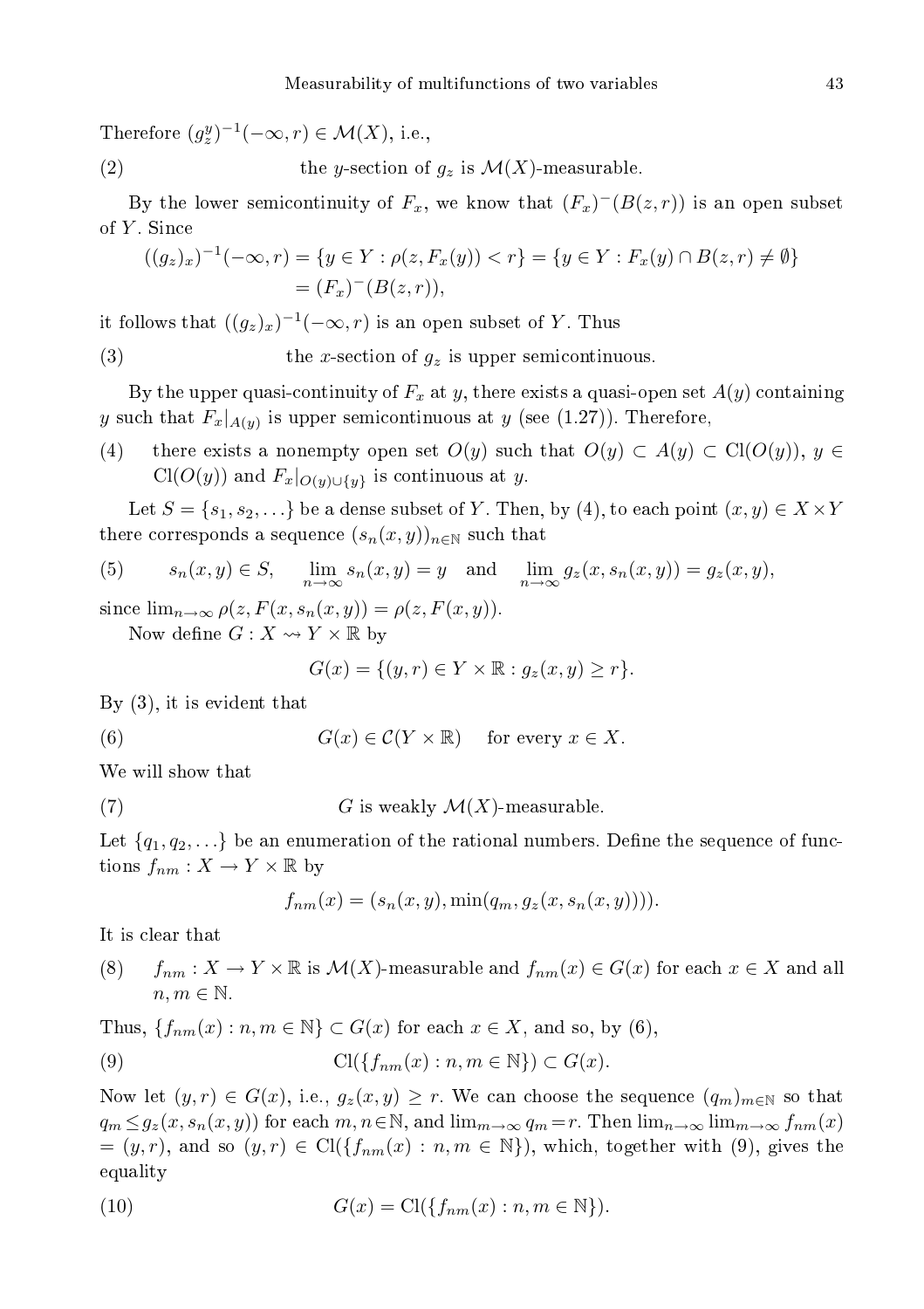Therefore  $(g_z^y)^{-1}(-\infty, r) \in \mathcal{M}(X)$ , i.e.,

(2) the y-section of  $g_z$  is  $\mathcal{M}(X)$ -measurable.

By the lower semicontinuity of  $F_x$ , we know that  $(F_x)^{-1}(B(z,r))$  is an open subset of Y . Sin
e

$$
((g_z)_x)^{-1}(-\infty, r) = \{ y \in Y : \rho(z, F_x(y)) < r \} = \{ y \in Y : F_x(y) \cap B(z, r) \neq \emptyset \} \\
 = (F_x)^{-1}(B(z, r)),
$$

it follows that  $((g_z)_x)^{-1}(-\infty,r)$  is an open subset of Y. Thus

(3) the x-section of  $g_z$  is upper semicontinuous.

By the upper quasi-continuity of  $F_x$  at y, there exists a quasi-open set  $A(y)$  containing y such that  $F_x|_{A(y)}$  is upper semicontinuous at y (see (1.27)). Therefore,

(4) there exists a nonempty open set  $O(y)$  such that  $O(y) \subset A(y) \subset Cl(O(y))$ ,  $y \in$  $Cl(O(y))$  and  $F_x|_{O(y) \cup \{y\}}$  is continuous at y.

Let  $S = \{s_1, s_2, \ldots\}$  be a dense subset of Y. Then, by (4), to each point  $(x, y) \in X \times Y$ there corresponds a sequence  $(s_n(x, y))_{n \in \mathbb{N}}$  such that

(5) 
$$
s_n(x, y) \in S
$$
,  $\lim_{n \to \infty} s_n(x, y) = y$  and  $\lim_{n \to \infty} g_z(x, s_n(x, y)) = g_z(x, y)$ ,

since  $\lim_{n\to\infty}\rho(z,F(x,s_n(x,y))=\rho(z,F(x,y)).$ 

Now define  $G: X \rightsquigarrow Y \times \mathbb{R}$  by

$$
G(x) = \{ (y, r) \in Y \times \mathbb{R} : g_z(x, y) \ge r \}.
$$

By (3), it is evident that

(6) 
$$
G(x) \in \mathcal{C}(Y \times \mathbb{R}) \quad \text{for every } x \in X.
$$

We will show that

(7)  $G$  is weakly  $\mathcal{M}(X)$ -measurable.

Let  $\{q_1, q_2, ...\}$  be an enumeration of the rational numbers. Define the sequence of functions  $f_{nm}: X \to Y \times \mathbb{R}$  by

$$
f_{nm}(x) = (s_n(x, y), \min(q_m, g_z(x, s_n(x, y))))
$$

It is lear that

(8)  $f_{nm}: X \to Y \times \mathbb{R}$  is  $\mathcal{M}(X)$ -measurable and  $f_{nm}(x) \in G(x)$  for each  $x \in X$  and all  $n, m \in \mathbb{N}$ .

Thus,  $\{f_{nm}(x) : n, m \in \mathbb{N}\}\subset G(x)$  for each  $x \in X$ , and so, by (6),

(9) 
$$
\mathrm{Cl}(\{f_{nm}(x):n,m\in\mathbb{N}\})\subset G(x).
$$

Now let  $(y, r) \in G(x)$ , i.e.,  $g_z(x, y) \geq r$ . We can choose the sequence  $(q_m)_{m \in \mathbb{N}}$  so that  $q_m \leq g_z(x, s_n(x, y))$  for each  $m, n \in \mathbb{N}$ , and  $\lim_{m \to \infty} q_m = r$ . Then  $\lim_{n \to \infty} \lim_{m \to \infty} f_{nm}(x)$  $=(y, r)$ , and so  $(y, r) \in \text{Cl}(\{f_{nm}(x) : n, m \in \mathbb{N}\})$ , which, together with (9), gives the equality

(10) 
$$
G(x) = \text{Cl}(\lbrace f_{nm}(x) : n, m \in \mathbb{N} \rbrace).
$$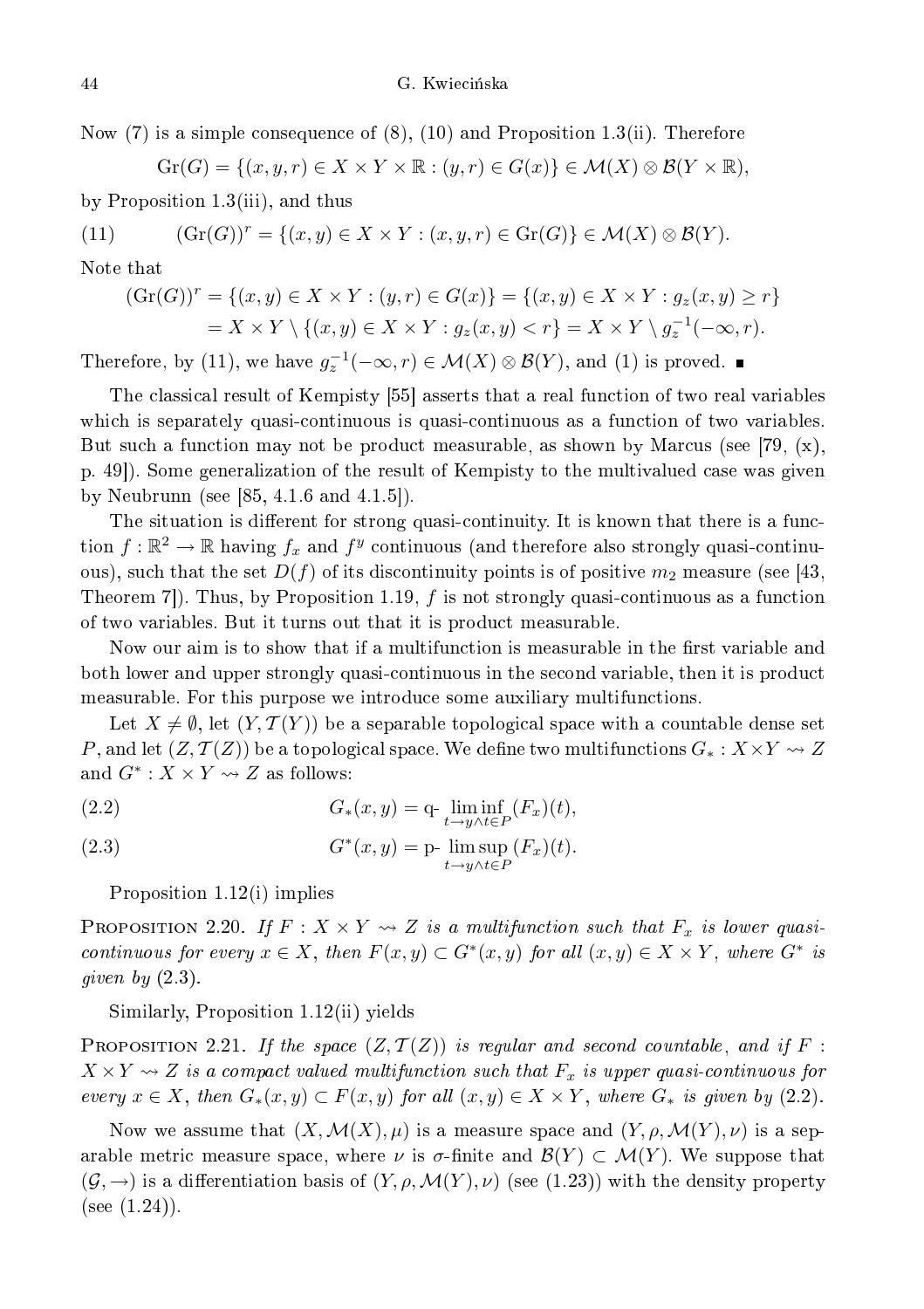Now (7) is a simple consequence of  $(8)$ ,  $(10)$  and Proposition 1.3(ii). Therefore

 $Gr(G) = \{(x, y, r) \in X \times Y \times \mathbb{R} : (y, r) \in G(x)\} \in \mathcal{M}(X) \otimes \mathcal{B}(Y \times \mathbb{R}),$ 

by Proposition 1.3(iii), and thus

(11) 
$$
(\mathrm{Gr}(G))^r = \{(x, y) \in X \times Y : (x, y, r) \in \mathrm{Gr}(G)\} \in \mathcal{M}(X) \otimes \mathcal{B}(Y).
$$

Note that

$$
(\operatorname{Gr}(G))^r = \{(x, y) \in X \times Y : (y, r) \in G(x)\} = \{(x, y) \in X \times Y : g_z(x, y) \ge r\}
$$
  
=  $X \times Y \setminus \{(x, y) \in X \times Y : g_z(x, y) < r\} = X \times Y \setminus g_z^{-1}(-\infty, r).$ 

Therefore, by (11), we have  $g_z^{-1}(-\infty, r) \in \mathcal{M}(X) \otimes \mathcal{B}(Y)$ , and (1) is proved.

The classical result of Kempisty [55] asserts that a real function of two real variables which is separately quasi-continuous is quasi-continuous as a function of two variables. But such a function may not be product measurable, as shown by Marcus (see [79,  $(x)$ , p. 49. Some generalization of the result of Kempisty to the multivalued case was given by Neubrunn (see  $[85, 4.1.6 \text{ and } 4.1.5]$ ).

The situation is different for strong quasi-continuity. It is known that there is a function  $f : \mathbb{R}^2 \to \mathbb{R}$  having  $f_x$  and  $f^y$  continuous (and therefore also strongly quasi-continuous), such that the set  $D(f)$  of its discontinuity points is of positive  $m_2$  measure (see [43, Theorem 7. Thus, by Proposition 1.19, f is not strongly quasi-continuous as a function of two variables. But it turns out that it is produ
t measurable.

Now our aim is to show that if a multifunction is measurable in the first variable and both lower and upper strongly quasi-continuous in the second variable, then it is product measurable. For this purpose we introduce some auxiliary multifunctions.

Let  $X \neq \emptyset$ , let  $(Y, \mathcal{T}(Y))$  be a separable topological space with a countable dense set P, and let  $(Z, \mathcal{T}(Z))$  be a topological space. We define two multifunctions  $G_* : X \times Y \rightsquigarrow Z$ and  $G^*: X \times Y \rightsquigarrow Z$  as follows:

(2.2) 
$$
G_*(x,y) = q \cdot \liminf_{t \to y \wedge t \in P} (F_x)(t),
$$

(2.3) 
$$
G^*(x,y) = \text{p-}\limsup_{t \to y \wedge t \in P} (F_x)(t).
$$

Proposition 1.12(i) implies

PROPOSITION 2.20. If  $F: X \times Y \rightsquigarrow Z$  is a multifunction such that  $F_x$  is lower quasicontinuous for every  $x \in X$ , then  $F(x, y) \subset G^*(x, y)$  for all  $(x, y) \in X \times Y$ , where  $G^*$  is  $\overline{\phantom{a}}$ 

#### Similarly, Proposition 1.12(ii) yields

PROPOSITION 2.21. If the space  $(Z,\mathcal{T}(Z))$  is regular and second countable, and if F :  $X \times Y \rightsquigarrow Z$  is a compact valued multifunction such that  $F_x$  is upper quasi-continuous for every  $x \in X$ , then  $G_*(x, y) \subset F(x, y)$  for all  $(x, y) \in X \times Y$ , where  $G_*$  is given by (2.2).

Now we assume that  $(X, \mathcal{M}(X), \mu)$  is a measure space and  $(Y, \rho, \mathcal{M}(Y), \nu)$  is a separable metric measure space, where  $\nu$  is  $\sigma$ -finite and  $\mathcal{B}(Y) \subset \mathcal{M}(Y)$ . We suppose that  $(\mathcal{G}, \rightarrow)$  is a differentiation basis of  $(Y, \rho, \mathcal{M}(Y), \nu)$  (see (1.23)) with the density property  $(see (1.24)).$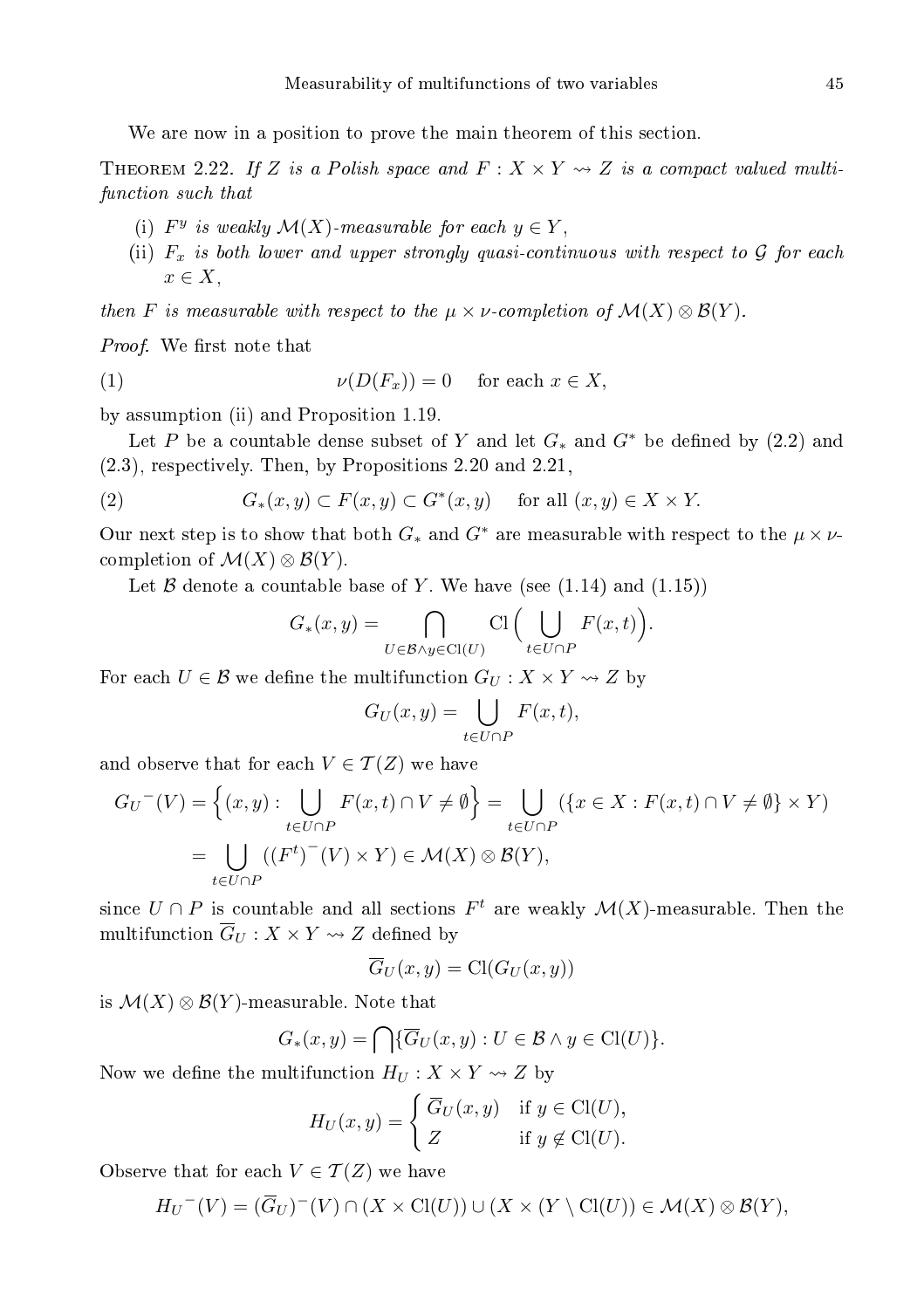We are now in a position to prove the main theorem of this section.

THEOREM 2.22. If Z is a Polish space and  $F: X \times Y \rightarrow Z$  is a compact valued multifun
tion su
h that

- (i)  $F^y$  is weakly  $\mathcal{M}(X)$ -measurable for each  $y \in Y$ ,
- (ii)  $F_x$  is both lower and upper strongly quasi-continuous with respect to  $G$  for each  $x \in X$ ,

then F is measurable with respect to the  $\mu \times \nu$ -completion of  $\mathcal{M}(X) \otimes \mathcal{B}(Y)$ .

Proof. We rst note that

$$
(1) \t\t\t\nu(D(F_x)) = 0 \t\tfor each  $x \in X$ ,
$$

by assumption (ii) and Proposition 1.19.

Let P be a countable dense subset of Y and let  $G_*$  and  $G^*$  be defined by (2.2) and (2.3), respe
tively. Then, by Propositions 2.20 and 2.21,

(2) 
$$
G_*(x,y) \subset F(x,y) \subset G^*(x,y) \quad \text{for all } (x,y) \in X \times Y.
$$

Our next step is to show that both  $G_*$  and  $G^*$  are measurable with respect to the  $\mu \times \nu$ completion of  $\mathcal{M}(X) \otimes \mathcal{B}(Y)$ .

Let  $\beta$  denote a countable base of Y. We have (see (1.14) and (1.15))

$$
G_*(x,y) = \bigcap_{U \in \mathcal{B} \land y \in \text{Cl}(U)} \text{Cl}\Big(\bigcup_{t \in U \cap P} F(x,t)\Big).
$$

For each  $U \in \mathcal{B}$  we define the multifunction  $G_U : X \times Y \rightsquigarrow Z$  by

$$
G_U(x,y) = \bigcup_{t \in U \cap P} F(x,t),
$$

and observe that for each  $V \in \mathcal{T}(Z)$  we have

$$
G_U^{-}(V) = \left\{ (x, y) : \bigcup_{t \in U \cap P} F(x, t) \cap V \neq \emptyset \right\} = \bigcup_{t \in U \cap P} (\left\{ x \in X : F(x, t) \cap V \neq \emptyset \right\} \times Y)
$$
  
= 
$$
\bigcup_{t \in U \cap P} ((F^t)^{-}(V) \times Y) \in \mathcal{M}(X) \otimes \mathcal{B}(Y),
$$

since  $U \cap P$  is countable and all sections  $F<sup>t</sup>$  are weakly  $\mathcal{M}(X)$ -measurable. Then the multifunction  $\overline{G}_U : X \times Y \rightsquigarrow Z$  defined by

$$
\overline{G}_U(x,y) = \text{Cl}(G_U(x,y))
$$

is  $\mathcal{M}(X) \otimes \mathcal{B}(Y)$ -measurable. Note that

$$
G_*(x,y) = \bigcap \{ \overline{G}_U(x,y) : U \in \mathcal{B} \land y \in \mathrm{Cl}(U) \}.
$$

Now we define the multifunction  $H_U: X \times Y \rightarrow Z$  by

$$
H_U(x,y) = \begin{cases} \overline{G}_U(x,y) & \text{if } y \in \text{Cl}(U), \\ Z & \text{if } y \notin \text{Cl}(U). \end{cases}
$$

Observe that for each  $V \in \mathcal{T}(Z)$  we have

$$
H_U^{-}(V) = (\overline{G}_U)^{-(V)} \cap (X \times \text{Cl}(U)) \cup (X \times (Y \setminus \text{Cl}(U)) \in \mathcal{M}(X) \otimes \mathcal{B}(Y),
$$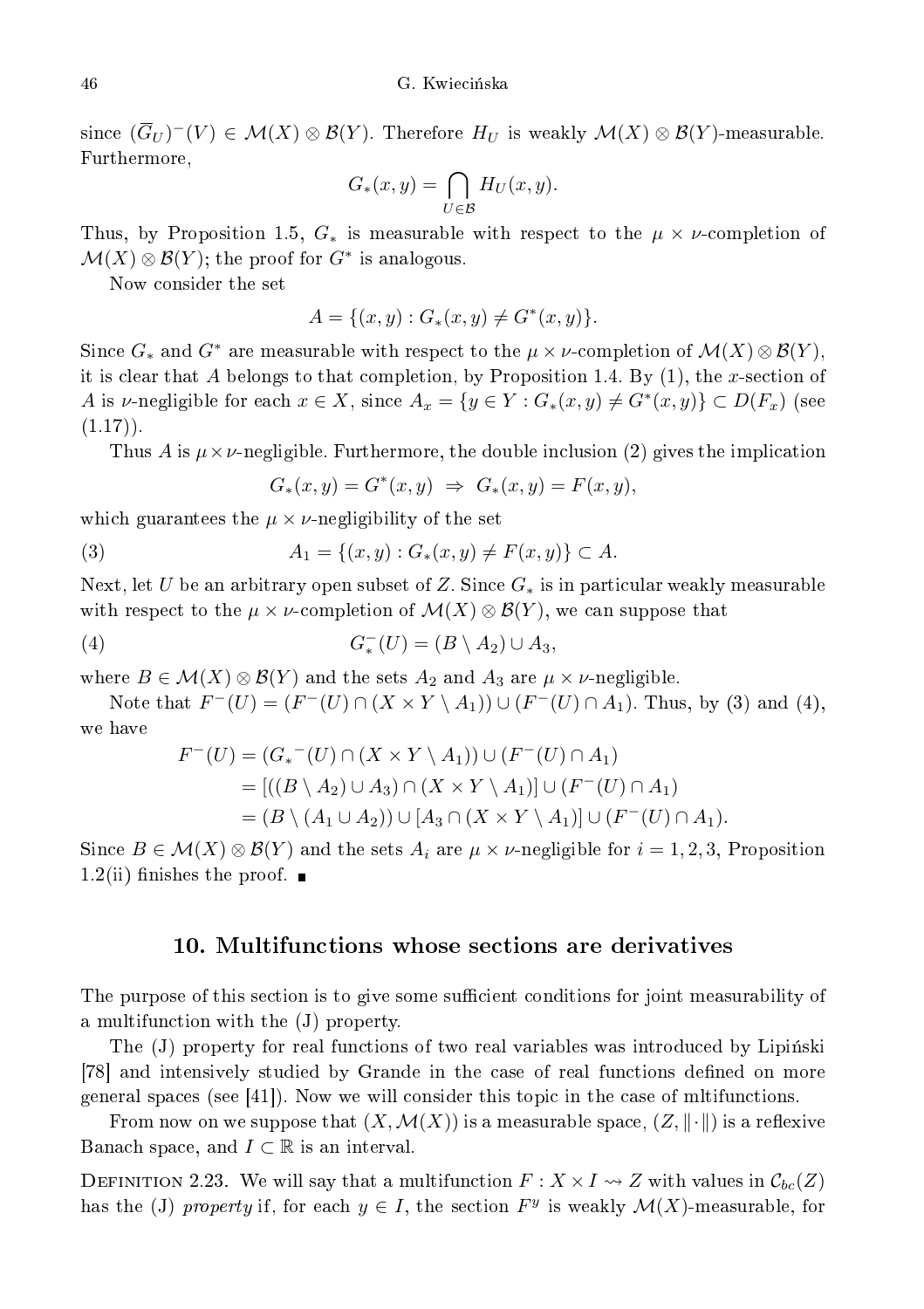since  $(\overline{G}_U)^-(V) \in \mathcal{M}(X) \otimes \mathcal{B}(Y)$ . Therefore  $H_U$  is weakly  $\mathcal{M}(X) \otimes \mathcal{B}(Y)$ -measurable. Furthermore,

$$
G_*(x, y) = \bigcap_{U \in \mathcal{B}} H_U(x, y).
$$

Thus, by Proposition 1.5,  $G_*$  is measurable with respect to the  $\mu \times \nu$ -completion of  $\mathcal{M}(X) \otimes \mathcal{B}(Y)$ ; the proof for  $G^*$  is analogous.

Now onsider the set

$$
A = \{(x, y) : G_*(x, y) \neq G^*(x, y)\}.
$$

Since  $G_*$  and  $G^*$  are measurable with respect to the  $\mu \times \nu$ -completion of  $\mathcal{M}(X) \otimes \mathcal{B}(Y)$ , it is clear that A belongs to that completion, by Proposition 1.4. By  $(1)$ , the x-section of A is v-negligible for each  $x \in X$ , since  $A_x = \{y \in Y : G_*(x, y) \neq G^*(x, y)\} \subset D(F_x)$  (see  $(1.17)$ .

Thus A is  $\mu \times \nu$ -negligible. Furthermore, the double inclusion (2) gives the implication

 $G_*(x, y) = G^*(x, y) \Rightarrow G_*(x, y) = F(x, y),$ 

which guarantees the  $\mu \times \nu$ -negligibility of the set

(3) 
$$
A_1 = \{(x, y) : G_*(x, y) \neq F(x, y)\} \subset A.
$$

Next, let U be an arbitrary open subset of Z. Since  $G_*$  is in particular weakly measurable with respect to the  $\mu \times \nu$ -completion of  $\mathcal{M}(X) \otimes \mathcal{B}(Y)$ , we can suppose that

(4) 
$$
G_*^-(U) = (B \setminus A_2) \cup A_3,
$$

where  $B \in \mathcal{M}(X) \otimes \mathcal{B}(Y)$  and the sets  $A_2$  and  $A_3$  are  $\mu \times \nu$ -negligible.

Note that  $F^{-}(U) = (F^{-}(U) \cap (X \times Y \setminus A_1)) \cup (F^{-}(U) \cap A_1)$ . Thus, by (3) and (4), we have

$$
F^{-}(U) = (G_{*}^{-}(U) \cap (X \times Y \setminus A_{1})) \cup (F^{-}(U) \cap A_{1})
$$
  
= 
$$
[((B \setminus A_{2}) \cup A_{3}) \cap (X \times Y \setminus A_{1})] \cup (F^{-}(U) \cap A_{1})
$$
  
= 
$$
(B \setminus (A_{1} \cup A_{2})) \cup [A_{3} \cap (X \times Y \setminus A_{1})] \cup (F^{-}(U) \cap A_{1}).
$$

Since  $B \in \mathcal{M}(X) \otimes \mathcal{B}(Y)$  and the sets  $A_i$  are  $\mu \times \nu$ -negligible for  $i = 1, 2, 3$ , Proposition 1.2(ii) finishes the proof.  $\blacksquare$ 

#### 10. Multifun
tions whose se
tions are derivatives

The purpose of this section is to give some sufficient conditions for joint measurability of a multifun
tion with the (J) property.

The (J) property for real functions of two real variables was introduced by Lipinski [78] and intensively studied by Grande in the case of real functions defined on more general spaces (see  $[41]$ ). Now we will consider this topic in the case of militanctions.

From now on we suppose that  $(X, \mathcal{M}(X))$  is a measurable space,  $(Z, \|\cdot\|)$  is a reflexive Banach space, and  $I \subset \mathbb{R}$  is an interval.

DEFINITION 2.23. We will say that a multifunction  $F: X \times I \rightsquigarrow Z$  with values in  $\mathcal{C}_{bc}(Z)$ has the (J) property if, for each  $y \in I$ , the section  $F<sup>y</sup>$  is weakly  $\mathcal{M}(X)$ -measurable, for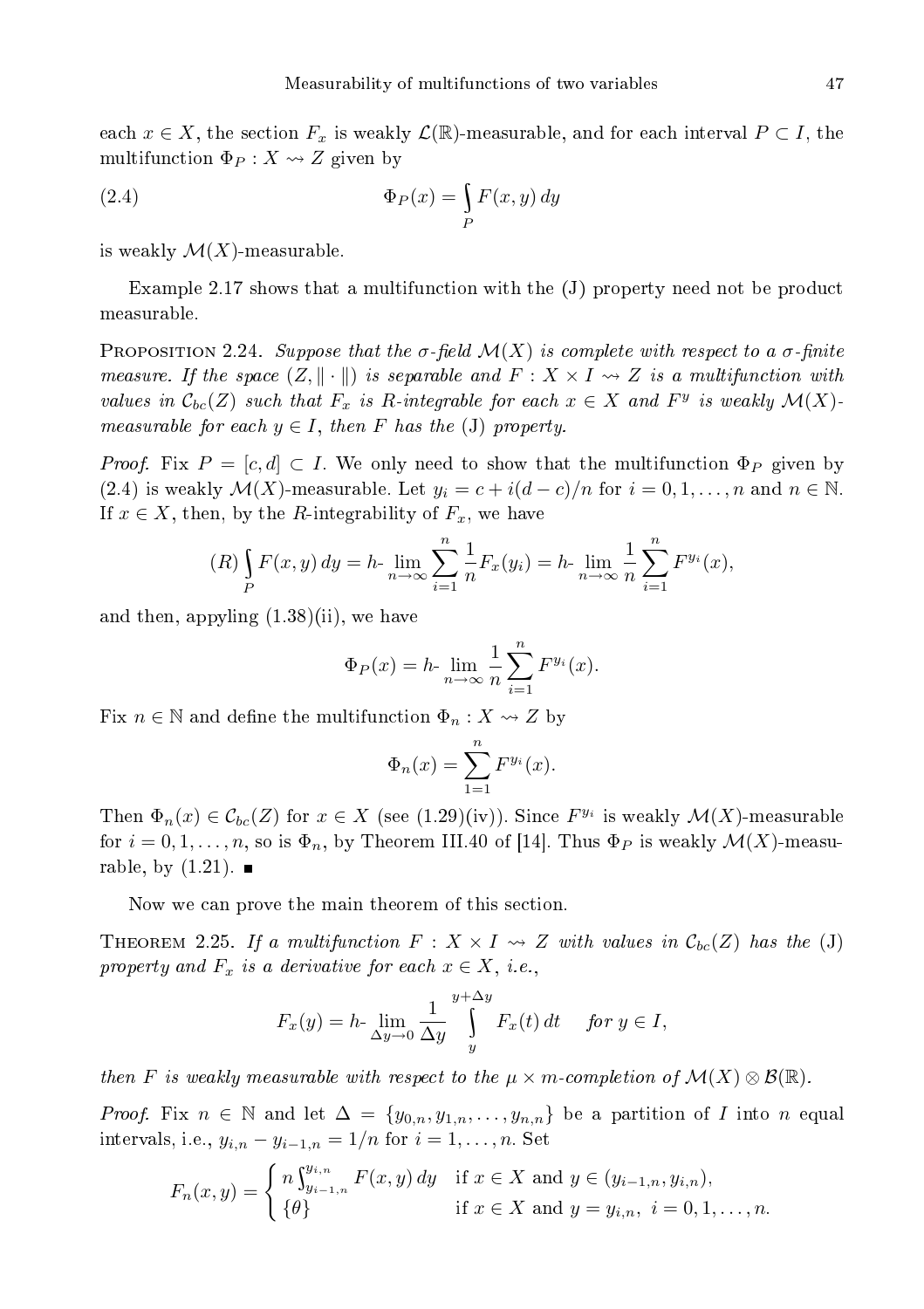each  $x \in X$ , the section  $F_x$  is weakly  $\mathcal{L}(\mathbb{R})$ -measurable, and for each interval  $P \subset I$ , the multifunction  $\Phi_P: X \rightsquigarrow Z$  given by

(2.4) 
$$
\Phi_P(x) = \int_P F(x, y) dy
$$

is weakly  $\mathcal{M}(X)$ -measurable.

Example 2.17 shows that a multifunction with the  $(J)$  property need not be product measurable.

PROPOSITION 2.24. Suppose that the  $\sigma$ -field  $\mathcal{M}(X)$  is complete with respect to a  $\sigma$ -finite measure. If the space  $(Z, \|\cdot\|)$  is separable and  $F : X \times I \rightarrow Z$  is a multifunction with values in  $\mathcal{C}_{bc}(Z)$  such that  $F_x$  is R-integrable for each  $x \in X$  and  $F^y$  is weakly  $\mathcal{M}(X)$ . measurable for each  $y \in I$ , then F has the (J) property.

*Proof.* Fix  $P = [c, d] \subset I$ . We only need to show that the multifunction  $\Phi_P$  given by (2.4) is weakly  $\mathcal{M}(X)$ -measurable. Let  $y_i = c + i(d-c)/n$  for  $i = 0, 1, ..., n$  and  $n \in \mathbb{N}$ . If  $x \in X$ , then, by the R-integrability of  $F_x$ , we have

$$
(R)\int_{P} F(x, y) dy = h \cdot \lim_{n \to \infty} \sum_{i=1}^{n} \frac{1}{n} F_x(y_i) = h \cdot \lim_{n \to \infty} \frac{1}{n} \sum_{i=1}^{n} F^{y_i}(x),
$$

and then, appyling (1.38)(ii), we have

$$
\Phi_P(x) = h \cdot \lim_{n \to \infty} \frac{1}{n} \sum_{i=1}^n F^{y_i}(x).
$$

Fix  $n \in \mathbb{N}$  and define the multifunction  $\Phi_n: X \rightsquigarrow Z$  by

$$
\Phi_n(x) = \sum_{1=1}^n F^{y_i}(x).
$$

Then  $\Phi_n(x) \in \mathcal{C}_{bc}(Z)$  for  $x \in X$  (see (1.29)(iv)). Since  $F^{y_i}$  is weakly  $\mathcal{M}(X)$ -measurable for  $i = 0, 1, \ldots, n$ , so is  $\Phi_n$ , by Theorem III.40 of [14]. Thus  $\Phi_P$  is weakly  $\mathcal{M}(X)$ -measurable, by  $(1.21)$ .

Now we can prove the main theorem of this section.

THEOREM 2.25. If a multifunction  $F: X \times I \rightsquigarrow Z$  with values in  $\mathcal{C}_{bc}(Z)$  has the (J) property and  $F_x$  is a derivative for each  $x \in X$ , i.e.,

$$
F_x(y) = h \cdot \lim_{\Delta y \to 0} \frac{1}{\Delta y} \int_{y}^{y + \Delta y} F_x(t) dt \quad \text{for } y \in I,
$$

then F is weakly measurable with respect to the  $\mu \times m$ -completion of  $\mathcal{M}(X) \otimes \mathcal{B}(\mathbb{R})$ .

*Proof.* Fix  $n \in \mathbb{N}$  and let  $\Delta = \{y_{0,n}, y_{1,n}, \ldots, y_{n,n}\}\$  be a partition of I into n equal intervals, i.e.,  $y_{i,n} - y_{i-1,n} = 1/n$  for  $i = 1, ..., n$ . Set

$$
F_n(x,y) = \begin{cases} n \int_{y_{i-1,n}}^{y_{i,n}} F(x,y) \, dy & \text{if } x \in X \text{ and } y \in (y_{i-1,n}, y_{i,n}), \\ \{ \theta \} & \text{if } x \in X \text{ and } y = y_{i,n}, \ i = 0, 1, \dots, n. \end{cases}
$$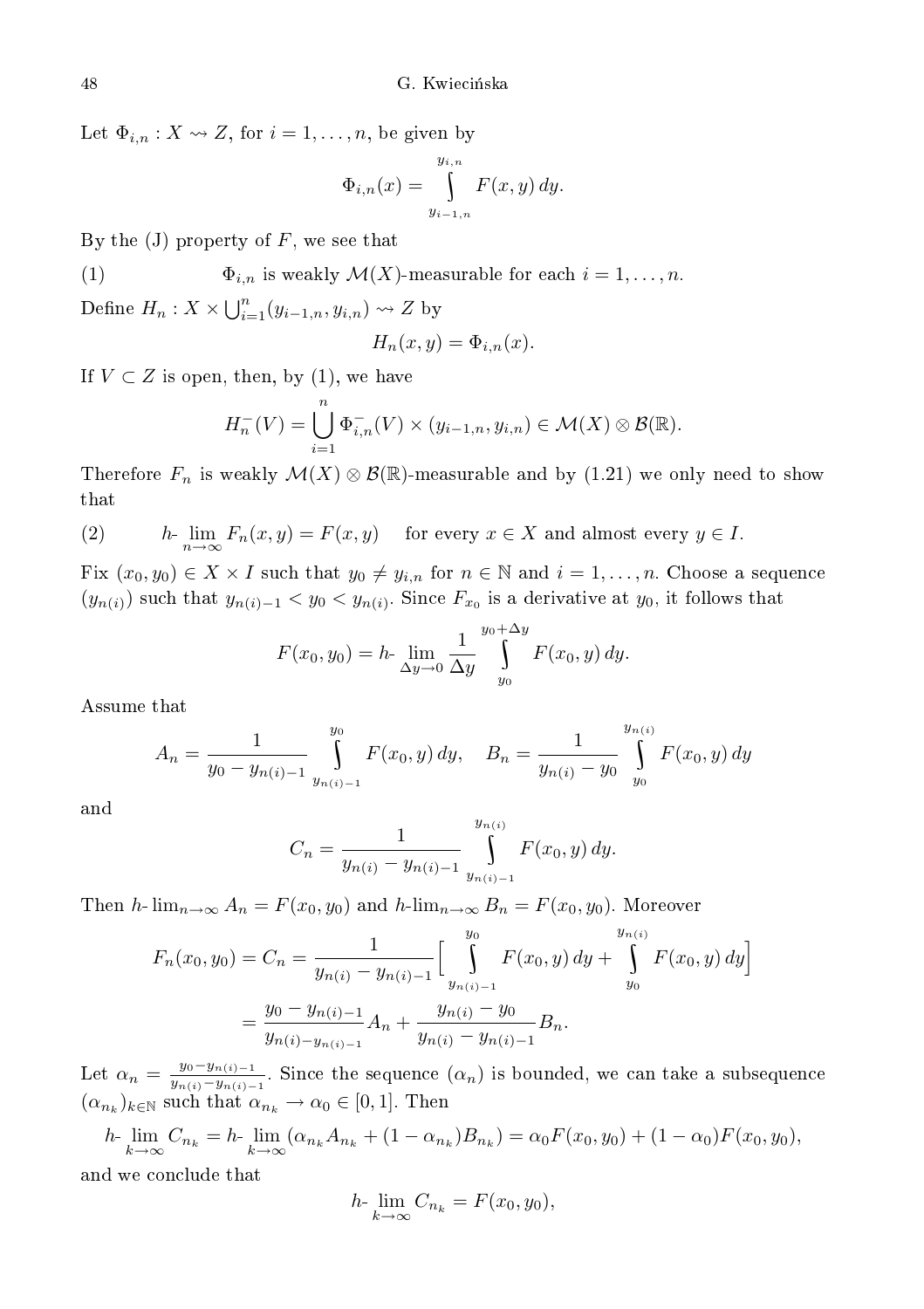Let  $\Phi_{i,n}: X \rightsquigarrow Z$ , for  $i = 1, \ldots, n$ , be given by

$$
\Phi_{i,n}(x) = \int\limits_{y_{i-1,n}}^{y_{i,n}} F(x,y) \, dy.
$$

By the  $(J)$  property of  $F$ , we see that

(1) 
$$
\Phi_{i,n} \text{ is weakly } \mathcal{M}(X) \text{-measurable for each } i = 1,\ldots,n.
$$

Define  $H_n: X \times \bigcup_{i=1}^n (y_{i-1,n}, y_{i,n}) \rightsquigarrow Z$  by

$$
H_n(x, y) = \Phi_{i,n}(x).
$$

If  $V \subset Z$  is open, then, by (1), we have

$$
H_n^-(V) = \bigcup_{i=1}^n \Phi_{i,n}^-(V) \times (y_{i-1,n}, y_{i,n}) \in \mathcal{M}(X) \otimes \mathcal{B}(\mathbb{R}).
$$

Therefore  $F_n$  is weakly  $\mathcal{M}(X) \otimes \mathcal{B}(\mathbb{R})$ -measurable and by  $(1.21)$  we only need to show  $_{\rm that}$ 

(2) 
$$
h \cdot \lim_{n \to \infty} F_n(x, y) = F(x, y) \quad \text{for every } x \in X \text{ and almost every } y \in I.
$$

Fix  $(x_0, y_0) \in X \times I$  such that  $y_0 \neq y_{i,n}$  for  $n \in \mathbb{N}$  and  $i = 1, \ldots, n$ . Choose a sequence  $(y_{n(i)})$  such that  $y_{n(i)-1} < y_0 < y_{n(i)}$ . Since  $F_{x_0}$  is a derivative at  $y_0$ , it follows that

$$
F(x_0, y_0) = h \cdot \lim_{\Delta y \to 0} \frac{1}{\Delta y} \int_{y_0}^{y_0 + \Delta y} F(x_0, y) \, dy.
$$

Assume that

$$
A_n = \frac{1}{y_0 - y_{n(i)-1}} \int_{y_{n(i)-1}}^{y_0} F(x_0, y) dy, \quad B_n = \frac{1}{y_{n(i)} - y_0} \int_{y_0}^{y_{n(i)}} F(x_0, y) dy
$$

and

$$
C_n = \frac{1}{y_{n(i)} - y_{n(i)-1}} \int_{y_{n(i)-1}}^{y_{n(i)}} F(x_0, y) dy.
$$

Then h-  $\lim_{n\to\infty} A_n = F(x_0, y_0)$  and h- $\lim_{n\to\infty} B_n = F(x_0, y_0)$ . Moreover

$$
F_n(x_0, y_0) = C_n = \frac{1}{y_{n(i)} - y_{n(i)-1}} \Big[ \int_{y_{n(i)-1}}^{y_0} F(x_0, y) dy + \int_{y_0}^{y_{n(i)}} F(x_0, y) dy \Big]
$$
  
= 
$$
\frac{y_0 - y_{n(i)-1}}{y_{n(i)-y_{n(i)-1}}} A_n + \frac{y_{n(i)} - y_0}{y_{n(i)} - y_{n(i)-1}} B_n.
$$

Let  $\alpha_n = \frac{y_0 - y_{n(i)-1}}{y_{n(i)} - y_{n(i)}}$  $\frac{y_0 - y_{n(i)-1}}{y_{n(i)} - y_{n(i)-1}}$ . Since the sequence  $(\alpha_n)$  is bounded, we can take a subsequence  $(\alpha_{n_k})_{k \in \mathbb{N}}$  such that  $\alpha_{n_k} \to \alpha_0 \in [0,1]$ . Then

 $h$ -  $\lim_{k \to \infty} C_{n_k} = h$ -  $\lim_{k \to \infty} (\alpha_{n_k} A_{n_k} + (1 - \alpha_{n_k}) B_{n_k}) = \alpha_0 F(x_0, y_0) + (1 - \alpha_0) F(x_0, y_0),$ 

and we on
lude that

$$
h \lim_{k \to \infty} C_{n_k} = F(x_0, y_0),
$$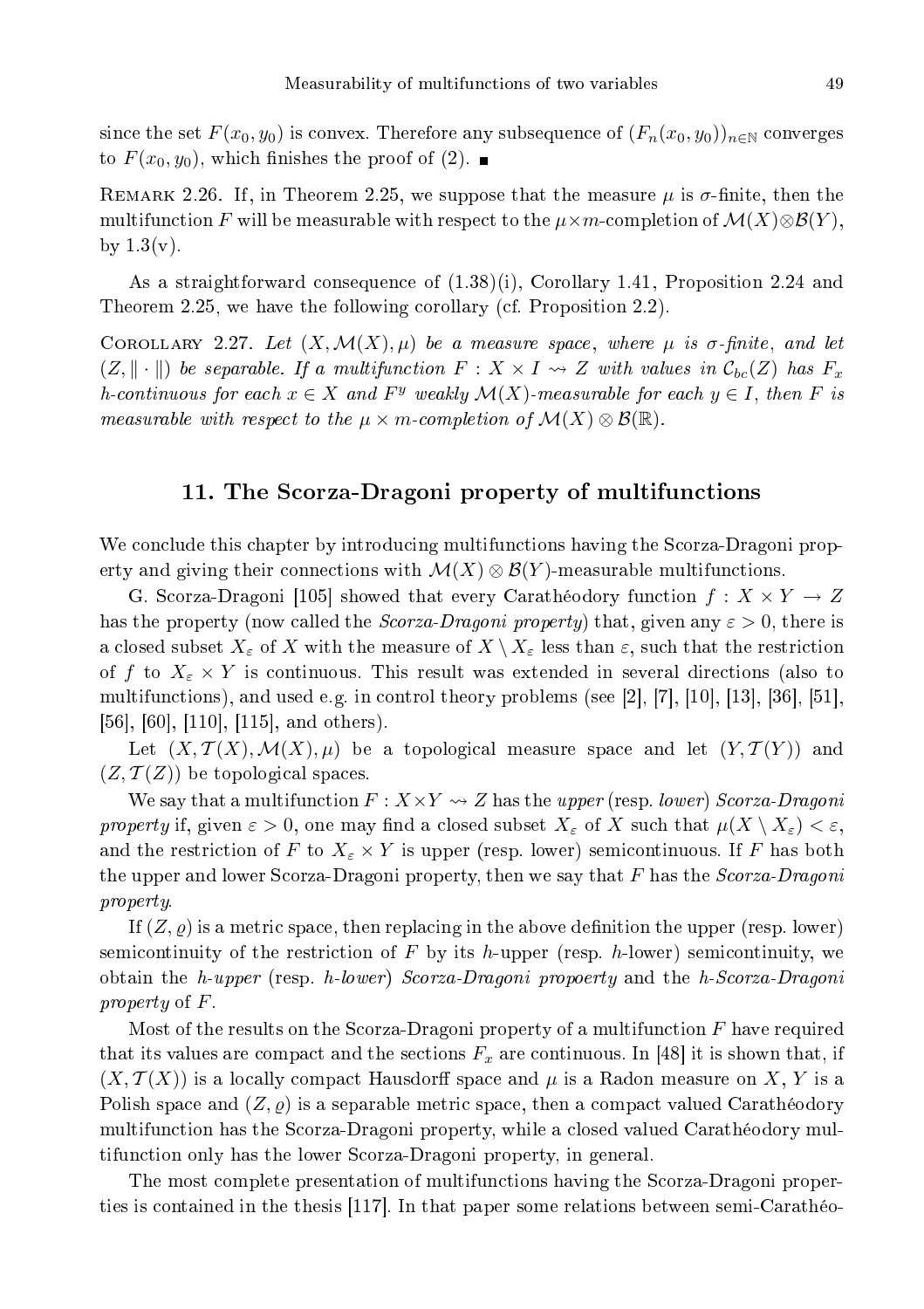since the set  $F(x_0, y_0)$  is convex. Therefore any subsequence of  $(F_n(x_0, y_0))_{n \in \mathbb{N}}$  converges to  $F(x_0, y_0)$ , which finishes the proof of (2).

REMARK 2.26. If, in Theorem 2.25, we suppose that the measure  $\mu$  is  $\sigma$ -finite, then the multifunction F will be measurable with respect to the  $\mu \times m$ -completion of  $\mathcal{M}(X) \otimes \mathcal{B}(Y)$ , by  $1.3(v)$ .

As a straightforward consequence of  $(1.38)(i)$ , Corollary 1.41, Proposition 2.24 and Theorem 2.25, we have the following corollary (cf. Proposition 2.2).

COROLLARY 2.27. Let  $(X, \mathcal{M}(X), \mu)$  be a measure space, where  $\mu$  is  $\sigma$ -finite, and let  $(Z, \|\cdot\|)$  be separable. If a multifunction  $F : X \times I \rightsquigarrow Z$  with values in  $\mathcal{C}_{bc}(Z)$  has  $F_x$ h-continuous for each  $x \in X$  and  $F^y$  weakly  $\mathcal{M}(X)$ -measurable for each  $y \in I$ , then F is measurable with respect to the  $\mu \times m$ -completion of  $\mathcal{M}(X) \otimes \mathcal{B}(\mathbb{R})$ .

### 11. The S
orza-Dragoni property of multifun
tions

We conclude this chapter by introducing multifunctions having the Scorza-Dragoni property and giving their connections with  $\mathcal{M}(X) \otimes \mathcal{B}(Y)$ -measurable multifunctions.

G. Scorza-Dragoni [105] showed that every Carathéodory function  $f : X \times Y \to Z$ has the property (now called the *Scorza-Dragoni property*) that, given any  $\varepsilon > 0$ , there is a closed subset  $X_{\varepsilon}$  of X with the measure of  $X \setminus X_{\varepsilon}$  less than  $\varepsilon$ , such that the restriction of f to  $X_{\varepsilon} \times Y$  is continuous. This result was extended in several directions (also to multifunctions), and used e.g. in control theory problems (see [2,  $|7|$ , [10], [13], [36], [51],  $[56]$ ,  $[60]$ ,  $[110]$ ,  $[115]$ , and others).

Let  $(X, \mathcal{T}(X), \mathcal{M}(X), \mu)$  be a topological measure space and let  $(Y, \mathcal{T}(Y))$  and  $(Z, \mathcal{T}(Z))$  be topological spaces.

We say that a multifunction  $F: X \times Y \rightarrow Z$  has the upper (resp. lower) Scorza-Dragoni property if, given  $\varepsilon > 0$ , one may find a closed subset  $X_{\varepsilon}$  of X such that  $\mu(X \setminus X_{\varepsilon}) < \varepsilon$ , and the restriction of F to  $X_\varepsilon \times Y$  is upper (resp. lower) semicontinuous. If F has both the upper and lower Scorza-Dragoni property, then we say that  $F$  has the  $Scorza-Dragoni$ property.

If  $(Z, \varrho)$  is a metric space, then replacing in the above definition the upper (resp. lower) semicontinuity of the restriction of  $F$  by its h-upper (resp. h-lower) semicontinuity, we obtain the h-upper (resp. h-lower) Scorza-Dragoni propoerty and the h-Scorza-Dragoni property of F.

Most of the results on the Scorza-Dragoni property of a multifunction  $F$  have required that its values are compact and the sections  $F_x$  are continuous. In [48] it is shown that, if  $(X, \mathcal{T}(X))$  is a locally compact Hausdorff space and  $\mu$  is a Radon measure on X, Y is a Polish space and  $(Z, \varrho)$  is a separable metric space, then a compact valued Carathéodory multifunction has the Scorza-Dragoni property, while a closed valued Carathéodory multifun
tion only has the lower S
orza-Dragoni property, in general.

The most omplete presentation of multifun
tions having the S
orza-Dragoni properties is contained in the thesis  $[117]$ . In that paper some relations between semi-Carathéo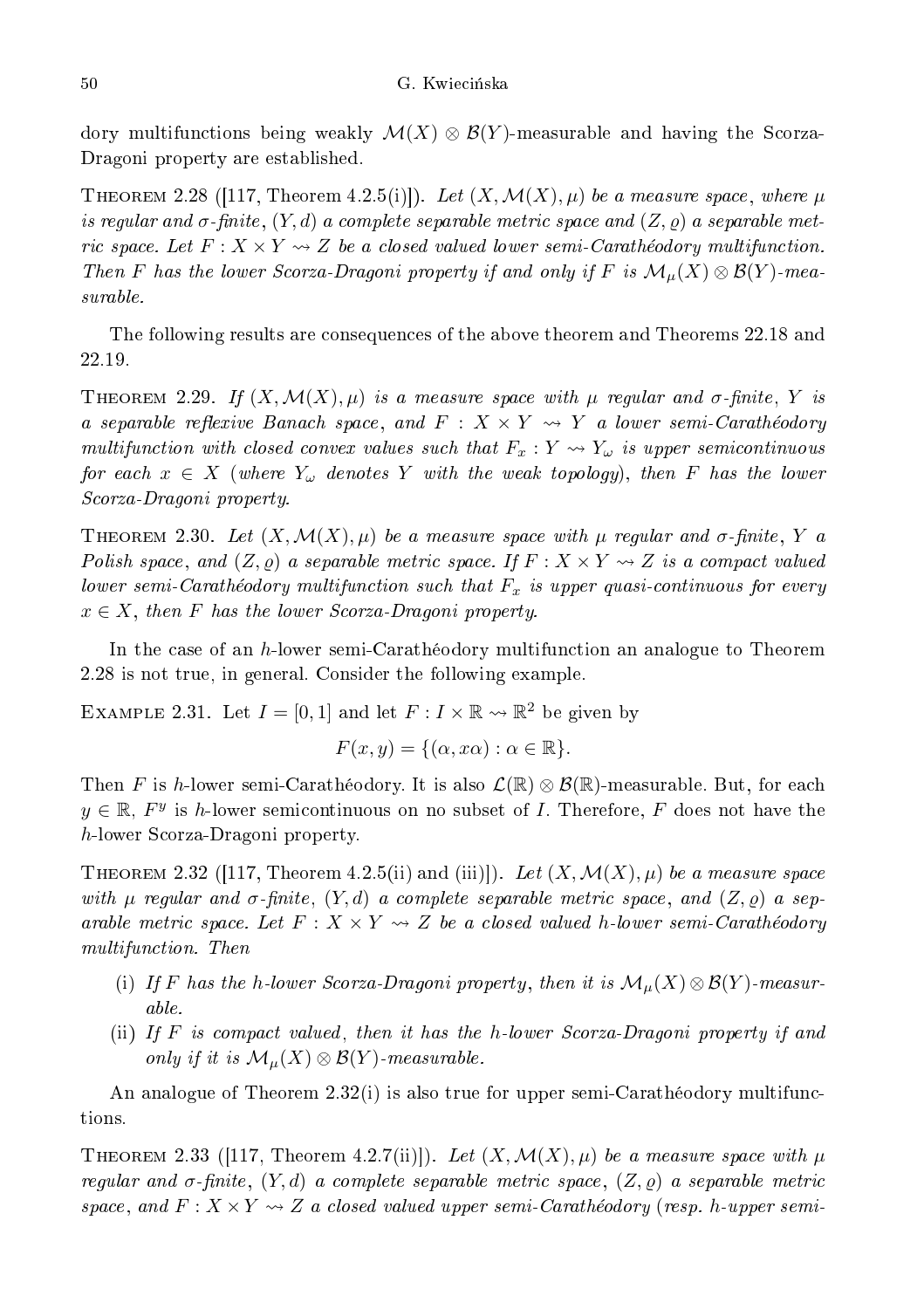dory multifunctions being weakly  $\mathcal{M}(X) \otimes \mathcal{B}(Y)$ -measurable and having the Scorza-Dragoni property are established.

THEOREM 2.28 ([117, Theorem 4.2.5(i)]). Let  $(X, \mathcal{M}(X), \mu)$  be a measure space, where  $\mu$ is regular and  $\sigma\text{-finite},\,(Y,d)$  a complete separable metric space and  $(Z,\varrho)$  a separable metric space. Let  $F: X \times Y \rightarrow Z$  be a closed valued lower semi-Carathéodory multifunction. Then F has the lower Scorza-Dragoni property if and only if F is  $\mathcal{M}_{\mu}(X) \otimes \mathcal{B}(Y)$ -measurable.

The following results are onsequen
es of the above theorem and Theorems 22.18 and

THEOREM 2.29. If  $(X, \mathcal{M}(X), \mu)$  is a measure space with  $\mu$  regular and  $\sigma$ -finite, Y is a separable reflexive Banach space, and  $F : X \times Y \rightsquigarrow Y$  a lower semi-Carathéodory multifunction with closed convex values such that  $F_x: Y \rightsquigarrow Y_\omega$  is upper semicontinuous for each  $x~\in~X$  (where  $Y_\omega$  denotes  $Y$  with the weak topology), then  $F$  has the lower S
orza-Dragoni property.

THEOREM 2.30. Let  $(X, \mathcal{M}(X), \mu)$  be a measure space with  $\mu$  regular and  $\sigma$ -finite, Y a Polish space, and  $(Z, \varrho)$  a separable metric space. If  $F: X \times Y \rightarrow Z$  is a compact valued lower semi-Carathéodory multifunction such that  $F_x$  is upper quasi-continuous for every  $x \in X$ , then F has the lower Scorza-Dragoni property.

In the case of an h-lower semi-Carathéodory multifunction an analogue to Theorem 2.28 is not true, in general. Consider the following example.

EXAMPLE 2.31. Let  $I = [0,1]$  and let  $F: I \times \mathbb{R} \rightarrow \mathbb{R}^2$  be given by

$$
F(x, y) = \{(\alpha, x\alpha) : \alpha \in \mathbb{R}\}.
$$

Then F is h-lower semi-Carathéodory. It is also  $\mathcal{L}(\mathbb{R}) \otimes \mathcal{B}(\mathbb{R})$ -measurable. But, for each  $y \in \mathbb{R}$ ,  $F^y$  is h-lower semicontinuous on no subset of I. Therefore, F does not have the h-lower S
orza-Dragoni property.

THEOREM 2.32 ([117, Theorem 4.2.5(ii) and (iii)]). Let  $(X, \mathcal{M}(X), \mu)$  be a measure space with  $\mu$  regular and  $\sigma$ -finite,  $(Y,d)$  a complete separable metric space, and  $(Z,\varrho)$  a separable metric space. Let  $F: X \times Y \rightarrow Z$  be a closed valued h-lower semi-Carathéodory multifun
tion. Then

- (i) If F has the h-lower Scorza-Dragoni property, then it is  $\mathcal{M}_{\mu}(X) \otimes \mathcal{B}(Y)$ -measurable.
- (ii) If  $F$  is compact valued, then it has the h-lower Scorza-Dragoni property if and only if it is  $\mathcal{M}_{\mu}(X) \otimes \mathcal{B}(Y)$ -measurable.

An analogue of Theorem 2.32(i) is also true for upper semi-Carathéodory multifunctions.

THEOREM 2.33 ([117, Theorem 4.2.7(ii)]). Let  $(X, \mathcal{M}(X), \mu)$  be a measure space with  $\mu$ regular and  $\sigma$ -finite,  $(Y,d)$  a complete separable metric space,  $(Z,\varrho)$  a separable metric space, and  $F: X \times Y \rightarrow Z$  a closed valued upper semi-Carathéodory (resp. h-upper semi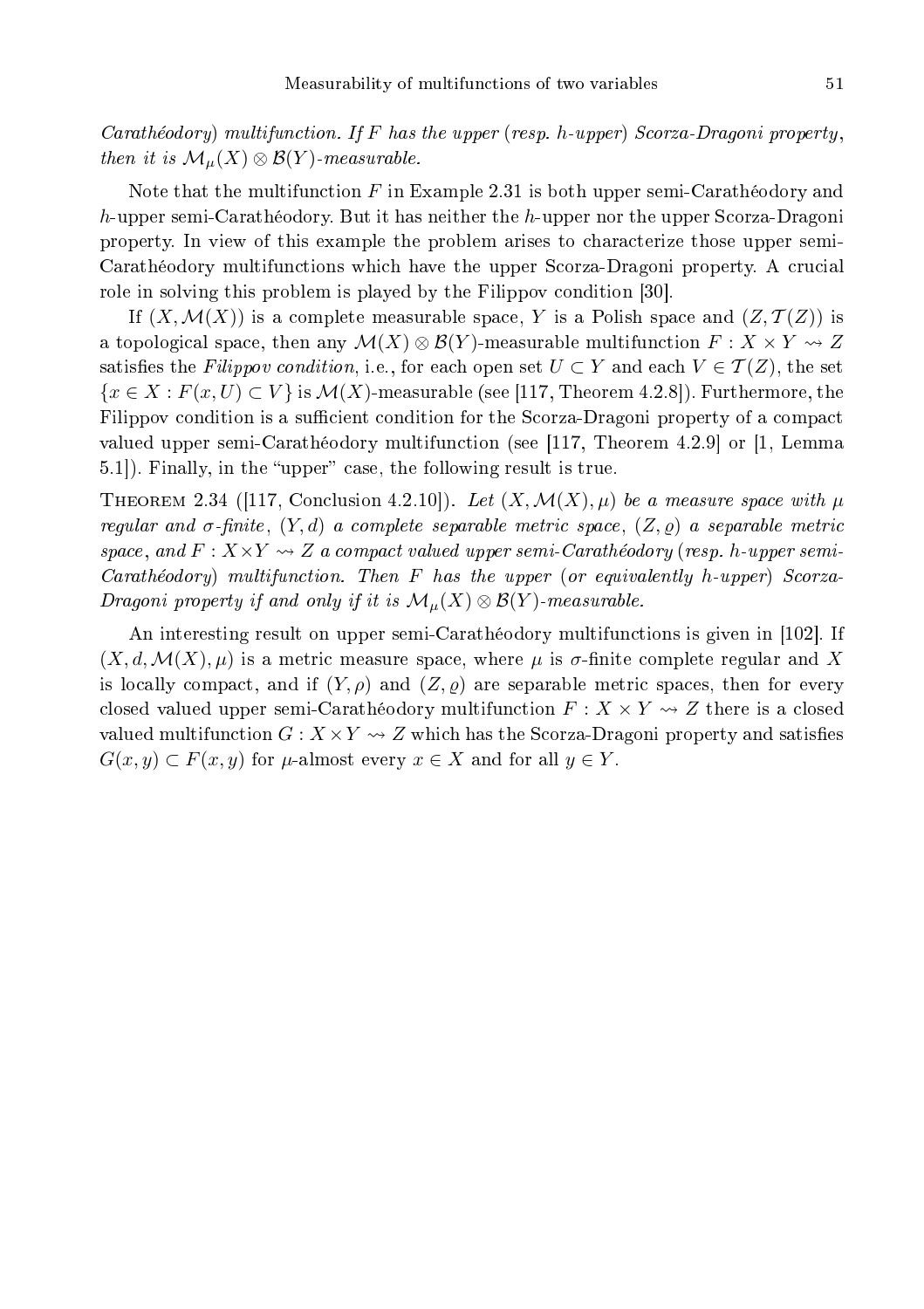Carathéodory) multifunction. If F has the upper (resp. h-upper) Scorza-Dragoni property, then it is  $\mathcal{M}_{\mu}(X) \otimes \mathcal{B}(Y)$ -measurable.

Note that the multifunction  $F$  in Example 2.31 is both upper semi-Carathéodory and h-upper semi-Carathéodory. But it has neither the h-upper nor the upper Scorza-Dragoni property. In view of this example the problem arises to hara
terize those upper semi-Carathéodory multifunctions which have the upper Scorza-Dragoni property. A crucial role in solving this problem is played by the Filippov condition [30].

If  $(X, \mathcal{M}(X))$  is a complete measurable space, Y is a Polish space and  $(Z, \mathcal{T}(Z))$  is a topological space, then any  $\mathcal{M}(X) \otimes \mathcal{B}(Y)$ -measurable multifunction  $F: X \times Y \rightsquigarrow Z$ satisfies the Filippov condition, i.e., for each open set  $U \subset Y$  and each  $V \in \mathcal{T}(Z)$ , the set  ${x \in X : F(x, U) \subset V}$  is  $\mathcal{M}(X)$ -measurable (see [117, Theorem 4.2.8]). Furthermore, the Filippov condition is a sufficient condition for the Scorza-Dragoni property of a compact valued upper semi-Carathéodory multifunction (see [117, Theorem 4.2.9] or [1, Lemma 5.1.). Finally, in the "upper" case, the following result is true.

THEOREM 2.34 ([117, Conclusion 4.2.10]). Let  $(X, \mathcal{M}(X), \mu)$  be a measure space with  $\mu$ regular and  $\sigma$ -finite,  $(Y, d)$  a complete separable metric space,  $(Z, \varrho)$  a separable metric space, and  $F: X \times Y \rightarrow Z$  a compact valued upper semi-Carathéodory (resp. h-upper semi-Carathéodory) multifunction. Then F has the upper (or equivalently h-upper) Scorza-Dragoni property if and only if it is  $\mathcal{M}_\mu(X)\otimes\mathcal{B}(Y)$ -measurable.

An interesting result on upper semi-Carathéodory multifunctions is given in [102]. If  $(X, d, \mathcal{M}(X), \mu)$  is a metric measure space, where  $\mu$  is  $\sigma$ -finite complete regular and X is locally compact, and if  $(Y, \rho)$  and  $(Z, \rho)$  are separable metric spaces, then for every closed valued upper semi-Carathéodory multifunction  $F: X \times Y \rightarrow Z$  there is a closed valued multifunction  $G: X \times Y \longrightarrow Z$  which has the Scorza-Dragoni property and satisfies  $G(x, y) \subset F(x, y)$  for  $\mu$ -almost every  $x \in X$  and for all  $y \in Y$ .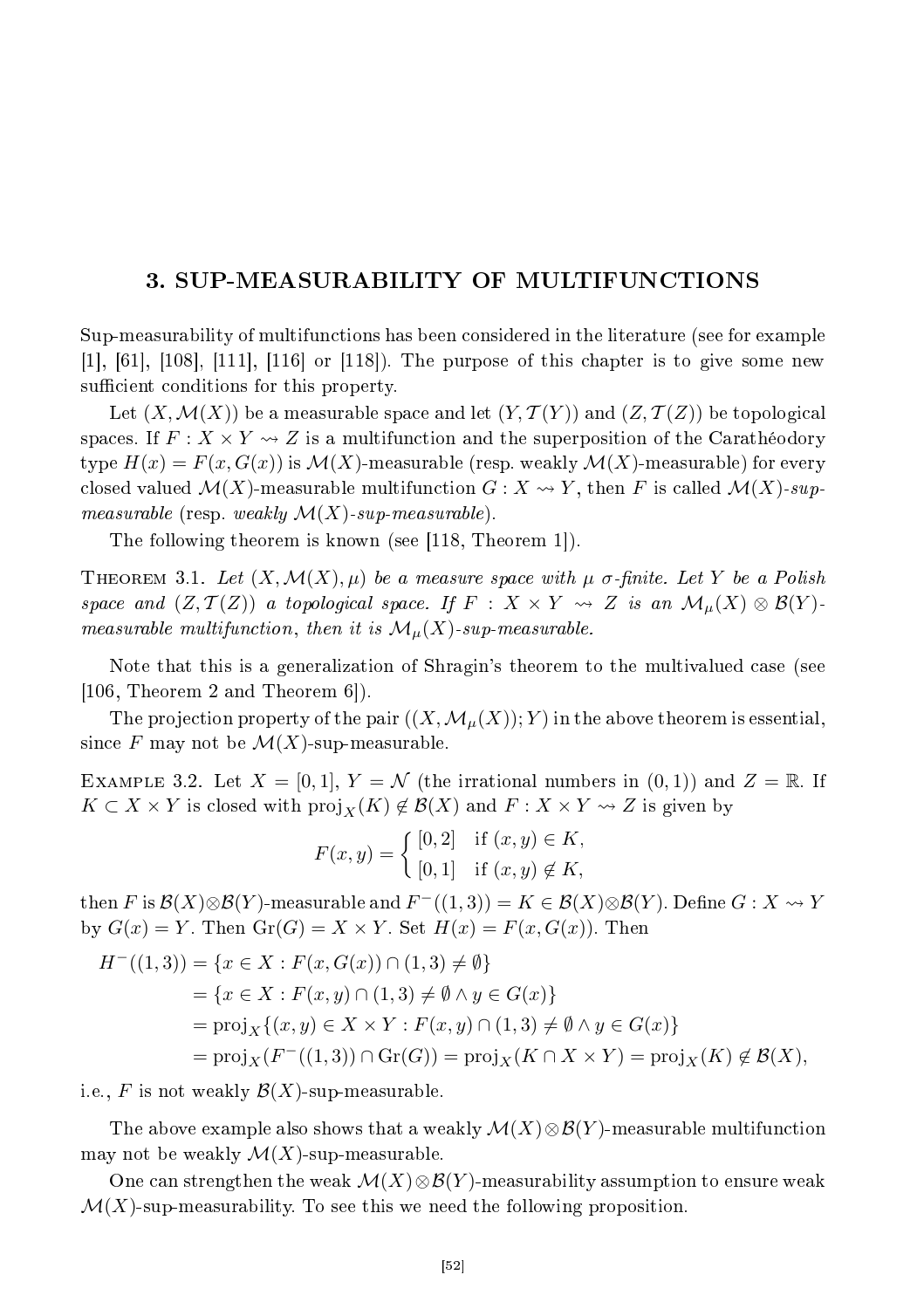## 3. SUP-MEASURABILITY OF MULTIFUNCTIONS

Sup-measurability of multifun
tions has been onsidered in the literature (see for example  $[1], [61], [108], [111], [116]$  or  $[118]$ . The purpose of this chapter is to give some new sufficient conditions for this property.

Let  $(X, \mathcal{M}(X))$  be a measurable space and let  $(Y, \mathcal{T}(Y))$  and  $(Z, \mathcal{T}(Z))$  be topological spaces. If  $F: X \times Y \rightsquigarrow Z$  is a multifunction and the superposition of the Carathéodory type  $H(x) = F(x, G(x))$  is  $\mathcal{M}(X)$ -measurable (resp. weakly  $\mathcal{M}(X)$ -measurable) for every closed valued  $\mathcal{M}(X)$ -measurable multifunction  $G: X \rightsquigarrow Y$ , then F is called  $\mathcal{M}(X)$ -supmeasurable (resp. weakly  $\mathcal{M}(X)$ -sup-measurable).

The following theorem is known (see  $|118$ , Theorem 1.).

THEOREM 3.1. Let  $(X, \mathcal{M}(X), \mu)$  be a measure space with  $\mu$  σ-finite. Let Y be a Polish space and  $(Z, \mathcal{T}(Z))$  a topological space. If  $F : X \times Y \rightsquigarrow Z$  is an  $\mathcal{M}_{\mu}(X) \otimes \mathcal{B}(Y)$ . measurable multifunction, then it is  $\mathcal{M}_{\mu}(X)$ -sup-measurable.

Note that this is a generalization of Shragin's theorem to the multivalued ase (see  $[106,$  Theorem 2 and Theorem 6 $\vert$ ).

The projection property of the pair  $((X, \mathcal{M}_{\mu}(X); Y)$  in the above theorem is essential, since F may not be  $\mathcal{M}(X)$ -sup-measurable.

EXAMPLE 3.2. Let  $X = [0, 1], Y = \mathcal{N}$  (the irrational numbers in  $(0, 1)$ ) and  $Z = \mathbb{R}$ . If  $K \subset X \times Y$  is closed with  $\text{proj}_X(K) \notin \mathcal{B}(X)$  and  $F: X \times Y \rightsquigarrow Z$  is given by

$$
F(x, y) = \begin{cases} [0, 2] & \text{if } (x, y) \in K, \\ [0, 1] & \text{if } (x, y) \notin K, \end{cases}
$$

then F is  $\mathcal{B}(X)\otimes\mathcal{B}(Y)$ -measurable and  $F^-((1,3))=K\in\mathcal{B}(X)\otimes\mathcal{B}(Y)$ . Define  $G:X\rightsquigarrow Y$ by  $G(x) = Y$ . Then  $Gr(G) = X \times Y$ . Set  $H(x) = F(x, G(x))$ . Then

$$
H^{-}((1,3)) = \{x \in X : F(x, G(x)) \cap (1,3) \neq \emptyset\}
$$
  
=  $\{x \in X : F(x,y) \cap (1,3) \neq \emptyset \land y \in G(x)\}$   
=  $\text{proj}_X \{(x,y) \in X \times Y : F(x,y) \cap (1,3) \neq \emptyset \land y \in G(x)\}$   
=  $\text{proj}_X (F^{-}((1,3)) \cap \text{Gr}(G)) = \text{proj}_X (K \cap X \times Y) = \text{proj}_X (K) \notin \mathcal{B}(X),$ 

i.e., F is not weakly  $\mathcal{B}(X)$ -sup-measurable.

The above example also shows that a weakly  $\mathcal{M}(X)\otimes\mathcal{B}(Y)$ -measurable multifunction may not be weakly  $\mathcal{M}(X)$ -sup-measurable.

One can strengthen the weak  $\mathcal{M}(X)\otimes\mathcal{B}(Y)$ -measurability assumption to ensure weak  $\mathcal{M}(X)$ -sup-measurability. To see this we need the following proposition.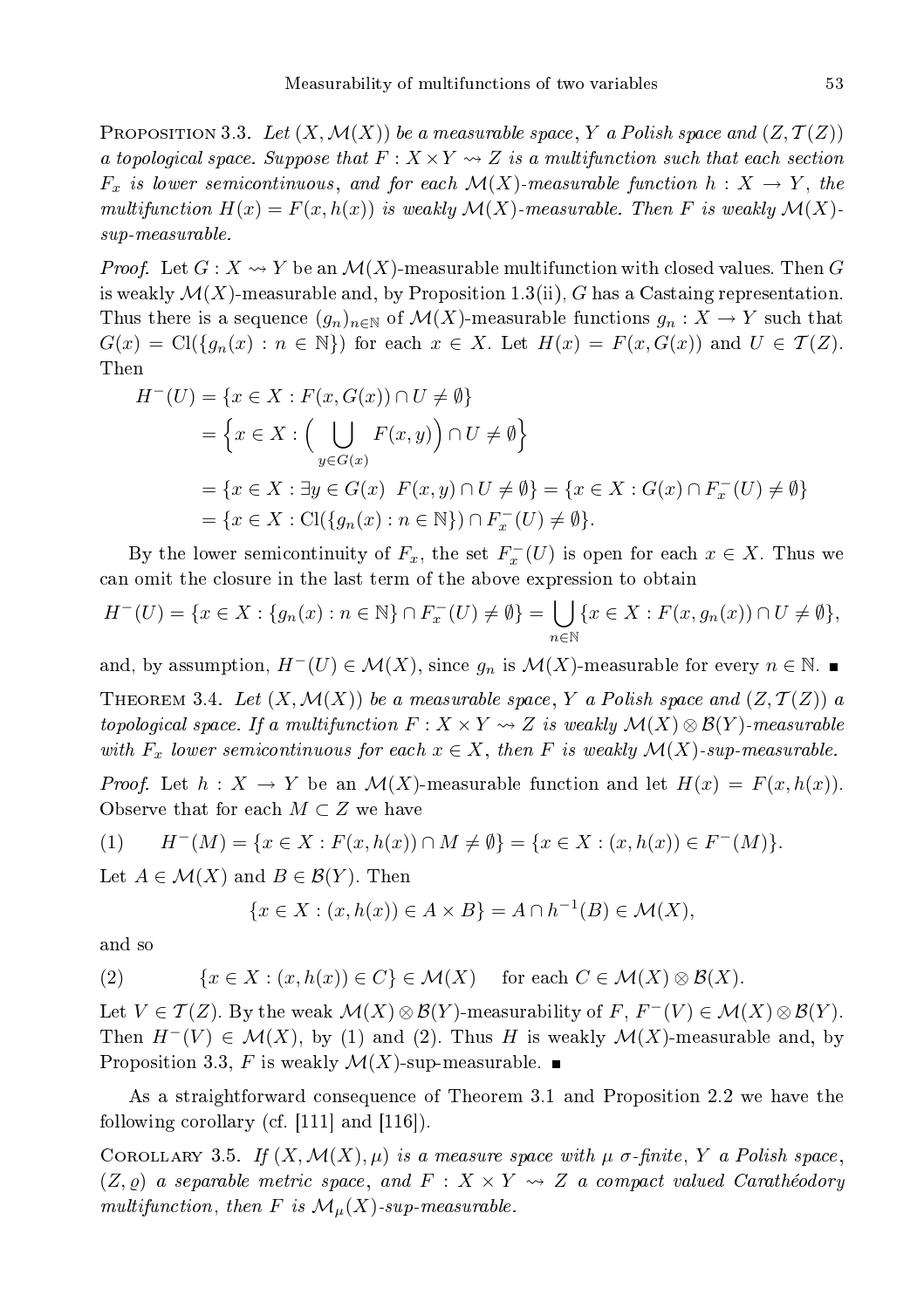**PROPOSITION 3.3.** Let  $(X, \mathcal{M}(X))$  be a measurable space, Y a Polish space and  $(Z, \mathcal{T}(Z))$ a topological space. Suppose that  $F: X \times Y \rightsquigarrow Z$  is a multifunction such that each section  $F_x$  is lower semicontinuous, and for each  $\mathcal{M}(X)$ -measurable function  $h: X \to Y$ , the multifunction  $H(x) = F(x, h(x))$  is weakly  $\mathcal{M}(X)$ -measurable. Then F is weakly  $\mathcal{M}(X)$ sup-measurable.

*Proof.* Let  $G: X \longrightarrow Y$  be an  $\mathcal{M}(X)$ -measurable multifunction with closed values. Then G is weakly  $\mathcal{M}(X)$ -measurable and, by Proposition 1.3(ii), G has a Castaing representation. Thus there is a sequence  $(g_n)_{n\in\mathbb{N}}$  of  $\mathcal{M}(X)$ -measurable functions  $g_n: X \to Y$  such that  $G(x) = \text{Cl}(\{g_n(x) : n \in \mathbb{N}\})$  for each  $x \in X$ . Let  $H(x) = F(x, G(x))$  and  $U \in \mathcal{T}(Z)$ . Then

$$
H^{-}(U) = \{x \in X : F(x, G(x)) \cap U \neq \emptyset\}
$$
  
=  $\{x \in X : (\bigcup_{y \in G(x)} F(x, y)) \cap U \neq \emptyset\}$   
=  $\{x \in X : \exists y \in G(x) \ F(x, y) \cap U \neq \emptyset\} = \{x \in X : G(x) \cap F_{x}^{-}(U) \neq \emptyset\}$   
=  $\{x \in X : \text{Cl}(\{g_n(x) : n \in \mathbb{N}\}) \cap F_{x}^{-}(U) \neq \emptyset\}.$ 

By the lower semicontinuity of  $F_x$ , the set  $F_x^-(U)$  is open for each  $x \in X$ . Thus we an omit the losure in the last term of the above expression to obtain

$$
H^{-}(U) = \{ x \in X : \{ g_n(x) : n \in \mathbb{N} \} \cap F_x^{-}(U) \neq \emptyset \} = \bigcup_{n \in \mathbb{N}} \{ x \in X : F(x, g_n(x)) \cap U \neq \emptyset \},\
$$

and, by assumption,  $H^-(U) \in \mathcal{M}(X)$ , since  $g_n$  is  $\mathcal{M}(X)$ -measurable for every  $n \in \mathbb{N}$ .

THEOREM 3.4. Let  $(X, \mathcal{M}(X))$  be a measurable space, Y a Polish space and  $(Z, \mathcal{T}(Z))$  a topological space. If a multifunction  $F: X \times Y \rightsquigarrow Z$  is weakly  $\mathcal{M}(X) \otimes \mathcal{B}(Y)$ -measurable with  $F_x$  lower semicontinuous for each  $x \in X$ , then F is weakly  $\mathcal{M}(X)$ -sup-measurable.

*Proof.* Let  $h: X \to Y$  be an  $\mathcal{M}(X)$ -measurable function and let  $H(x) = F(x, h(x))$ . Observe that for each  $M \subset Z$  we have

$$
(1) \qquad H^{-}(M) = \{x \in X : F(x, h(x)) \cap M \neq \emptyset\} = \{x \in X : (x, h(x)) \in F^{-}(M)\}.
$$

Let  $A \in \mathcal{M}(X)$  and  $B \in \mathcal{B}(Y)$ . Then

$$
\{x \in X : (x, h(x)) \in A \times B\} = A \cap h^{-1}(B) \in \mathcal{M}(X),
$$

and so

(2) 
$$
\{x \in X : (x, h(x)) \in C\} \in \mathcal{M}(X) \quad \text{for each } C \in \mathcal{M}(X) \otimes \mathcal{B}(X).
$$

Let  $V \in \mathcal{T}(Z)$ . By the weak  $\mathcal{M}(X) \otimes \mathcal{B}(Y)$ -measurability of  $F, F^-(V) \in \mathcal{M}(X) \otimes \mathcal{B}(Y)$ . Then  $H^{-}(V) \in \mathcal{M}(X)$ , by (1) and (2). Thus H is weakly  $\mathcal{M}(X)$ -measurable and, by Proposition 3.3, F is weakly  $\mathcal{M}(X)$ -sup-measurable.

As a straightforward consequence of Theorem 3.1 and Proposition 2.2 we have the following corollary (cf.  $[111]$  and  $[116]$ ).

COROLLARY 3.5. If  $(X, \mathcal{M}(X), \mu)$  is a measure space with  $\mu$  σ-finite, Y a Polish space,  $(Z, \rho)$  a separable metric space, and  $F : X \times Y \rightsquigarrow Z$  a compact valued Carathéodory multifunction, then F is  $\mathcal{M}_{\mu}(X)$ -sup-measurable.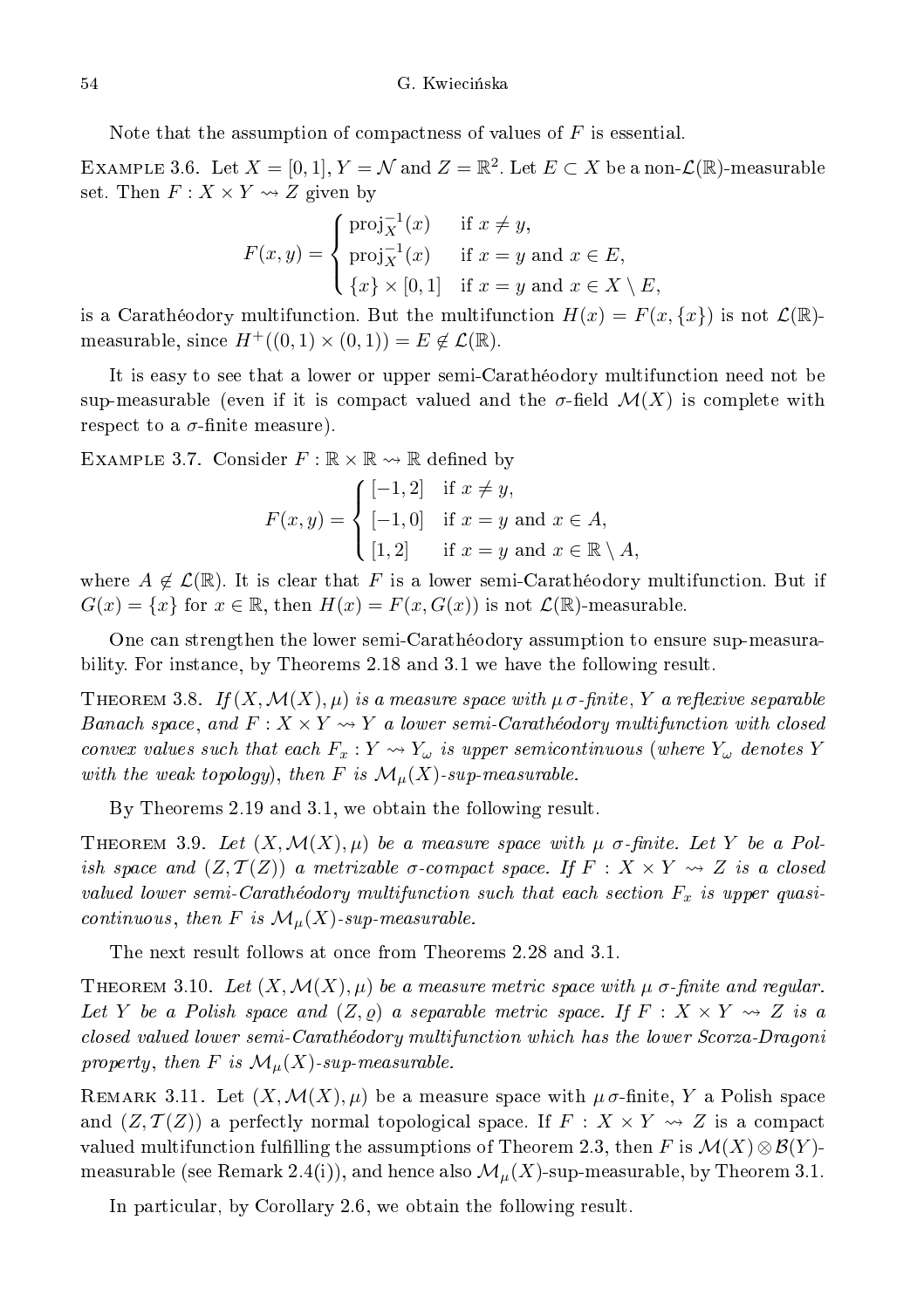Note that the assumption of compactness of values of  $F$  is essential.

EXAMPLE 3.6. Let  $X=[0,1],$   $Y={\mathcal N}$  and  $Z={\mathbb R}^2.$  Let  $E\subset X$  be a non- ${\mathcal L}({\mathbb R})$ -measurable set. Then  $F: X \times Y \rightsquigarrow Z$  given by

$$
F(x,y) = \begin{cases} \text{proj}_X^{-1}(x) & \text{if } x \neq y, \\ \text{proj}_X^{-1}(x) & \text{if } x = y \text{ and } x \in E, \\ \{x\} \times [0,1] & \text{if } x = y \text{ and } x \in X \setminus E, \end{cases}
$$

is a Caratheodory multifunction. But the multifunction  $H(x) = F(x, \{x\})$  is not  $\mathcal{L}(\mathbb{R})$ measurable, since  $H^+((0,1) \times (0,1)) = E \notin \mathcal{L}(\mathbb{R})$ .

It is easy to see that a lower or upper semi-Carathéodory multifunction need not be sup-measurable (even if it is compact valued and the  $\sigma$ -field  $\mathcal{M}(X)$  is complete with respect to a  $\sigma$ -finite measure).

EXAMPLE 3.7. Consider  $F : \mathbb{R} \times \mathbb{R} \rightarrow \mathbb{R}$  defined by

$$
F(x,y) = \begin{cases} [-1,2] & \text{if } x \neq y, \\ [-1,0] & \text{if } x = y \text{ and } x \in A, \\ [1,2] & \text{if } x = y \text{ and } x \in \mathbb{R} \setminus A, \end{cases}
$$

where  $A \notin \mathcal{L}(\mathbb{R})$ . It is clear that F is a lower semi-Carathéodory multifunction. But if  $G(x) = \{x\}$  for  $x \in \mathbb{R}$ , then  $H(x) = F(x, G(x))$  is not  $\mathcal{L}(\mathbb{R})$ -measurable.

One an strengthen the lower semi-Carathéodory assumption to ensure sup-measurability. For instan
e, by Theorems 2.18 and 3.1 we have the following result.

THEOREM 3.8. If  $(X, \mathcal{M}(X), \mu)$  is a measure space with  $\mu \sigma$ -finite, Y a reflexive separable Banach space, and  $F: X \times Y \rightsquigarrow Y$  a lower semi-Carathéodory multifunction with closed convex values such that each  $F_x: Y \rightsquigarrow Y_\omega$  is upper semicontinuous (where  $Y_\omega$  denotes Y with the weak topology), then  $F$  is  $\mathcal{M}_\mu(X)$ -sup-measurable.

By Theorems 2.19 and 3.1, we obtain the following result.

THEOREM 3.9. Let  $(X, \mathcal{M}(X), \mu)$  be a measure space with  $\mu$  σ-finite. Let Y be a Polish space and  $(Z, \mathcal{T}(Z))$  a metrizable  $\sigma$ -compact space. If  $F: X \times Y \rightsquigarrow Z$  is a closed valued lower semi-Carathéodory multifunction such that each section  $F_x$  is upper quasicontinuous, then F is  $\mathcal{M}_{\mu}(X)$ -sup-measurable.

The next result follows at on
e from Theorems 2.28 and 3.1.

THEOREM 3.10. Let  $(X, \mathcal{M}(X), \mu)$  be a measure metric space with  $\mu$   $\sigma$ -finite and regular. Let Y be a Polish space and  $(Z, \varrho)$  a separable metric space. If  $F: X \times Y \rightsquigarrow Z$  is a losed valued lower semi-Carathéodory multifun
tion whi
h has the lower S
orza-Dragoni property, then F is  $\mathcal{M}_\mu(X)$ -sup-measurable.

REMARK 3.11. Let  $(X, \mathcal{M}(X), \mu)$  be a measure space with  $\mu \sigma$ -finite, Y a Polish space and  $(Z, \mathcal{T}(Z))$  a perfectly normal topological space. If  $F : X \times Y \rightsquigarrow Z$  is a compact valued multifunction fulfilling the assumptions of Theorem 2.3, then F is  $\mathcal{M}(X)\otimes\mathcal{B}(Y)$ measurable (see Remark 2.4(i)), and hence also  $\mathcal{M}_{\mu}(X)$ -sup-measurable, by Theorem 3.1.

In particular, by Corollary 2.6, we obtain the following result.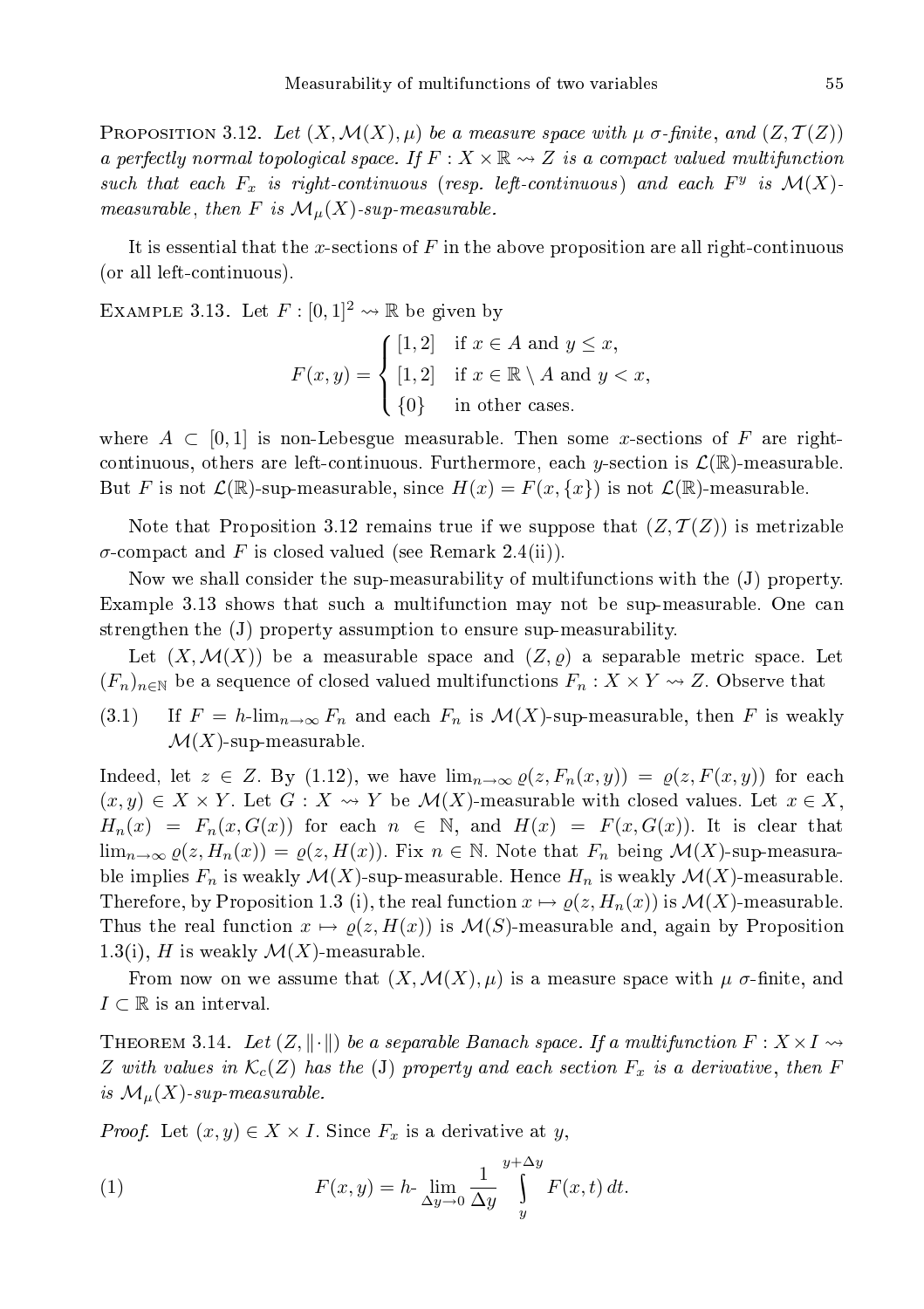PROPOSITION 3.12. Let  $(X, \mathcal{M}(X), \mu)$  be a measure space with  $\mu$  σ-finite, and  $(Z, \mathcal{T}(Z))$ a perfectly normal topological space. If  $F: X \times \mathbb{R} \rightarrow Z$  is a compact valued multifunction such that each  $F_x$  is right-continuous (resp. left-continuous) and each  $F^y$  is  $\mathcal{M}(X)$ measurable, then F is  $\mathcal{M}_{\mu}(X)$ -sup-measurable.

It is essential that the x-sections of  $F$  in the above proposition are all right-continuous (or all leftontinuous).

EXAMPLE 3.13. Let  $F : [0,1]^2 \rightarrow \mathbb{R}$  be given by

$$
F(x,y) = \begin{cases} [1,2] & \text{if } x \in A \text{ and } y \leq x, \\ [1,2] & \text{if } x \in \mathbb{R} \setminus A \text{ and } y < x, \\ \{0\} & \text{in other cases.} \end{cases}
$$

where  $A \subset [0,1]$  is non-Lebesgue measurable. Then some x-sections of F are rightcontinuous, others are left-continuous. Furthermore, each y-section is  $\mathcal{L}(\mathbb{R})$ -measurable. But F is not  $\mathcal{L}(\mathbb{R})$ -sup-measurable, since  $H(x) = F(x, \{x\})$  is not  $\mathcal{L}(\mathbb{R})$ -measurable.

Note that Proposition 3.12 remains true if we suppose that  $(Z, \mathcal{T}(Z))$  is metrizable  $\sigma$ -compact and F is closed valued (see Remark 2.4(ii)).

Now we shall onsider the sup-measurability of multifun
tions with the (J) property. Example 3.13 shows that such a multifunction may not be sup-measurable. One can strengthen the (J) property assumption to ensure sup-measurability.

Let  $(X, \mathcal{M}(X))$  be a measurable space and  $(Z, \rho)$  a separable metric space. Let  $(F_n)_{n\in\mathbb{N}}$  be a sequence of closed valued multifunctions  $F_n: X \times Y \rightsquigarrow Z$ . Observe that

(3.1) If  $F = h\lim_{n\to\infty} F_n$  and each  $F_n$  is  $\mathcal{M}(X)$ -sup-measurable, then F is weakly  $\mathcal{M}(X)$ -sup-measurable.

Indeed, let  $z \in Z$ . By (1.12), we have  $\lim_{n \to \infty} \varrho(z, F_n(x, y)) = \varrho(z, F(x, y))$  for each  $(x, y) \in X \times Y$ . Let  $G: X \rightsquigarrow Y$  be  $\mathcal{M}(X)$ -measurable with closed values. Let  $x \in X$ ,  $H_n(x) = F_n(x, G(x))$  for each  $n \in \mathbb{N}$ , and  $H(x) = F(x, G(x))$ . It is clear that  $\lim_{n\to\infty}\varrho(z,H_n(x))=\varrho(z,H(x))$ . Fix  $n\in\mathbb{N}$ . Note that  $F_n$  being  $\mathcal{M}(X)$ -sup-measurable implies  $F_n$  is weakly  $\mathcal{M}(X)$ -sup-measurable. Hence  $H_n$  is weakly  $\mathcal{M}(X)$ -measurable. Therefore, by Proposition 1.3 (i), the real function  $x \mapsto \varrho(z, H_n(x))$  is  $\mathcal{M}(X)$ -measurable. Thus the real function  $x \mapsto \rho(z, H(x))$  is  $\mathcal{M}(S)$ -measurable and, again by Proposition 1.3(i), H is weakly  $\mathcal{M}(X)$ -measurable.

From now on we assume that  $(X, \mathcal{M}(X), \mu)$  is a measure space with  $\mu$   $\sigma$ -finite, and  $I \subset \mathbb{R}$  is an interval.

THEOREM 3.14. Let  $(Z, \|\cdot\|)$  be a separable Banach space. If a multifunction  $F: X \times I \rightarrow$ Z with values in  $\mathcal{K}_c(Z)$  has the (J) property and each section  $F_x$  is a derivative, then F is  $\mathcal{M}_{\mu}(X)$ -sup-measurable.

*Proof.* Let  $(x, y) \in X \times I$ . Since  $F_x$  is a derivative at y,

(1) 
$$
F(x,y) = h \cdot \lim_{\Delta y \to 0} \frac{1}{\Delta y} \int_{y}^{y+\Delta y} F(x,t) dt.
$$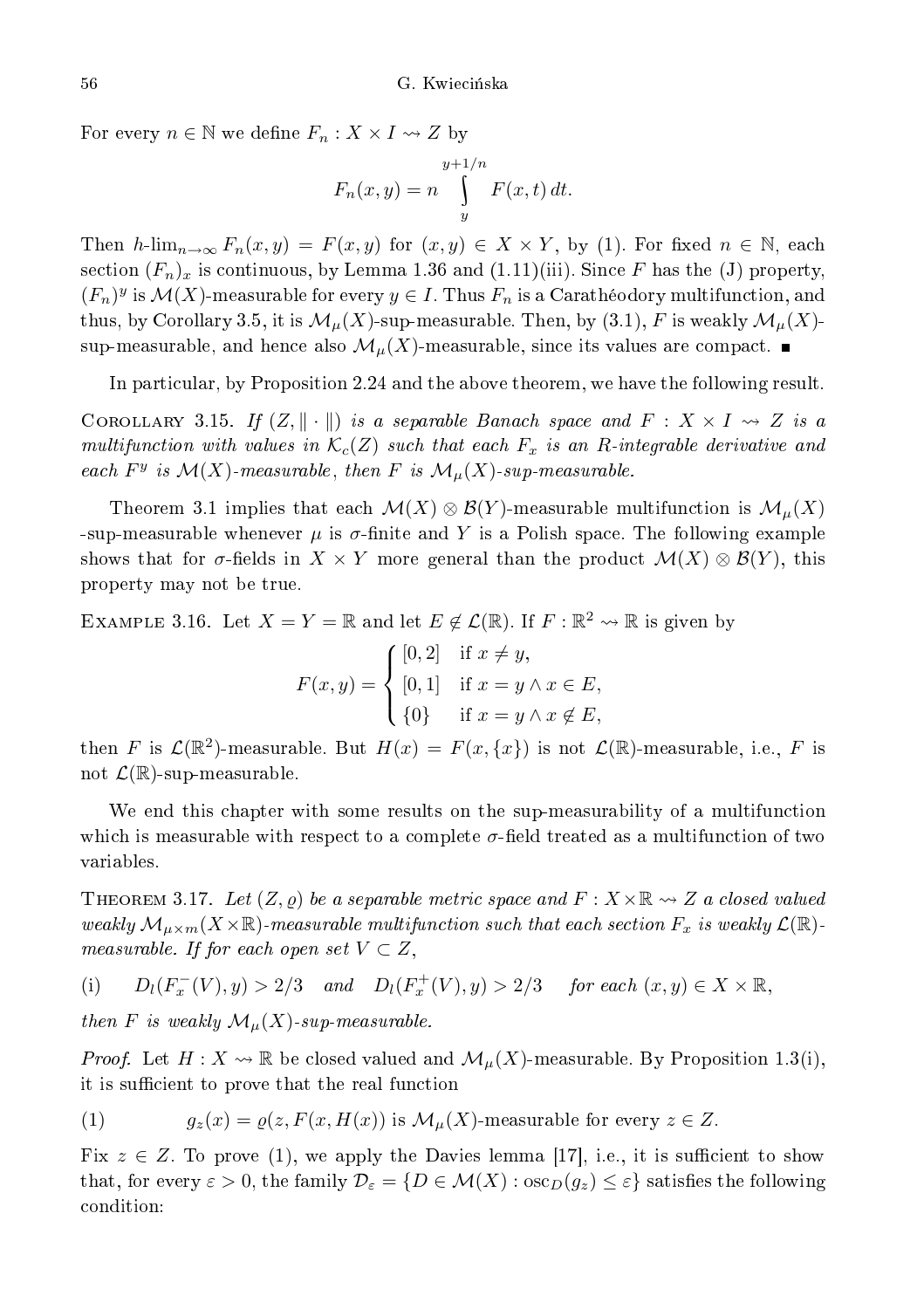For every  $n \in \mathbb{N}$  we define  $F_n: X \times I \rightarrow Z$  by

$$
F_n(x, y) = n \int\limits_{y}^{y+1/n} F(x, t) dt.
$$

Then h-lim<sub>n→∞</sub>  $F_n(x, y) = F(x, y)$  for  $(x, y) \in X \times Y$ , by (1). For fixed  $n \in \mathbb{N}$ , each section  $(F_n)_x$  is continuous, by Lemma 1.36 and  $(1.11)(iii)$ . Since F has the (J) property,  $(F_n)^y$  is  $\mathcal{M}(X)$ -measurable for every  $y \in I$ . Thus  $F_n$  is a Carathéodory multifunction, and thus, by Corollary 3.5, it is  $\mathcal{M}_{\mu}(X)$ -sup-measurable. Then, by  $(3.1),$  F is weakly  $\mathcal{M}_{\mu}(X)$ sup-measurable, and hence also  $\mathcal{M}_{\mu}(X)$ -measurable, since its values are compact.

In parti
ular, by Proposition 2.24 and the above theorem, we have the following result.

COROLLARY 3.15. If  $(Z, \|\cdot\|)$  is a separable Banach space and  $F : X \times I \leadsto Z$  is a multifunction with values in  $\mathcal{K}_c(Z)$  such that each  $F_x$  is an R-integrable derivative and each  $F^y$  is  $\mathcal{M}(X)$ -measurable, then F is  $\mathcal{M}_{\mu}(X)$ -sup-measurable.

Theorem 3.1 implies that each  $\mathcal{M}(X) \otimes \mathcal{B}(Y)$ -measurable multifunction is  $\mathcal{M}_{\mu}(X)$ -sup-measurable whenever  $\mu$  is  $\sigma$ -finite and Y is a Polish space. The following example shows that for  $\sigma$ -fields in  $X \times Y$  more general than the product  $\mathcal{M}(X) \otimes \mathcal{B}(Y)$ , this property may not be true.

EXAMPLE 3.16. Let  $X = Y = \mathbb{R}$  and let  $E \notin \mathcal{L}(\mathbb{R})$ . If  $F : \mathbb{R}^2 \leadsto \mathbb{R}$  is given by

$$
F(x,y) = \begin{cases} [0,2] & \text{if } x \neq y, \\ [0,1] & \text{if } x = y \land x \in E, \\ \{0\} & \text{if } x = y \land x \notin E, \end{cases}
$$

then F is  $\mathcal{L}(\mathbb{R}^2)$ -measurable. But  $H(x) = F(x, \{x\})$  is not  $\mathcal{L}(\mathbb{R})$ -measurable, i.e., F is not  $\mathcal{L}(\mathbb{R})$ -sup-measurable.

We end this chapter with some results on the sup-measurability of a multifunction which is measurable with respect to a complete  $\sigma$ -field treated as a multifunction of two variables.

THEOREM 3.17. Let  $(Z, \rho)$  be a separable metric space and  $F: X \times \mathbb{R} \rightsquigarrow Z$  a closed valued weakly  $\mathcal{M}_{\mu\times m}(X\times\mathbb{R})$ -measurable multifunction such that each section  $F_x$  is weakly  $\mathcal{L}(\mathbb{R})$ measurable. If for each open set  $V \subset Z$ ,

(i) 
$$
D_l(F_x^-(V), y) > 2/3
$$
 and  $D_l(F_x^+(V), y) > 2/3$  for each  $(x, y) \in X \times \mathbb{R}$ ,

then F is weakly  $\mathcal{M}_\mu(X)$ -sup-measurable.

*Proof.* Let  $H: X \rightsquigarrow \mathbb{R}$  be closed valued and  $\mathcal{M}_{\mu}(X)$ -measurable. By Proposition 1.3(i), it is sufficient to prove that the real function

(1) 
$$
g_z(x) = \varrho(z, F(x, H(x)) \text{ is } \mathcal{M}_\mu(X) \text{ measurable for every } z \in Z.
$$

Fix  $z \in Z$ . To prove (1), we apply the Davies lemma [17], i.e., it is sufficient to show that, for every  $\varepsilon > 0$ , the family  $\mathcal{D}_{\varepsilon} = \{D \in \mathcal{M}(X) : \csc_D(g_z) \leq \varepsilon\}$  satisfies the following ondition: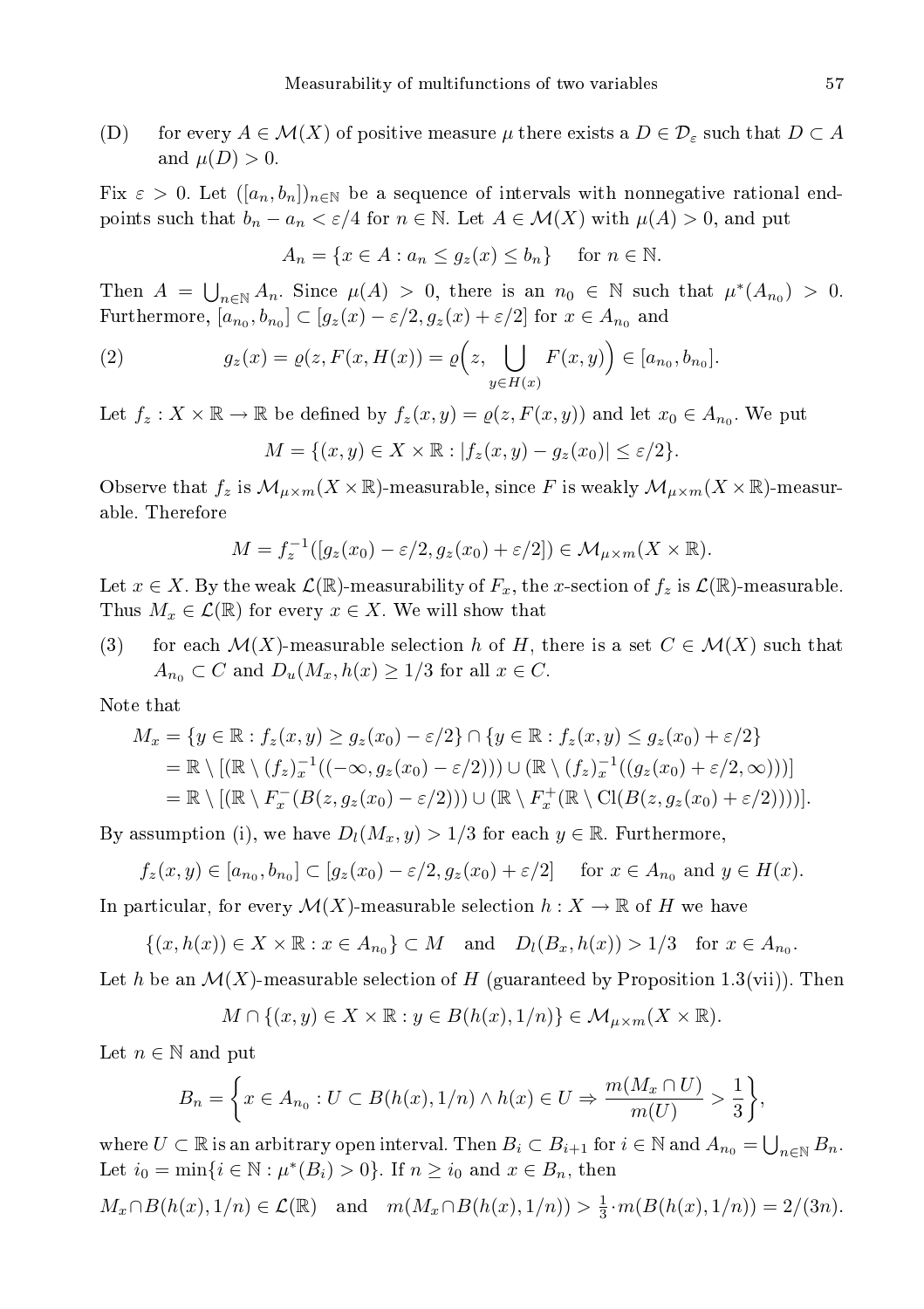(D) for every  $A \in \mathcal{M}(X)$  of positive measure  $\mu$  there exists a  $D \in \mathcal{D}_{\varepsilon}$  such that  $D \subset A$ and  $\mu(D) > 0$ .

Fix  $\varepsilon > 0$ . Let  $([a_n, b_n])_{n \in \mathbb{N}}$  be a sequence of intervals with nonnegative rational endpoints such that  $b_n - a_n < \varepsilon/4$  for  $n \in \mathbb{N}$ . Let  $A \in \mathcal{M}(X)$  with  $\mu(A) > 0$ , and put

$$
A_n = \{ x \in A : a_n \le g_z(x) \le b_n \} \quad \text{for } n \in \mathbb{N}.
$$

Then  $A = \bigcup_{n \in \mathbb{N}} A_n$ . Since  $\mu(A) > 0$ , there is an  $n_0 \in \mathbb{N}$  such that  $\mu^*(A_{n_0}) > 0$ . Furthermore,  $[a_{n_0}, b_{n_0}] \subset [g_z(x) - \varepsilon/2, g_z(x) + \varepsilon/2]$  for  $x \in A_{n_0}$  and

(2) 
$$
g_z(x) = \varrho(z, F(x, H(x))) = \varrho(z, \bigcup_{y \in H(x)} F(x, y)) \in [a_{n_0}, b_{n_0}].
$$

Let  $f_z: X \times \mathbb{R} \to \mathbb{R}$  be defined by  $f_z(x, y) = \varrho(z, F(x, y))$  and let  $x_0 \in A_{n_0}$ . We put

$$
M = \{(x, y) \in X \times \mathbb{R} : |f_z(x, y) - g_z(x_0)| \le \varepsilon/2\}.
$$

Observe that  $f_z$  is  $\mathcal{M}_{\mu\times m}(X\times\mathbb{R})$ -measurable, since F is weakly  $\mathcal{M}_{\mu\times m}(X\times\mathbb{R})$ -measurable. Therefore

$$
M = f_z^{-1}([g_z(x_0) - \varepsilon/2, g_z(x_0) + \varepsilon/2]) \in \mathcal{M}_{\mu \times m}(X \times \mathbb{R}).
$$

Let  $x \in X$ . By the weak  $\mathcal{L}(\mathbb{R})$ -measurability of  $F_x$ , the x-section of  $f_z$  is  $\mathcal{L}(\mathbb{R})$ -measurable. Thus  $M_x \in \mathcal{L}(\mathbb{R})$  for every  $x \in X$ . We will show that

(3) for each  $\mathcal{M}(X)$ -measurable selection h of H, there is a set  $C \in \mathcal{M}(X)$  such that  $A_{n_0} \subset C$  and  $D_u(M_x, h(x) \geq 1/3$  for all  $x \in C$ .

Note that

$$
M_x = \{ y \in \mathbb{R} : f_z(x, y) \ge g_z(x_0) - \varepsilon/2 \} \cap \{ y \in \mathbb{R} : f_z(x, y) \le g_z(x_0) + \varepsilon/2 \}
$$
  
=  $\mathbb{R} \setminus [(\mathbb{R} \setminus (f_z)_x^{-1}((-\infty, g_z(x_0) - \varepsilon/2))) \cup (\mathbb{R} \setminus (f_z)_x^{-1}((g_z(x_0) + \varepsilon/2, \infty)))]$   
=  $\mathbb{R} \setminus [(\mathbb{R} \setminus F_x^-(B(z, g_z(x_0) - \varepsilon/2))) \cup (\mathbb{R} \setminus F_x^+(\mathbb{R} \setminus \text{Cl}(B(z, g_z(x_0) + \varepsilon/2))))].$ 

By assumption (i), we have  $D_l(M_x, y) > 1/3$  for each  $y \in \mathbb{R}$ . Furthermore,

$$
f_z(x,y) \in [a_{n_0}, b_{n_0}] \subset [g_z(x_0) - \varepsilon/2, g_z(x_0) + \varepsilon/2] \quad \text{ for } x \in A_{n_0} \text{ and } y \in H(x).
$$

In particular, for every  $\mathcal{M}(X)$ -measurable selection  $h: X \to \mathbb{R}$  of H we have

 $\{(x, h(x)) \in X \times \mathbb{R} : x \in A_{n_0}\} \subset M$  and  $D_l(B_x, h(x)) > 1/3$  for  $x \in A_{n_0}$ .

Let h be an  $\mathcal{M}(X)$ -measurable selection of H (guaranteed by Proposition 1.3(vii)). Then

$$
M \cap \{(x, y) \in X \times \mathbb{R} : y \in B(h(x), 1/n)\} \in \mathcal{M}_{\mu \times m}(X \times \mathbb{R}).
$$

Let  $n \in \mathbb{N}$  and put

$$
B_n = \left\{ x \in A_{n_0} : U \subset B(h(x), 1/n) \wedge h(x) \in U \Rightarrow \frac{m(M_x \cap U)}{m(U)} > \frac{1}{3} \right\},\
$$

where  $U \subset \mathbb{R}$  is an arbitrary open interval. Then  $B_i \subset B_{i+1}$  for  $i \in \mathbb{N}$  and  $A_{n_0} = \bigcup_{n \in \mathbb{N}} B_n$ . Let  $i_0 = \min\{i \in \mathbb{N} : \mu^*(B_i) > 0\}$ . If  $n \ge i_0$  and  $x \in B_n$ , then

$$
M_x \cap B(h(x), 1/n) \in \mathcal{L}(\mathbb{R})
$$
 and  $m(M_x \cap B(h(x), 1/n)) > \frac{1}{3} \cdot m(B(h(x), 1/n)) = 2/(3n)$ .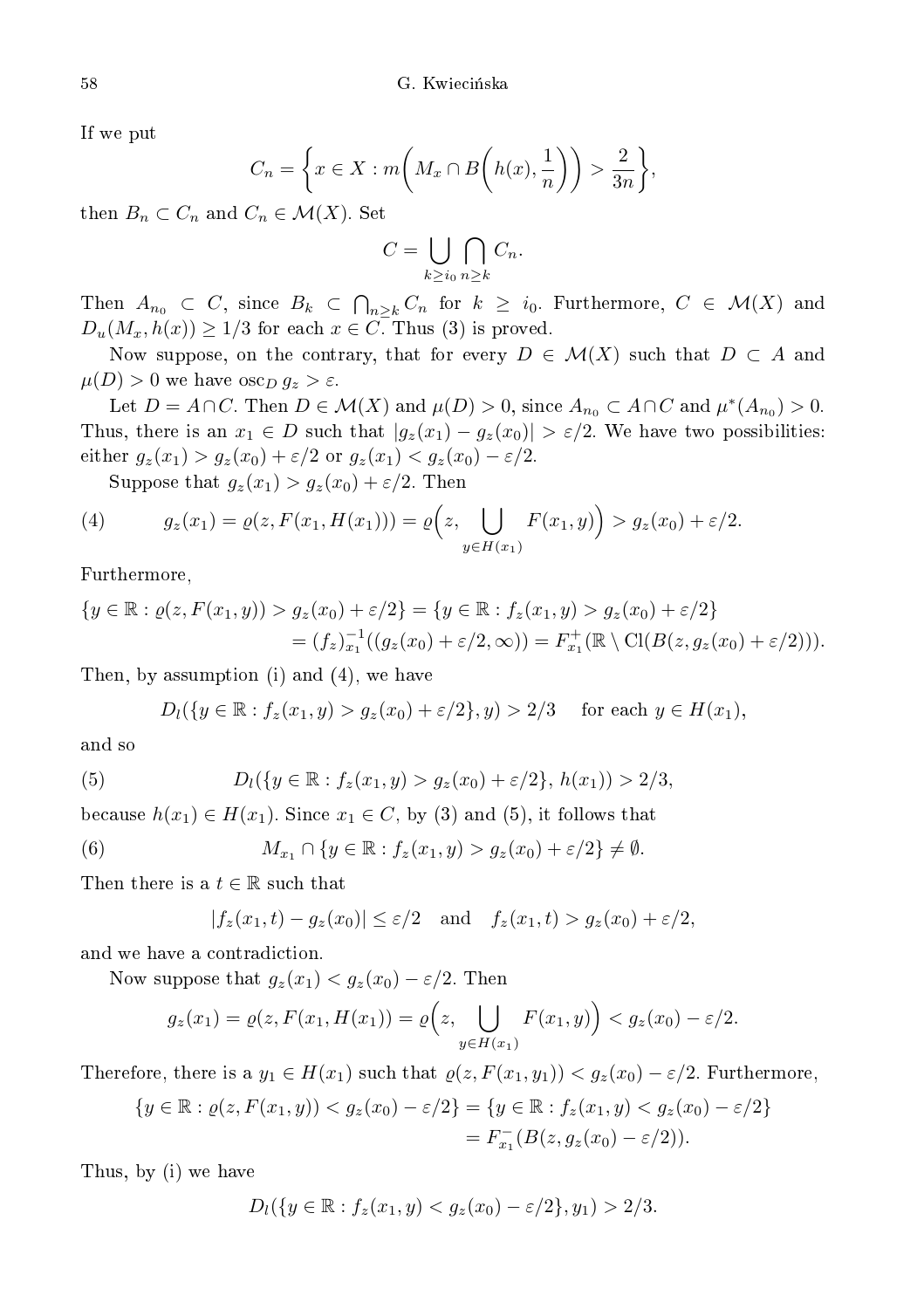If we put

$$
C_n = \left\{ x \in X : m\left(M_x \cap B\left(h(x), \frac{1}{n}\right)\right) > \frac{2}{3n} \right\},\
$$

then  $B_n \subset C_n$  and  $C_n \in \mathcal{M}(X)$ . Set

$$
C = \bigcup_{k \ge i_0} \bigcap_{n \ge k} C_n.
$$

Then  $A_{n_0} \subset C$ , since  $B_k \subset \bigcap_{n \geq k} C_n$  for  $k \geq i_0$ . Furthermore,  $C \in \mathcal{M}(X)$  and  $D_u(M_x, h(x)) \geq 1/3$  for each  $x \in C$ . Thus (3) is proved.

Now suppose, on the contrary, that for every  $D \in \mathcal{M}(X)$  such that  $D \subset A$  and  $\mu(D) > 0$  we have  $\csc_D g_z > \varepsilon$ .

Let  $D = A \cap C$ . Then  $D \in \mathcal{M}(X)$  and  $\mu(D) > 0$ , since  $A_{n_0} \subset A \cap C$  and  $\mu^*(A_{n_0}) > 0$ . Thus, there is an  $x_1 \in D$  such that  $|g_z(x_1) - g_z(x_0)| > \varepsilon/2$ . We have two possibilities: either  $g_z(x_1) > g_z(x_0) + \varepsilon/2$  or  $g_z(x_1) < g_z(x_0) - \varepsilon/2$ .

Suppose that  $g_z(x_1) > g_z(x_0) + \varepsilon/2$ . Then

(4) 
$$
g_z(x_1) = \varrho(z, F(x_1, H(x_1))) = \varrho(z, \bigcup_{y \in H(x_1)} F(x_1, y)\big) > g_z(x_0) + \varepsilon/2.
$$

Furthermore,

$$
\{y \in \mathbb{R} : \varrho(z, F(x_1, y)) > g_z(x_0) + \varepsilon/2\} = \{y \in \mathbb{R} : f_z(x_1, y) > g_z(x_0) + \varepsilon/2\}
$$
  
=  $(f_z)_{x_1}^{-1}((g_z(x_0) + \varepsilon/2, \infty)) = F_{x_1}^+(\mathbb{R} \setminus \text{Cl}(B(z, g_z(x_0) + \varepsilon/2))).$ 

Then, by assumption (i) and (4), we have

 $D_l({y \in \mathbb{R} : f_z(x_1, y) > g_z(x_0) + \varepsilon/2}, y) > 2/3$  for each  $y \in H(x_1)$ ,

and so

(5) 
$$
D_l({y \in \mathbb{R} : f_z(x_1, y) > g_z(x_0) + \varepsilon/2}, h(x_1)) > 2/3,
$$

because  $h(x_1) \in H(x_1)$ . Since  $x_1 \in C$ , by (3) and (5), it follows that

(6) 
$$
M_{x_1} \cap \{y \in \mathbb{R} : f_z(x_1, y) > g_z(x_0) + \varepsilon/2\} \neq \emptyset.
$$

Then there is a  $t \in \mathbb{R}$  such that

$$
|f_z(x_1,t) - g_z(x_0)| \le \varepsilon/2 \quad \text{and} \quad f_z(x_1,t) > g_z(x_0) + \varepsilon/2,
$$

and we have a ontradi
tion.

Now suppose that  $g_z(x_1) < g_z(x_0) - \varepsilon/2$ . Then

$$
g_z(x_1)=\varrho(z,F(x_1,H(x_1))=\varrho\Big(z,\bigcup_{y\in H(x_1)}F(x_1,y)\Big)
$$

Therefore, there is a  $y_1 \in H(x_1)$  such that  $\varrho(z, F(x_1, y_1)) < g_z(x_0) - \varepsilon/2$ . Furthermore,

$$
\{y \in \mathbb{R} : \varrho(z, F(x_1, y)) < g_z(x_0) - \varepsilon/2\} = \{y \in \mathbb{R} : f_z(x_1, y) < g_z(x_0) - \varepsilon/2\} \\
= F_{x_1}^{-}(B(z, g_z(x_0) - \varepsilon/2)).
$$

Thus, by (i) we have

$$
D_l({y \in \mathbb{R} : f_z(x_1, y) < g_z(x_0) - \varepsilon/2}, y_1) > 2/3.
$$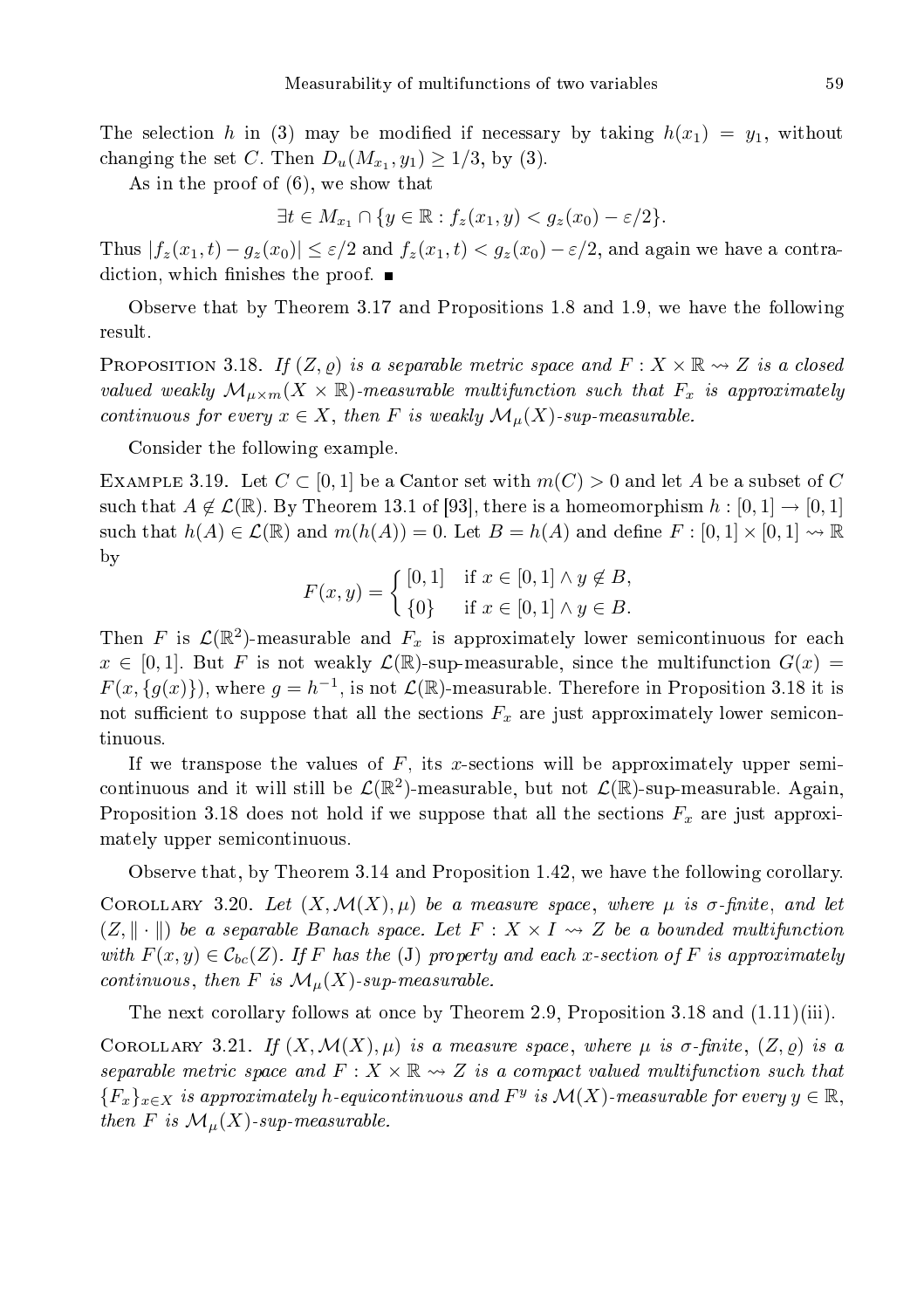The selection h in (3) may be modified if necessary by taking  $h(x_1) = y_1$ , without changing the set C. Then  $D_u(M_{x_1}, y_1) \geq 1/3$ , by (3).

As in the proof of (6), we show that

 $\exists t \in M_{x_1} \cap \{y \in \mathbb{R} : f_z(x_1, y) < g_z(x_0) - \varepsilon/2\}.$ 

Thus  $|f_z(x_1,t) - g_z(x_0)| \leq \varepsilon/2$  and  $f_z(x_1,t) < g_z(x_0) - \varepsilon/2$ , and again we have a contradiction, which finishes the proof.  $\blacksquare$ 

Observe that by Theorem 3.17 and Propositions 1.8 and 1.9, we have the following result.

**PROPOSITION** 3.18. If  $(Z, \varrho)$  is a separable metric space and  $F : X \times \mathbb{R} \rightarrow Z$  is a closed valued weakly  $\mathcal{M}_{\mu\times m}(X\times\mathbb{R})$ -measurable multifunction such that  $F_x$  is approximately continuous for every  $x \in X$ , then F is weakly  $\mathcal{M}_{\mu}(X)$ -sup-measurable.

Consider the following example.

EXAMPLE 3.19. Let  $C \subset [0,1]$  be a Cantor set with  $m(C) > 0$  and let A be a subset of C such that  $A \notin \mathcal{L}(\mathbb{R})$ . By Theorem 13.1 of [93], there is a homeomorphism  $h : [0,1] \to [0,1]$ such that  $h(A) \in \mathcal{L}(\mathbb{R})$  and  $m(h(A)) = 0$ . Let  $B = h(A)$  and define  $F : [0,1] \times [0,1] \rightsquigarrow \mathbb{R}$ by

$$
F(x, y) = \begin{cases} [0, 1] & \text{if } x \in [0, 1] \land y \notin B, \\ \{0\} & \text{if } x \in [0, 1] \land y \in B. \end{cases}
$$

Then F is  $\mathcal{L}(\mathbb{R}^2)$ -measurable and  $F_x$  is approximately lower semicontinuous for each  $x \in [0,1]$ . But F is not weakly  $\mathcal{L}(\mathbb{R})$ -sup-measurable, since the multifunction  $G(x)$  $F(x, \{g(x)\})$ , where  $g = h^{-1}$ , is not  $\mathcal{L}(\mathbb{R})$ -measurable. Therefore in Proposition 3.18 it is not sufficient to suppose that all the sections  $F_x$  are just approximately lower semicontinuous.

If we transpose the values of  $F$ , its x-sections will be approximately upper semicontinuous and it will still be  $\mathcal{L}(\mathbb{R}^2)$ -measurable, but not  $\mathcal{L}(\mathbb{R})$ -sup-measurable. Again, Proposition 3.18 does not hold if we suppose that all the sections  $F_x$  are just approximately upper semi
ontinuous.

Observe that, by Theorem 3.14 and Proposition 1.42, we have the following orollary. COROLLARY 3.20. Let  $(X, \mathcal{M}(X), \mu)$  be a measure space, where  $\mu$  is  $\sigma$ -finite, and let  $(Z, \|\cdot\|)$  be a separable Banach space. Let  $F : X \times I \rightarrow Z$  be a bounded multifunction with  $F(x, y) \in \mathcal{C}_{bc}(Z)$ . If F has the (J) property and each x-section of F is approximately continuous, then F is  $\mathcal{M}_{\mu}(X)$ -sup-measurable.

The next corollary follows at once by Theorem 2.9, Proposition 3.18 and  $(1.11)(iii)$ .

COROLLARY 3.21. If  $(X, \mathcal{M}(X), \mu)$  is a measure space, where  $\mu$  is  $\sigma$ -finite,  $(Z, \rho)$  is a separable metric space and  $F: X \times \mathbb{R} \rightarrow Z$  is a compact valued multifunction such that  ${F_x}_{x\in X}$  is approximately h-equicontinuous and  $F^y$  is  $\mathcal{M}(X)$ -measurable for every  $y\in \mathbb{R}$ , then F is  $\mathcal{M}_{\mu}(X)$ -sup-measurable.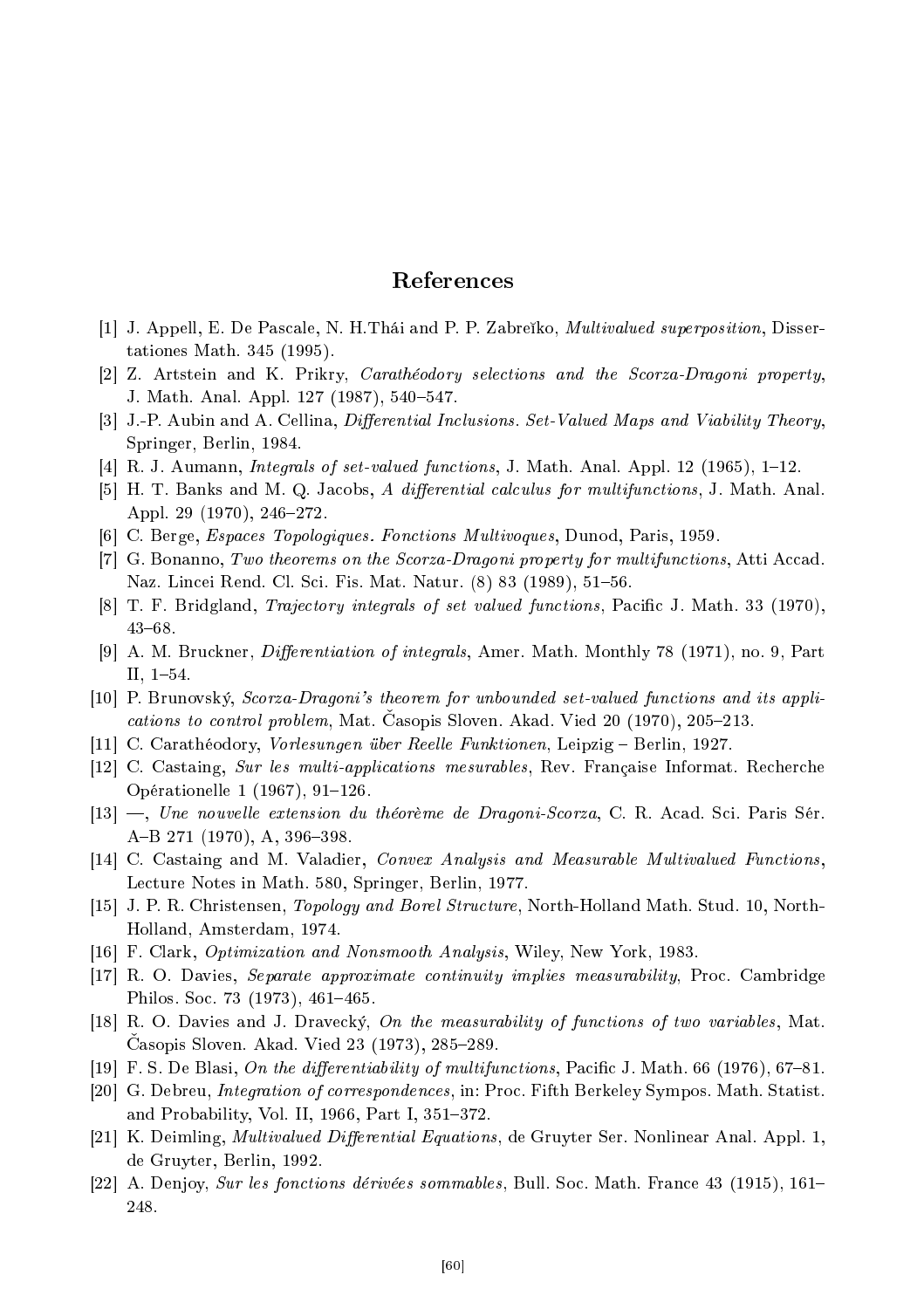## Referen
es

- [1] J. Appell, E. De Pascale, N. H. Thái and P. P. Zabreiko, *Multivalued superposition*, Dissertationes Math. 345 (1995).
- [2] Z. Artstein and K. Prikry, *Carathéodory selections and the Scorza-Dragoni property*, J. Math. Anal. Appl. 127 (1987), 540–547.
- [3] J.-P. Aubin and A. Cellina, *Differential Inclusions. Set-Valued Maps and Viability Theory*, Springer, Berlin, 1984.
- $[4]$  R. J. Aumann, *Integrals of set-valued functions*, J. Math. Anal. Appl. 12 (1965), 1–12.
- [5] H. T. Banks and M. Q. Jacobs, A differential calculus for multifunctions, J. Math. Anal. Appl. 29 (1970), 246-272.
- [6] C. Berge, *Espaces Topologiques. Fonctions Multivoques*, Dunod, Paris, 1959.
- [7] G. Bonanno, Two theorems on the Scorza-Dragoni property for multifunctions, Atti Accad. Naz. Lincei Rend. Cl. Sci. Fis. Mat. Natur. (8) 83 (1989), 51–56.
- [8] T. F. Bridgland, *Trajectory integrals of set valued functions*, Pacific J. Math. 33 (1970),  $43 - 68$ .
- [9] A. M. Bruckner, *Differentiation of integrals*, Amer. Math. Monthly 78 (1971), no. 9, Part II,  $1-54$ .
- [10] P. Brunovský, Scorza-Dragoni's theorem for unbounded set-valued functions and its applications to control problem, Mat. Casopis Sloven. Akad. Vied 20 (1970), 205-213.
- [11] C. Carathéodory, Vorlesungen über Reelle Funktionen, Leipzig Berlin, 1927.
- [12] C. Castaing, Sur les multi-applications mesurables, Rev. Française Informat. Recherche Opérationelle 1  $(1967)$ , 91-126.
- [13] —, Une nouvelle extension du théorème de Dragoni-Scorza, C. R. Acad. Sci. Paris Sér. A-B 271 (1970), A, 396-398.
- [14] C. Castaing and M. Valadier, *Convex Analysis and Measurable Multivalued Functions*, Lecture Notes in Math. 580, Springer, Berlin, 1977.
- [15] J. P. R. Christensen, *Topology and Borel Structure*, North-Holland Math. Stud. 10, North-Holland, Amsterdam, 1974.
- [16] F. Clark, *Optimization and Nonsmooth Analysis*, Wiley, New York, 1983.
- [17] R. O. Davies, Separate approximate continuity implies measurability, Proc. Cambridge Philos. Soc. 73 (1973), 461-465.
- [18] R. O. Davies and J. Dravecký, On the measurability of functions of two variables, Mat. Casopis Sloven. Akad. Vied 23 (1973), 285-289.
- [19] F. S. De Blasi, On the differentiability of multifunctions, Pacific J. Math. 66 (1976), 67–81.
- [20] G. Debreu, *Integration of correspondences*, in: Proc. Fifth Berkeley Sympos. Math. Statist. and Probability, Vol. II,  $1966$ , Part I,  $351-372$ .
- [21] K. Deimling, *Multivalued Differential Equations*, de Gruyter Ser. Nonlinear Anal. Appl. 1, de Gruyter, Berlin, 1992.
- $|22|$  A. Denjoy, *Sur les fonctions dérivées sommables*, Bull. Soc. Math. France 43 (1915), 161– 248.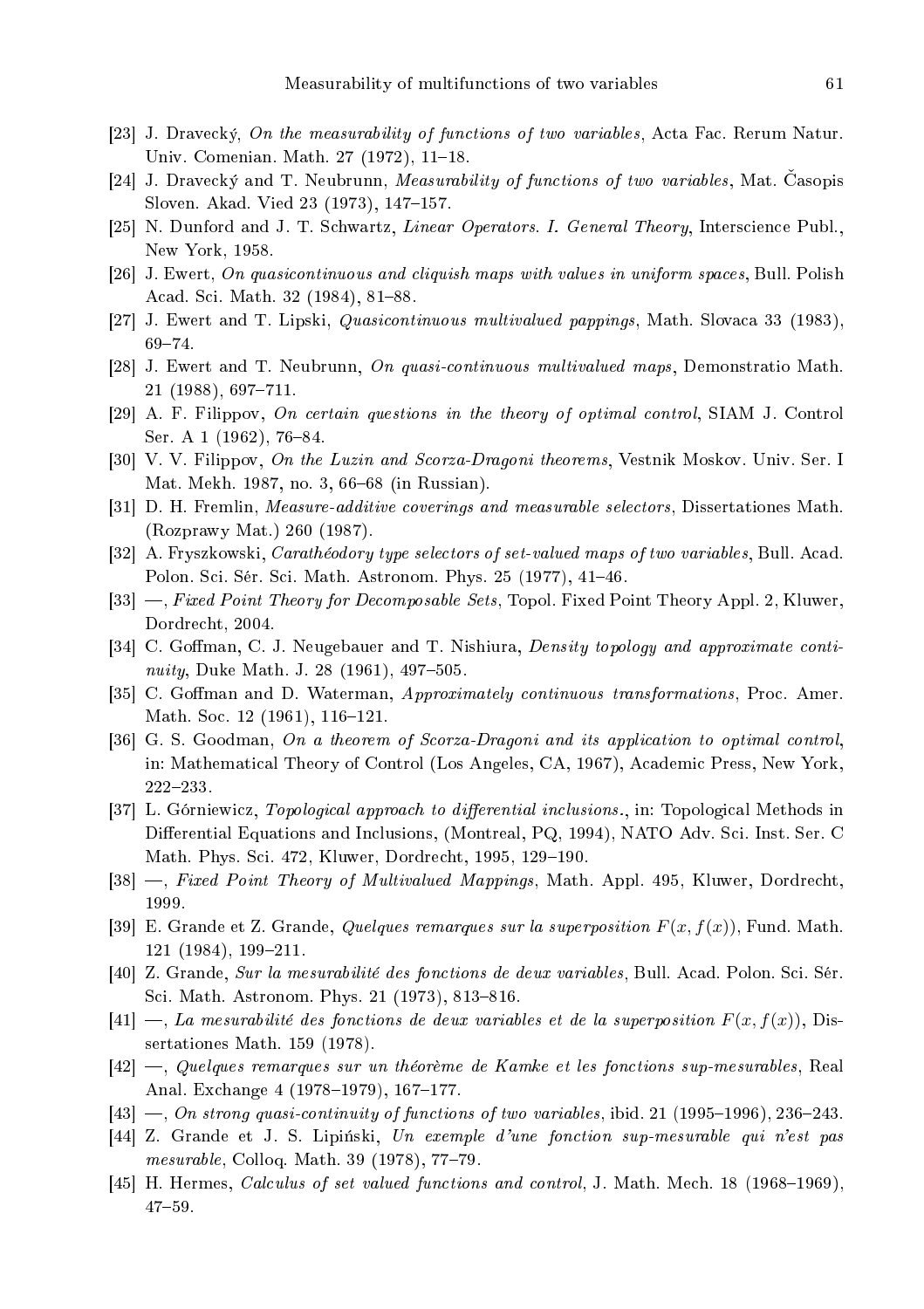- [23] J. Dravecký, On the measurability of functions of two variables, Acta Fac. Rerum Natur. Univ. Comenian. Math. 27 (1972), 11-18.
- [24] J. Dravecký and T. Neubrunn, *Measurability of functions of two variables*, Mat. Casopis Sloven. Akad. Vied 23 (1973), 147-157.
- [25] N. Dunford and J. T. Schwartz, Linear Operators. I. General Theory, Interscience Publ., New York, 1958.
- [26] J. Ewert, On quasicontinuous and cliquish maps with values in uniform spaces, Bull. Polish Acad. Sci. Math. 32 (1984), 81-88.
- [27] J. Ewert and T. Lipski, *Quasicontinuous multivalued pappings*, Math. Slovaca 33 (1983),  $69 - 74.$
- [28] J. Ewert and T. Neubrunn, On quasi-continuous multivalued maps, Demonstratio Math.  $21$  (1988), 697-711.
- [29] A. F. Filippov, On certain questions in the theory of optimal control, SIAM J. Control Ser. A 1 (1962), 76-84.
- [30] V. V. Filippov, On the Luzin and Scorza-Dragoni theorems, Vestnik Moskov. Univ. Ser. I Mat. Mekh. 1987, no. 3, 66–68 (in Russian).
- [31] D. H. Fremlin, *Measure-additive coverings and measurable selectors*, Dissertationes Math. (Rozprawy Mat.) 260 (1987).
- [32] A. Fryszkowski, *Carathéodory type selectors of set-valued maps of two variables*, Bull. Acad. Polon. Sci. Sér. Sci. Math. Astronom. Phys. 25 (1977), 41–46.
- [33] —, Fixed Point Theory for Decomposable Sets, Topol. Fixed Point Theory Appl. 2, Kluwer, Dordre
ht, 2004.
- [34] C. Goffman, C. J. Neugebauer and T. Nishiura, *Density topology and approximate conti*nuity, Duke Math. J. 28 (1961),  $497-505$ .
- [35] C. Goffman and D. Waterman, *Approximately continuous transformations*, Proc. Amer. Math. Soc. 12 (1961), 116-121.
- [36] G. S. Goodman, On a theorem of Scorza-Dragoni and its application to optimal control, in: Mathematical Theory of Control (Los Angeles, CA, 1967), Academic Press, New York, 222233.
- [37] L. Górniewicz, *Topological approach to differential inclusions.*, in: Topological Methods in Differential Equations and Inclusions, (Montreal, PQ, 1994), NATO Adv. Sci. Inst. Ser. C Math. Phys. Sci. 472, Kluwer, Dordrecht, 1995, 129–190.
- [38] —, Fixed Point Theory of Multivalued Mappings, Math. Appl. 495, Kluwer, Dordrecht, 1999.
- [39] E. Grande et Z. Grande, *Quelques remarques sur la superposition*  $F(x, f(x))$ , Fund. Math. 121 (1984), 199-211.
- [40] Z. Grande, Sur la mesurabilité des fonctions de deux variables, Bull. Acad. Polon. Sci. Sér. Sci. Math. Astronom. Phys. 21 (1973), 813–816.
- $[41]$  —, La mesurabilité des fonctions de deux variables et de la superposition  $F(x, f(x))$ , Dissertationes Math. 159 (1978).
- $[42]$  —, Quelques remarques sur un théorème de Kamke et les fonctions sup-mesurables, Real Anal. Exchange 4 (1978-1979), 167-177.
- $[43]$  –, On strong quasi-continuity of functions of two variables, ibid. 21 (1995–1996), 236–243.
- $[44]$  Z. Grande et J. S. Lipiński, Un exemple d'une fonction sup-mesurable qui n'est pas  $mesurable$ , Colloq. Math. 39 (1978), 77-79.
- [45] H. Hermes, Calculus of set valued functions and control, J. Math. Mech. 18 (1968–1969),  $47 - 59$ .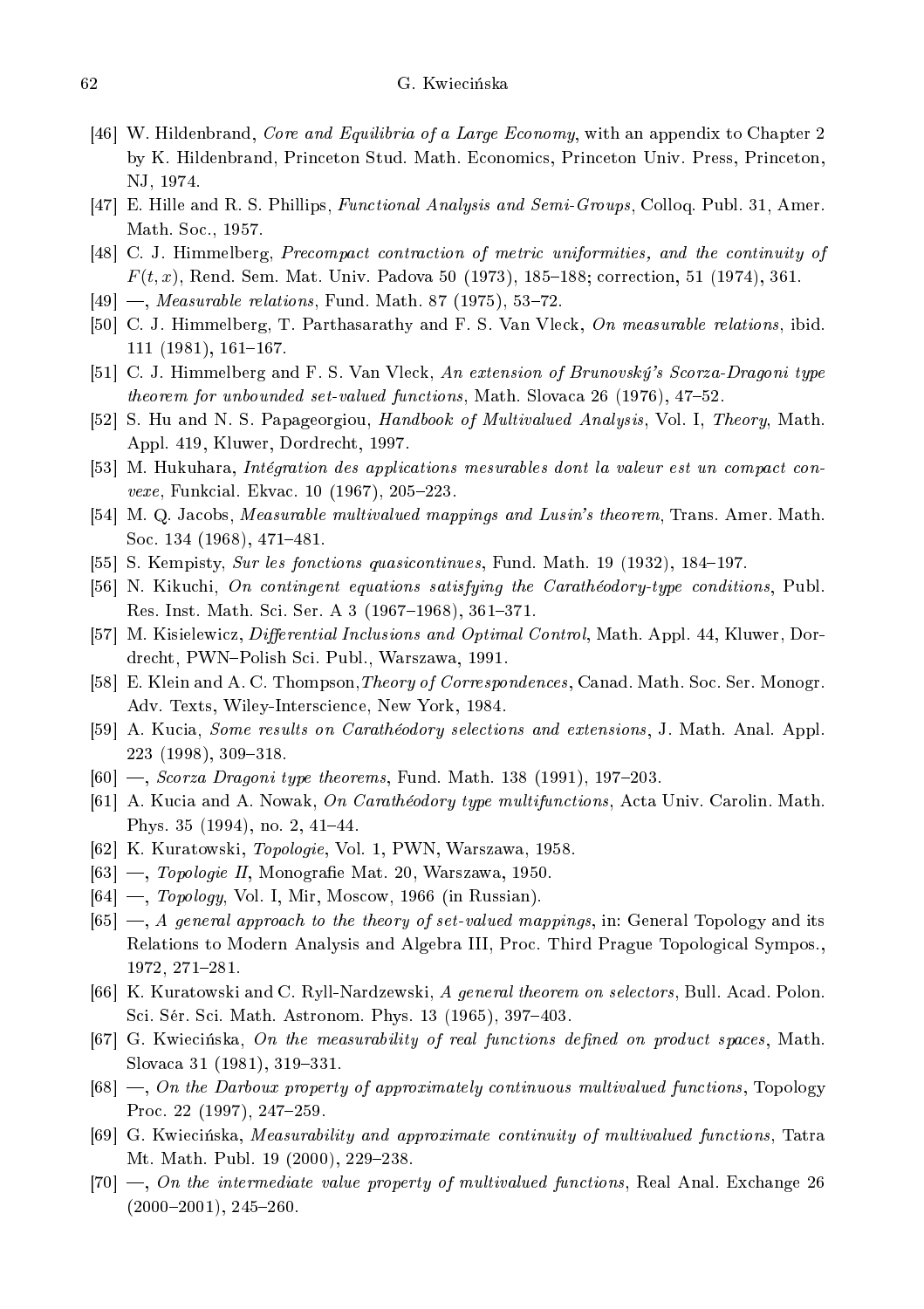- [46] W. Hildenbrand, *Core and Equilibria of a Large Economy*, with an appendix to Chapter 2 by K. Hildenbrand, Prin
eton Stud. Math. E
onomi
s, Prin
eton Univ. Press, Prin
eton, NJ, 1974.
- [47] E. Hille and R. S. Phillips, *Functional Analysis and Semi-Groups*, Colloq. Publ. 31, Amer. Math. Soc., 1957.
- [48] C. J. Himmelberg, *Precompact contraction of metric uniformities*, and the continuity of  $F(t, x)$ , Rend. Sem. Mat. Univ. Padova 50 (1973), 185–188; correction, 51 (1974), 361.
- $[49] \text{ —}, \text{Measureable relations}, \text{ Fund. Math. 87 (1975), 53–72.}$
- [50] C. J. Himmelberg, T. Parthasarathy and F. S. Van Vleck, On measurable relations, ibid.  $111 (1981), 161 - 167.$
- [51] C. J. Himmelberg and F. S. Van Vleck, An extension of Brunovský's Scorza-Dragoni type theorem for unbounded set-valued functions, Math. Slovaca 26 (1976), 47–52.
- [52] S. Hu and N. S. Papageorgiou, Handbook of Multivalued Analysis, Vol. I, Theory, Math. Appl. 419, Kluwer, Dordre
ht, 1997.
- [53] M. Hukuhara, Intégration des applications mesurables dont la valeur est un compact convexe, Funkcial. Ekvac. 10 (1967), 205-223.
- [54] M. Q. Jacobs, *Measurable multivalued mappings and Lusin's theorem*, Trans. Amer. Math. Soc. 134 (1968), 471-481.
- [55] S. Kempisty, Sur les fonctions quasicontinues, Fund. Math. 19 (1932), 184–197.
- [56] N. Kikuchi, On contingent equations satisfying the Carathéodory-type conditions, Publ. Res. Inst. Math. Sci. Ser. A 3 (1967–1968), 361–371.
- [57] M. Kisielewicz, *Differential Inclusions and Optimal Control*, Math. Appl. 44, Kluwer, Dordrecht, PWN-Polish Sci. Publ., Warszawa, 1991.
- [58] E. Klein and A. C. Thompson, Theory of Correspondences, Canad. Math. Soc. Ser. Monogr. Adv. Texts, Wiley-Inters
ien
e, New York, 1984.
- [59] A. Kucia, *Some results on Carathéodory selections and extensions*, J. Math. Anal. Appl. 223 (1998), 309-318.
- $[60]$  —, Scorza Dragoni type theorems, Fund. Math. 138 (1991), 197–203.
- [61] A. Kucia and A. Nowak, On Carathéodory type multifunctions, Acta Univ. Carolin. Math. Phys. 35  $(1994)$ , no. 2, 41-44.
- [62] K. Kuratowski, Topologie, Vol. 1, PWN, Warszawa, 1958.
- $[63] \longrightarrow$ , Topologie II, Monografie Mat. 20, Warszawa, 1950.
- $[64]$  —, *Topology*, Vol. I, Mir, Moscow, 1966 (in Russian).
- $[65]$  —, A general approach to the theory of set-valued mappings, in: General Topology and its Relations to Modern Analysis and Algebra III, Pro
. Third Prague Topologi
al Sympos., 1972, 271-281.
- [66] K. Kuratowski and C. Ryll-Nardzewski, A general theorem on selectors, Bull. Acad. Polon. Sci. Sér. Sci. Math. Astronom. Phys. 13 (1965), 397–403.
- [67] G. Kwiecińska, On the measurability of real functions defined on product spaces, Math. Slovaca 31 (1981), 319-331.
- $[68]$  —, On the Darboux property of approximately continuous multivalued functions, Topology Proc. 22 (1997), 247-259.
- [69] G. Kwiecińska, Measurability and approximate continuity of multivalued functions, Tatra Mt. Math. Publ. 19 (2000), 229-238.
- $[70]$  —, On the intermediate value property of multivalued functions, Real Anal. Exchange 26  $(2000-2001)$ , 245-260.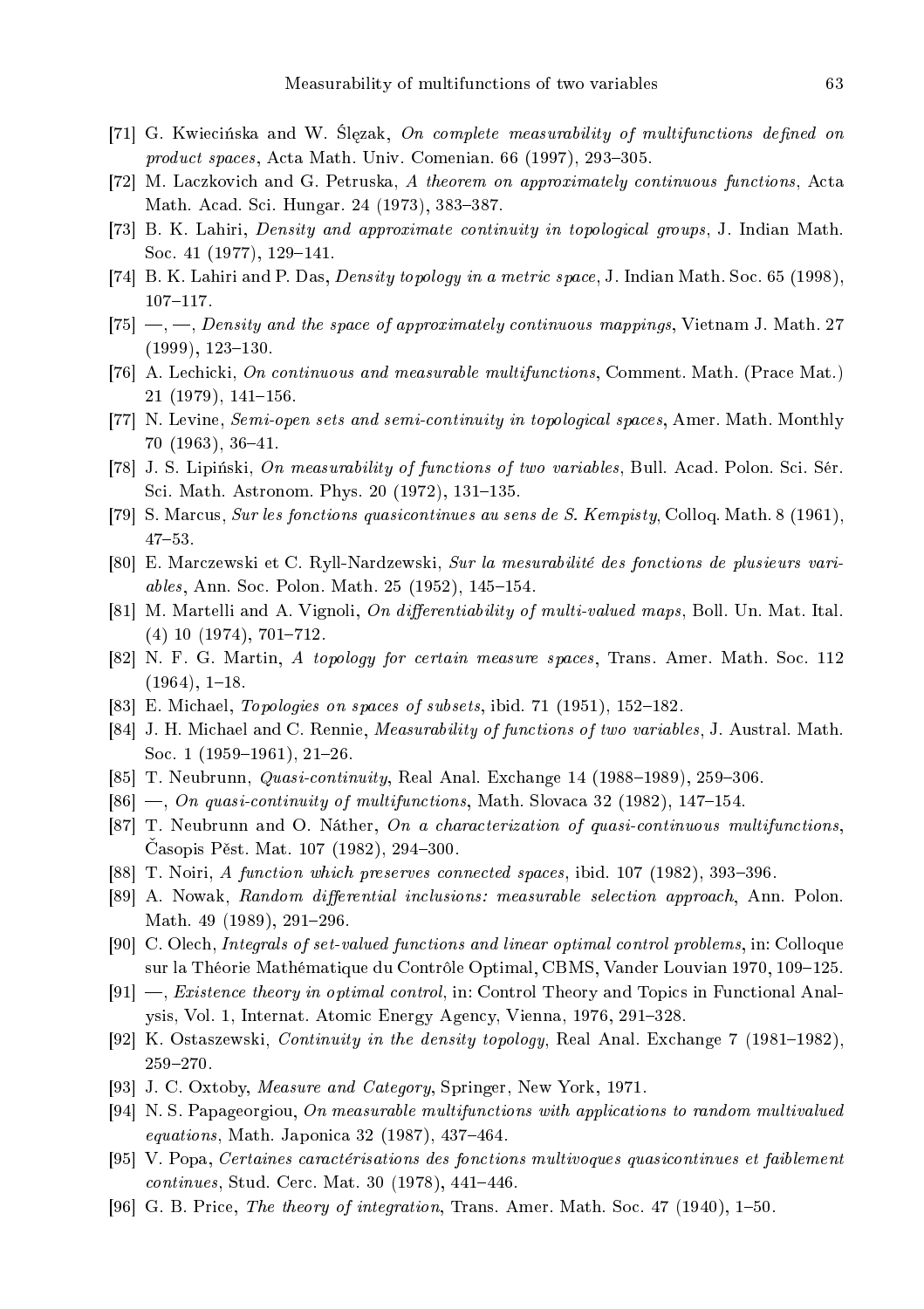- [71] G. Kwiecińska and W. Ślęzak, On complete measurability of multifunctions defined on product spaces, Acta Math. Univ. Comenian. 66 (1997), 293-305.
- [72] M. Laczkovich and G. Petruska, A theorem on approximately continuous functions, Acta Math. Acad. Sci. Hungar. 24 (1973), 383-387.
- [73] B. K. Lahiri, *Density and approximate continuity in topological groups*, J. Indian Math. Soc. 41 (1977), 129-141.
- [74] B. K. Lahiri and P. Das, *Density topology in a metric space*, J. Indian Math. Soc. 65 (1998),  $107 - 117$  .
- $[75]$  —, —, Density and the space of approximately continuous mappings, Vietnam J. Math. 27  $(1999)$ ,  $123-130$ .
- [76] A. Lechicki, On continuous and measurable multifunctions, Comment. Math. (Prace Mat.)  $21$  (1979), 141–156.
- [77] N. Levine, Semi-open sets and semi-continuity in topological spaces, Amer. Math. Monthly 70 (1963), 36-41.
- [78] J. S. Lipiński, On measurability of functions of two variables, Bull. Acad. Polon. Sci. Sér. Sci. Math. Astronom. Phys. 20 (1972), 131-135.
- [79] S. Marcus, Sur les fonctions quasicontinues au sens de S. Kempisty, Colloq. Math. 8 (1961),  $47 - 53$ .
- [80] E. Marczewski et C. Ryll-Nardzewski, Sur la mesurabilité des fonctions de plusieurs variables, Ann. Soc. Polon. Math. 25 (1952), 145-154.
- [81] M. Martelli and A. Vignoli, On differentiability of multi-valued maps, Boll. Un. Mat. Ital.  $(4)$  10  $(1974)$ , 701-712.
- [82] N. F. G. Martin, A topology for certain measure spaces, Trans. Amer. Math. Soc. 112  $(1964), 1-18.$
- [83] E. Michael, *Topologies on spaces of subsets*, ibid. 71 (1951), 152–182.
- [84] J. H. Michael and C. Rennie, *Measurability of functions of two variables*, J. Austral. Math. Soc. 1 (1959–1961), 21–26.
- [85] T. Neubrunn, *Quasi-continuity*, Real Anal. Exchange 14 (1988–1989), 259–306.
- $[86]$  —, On quasi-continuity of multifunctions, Math. Slovaca 32 (1982), 147–154.
- [87] T. Neubrunn and O. Náther, On a characterization of quasi-continuous multifunctions, Casopis Pěst. Mat. 107 (1982), 294–300.
- [88] T. Noiri, A function which preserves connected spaces, ibid. 107 (1982), 393-396.
- [89] A. Nowak, Random differential inclusions: measurable selection approach, Ann. Polon. Math. 49 (1989), 291-296.
- [90] C. Olech, Integrals of set-valued functions and linear optimal control problems, in: Colloque sur la Théorie Mathématique du Contrôle Optimal, CBMS, Vander Louvian 1970, 109-125.
- [91]  $\rightarrow$ , *Existence theory in optimal control*, in: Control Theory and Topics in Functional Analysis, Vol. 1, Internat. Atomic Energy Agency, Vienna, 1976, 291–328.
- [92] K. Ostaszewski, *Continuity in the density topology*, Real Anal. Exchange 7 (1981–1982), 259-270.
- [93] J. C. Oxtoby, Measure and Category, Springer, New York, 1971.
- [94] N. S. Papageorgiou, On measurable multifunctions with applications to random multivalued  $equations, Math. Japonica 32 (1987), 437–464.$
- [95] V. Popa, Certaines caractérisations des fonctions multivoques quasicontinues et faiblement  $continuous, Stud. Cerc. Mat. 30 (1978), 441-446.$
- [96] G. B. Price, The theory of integration, Trans. Amer. Math. Soc. 47  $(1940)$ , 1–50.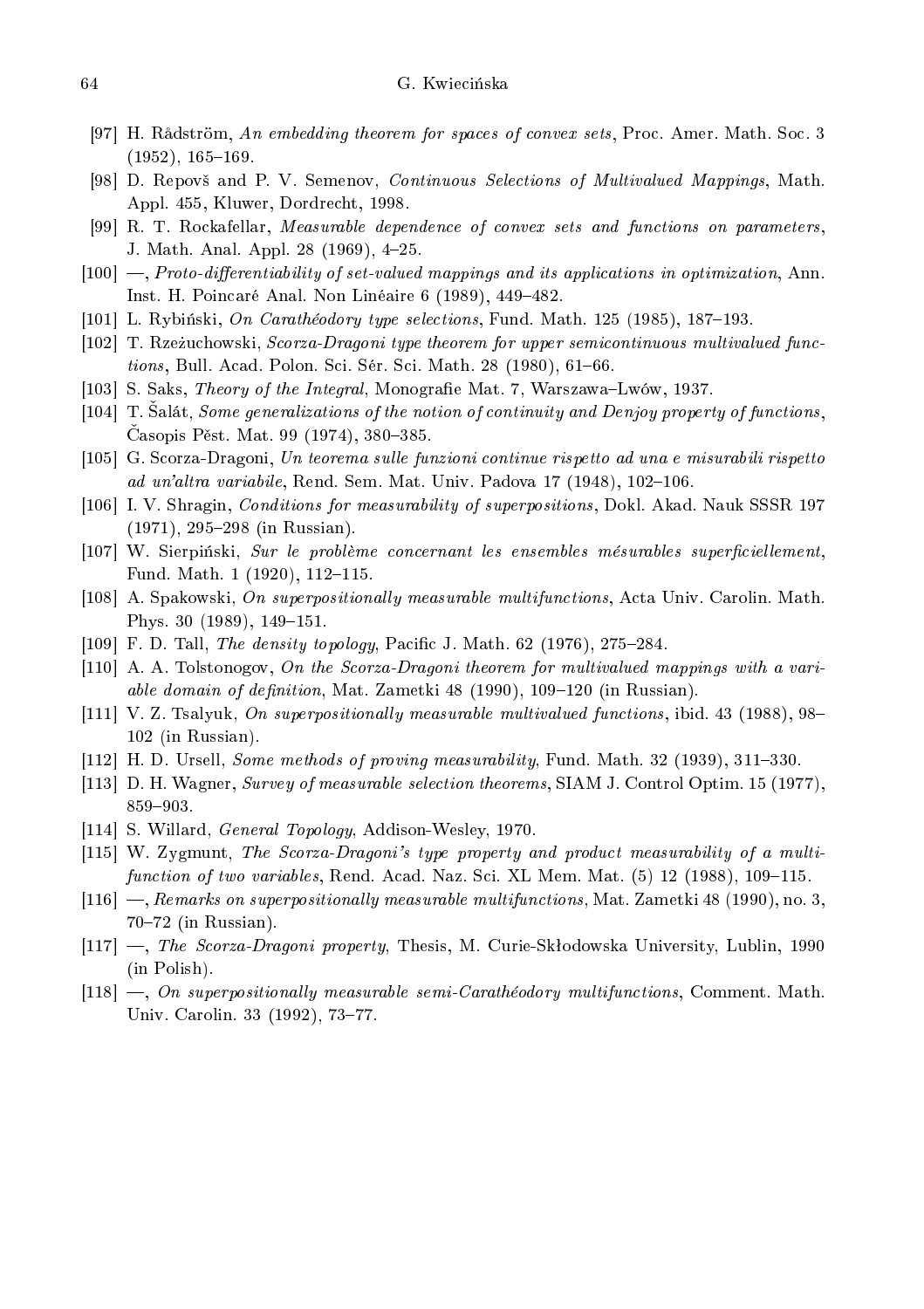- [97] H. Rådström, An embedding theorem for spaces of convex sets, Proc. Amer. Math. Soc. 3  $(1952), 165-169.$
- [98] D. Repovš and P. V. Semenov, *Continuous Selections of Multivalued Mappings*, Math. Appl. 455, Kluwer, Dordre
ht, 1998.
- [99] R. T. Rockafellar, Measurable dependence of convex sets and functions on parameters, J. Math. Anal. Appl. 28 (1969), 4-25.
- $[100]$  —, Proto-differentiability of set-valued mappings and its applications in optimization, Ann. Inst. H. Poincaré Anal. Non Linéaire 6 (1989), 449-482.
- [101] L. Rybiński, On Carathéodory type selections, Fund. Math. 125 (1985), 187–193.
- [102] T. Rzeżuchowski, Scorza-Dragoni type theorem for upper semicontinuous multivalued functions, Bull. Acad. Polon. Sci. Sér. Sci. Math. 28 (1980), 61-66.
- [103] S. Saks, *Theory of the Integral*, Monografie Mat. 7, Warszawa–Lwów, 1937.
- $[104]$  T. Salát, *Some generalizations of the notion of continuity and Denjoy property of functions*,  $\check{C}$ asopis Pěst. Mat. 99 (1974), 380–385.
- [105] G. Scorza-Dragoni, Un teorema sulle funzioni continue rispetto ad una e misurabili rispetto ad un'altra variabile, Rend. Sem. Mat. Univ. Padova  $17$  (1948),  $102-106$ .
- [106] I. V. Shragin, *Conditions for measurability of superpositions*, Dokl. Akad. Nauk SSSR 197  $(1971), 295-298$  (in Russian).
- [107] W. Sierpiński, *Sur le problème concernant les ensembles mésurables superficiellement*, Fund. Math. 1 (1920), 112-115.
- [108] A. Spakowski, On superpositionally measurable multifunctions, Acta Univ. Carolin. Math. Phys.  $30(1989)$ ,  $149-151$ .
- [109] F. D. Tall, *The density topology*, Pacific J. Math.  $62$  (1976), 275–284.
- [110] A. A. Tolstonogov, On the Scorza-Dragoni theorem for multivalued mappings with a variable domain of definition, Mat. Zametki  $48$  (1990), 109–120 (in Russian).
- [111] V. Z. Tsalyuk, On superpositionally measurable multivalued functions, ibid. 43 (1988), 98– 102 (in Russian).
- [112] H. D. Ursell, Some methods of proving measurability, Fund. Math. 32 (1939), 311-330.
- [113] D. H. Wagner, Survey of measurable selection theorems, SIAM J. Control Optim. 15 (1977), 859-903.
- [114] S. Willard, General Topology, Addison-Wesley, 1970.
- [115] W. Zygmunt, The Scorza-Dragoni's type property and product measurability of a multifunction of two variables, Rend. Acad. Naz. Sci. XL Mem. Mat. (5) 12 (1988), 109–115.
- $[116]$  —, Remarks on superpositionally measurable multifunctions, Mat. Zametki 48 (1990), no. 3,  $70-72$  (in Russian).
- $[117]$  —, The Scorza-Dragoni property, Thesis, M. Curie-Skłodowska University, Lublin, 1990 (in Polish).
- $[118]$  —, On superpositionally measurable semi-Carathéodory multifunctions, Comment. Math. Univ. Carolin. 33 (1992), 73-77.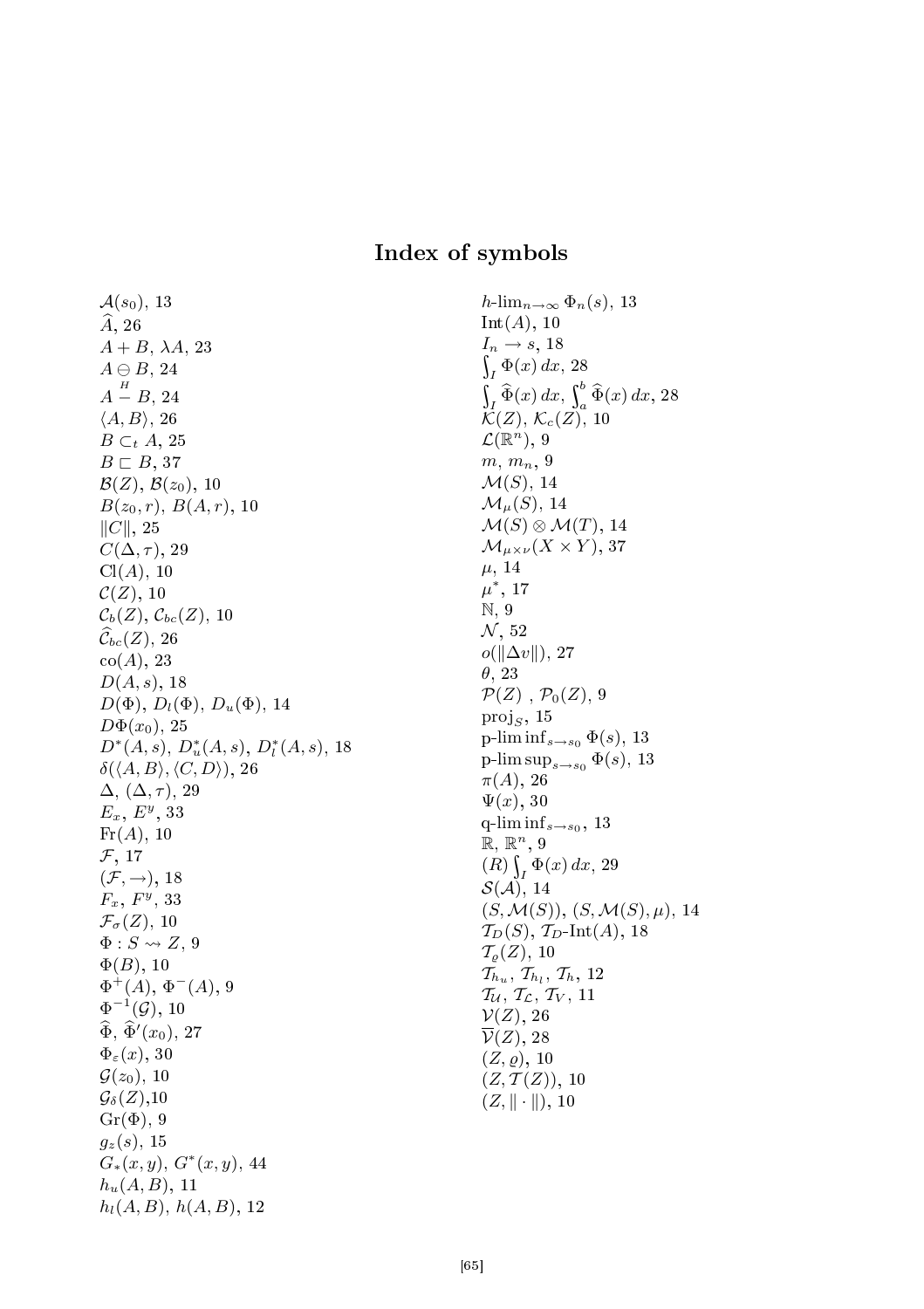## Index of symbols

 $\mathcal{A}(s_0)$ , 13  $\hat{A}$ , 26  $A + B$ ,  $\lambda A$ , 23  $A \ominus B$ , 24  $A-B,\, 24$  $H$  $\langle A, B \rangle$ , 26  $B \subset_t A$ , 25  $B \sqsubset B$ , 37  $\mathcal{B}(Z)$ ,  $\mathcal{B}(z_0)$ , 10  $B(z_0, r)$ ,  $B(A, r)$ , 10  $||C||, 25$  $C(\Delta, \tau)$ , 29  $Cl(A), 10$  $\mathcal{C}(Z)$ , 10  $\mathcal{C}_b(Z), \mathcal{C}_{bc}(Z), 10$  $\widehat{\mathcal{C}}_{bc}(Z), 26$  $co(A), 23$  $D(A, s)$ , 18  $D(\Phi)$ ,  $D_l(\Phi)$ ,  $D_u(\Phi)$ , 14  $D\Phi(x_0)$ , 25  $D^*(A, s)$ ,  $D_u^*(A, s)$ ,  $D_l^*(A, s)$ , 18  $\delta(\langle A, B \rangle, \langle C, D \rangle)$ , 26  $\Delta, (\Delta, \tau)$ , 29  $E_x, E^y, 33$  $\mathrm{Fr}(A), 10$  $\mathcal{F}$ , 17  $(\mathcal{F}, \rightarrow)$ , 18  $F_x, F^y, 33$  $\mathcal{F}_{\sigma}(Z)$ , 10  $\Phi: S \rightsquigarrow Z, 9$  $\Phi(B)$ , 10  $\Phi^{\dot{+}}(A), \, \Phi^-(A), \, 9$  $\Phi^{-1}(\mathcal{G}), 10$  $\widehat{\Phi}$ ,  $\widehat{\Phi}'(x_0)$ , 27  $\Phi_{\varepsilon}(x)$ , 30  $\mathcal{G}(z_0)$ , 10  $\mathcal{G}_{\delta}(Z), 10$  $Gr(\Phi)$ , 9  $g_z(s)$ , 15  $G_*(x, y), G^*(x, y), 44$  $h_u(A, B)$ , 11  $h_l(A, B)$ ,  $h(A, B)$ , 12

h-lim<sub>n→∞</sub>  $\Phi_n(s)$ , 13  $Int(A), 10$  $\sim$  $I_n \rightarrow s$ , 18  $\int_I \Phi(x) dx$ , 28  $\sim$  $\int_{I} \widehat{\Phi}(x) dx, \int_{a}^{b}$  $\int_a^b \Phi(x) dx$ , 28  $\mathcal{K}(Z)$ ,  $\mathcal{K}_c(Z)$ , 10  $\mathcal{L}(\mathbb{R}^n)$ , 9  $m, m_n, \Omega$  $\mathcal{M}(S)$ , 14  $\mathcal{M}_{\mu}(S)$ , 14  $\mathcal{M}(S) \otimes \mathcal{M}(T)$ , 14  $\mathcal{M}_{\mu\times\nu}(X\times Y),$  37  $\mu$ , 14  $\mu^*,\,17$ N, 9  $N$ , 52  $o(\Vert \Delta v \Vert), 27$ θ, 23  $\mathcal{P}(Z)$ ,  $\mathcal{P}_0(Z)$ , 9  $proj_S$ , 15 p-lim inf<sub>s→s0</sub>  $\Phi(s)$ , 13 p-lim sup<sub> $s\rightarrow s_0$ </sub>  $\Phi(s)$ , 13  $\pi(A)$ , 26  $\Psi(x)$ , 30 q-lim inf $s \rightarrow s_0$ , 13  $\mathbb{R}, \mathbb{R}^n, 9$  $(R)\int$  $\int_I \Phi(x) dx$ , 29  $\mathcal{S}(\mathcal{A})$ , 14  $(S, \mathcal{M}(S)), (S, \mathcal{M}(S), \mu), 14$  $\mathcal{T}_D(S)$ ,  $\mathcal{T}_D$ -Int $(A)$ , 18  $\mathcal{T}_{\varrho}(Z), 10$  $\mathcal{T}_{h_u}, \mathcal{T}_{h_l}, \mathcal{T}_h, 12$  $\mathcal{T}_\mathcal{U}, \mathcal{T}_\mathcal{L}, \mathcal{T}_V, 11$  $\mathcal{V}(Z)$ , 26  $\overline{\mathcal{V}}(Z)$ , 28  $(Z, \rho)$ , 10  $(Z, T(Z)), 10$  $(Z, || \cdot ||), 10$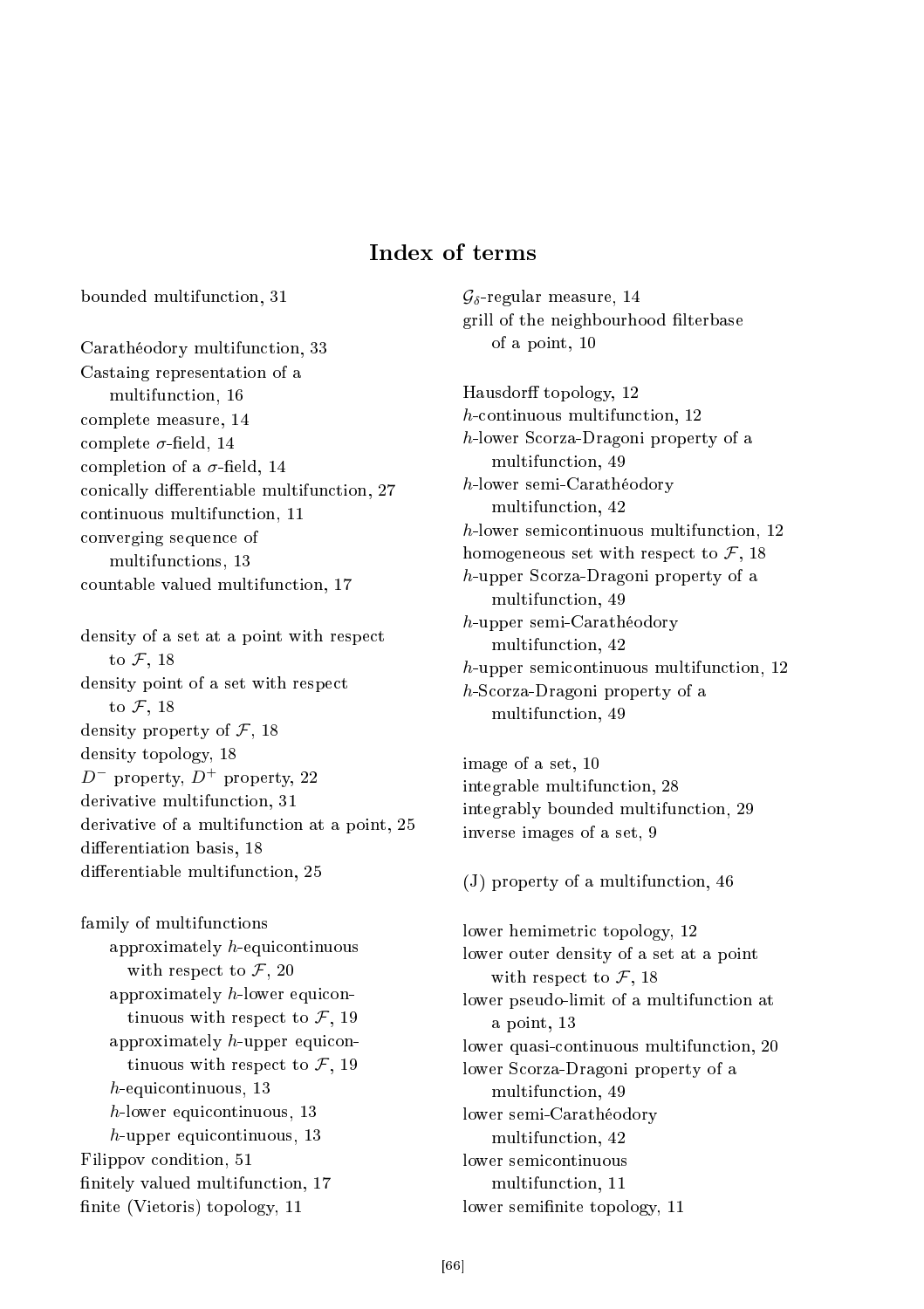# Index of terms

bounded multifun
tion, 31

Carathéodory multifun
tion, 33 Castaing representation of a multifun
tion, 16 omplete measure, 14 complete  $\sigma$ -field, 14 completion of a  $\sigma$ -field, 14 conically differentiable multifunction, 27 ontinuous multifun
tion, 11 onverging sequen
e of multifun
tions, 13 countable valued multifunction, 17

density of a set at a point with respe
t to  $\mathcal{F}$ , 18 density point of a set with respe
t to  $\mathcal{F}$ , 18 density property of  $\mathcal{F}$ , 18 density topology, 18  $D^-$  property,  $D^+$  property, 22 derivative multifunction, 31 derivative of a multifunction at a point, 25 differentiation basis, 18 differentiable multifunction, 25

family of multifun
tions approximately  $h$ -equicontinuous with respect to  $\mathcal{F}$ , 20 approximately  $h$ -lower equicontinuous with respect to  $\mathcal{F}$ , 19 approximately  $h$ -upper equicontinuous with respect to  $\mathcal{F}$ , 19 h-equicontinuous, 13 h-lower equicontinuous, 13 h-upper equicontinuous, 13 Filippov ondition, 51 finitely valued multifunction, 17 finite (Vietoris) topology, 11

 $\mathcal{G}_{\delta}$ -regular measure, 14 grill of the neighbourhood filterbase of a point, 10

Hausdorff topology, 12 h-continuous multifunction, 12 h-lower S
orza-Dragoni property of a multifun
tion, 49 h-lower semi-Carathéodory multifun
tion, 42 h-lower semicontinuous multifunction, 12 homogeneous set with respect to  $\mathcal{F}$ , 18 h-upper S
orza-Dragoni property of a multifun
tion, 49 h-upper semi-Carathéodory multifun
tion, 42 h-upper semicontinuous multifunction, 12 h-S
orza-Dragoni property of a multifun
tion, 49

image of a set, 10 integrable multifun
tion, 28 integrably bounded multifun
tion, 29 inverse images of a set, 9

(J) property of a multifun
tion, 46

lower hemimetri topology, 12 lower outer density of a set at a point with respect to  $\mathcal{F}$ , 18 lower pseudo-limit of a multifunction at a point, 13 lower quasi-continuous multifunction, 20 lower S
orza-Dragoni property of a multifun
tion, 49 lower semi-Carathéodory multifun
tion, 42 multifun
tion, 11 lower semifinite topology, 11